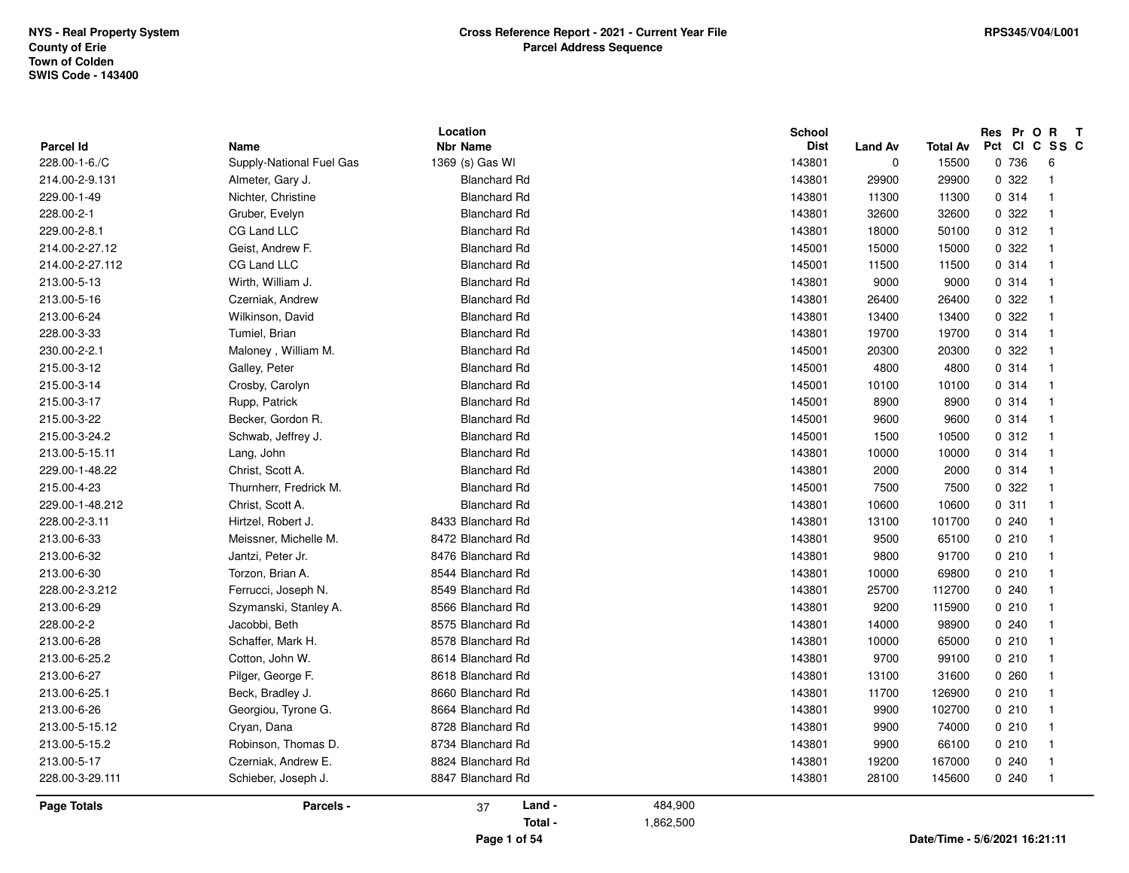| <b>Parcel Id</b>   | Name                     | Location<br><b>Nbr Name</b> |           | <b>School</b><br><b>Dist</b> | <b>Land Av</b> | Total Av | Pct Cl | Res Pr O R | $\mathbf{T}$<br>C SS C  |  |
|--------------------|--------------------------|-----------------------------|-----------|------------------------------|----------------|----------|--------|------------|-------------------------|--|
| 228.00-1-6./C      | Supply-National Fuel Gas | 1369 (s) Gas WI             |           | 143801                       | $\mathbf 0$    | 15500    |        | 0 736      | 6                       |  |
| 214.00-2-9.131     | Almeter, Gary J.         | <b>Blanchard Rd</b>         |           | 143801                       | 29900          | 29900    |        | 0.322      | $\overline{1}$          |  |
| 229.00-1-49        | Nichter, Christine       | <b>Blanchard Rd</b>         |           | 143801                       | 11300          | 11300    |        | 0.314      | $\overline{\mathbf{1}}$ |  |
| 228.00-2-1         | Gruber, Evelyn           | <b>Blanchard Rd</b>         |           | 143801                       | 32600          | 32600    |        | 0.322      | $\overline{1}$          |  |
| 229.00-2-8.1       | CG Land LLC              | <b>Blanchard Rd</b>         |           | 143801                       | 18000          | 50100    |        | 0.312      | $\overline{\mathbf{1}}$ |  |
| 214.00-2-27.12     | Geist, Andrew F.         | <b>Blanchard Rd</b>         |           | 145001                       | 15000          | 15000    |        | 0 322      | $\overline{\mathbf{1}}$ |  |
| 214.00-2-27.112    | CG Land LLC              | <b>Blanchard Rd</b>         |           | 145001                       | 11500          | 11500    |        | 0.314      | $\overline{\mathbf{1}}$ |  |
| 213.00-5-13        | Wirth, William J.        | <b>Blanchard Rd</b>         |           | 143801                       | 9000           | 9000     |        | 0.314      | -1                      |  |
| 213.00-5-16        | Czerniak, Andrew         | <b>Blanchard Rd</b>         |           | 143801                       | 26400          | 26400    |        | 0.322      | -1                      |  |
| 213.00-6-24        | Wilkinson, David         | <b>Blanchard Rd</b>         |           | 143801                       | 13400          | 13400    |        | 0.322      | -1                      |  |
| 228.00-3-33        | Tumiel, Brian            | <b>Blanchard Rd</b>         |           | 143801                       | 19700          | 19700    |        | 0 314      | $\overline{\mathbf{1}}$ |  |
| 230.00-2-2.1       | Maloney, William M.      | <b>Blanchard Rd</b>         |           | 145001                       | 20300          | 20300    |        | 0.322      | $\overline{\mathbf{1}}$ |  |
| 215.00-3-12        | Galley, Peter            | <b>Blanchard Rd</b>         |           | 145001                       | 4800           | 4800     |        | 0.314      | -1                      |  |
| 215.00-3-14        | Crosby, Carolyn          | <b>Blanchard Rd</b>         |           | 145001                       | 10100          | 10100    |        | 0.314      | -1                      |  |
| 215.00-3-17        | Rupp, Patrick            | <b>Blanchard Rd</b>         |           | 145001                       | 8900           | 8900     |        | 0.314      | -1                      |  |
| 215.00-3-22        | Becker, Gordon R.        | <b>Blanchard Rd</b>         |           | 145001                       | 9600           | 9600     |        | 0 314      | $\overline{\mathbf{1}}$ |  |
| 215.00-3-24.2      | Schwab, Jeffrey J.       | <b>Blanchard Rd</b>         |           | 145001                       | 1500           | 10500    |        | 0.312      | $\overline{1}$          |  |
| 213.00-5-15.11     | Lang, John               | <b>Blanchard Rd</b>         |           | 143801                       | 10000          | 10000    |        | 0.314      | $\overline{\mathbf{1}}$ |  |
| 229.00-1-48.22     | Christ, Scott A.         | <b>Blanchard Rd</b>         |           | 143801                       | 2000           | 2000     |        | 0.314      | -1                      |  |
| 215.00-4-23        | Thurnherr, Fredrick M.   | <b>Blanchard Rd</b>         |           | 145001                       | 7500           | 7500     |        | 0.322      |                         |  |
| 229.00-1-48.212    | Christ, Scott A.         | <b>Blanchard Rd</b>         |           | 143801                       | 10600          | 10600    |        | 0.311      | $\mathbf{1}$            |  |
| 228.00-2-3.11      | Hirtzel, Robert J.       | 8433 Blanchard Rd           |           | 143801                       | 13100          | 101700   |        | 0.240      | $\overline{\mathbf{1}}$ |  |
| 213.00-6-33        | Meissner, Michelle M.    | 8472 Blanchard Rd           |           | 143801                       | 9500           | 65100    |        | 0210       | $\overline{1}$          |  |
| 213.00-6-32        | Jantzi, Peter Jr.        | 8476 Blanchard Rd           |           | 143801                       | 9800           | 91700    |        | 0210       | -1                      |  |
| 213.00-6-30        | Torzon, Brian A.         | 8544 Blanchard Rd           |           | 143801                       | 10000          | 69800    |        | 0210       | -1                      |  |
| 228.00-2-3.212     | Ferrucci, Joseph N.      | 8549 Blanchard Rd           |           | 143801                       | 25700          | 112700   |        | 0240       |                         |  |
| 213.00-6-29        | Szymanski, Stanley A.    | 8566 Blanchard Rd           |           | 143801                       | 9200           | 115900   |        | 0210       | -1                      |  |
| 228.00-2-2         | Jacobbi, Beth            | 8575 Blanchard Rd           |           | 143801                       | 14000          | 98900    |        | 0.240      | $\overline{\mathbf{1}}$ |  |
| 213.00-6-28        | Schaffer, Mark H.        | 8578 Blanchard Rd           |           | 143801                       | 10000          | 65000    |        | 0210       | -1                      |  |
| 213.00-6-25.2      | Cotton, John W.          | 8614 Blanchard Rd           |           | 143801                       | 9700           | 99100    |        | 0210       | -1                      |  |
| 213.00-6-27        | Pilger, George F.        | 8618 Blanchard Rd           |           | 143801                       | 13100          | 31600    |        | 0260       |                         |  |
| 213.00-6-25.1      | Beck, Bradley J.         | 8660 Blanchard Rd           |           | 143801                       | 11700          | 126900   |        | 0210       | -1                      |  |
| 213.00-6-26        | Georgiou, Tyrone G.      | 8664 Blanchard Rd           |           | 143801                       | 9900           | 102700   |        | 0210       | $\overline{\mathbf{1}}$ |  |
| 213.00-5-15.12     | Cryan, Dana              | 8728 Blanchard Rd           |           | 143801                       | 9900           | 74000    |        | 0.210      | $\overline{1}$          |  |
| 213.00-5-15.2      | Robinson, Thomas D.      | 8734 Blanchard Rd           |           | 143801                       | 9900           | 66100    |        | 0.210      | -1                      |  |
| 213.00-5-17        | Czerniak, Andrew E.      | 8824 Blanchard Rd           |           | 143801                       | 19200          | 167000   |        | 0.240      | -1                      |  |
| 228.00-3-29.111    | Schieber, Joseph J.      | 8847 Blanchard Rd           |           | 143801                       | 28100          | 145600   |        | 0240       | $\overline{1}$          |  |
| <b>Page Totals</b> | Parcels -                | Land -<br>37                | 484,900   |                              |                |          |        |            |                         |  |
|                    |                          | Total -                     | 1,862,500 |                              |                |          |        |            |                         |  |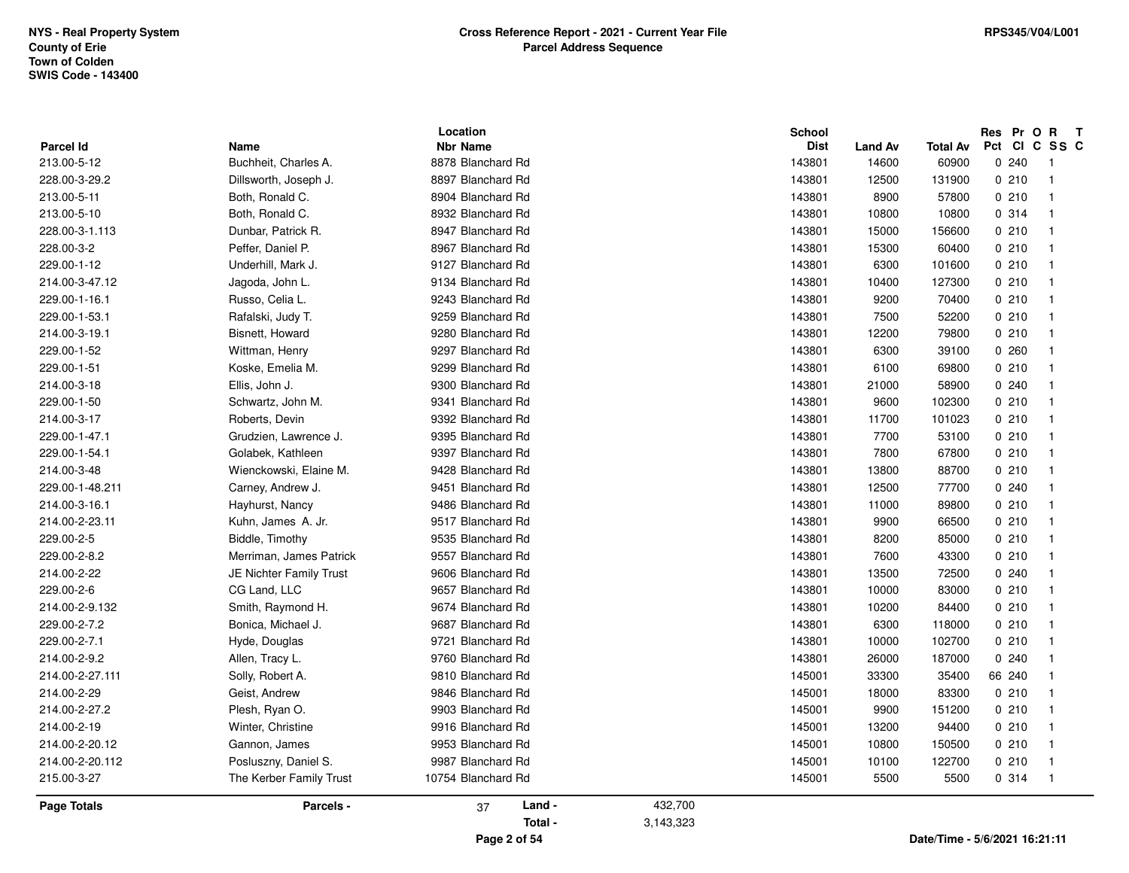| <b>Parcel Id</b> | Name                    | Location<br><b>Nbr Name</b> |           | <b>School</b><br><b>Dist</b> | <b>Land Av</b> | Total Av | Pct CI | Res Pr O R | $\mathbf{T}$<br>C SS C  |  |
|------------------|-------------------------|-----------------------------|-----------|------------------------------|----------------|----------|--------|------------|-------------------------|--|
| 213.00-5-12      | Buchheit, Charles A.    | 8878 Blanchard Rd           |           | 143801                       | 14600          | 60900    |        | 0.240      | - 1                     |  |
| 228.00-3-29.2    | Dillsworth, Joseph J.   | 8897 Blanchard Rd           |           | 143801                       | 12500          | 131900   |        | 0210       | $\overline{1}$          |  |
| 213.00-5-11      | Both, Ronald C.         | 8904 Blanchard Rd           |           | 143801                       | 8900           | 57800    |        | 0210       | -1                      |  |
| 213.00-5-10      | Both, Ronald C.         | 8932 Blanchard Rd           |           | 143801                       | 10800          | 10800    |        | 0.314      | -1                      |  |
| 228.00-3-1.113   | Dunbar, Patrick R.      | 8947 Blanchard Rd           |           | 143801                       | 15000          | 156600   |        | 0210       | -1                      |  |
| 228.00-3-2       | Peffer, Daniel P.       | 8967 Blanchard Rd           |           | 143801                       | 15300          | 60400    |        | 0210       | $\overline{\mathbf{1}}$ |  |
| 229.00-1-12      | Underhill, Mark J.      | 9127 Blanchard Rd           |           | 143801                       | 6300           | 101600   |        | 0210       | $\overline{\mathbf{1}}$ |  |
| 214.00-3-47.12   | Jagoda, John L.         | 9134 Blanchard Rd           |           | 143801                       | 10400          | 127300   |        | 0210       | -1                      |  |
| 229.00-1-16.1    | Russo, Celia L.         | 9243 Blanchard Rd           |           | 143801                       | 9200           | 70400    |        | 0210       | -1                      |  |
| 229.00-1-53.1    | Rafalski, Judy T.       | 9259 Blanchard Rd           |           | 143801                       | 7500           | 52200    |        | 0210       | -1                      |  |
| 214.00-3-19.1    | Bisnett, Howard         | 9280 Blanchard Rd           |           | 143801                       | 12200          | 79800    |        | 0210       | $\mathbf{1}$            |  |
| 229.00-1-52      | Wittman, Henry          | 9297 Blanchard Rd           |           | 143801                       | 6300           | 39100    |        | 0260       | -1                      |  |
| 229.00-1-51      | Koske, Emelia M.        | 9299 Blanchard Rd           |           | 143801                       | 6100           | 69800    |        | 0210       | $\overline{\mathbf{1}}$ |  |
| 214.00-3-18      | Ellis, John J.          | 9300 Blanchard Rd           |           | 143801                       | 21000          | 58900    |        | 0.240      | -1                      |  |
| 229.00-1-50      | Schwartz, John M.       | 9341 Blanchard Rd           |           | 143801                       | 9600           | 102300   |        | 0210       | -1                      |  |
| 214.00-3-17      | Roberts, Devin          | 9392 Blanchard Rd           |           | 143801                       | 11700          | 101023   |        | 0210       | $\overline{\mathbf{1}}$ |  |
| 229.00-1-47.1    | Grudzien, Lawrence J.   | 9395 Blanchard Rd           |           | 143801                       | 7700           | 53100    |        | 0210       | $\overline{1}$          |  |
| 229.00-1-54.1    | Golabek, Kathleen       | 9397 Blanchard Rd           |           | 143801                       | 7800           | 67800    |        | 0210       | $\overline{\mathbf{1}}$ |  |
| 214.00-3-48      | Wienckowski, Elaine M.  | 9428 Blanchard Rd           |           | 143801                       | 13800          | 88700    |        | 0210       | -1                      |  |
| 229.00-1-48.211  | Carney, Andrew J.       | 9451 Blanchard Rd           |           | 143801                       | 12500          | 77700    |        | 0.240      |                         |  |
| 214.00-3-16.1    | Hayhurst, Nancy         | 9486 Blanchard Rd           |           | 143801                       | 11000          | 89800    |        | 0210       | $\overline{\mathbf{1}}$ |  |
| 214.00-2-23.11   | Kuhn, James A. Jr.      | 9517 Blanchard Rd           |           | 143801                       | 9900           | 66500    |        | 0210       | $\overline{\mathbf{1}}$ |  |
| 229.00-2-5       | Biddle, Timothy         | 9535 Blanchard Rd           |           | 143801                       | 8200           | 85000    |        | 0210       | $\overline{1}$          |  |
| 229.00-2-8.2     | Merriman, James Patrick | 9557 Blanchard Rd           |           | 143801                       | 7600           | 43300    |        | 0210       | -1                      |  |
| 214.00-2-22      | JE Nichter Family Trust | 9606 Blanchard Rd           |           | 143801                       | 13500          | 72500    |        | 0.240      | -1                      |  |
| 229.00-2-6       | CG Land, LLC            | 9657 Blanchard Rd           |           | 143801                       | 10000          | 83000    |        | 0210       | $\overline{\mathbf{1}}$ |  |
| 214.00-2-9.132   | Smith, Raymond H.       | 9674 Blanchard Rd           |           | 143801                       | 10200          | 84400    |        | 0210       | -1                      |  |
| 229.00-2-7.2     | Bonica, Michael J.      | 9687 Blanchard Rd           |           | 143801                       | 6300           | 118000   |        | 0210       | $\overline{\mathbf{1}}$ |  |
| 229.00-2-7.1     | Hyde, Douglas           | 9721 Blanchard Rd           |           | 143801                       | 10000          | 102700   |        | 0210       | -1                      |  |
| 214.00-2-9.2     | Allen, Tracy L.         | 9760 Blanchard Rd           |           | 143801                       | 26000          | 187000   |        | 0.240      | -1                      |  |
| 214.00-2-27.111  | Solly, Robert A.        | 9810 Blanchard Rd           |           | 145001                       | 33300          | 35400    |        | 66 240     | $\overline{\mathbf{1}}$ |  |
| 214.00-2-29      | Geist, Andrew           | 9846 Blanchard Rd           |           | 145001                       | 18000          | 83300    |        | 0210       | $\overline{\mathbf{1}}$ |  |
| 214.00-2-27.2    | Plesh, Ryan O.          | 9903 Blanchard Rd           |           | 145001                       | 9900           | 151200   |        | 0210       | $\overline{\mathbf{1}}$ |  |
| 214.00-2-19      | Winter, Christine       | 9916 Blanchard Rd           |           | 145001                       | 13200          | 94400    |        | 0210       | -1                      |  |
| 214.00-2-20.12   | Gannon, James           | 9953 Blanchard Rd           |           | 145001                       | 10800          | 150500   |        | 0210       | -1                      |  |
| 214.00-2-20.112  |                         | 9987 Blanchard Rd           |           | 145001                       | 10100          | 122700   |        | 0210       | -1                      |  |
|                  | Posluszny, Daniel S.    |                             |           |                              |                |          |        |            |                         |  |
| 215.00-3-27      | The Kerber Family Trust | 10754 Blanchard Rd          |           | 145001                       | 5500           | 5500     |        | 0.314      | $\overline{1}$          |  |
| Page Totals      | Parcels -               | Land -<br>37                | 432,700   |                              |                |          |        |            |                         |  |
|                  |                         | Total -                     | 3,143,323 |                              |                |          |        |            |                         |  |
|                  |                         |                             |           |                              |                |          |        |            |                         |  |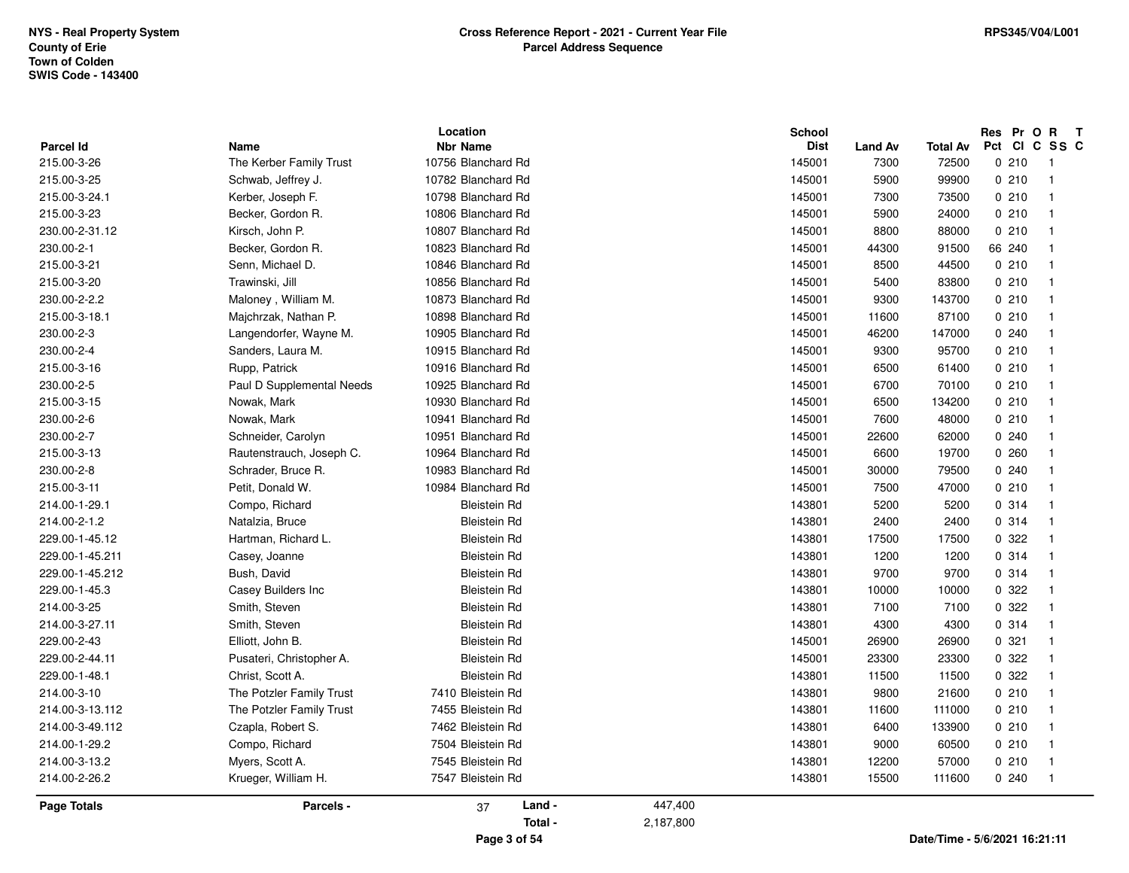| <b>Parcel Id</b><br><b>Nbr Name</b><br><b>Dist</b><br>Name<br><b>Land Av</b><br>215.00-3-26<br>The Kerber Family Trust<br>10756 Blanchard Rd<br>7300<br>72500<br>145001<br>215.00-3-25<br>10782 Blanchard Rd<br>145001<br>5900<br>99900<br>Schwab, Jeffrey J.<br>215.00-3-24.1<br>10798 Blanchard Rd<br>145001<br>7300<br>73500<br>Kerber, Joseph F.<br>215.00-3-23<br>Becker, Gordon R.<br>10806 Blanchard Rd<br>145001<br>5900<br>24000<br>Kirsch, John P.<br>230.00-2-31.12<br>10807 Blanchard Rd<br>145001<br>8800<br>88000<br>230.00-2-1<br>Becker, Gordon R.<br>10823 Blanchard Rd<br>145001<br>44300<br>91500<br>215.00-3-21<br>Senn, Michael D.<br>10846 Blanchard Rd<br>145001<br>8500<br>44500<br>215.00-3-20<br>Trawinski, Jill<br>10856 Blanchard Rd<br>145001<br>5400<br>83800<br>230.00-2-2.2<br>Maloney, William M.<br>10873 Blanchard Rd<br>145001<br>9300<br>143700<br>215.00-3-18.1<br>Majchrzak, Nathan P.<br>10898 Blanchard Rd<br>145001<br>11600<br>87100<br>230.00-2-3<br>10905 Blanchard Rd<br>46200<br>Langendorfer, Wayne M.<br>145001<br>147000<br>230.00-2-4<br>10915 Blanchard Rd<br>145001<br>9300<br>95700<br>Sanders, Laura M.<br>215.00-3-16<br>Rupp, Patrick<br>10916 Blanchard Rd<br>145001<br>6500<br>61400<br>230.00-2-5<br>Paul D Supplemental Needs<br>10925 Blanchard Rd<br>145001<br>6700<br>70100<br>215.00-3-15<br>Nowak, Mark<br>10930 Blanchard Rd<br>145001<br>6500<br>134200<br>230.00-2-6<br>Nowak, Mark<br>10941 Blanchard Rd<br>7600<br>48000<br>145001<br>230.00-2-7<br>Schneider, Carolyn<br>10951 Blanchard Rd<br>145001<br>22600<br>62000<br>10964 Blanchard Rd<br>215.00-3-13<br>Rautenstrauch, Joseph C.<br>145001<br>6600<br>19700<br>230.00-2-8<br>Schrader, Bruce R.<br>10983 Blanchard Rd<br>30000<br>79500<br>145001<br>215.00-3-11<br>Petit, Donald W.<br>10984 Blanchard Rd<br>145001<br>7500<br>47000<br>214.00-1-29.1<br>Compo, Richard<br><b>Bleistein Rd</b><br>143801<br>5200<br>5200<br>214.00-2-1.2<br><b>Bleistein Rd</b><br>143801<br>2400<br>2400<br>Natalzia, Bruce<br>Hartman, Richard L.<br>229.00-1-45.12<br><b>Bleistein Rd</b><br>143801<br>17500<br>17500<br><b>Bleistein Rd</b><br>1200<br>1200<br>229.00-1-45.211<br>Casey, Joanne<br>143801<br>229.00-1-45.212<br>Bush, David<br><b>Bleistein Rd</b><br>143801<br>9700<br>9700<br>229.00-1-45.3<br>Casey Builders Inc<br><b>Bleistein Rd</b><br>143801<br>10000<br>10000<br>214.00-3-25<br>143801<br>7100<br>Smith, Steven<br><b>Bleistein Rd</b><br>7100<br>214.00-3-27.11<br>Smith, Steven<br><b>Bleistein Rd</b><br>143801<br>4300<br>4300<br>229.00-2-43<br><b>Bleistein Rd</b><br>26900<br>Elliott, John B.<br>145001<br>26900<br>229.00-2-44.11<br>Pusateri, Christopher A.<br><b>Bleistein Rd</b><br>145001<br>23300<br>23300<br>229.00-1-48.1<br>Christ, Scott A.<br><b>Bleistein Rd</b><br>143801<br>11500<br>11500<br>7410 Bleistein Rd<br>214.00-3-10<br>The Potzler Family Trust<br>143801<br>9800<br>21600<br>214.00-3-13.112<br>The Potzler Family Trust<br>7455 Bleistein Rd<br>143801<br>11600<br>111000<br>214.00-3-49.112<br>Czapla, Robert S.<br>7462 Bleistein Rd<br>143801<br>6400<br>133900<br>214.00-1-29.2<br>Compo, Richard<br>7504 Bleistein Rd<br>9000<br>143801<br>60500<br>214.00-3-13.2<br>Myers, Scott A.<br>7545 Bleistein Rd<br>143801<br>12200<br>57000<br>214.00-2-26.2<br>15500<br>Krueger, William H.<br>7547 Bleistein Rd<br>143801<br>111600 |        |                 | Res Pr O R<br>$\mathbf{T}$ |
|------------------------------------------------------------------------------------------------------------------------------------------------------------------------------------------------------------------------------------------------------------------------------------------------------------------------------------------------------------------------------------------------------------------------------------------------------------------------------------------------------------------------------------------------------------------------------------------------------------------------------------------------------------------------------------------------------------------------------------------------------------------------------------------------------------------------------------------------------------------------------------------------------------------------------------------------------------------------------------------------------------------------------------------------------------------------------------------------------------------------------------------------------------------------------------------------------------------------------------------------------------------------------------------------------------------------------------------------------------------------------------------------------------------------------------------------------------------------------------------------------------------------------------------------------------------------------------------------------------------------------------------------------------------------------------------------------------------------------------------------------------------------------------------------------------------------------------------------------------------------------------------------------------------------------------------------------------------------------------------------------------------------------------------------------------------------------------------------------------------------------------------------------------------------------------------------------------------------------------------------------------------------------------------------------------------------------------------------------------------------------------------------------------------------------------------------------------------------------------------------------------------------------------------------------------------------------------------------------------------------------------------------------------------------------------------------------------------------------------------------------------------------------------------------------------------------------------------------------------------------------------------------------------------------------------------------------------------------------------------------------------------------------------------------------------------------------------------------------------------------------------------------------------------------------------------------------------------------------------------------------------------------------------------------------------------------------------------------------------------------------------------------------------------------|--------|-----------------|----------------------------|
|                                                                                                                                                                                                                                                                                                                                                                                                                                                                                                                                                                                                                                                                                                                                                                                                                                                                                                                                                                                                                                                                                                                                                                                                                                                                                                                                                                                                                                                                                                                                                                                                                                                                                                                                                                                                                                                                                                                                                                                                                                                                                                                                                                                                                                                                                                                                                                                                                                                                                                                                                                                                                                                                                                                                                                                                                                                                                                                                                                                                                                                                                                                                                                                                                                                                                                                                                                                                                        | Pct CI | <b>Total Av</b> | C SS C                     |
|                                                                                                                                                                                                                                                                                                                                                                                                                                                                                                                                                                                                                                                                                                                                                                                                                                                                                                                                                                                                                                                                                                                                                                                                                                                                                                                                                                                                                                                                                                                                                                                                                                                                                                                                                                                                                                                                                                                                                                                                                                                                                                                                                                                                                                                                                                                                                                                                                                                                                                                                                                                                                                                                                                                                                                                                                                                                                                                                                                                                                                                                                                                                                                                                                                                                                                                                                                                                                        | 0210   |                 | $\overline{\phantom{a}}$   |
|                                                                                                                                                                                                                                                                                                                                                                                                                                                                                                                                                                                                                                                                                                                                                                                                                                                                                                                                                                                                                                                                                                                                                                                                                                                                                                                                                                                                                                                                                                                                                                                                                                                                                                                                                                                                                                                                                                                                                                                                                                                                                                                                                                                                                                                                                                                                                                                                                                                                                                                                                                                                                                                                                                                                                                                                                                                                                                                                                                                                                                                                                                                                                                                                                                                                                                                                                                                                                        | 0210   |                 | $\overline{1}$             |
|                                                                                                                                                                                                                                                                                                                                                                                                                                                                                                                                                                                                                                                                                                                                                                                                                                                                                                                                                                                                                                                                                                                                                                                                                                                                                                                                                                                                                                                                                                                                                                                                                                                                                                                                                                                                                                                                                                                                                                                                                                                                                                                                                                                                                                                                                                                                                                                                                                                                                                                                                                                                                                                                                                                                                                                                                                                                                                                                                                                                                                                                                                                                                                                                                                                                                                                                                                                                                        | 0210   |                 | $\overline{1}$             |
|                                                                                                                                                                                                                                                                                                                                                                                                                                                                                                                                                                                                                                                                                                                                                                                                                                                                                                                                                                                                                                                                                                                                                                                                                                                                                                                                                                                                                                                                                                                                                                                                                                                                                                                                                                                                                                                                                                                                                                                                                                                                                                                                                                                                                                                                                                                                                                                                                                                                                                                                                                                                                                                                                                                                                                                                                                                                                                                                                                                                                                                                                                                                                                                                                                                                                                                                                                                                                        | 0210   |                 | $\overline{1}$             |
|                                                                                                                                                                                                                                                                                                                                                                                                                                                                                                                                                                                                                                                                                                                                                                                                                                                                                                                                                                                                                                                                                                                                                                                                                                                                                                                                                                                                                                                                                                                                                                                                                                                                                                                                                                                                                                                                                                                                                                                                                                                                                                                                                                                                                                                                                                                                                                                                                                                                                                                                                                                                                                                                                                                                                                                                                                                                                                                                                                                                                                                                                                                                                                                                                                                                                                                                                                                                                        | 0210   |                 | -1                         |
|                                                                                                                                                                                                                                                                                                                                                                                                                                                                                                                                                                                                                                                                                                                                                                                                                                                                                                                                                                                                                                                                                                                                                                                                                                                                                                                                                                                                                                                                                                                                                                                                                                                                                                                                                                                                                                                                                                                                                                                                                                                                                                                                                                                                                                                                                                                                                                                                                                                                                                                                                                                                                                                                                                                                                                                                                                                                                                                                                                                                                                                                                                                                                                                                                                                                                                                                                                                                                        | 66 240 |                 | -1                         |
|                                                                                                                                                                                                                                                                                                                                                                                                                                                                                                                                                                                                                                                                                                                                                                                                                                                                                                                                                                                                                                                                                                                                                                                                                                                                                                                                                                                                                                                                                                                                                                                                                                                                                                                                                                                                                                                                                                                                                                                                                                                                                                                                                                                                                                                                                                                                                                                                                                                                                                                                                                                                                                                                                                                                                                                                                                                                                                                                                                                                                                                                                                                                                                                                                                                                                                                                                                                                                        | 0210   |                 | $\overline{\mathbf{1}}$    |
|                                                                                                                                                                                                                                                                                                                                                                                                                                                                                                                                                                                                                                                                                                                                                                                                                                                                                                                                                                                                                                                                                                                                                                                                                                                                                                                                                                                                                                                                                                                                                                                                                                                                                                                                                                                                                                                                                                                                                                                                                                                                                                                                                                                                                                                                                                                                                                                                                                                                                                                                                                                                                                                                                                                                                                                                                                                                                                                                                                                                                                                                                                                                                                                                                                                                                                                                                                                                                        | 0210   |                 | $\overline{\mathbf{1}}$    |
|                                                                                                                                                                                                                                                                                                                                                                                                                                                                                                                                                                                                                                                                                                                                                                                                                                                                                                                                                                                                                                                                                                                                                                                                                                                                                                                                                                                                                                                                                                                                                                                                                                                                                                                                                                                                                                                                                                                                                                                                                                                                                                                                                                                                                                                                                                                                                                                                                                                                                                                                                                                                                                                                                                                                                                                                                                                                                                                                                                                                                                                                                                                                                                                                                                                                                                                                                                                                                        | 0210   |                 |                            |
|                                                                                                                                                                                                                                                                                                                                                                                                                                                                                                                                                                                                                                                                                                                                                                                                                                                                                                                                                                                                                                                                                                                                                                                                                                                                                                                                                                                                                                                                                                                                                                                                                                                                                                                                                                                                                                                                                                                                                                                                                                                                                                                                                                                                                                                                                                                                                                                                                                                                                                                                                                                                                                                                                                                                                                                                                                                                                                                                                                                                                                                                                                                                                                                                                                                                                                                                                                                                                        | 0210   |                 |                            |
|                                                                                                                                                                                                                                                                                                                                                                                                                                                                                                                                                                                                                                                                                                                                                                                                                                                                                                                                                                                                                                                                                                                                                                                                                                                                                                                                                                                                                                                                                                                                                                                                                                                                                                                                                                                                                                                                                                                                                                                                                                                                                                                                                                                                                                                                                                                                                                                                                                                                                                                                                                                                                                                                                                                                                                                                                                                                                                                                                                                                                                                                                                                                                                                                                                                                                                                                                                                                                        | 0.240  |                 | -1                         |
|                                                                                                                                                                                                                                                                                                                                                                                                                                                                                                                                                                                                                                                                                                                                                                                                                                                                                                                                                                                                                                                                                                                                                                                                                                                                                                                                                                                                                                                                                                                                                                                                                                                                                                                                                                                                                                                                                                                                                                                                                                                                                                                                                                                                                                                                                                                                                                                                                                                                                                                                                                                                                                                                                                                                                                                                                                                                                                                                                                                                                                                                                                                                                                                                                                                                                                                                                                                                                        | 0210   |                 | $\overline{1}$             |
|                                                                                                                                                                                                                                                                                                                                                                                                                                                                                                                                                                                                                                                                                                                                                                                                                                                                                                                                                                                                                                                                                                                                                                                                                                                                                                                                                                                                                                                                                                                                                                                                                                                                                                                                                                                                                                                                                                                                                                                                                                                                                                                                                                                                                                                                                                                                                                                                                                                                                                                                                                                                                                                                                                                                                                                                                                                                                                                                                                                                                                                                                                                                                                                                                                                                                                                                                                                                                        | 0210   |                 | $\overline{1}$             |
|                                                                                                                                                                                                                                                                                                                                                                                                                                                                                                                                                                                                                                                                                                                                                                                                                                                                                                                                                                                                                                                                                                                                                                                                                                                                                                                                                                                                                                                                                                                                                                                                                                                                                                                                                                                                                                                                                                                                                                                                                                                                                                                                                                                                                                                                                                                                                                                                                                                                                                                                                                                                                                                                                                                                                                                                                                                                                                                                                                                                                                                                                                                                                                                                                                                                                                                                                                                                                        | 0210   |                 | $\overline{\mathbf{1}}$    |
|                                                                                                                                                                                                                                                                                                                                                                                                                                                                                                                                                                                                                                                                                                                                                                                                                                                                                                                                                                                                                                                                                                                                                                                                                                                                                                                                                                                                                                                                                                                                                                                                                                                                                                                                                                                                                                                                                                                                                                                                                                                                                                                                                                                                                                                                                                                                                                                                                                                                                                                                                                                                                                                                                                                                                                                                                                                                                                                                                                                                                                                                                                                                                                                                                                                                                                                                                                                                                        | 0210   |                 | $\overline{\mathbf{1}}$    |
|                                                                                                                                                                                                                                                                                                                                                                                                                                                                                                                                                                                                                                                                                                                                                                                                                                                                                                                                                                                                                                                                                                                                                                                                                                                                                                                                                                                                                                                                                                                                                                                                                                                                                                                                                                                                                                                                                                                                                                                                                                                                                                                                                                                                                                                                                                                                                                                                                                                                                                                                                                                                                                                                                                                                                                                                                                                                                                                                                                                                                                                                                                                                                                                                                                                                                                                                                                                                                        | 0210   |                 | -1                         |
|                                                                                                                                                                                                                                                                                                                                                                                                                                                                                                                                                                                                                                                                                                                                                                                                                                                                                                                                                                                                                                                                                                                                                                                                                                                                                                                                                                                                                                                                                                                                                                                                                                                                                                                                                                                                                                                                                                                                                                                                                                                                                                                                                                                                                                                                                                                                                                                                                                                                                                                                                                                                                                                                                                                                                                                                                                                                                                                                                                                                                                                                                                                                                                                                                                                                                                                                                                                                                        | 0.240  |                 | $\overline{\mathbf{1}}$    |
|                                                                                                                                                                                                                                                                                                                                                                                                                                                                                                                                                                                                                                                                                                                                                                                                                                                                                                                                                                                                                                                                                                                                                                                                                                                                                                                                                                                                                                                                                                                                                                                                                                                                                                                                                                                                                                                                                                                                                                                                                                                                                                                                                                                                                                                                                                                                                                                                                                                                                                                                                                                                                                                                                                                                                                                                                                                                                                                                                                                                                                                                                                                                                                                                                                                                                                                                                                                                                        | 0260   |                 | $\overline{\mathbf{1}}$    |
|                                                                                                                                                                                                                                                                                                                                                                                                                                                                                                                                                                                                                                                                                                                                                                                                                                                                                                                                                                                                                                                                                                                                                                                                                                                                                                                                                                                                                                                                                                                                                                                                                                                                                                                                                                                                                                                                                                                                                                                                                                                                                                                                                                                                                                                                                                                                                                                                                                                                                                                                                                                                                                                                                                                                                                                                                                                                                                                                                                                                                                                                                                                                                                                                                                                                                                                                                                                                                        | 0.240  |                 | -1                         |
|                                                                                                                                                                                                                                                                                                                                                                                                                                                                                                                                                                                                                                                                                                                                                                                                                                                                                                                                                                                                                                                                                                                                                                                                                                                                                                                                                                                                                                                                                                                                                                                                                                                                                                                                                                                                                                                                                                                                                                                                                                                                                                                                                                                                                                                                                                                                                                                                                                                                                                                                                                                                                                                                                                                                                                                                                                                                                                                                                                                                                                                                                                                                                                                                                                                                                                                                                                                                                        | 0210   |                 | $\overline{\mathbf{1}}$    |
|                                                                                                                                                                                                                                                                                                                                                                                                                                                                                                                                                                                                                                                                                                                                                                                                                                                                                                                                                                                                                                                                                                                                                                                                                                                                                                                                                                                                                                                                                                                                                                                                                                                                                                                                                                                                                                                                                                                                                                                                                                                                                                                                                                                                                                                                                                                                                                                                                                                                                                                                                                                                                                                                                                                                                                                                                                                                                                                                                                                                                                                                                                                                                                                                                                                                                                                                                                                                                        | 0.314  |                 | $\overline{\mathbf{1}}$    |
|                                                                                                                                                                                                                                                                                                                                                                                                                                                                                                                                                                                                                                                                                                                                                                                                                                                                                                                                                                                                                                                                                                                                                                                                                                                                                                                                                                                                                                                                                                                                                                                                                                                                                                                                                                                                                                                                                                                                                                                                                                                                                                                                                                                                                                                                                                                                                                                                                                                                                                                                                                                                                                                                                                                                                                                                                                                                                                                                                                                                                                                                                                                                                                                                                                                                                                                                                                                                                        | 0.314  |                 | $\overline{\mathbf{1}}$    |
|                                                                                                                                                                                                                                                                                                                                                                                                                                                                                                                                                                                                                                                                                                                                                                                                                                                                                                                                                                                                                                                                                                                                                                                                                                                                                                                                                                                                                                                                                                                                                                                                                                                                                                                                                                                                                                                                                                                                                                                                                                                                                                                                                                                                                                                                                                                                                                                                                                                                                                                                                                                                                                                                                                                                                                                                                                                                                                                                                                                                                                                                                                                                                                                                                                                                                                                                                                                                                        | 0.322  |                 | $\overline{\mathbf{1}}$    |
|                                                                                                                                                                                                                                                                                                                                                                                                                                                                                                                                                                                                                                                                                                                                                                                                                                                                                                                                                                                                                                                                                                                                                                                                                                                                                                                                                                                                                                                                                                                                                                                                                                                                                                                                                                                                                                                                                                                                                                                                                                                                                                                                                                                                                                                                                                                                                                                                                                                                                                                                                                                                                                                                                                                                                                                                                                                                                                                                                                                                                                                                                                                                                                                                                                                                                                                                                                                                                        | 0.314  |                 | -1                         |
|                                                                                                                                                                                                                                                                                                                                                                                                                                                                                                                                                                                                                                                                                                                                                                                                                                                                                                                                                                                                                                                                                                                                                                                                                                                                                                                                                                                                                                                                                                                                                                                                                                                                                                                                                                                                                                                                                                                                                                                                                                                                                                                                                                                                                                                                                                                                                                                                                                                                                                                                                                                                                                                                                                                                                                                                                                                                                                                                                                                                                                                                                                                                                                                                                                                                                                                                                                                                                        | 0.314  |                 | $\overline{\mathbf{1}}$    |
|                                                                                                                                                                                                                                                                                                                                                                                                                                                                                                                                                                                                                                                                                                                                                                                                                                                                                                                                                                                                                                                                                                                                                                                                                                                                                                                                                                                                                                                                                                                                                                                                                                                                                                                                                                                                                                                                                                                                                                                                                                                                                                                                                                                                                                                                                                                                                                                                                                                                                                                                                                                                                                                                                                                                                                                                                                                                                                                                                                                                                                                                                                                                                                                                                                                                                                                                                                                                                        | 0.322  |                 | $\overline{\mathbf{1}}$    |
|                                                                                                                                                                                                                                                                                                                                                                                                                                                                                                                                                                                                                                                                                                                                                                                                                                                                                                                                                                                                                                                                                                                                                                                                                                                                                                                                                                                                                                                                                                                                                                                                                                                                                                                                                                                                                                                                                                                                                                                                                                                                                                                                                                                                                                                                                                                                                                                                                                                                                                                                                                                                                                                                                                                                                                                                                                                                                                                                                                                                                                                                                                                                                                                                                                                                                                                                                                                                                        | 0 322  |                 | $\overline{1}$             |
|                                                                                                                                                                                                                                                                                                                                                                                                                                                                                                                                                                                                                                                                                                                                                                                                                                                                                                                                                                                                                                                                                                                                                                                                                                                                                                                                                                                                                                                                                                                                                                                                                                                                                                                                                                                                                                                                                                                                                                                                                                                                                                                                                                                                                                                                                                                                                                                                                                                                                                                                                                                                                                                                                                                                                                                                                                                                                                                                                                                                                                                                                                                                                                                                                                                                                                                                                                                                                        | 0.314  |                 | $\overline{\mathbf{1}}$    |
|                                                                                                                                                                                                                                                                                                                                                                                                                                                                                                                                                                                                                                                                                                                                                                                                                                                                                                                                                                                                                                                                                                                                                                                                                                                                                                                                                                                                                                                                                                                                                                                                                                                                                                                                                                                                                                                                                                                                                                                                                                                                                                                                                                                                                                                                                                                                                                                                                                                                                                                                                                                                                                                                                                                                                                                                                                                                                                                                                                                                                                                                                                                                                                                                                                                                                                                                                                                                                        | 0.321  |                 | -1                         |
|                                                                                                                                                                                                                                                                                                                                                                                                                                                                                                                                                                                                                                                                                                                                                                                                                                                                                                                                                                                                                                                                                                                                                                                                                                                                                                                                                                                                                                                                                                                                                                                                                                                                                                                                                                                                                                                                                                                                                                                                                                                                                                                                                                                                                                                                                                                                                                                                                                                                                                                                                                                                                                                                                                                                                                                                                                                                                                                                                                                                                                                                                                                                                                                                                                                                                                                                                                                                                        | 0 322  |                 | $\overline{\mathbf{1}}$    |
|                                                                                                                                                                                                                                                                                                                                                                                                                                                                                                                                                                                                                                                                                                                                                                                                                                                                                                                                                                                                                                                                                                                                                                                                                                                                                                                                                                                                                                                                                                                                                                                                                                                                                                                                                                                                                                                                                                                                                                                                                                                                                                                                                                                                                                                                                                                                                                                                                                                                                                                                                                                                                                                                                                                                                                                                                                                                                                                                                                                                                                                                                                                                                                                                                                                                                                                                                                                                                        | 0.322  |                 | $\mathbf{1}$               |
|                                                                                                                                                                                                                                                                                                                                                                                                                                                                                                                                                                                                                                                                                                                                                                                                                                                                                                                                                                                                                                                                                                                                                                                                                                                                                                                                                                                                                                                                                                                                                                                                                                                                                                                                                                                                                                                                                                                                                                                                                                                                                                                                                                                                                                                                                                                                                                                                                                                                                                                                                                                                                                                                                                                                                                                                                                                                                                                                                                                                                                                                                                                                                                                                                                                                                                                                                                                                                        | 0210   |                 | $\overline{1}$             |
|                                                                                                                                                                                                                                                                                                                                                                                                                                                                                                                                                                                                                                                                                                                                                                                                                                                                                                                                                                                                                                                                                                                                                                                                                                                                                                                                                                                                                                                                                                                                                                                                                                                                                                                                                                                                                                                                                                                                                                                                                                                                                                                                                                                                                                                                                                                                                                                                                                                                                                                                                                                                                                                                                                                                                                                                                                                                                                                                                                                                                                                                                                                                                                                                                                                                                                                                                                                                                        | 0210   |                 | $\overline{1}$             |
|                                                                                                                                                                                                                                                                                                                                                                                                                                                                                                                                                                                                                                                                                                                                                                                                                                                                                                                                                                                                                                                                                                                                                                                                                                                                                                                                                                                                                                                                                                                                                                                                                                                                                                                                                                                                                                                                                                                                                                                                                                                                                                                                                                                                                                                                                                                                                                                                                                                                                                                                                                                                                                                                                                                                                                                                                                                                                                                                                                                                                                                                                                                                                                                                                                                                                                                                                                                                                        | 0210   |                 | -1                         |
|                                                                                                                                                                                                                                                                                                                                                                                                                                                                                                                                                                                                                                                                                                                                                                                                                                                                                                                                                                                                                                                                                                                                                                                                                                                                                                                                                                                                                                                                                                                                                                                                                                                                                                                                                                                                                                                                                                                                                                                                                                                                                                                                                                                                                                                                                                                                                                                                                                                                                                                                                                                                                                                                                                                                                                                                                                                                                                                                                                                                                                                                                                                                                                                                                                                                                                                                                                                                                        | 0210   |                 | -1                         |
|                                                                                                                                                                                                                                                                                                                                                                                                                                                                                                                                                                                                                                                                                                                                                                                                                                                                                                                                                                                                                                                                                                                                                                                                                                                                                                                                                                                                                                                                                                                                                                                                                                                                                                                                                                                                                                                                                                                                                                                                                                                                                                                                                                                                                                                                                                                                                                                                                                                                                                                                                                                                                                                                                                                                                                                                                                                                                                                                                                                                                                                                                                                                                                                                                                                                                                                                                                                                                        | 0210   |                 | $\overline{1}$             |
|                                                                                                                                                                                                                                                                                                                                                                                                                                                                                                                                                                                                                                                                                                                                                                                                                                                                                                                                                                                                                                                                                                                                                                                                                                                                                                                                                                                                                                                                                                                                                                                                                                                                                                                                                                                                                                                                                                                                                                                                                                                                                                                                                                                                                                                                                                                                                                                                                                                                                                                                                                                                                                                                                                                                                                                                                                                                                                                                                                                                                                                                                                                                                                                                                                                                                                                                                                                                                        | 0240   |                 | $\overline{1}$             |
| 447,400<br>Land -<br><b>Page Totals</b><br>Parcels -<br>37                                                                                                                                                                                                                                                                                                                                                                                                                                                                                                                                                                                                                                                                                                                                                                                                                                                                                                                                                                                                                                                                                                                                                                                                                                                                                                                                                                                                                                                                                                                                                                                                                                                                                                                                                                                                                                                                                                                                                                                                                                                                                                                                                                                                                                                                                                                                                                                                                                                                                                                                                                                                                                                                                                                                                                                                                                                                                                                                                                                                                                                                                                                                                                                                                                                                                                                                                             |        |                 |                            |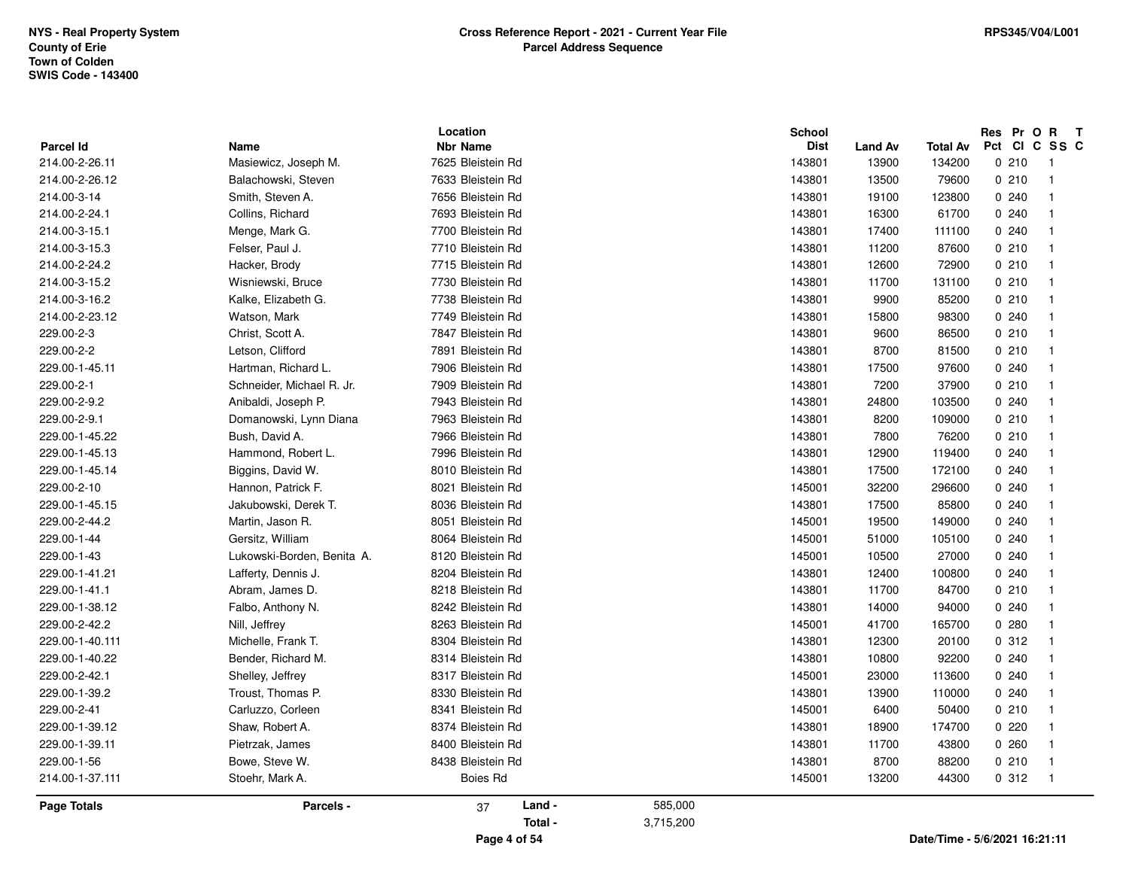| Parcel Id          |                              | Location<br><b>Nbr Name</b> |           | School<br><b>Dist</b> |                         |                           | Res Pr O R T<br>Pct CI C SS C |                |  |
|--------------------|------------------------------|-----------------------------|-----------|-----------------------|-------------------------|---------------------------|-------------------------------|----------------|--|
| 214.00-2-26.11     | Name<br>Masiewicz, Joseph M. | 7625 Bleistein Rd           |           | 143801                | <b>Land Av</b><br>13900 | <b>Total Av</b><br>134200 | 0210                          | $\mathbf{1}$   |  |
| 214.00-2-26.12     | Balachowski, Steven          | 7633 Bleistein Rd           |           | 143801                | 13500                   | 79600                     | 0210                          | -1             |  |
|                    |                              | 7656 Bleistein Rd           |           |                       |                         |                           | 0.240                         |                |  |
| 214.00-3-14        | Smith, Steven A.             | 7693 Bleistein Rd           |           | 143801                | 19100                   | 123800                    |                               |                |  |
| 214.00-2-24.1      | Collins, Richard             |                             |           | 143801                | 16300                   | 61700                     | 0.240                         |                |  |
| 214.00-3-15.1      | Menge, Mark G.               | 7700 Bleistein Rd           |           | 143801                | 17400                   | 111100                    | 0.240                         |                |  |
| 214.00-3-15.3      | Felser, Paul J.              | 7710 Bleistein Rd           |           | 143801                | 11200                   | 87600                     | 0210                          | -1             |  |
| 214.00-2-24.2      | Hacker, Brody                | 7715 Bleistein Rd           |           | 143801                | 12600                   | 72900                     | 0210                          | -1             |  |
| 214.00-3-15.2      | Wisniewski, Bruce            | 7730 Bleistein Rd           |           | 143801                | 11700                   | 131100                    | 0210                          | -1             |  |
| 214.00-3-16.2      | Kalke, Elizabeth G.          | 7738 Bleistein Rd           |           | 143801                | 9900                    | 85200                     | 0210                          |                |  |
| 214.00-2-23.12     | Watson, Mark                 | 7749 Bleistein Rd           |           | 143801                | 15800                   | 98300                     | 0240                          |                |  |
| 229.00-2-3         | Christ, Scott A.             | 7847 Bleistein Rd           |           | 143801                | 9600                    | 86500                     | 0210                          | -1             |  |
| 229.00-2-2         | Letson, Clifford             | 7891 Bleistein Rd           |           | 143801                | 8700                    | 81500                     | 0210                          | -1             |  |
| 229.00-1-45.11     | Hartman, Richard L.          | 7906 Bleistein Rd           |           | 143801                | 17500                   | 97600                     | 0.240                         |                |  |
| 229.00-2-1         | Schneider, Michael R. Jr.    | 7909 Bleistein Rd           |           | 143801                | 7200                    | 37900                     | 0210                          |                |  |
| 229.00-2-9.2       | Anibaldi, Joseph P.          | 7943 Bleistein Rd           |           | 143801                | 24800                   | 103500                    | 0.240                         |                |  |
| 229.00-2-9.1       | Domanowski, Lynn Diana       | 7963 Bleistein Rd           |           | 143801                | 8200                    | 109000                    | 0210                          | -1             |  |
| 229.00-1-45.22     | Bush, David A.               | 7966 Bleistein Rd           |           | 143801                | 7800                    | 76200                     | 0210                          | -1             |  |
| 229.00-1-45.13     | Hammond, Robert L.           | 7996 Bleistein Rd           |           | 143801                | 12900                   | 119400                    | 0.240                         |                |  |
| 229.00-1-45.14     | Biggins, David W.            | 8010 Bleistein Rd           |           | 143801                | 17500                   | 172100                    | 0.240                         |                |  |
| 229.00-2-10        | Hannon, Patrick F.           | 8021 Bleistein Rd           |           | 145001                | 32200                   | 296600                    | 0.240                         |                |  |
| 229.00-1-45.15     | Jakubowski, Derek T.         | 8036 Bleistein Rd           |           | 143801                | 17500                   | 85800                     | 0.240                         |                |  |
| 229.00-2-44.2      | Martin, Jason R.             | 8051 Bleistein Rd           |           | 145001                | 19500                   | 149000                    | 0.240                         | -1             |  |
| 229.00-1-44        | Gersitz, William             | 8064 Bleistein Rd           |           | 145001                | 51000                   | 105100                    | 0.240                         |                |  |
| 229.00-1-43        | Lukowski-Borden, Benita A.   | 8120 Bleistein Rd           |           | 145001                | 10500                   | 27000                     | 0.240                         |                |  |
| 229.00-1-41.21     | Lafferty, Dennis J.          | 8204 Bleistein Rd           |           | 143801                | 12400                   | 100800                    | 0.240                         |                |  |
| 229.00-1-41.1      | Abram, James D.              | 8218 Bleistein Rd           |           | 143801                | 11700                   | 84700                     | 0210                          |                |  |
| 229.00-1-38.12     | Falbo, Anthony N.            | 8242 Bleistein Rd           |           | 143801                | 14000                   | 94000                     | 0.240                         | -1             |  |
| 229.00-2-42.2      | Nill, Jeffrey                | 8263 Bleistein Rd           |           | 145001                | 41700                   | 165700                    | 0.280                         |                |  |
| 229.00-1-40.111    | Michelle, Frank T.           | 8304 Bleistein Rd           |           | 143801                | 12300                   | 20100                     | 0.312                         |                |  |
| 229.00-1-40.22     | Bender, Richard M.           | 8314 Bleistein Rd           |           | 143801                | 10800                   | 92200                     | 0.240                         |                |  |
| 229.00-2-42.1      | Shelley, Jeffrey             | 8317 Bleistein Rd           |           | 145001                | 23000                   | 113600                    | 0.240                         |                |  |
| 229.00-1-39.2      | Troust, Thomas P.            | 8330 Bleistein Rd           |           | 143801                | 13900                   | 110000                    | 0.240                         |                |  |
| 229.00-2-41        | Carluzzo, Corleen            | 8341 Bleistein Rd           |           | 145001                | 6400                    | 50400                     | 0210                          |                |  |
| 229.00-1-39.12     | Shaw, Robert A.              | 8374 Bleistein Rd           |           | 143801                | 18900                   | 174700                    | 0220                          |                |  |
| 229.00-1-39.11     | Pietrzak, James              | 8400 Bleistein Rd           |           | 143801                | 11700                   | 43800                     | 0.260                         | -1             |  |
| 229.00-1-56        | Bowe, Steve W.               | 8438 Bleistein Rd           |           | 143801                | 8700                    | 88200                     | 0210                          | -1             |  |
| 214.00-1-37.111    | Stoehr, Mark A.              | <b>Boies Rd</b>             |           | 145001                | 13200                   | 44300                     | 0.312                         | $\overline{1}$ |  |
| <b>Page Totals</b> | Parcels -                    | Land -<br>37                | 585,000   |                       |                         |                           |                               |                |  |
|                    |                              | Total -                     | 3,715,200 |                       |                         |                           |                               |                |  |
|                    |                              | .                           |           |                       |                         |                           | EIGIGGGA AG GA AA             |                |  |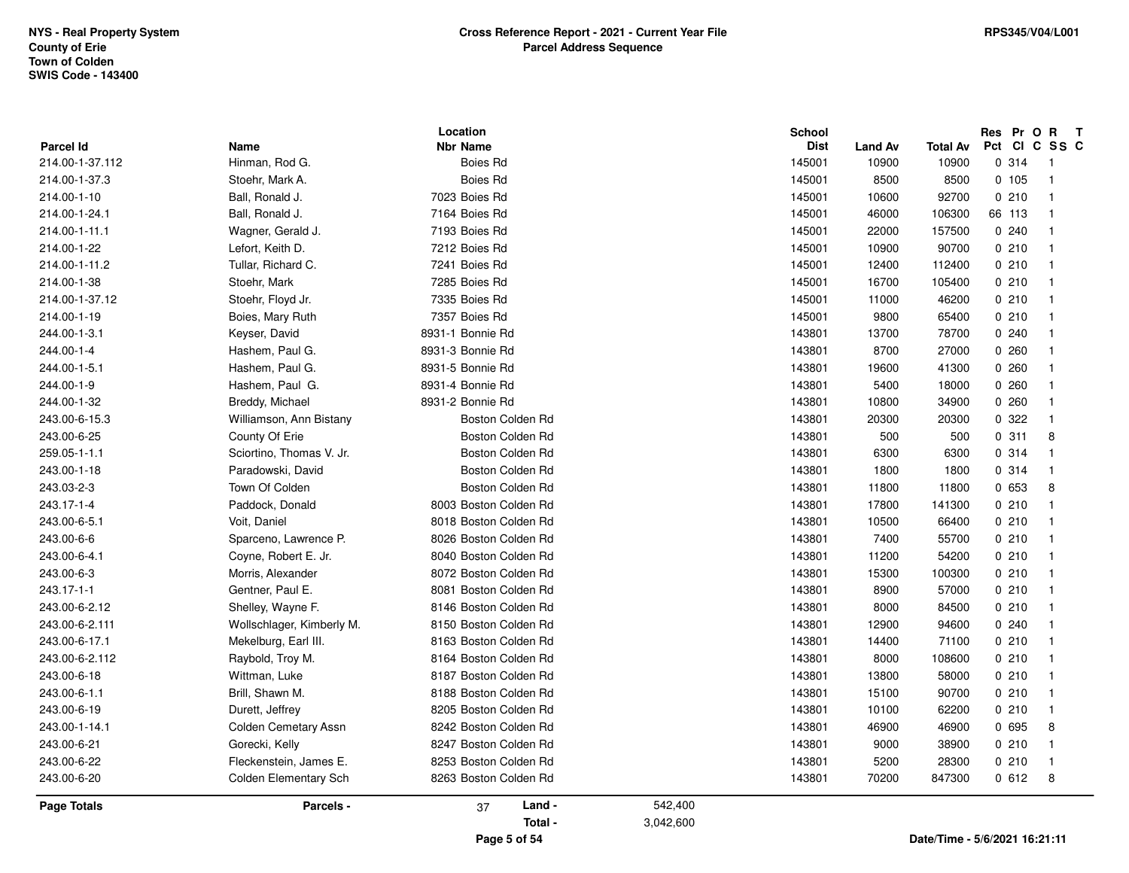|                              |                              | Location                           |           | <b>School</b>         |                         |                          | Res Pr O R             | $\mathbf{T}$               |
|------------------------------|------------------------------|------------------------------------|-----------|-----------------------|-------------------------|--------------------------|------------------------|----------------------------|
| Parcel Id<br>214.00-1-37.112 | Name<br>Hinman, Rod G.       | <b>Nbr Name</b><br><b>Boies Rd</b> |           | <b>Dist</b><br>145001 | <b>Land Av</b><br>10900 | <b>Total Av</b><br>10900 | Pct CI C SS C<br>0.314 | $\overline{\phantom{0}}$ 1 |
|                              |                              | <b>Boies Rd</b>                    |           | 145001                | 8500                    | 8500                     | 0 105                  | $\overline{1}$             |
| 214.00-1-37.3<br>214.00-1-10 | Stoehr, Mark A.              | 7023 Boies Rd                      |           | 145001                |                         |                          |                        |                            |
|                              | Ball, Ronald J.              |                                    |           |                       | 10600                   | 92700                    | 0210                   | $\overline{1}$             |
| 214.00-1-24.1                | Ball, Ronald J.              | 7164 Boies Rd                      |           | 145001                | 46000                   | 106300                   | 66 113                 | $\overline{1}$             |
| 214.00-1-11.1                | Wagner, Gerald J.            | 7193 Boies Rd                      |           | 145001                | 22000                   | 157500                   | 0240                   | $\overline{1}$             |
| 214.00-1-22                  | Lefort, Keith D.             | 7212 Boies Rd                      |           | 145001                | 10900                   | 90700                    | 0210                   | $\overline{1}$             |
| 214.00-1-11.2                | Tullar, Richard C.           | 7241 Boies Rd                      |           | 145001                | 12400                   | 112400                   | 0210                   | $\overline{1}$             |
| 214.00-1-38                  | Stoehr, Mark                 | 7285 Boies Rd                      |           | 145001                | 16700                   | 105400                   | 0210                   | $\overline{1}$             |
| 214.00-1-37.12               | Stoehr, Floyd Jr.            | 7335 Boies Rd                      |           | 145001                | 11000                   | 46200                    | 0210                   | $\overline{1}$             |
| 214.00-1-19                  | Boies, Mary Ruth             | 7357 Boies Rd                      |           | 145001                | 9800                    | 65400                    | 0210                   | $\overline{1}$             |
| 244.00-1-3.1                 | Keyser, David                | 8931-1 Bonnie Rd                   |           | 143801                | 13700                   | 78700                    | 0.240                  | $\overline{\phantom{0}}$   |
| 244.00-1-4                   | Hashem, Paul G.              | 8931-3 Bonnie Rd                   |           | 143801                | 8700                    | 27000                    | 0260                   | $\overline{1}$             |
| 244.00-1-5.1                 | Hashem, Paul G.              | 8931-5 Bonnie Rd                   |           | 143801                | 19600                   | 41300                    | 0260                   | $\overline{1}$             |
| 244.00-1-9                   | Hashem, Paul G.              | 8931-4 Bonnie Rd                   |           | 143801                | 5400                    | 18000                    | 0260                   | $\overline{1}$             |
| 244.00-1-32                  | Breddy, Michael              | 8931-2 Bonnie Rd                   |           | 143801                | 10800                   | 34900                    | 0.260                  | $\overline{1}$             |
| 243.00-6-15.3                | Williamson, Ann Bistany      | Boston Colden Rd                   |           | 143801                | 20300                   | 20300                    | 0.322                  | $\overline{1}$             |
| 243.00-6-25                  | County Of Erie               | Boston Colden Rd                   |           | 143801                | 500                     | 500                      | 0.311                  | 8                          |
| 259.05-1-1.1                 | Sciortino, Thomas V. Jr.     | Boston Colden Rd                   |           | 143801                | 6300                    | 6300                     | 0.314                  | $\overline{1}$             |
| 243.00-1-18                  | Paradowski, David            | Boston Colden Rd                   |           | 143801                | 1800                    | 1800                     | 0.314                  | - 1                        |
| 243.03-2-3                   | Town Of Colden               | Boston Colden Rd                   |           | 143801                | 11800                   | 11800                    | 0653                   | 8                          |
| 243.17-1-4                   | Paddock, Donald              | 8003 Boston Colden Rd              |           | 143801                | 17800                   | 141300                   | 0210                   | $\overline{1}$             |
| 243.00-6-5.1                 | Voit, Daniel                 | 8018 Boston Colden Rd              |           | 143801                | 10500                   | 66400                    | 0210                   | $\overline{1}$             |
| 243.00-6-6                   | Sparceno, Lawrence P.        | 8026 Boston Colden Rd              |           | 143801                | 7400                    | 55700                    | 0210                   | $\overline{1}$             |
| 243.00-6-4.1                 | Coyne, Robert E. Jr.         | 8040 Boston Colden Rd              |           | 143801                | 11200                   | 54200                    | 0210                   | $\overline{1}$             |
| 243.00-6-3                   | Morris, Alexander            | 8072 Boston Colden Rd              |           | 143801                | 15300                   | 100300                   | 0210                   | $\overline{1}$             |
| 243.17-1-1                   | Gentner, Paul E.             | 8081 Boston Colden Rd              |           | 143801                | 8900                    | 57000                    | 0210                   | $\overline{1}$             |
| 243.00-6-2.12                | Shelley, Wayne F.            | 8146 Boston Colden Rd              |           | 143801                | 8000                    | 84500                    | 0210                   | $\overline{1}$             |
| 243.00-6-2.111               | Wollschlager, Kimberly M.    | 8150 Boston Colden Rd              |           | 143801                | 12900                   | 94600                    | 0240                   | $\overline{1}$             |
| 243.00-6-17.1                | Mekelburg, Earl III.         | 8163 Boston Colden Rd              |           | 143801                | 14400                   | 71100                    | 0210                   | $\overline{1}$             |
| 243.00-6-2.112               | Raybold, Troy M.             | 8164 Boston Colden Rd              |           | 143801                | 8000                    | 108600                   | 0210                   | $\overline{1}$             |
| 243.00-6-18                  | Wittman, Luke                | 8187 Boston Colden Rd              |           | 143801                | 13800                   | 58000                    | 0210                   | $\overline{1}$             |
| 243.00-6-1.1                 | Brill, Shawn M.              | 8188 Boston Colden Rd              |           | 143801                | 15100                   | 90700                    | 0210                   | $\overline{1}$             |
| 243.00-6-19                  | Durett, Jeffrey              | 8205 Boston Colden Rd              |           | 143801                | 10100                   | 62200                    | 0210                   | $\overline{1}$             |
| 243.00-1-14.1                | Colden Cemetary Assn         | 8242 Boston Colden Rd              |           | 143801                | 46900                   | 46900                    | 0 695                  | 8                          |
| 243.00-6-21                  | Gorecki, Kelly               | 8247 Boston Colden Rd              |           | 143801                | 9000                    | 38900                    | 0210                   | $\overline{1}$             |
| 243.00-6-22                  | Fleckenstein, James E.       | 8253 Boston Colden Rd              |           | 143801                | 5200                    | 28300                    | 0210                   | $\overline{1}$             |
| 243.00-6-20                  | <b>Colden Elementary Sch</b> | 8263 Boston Colden Rd              |           | 143801                | 70200                   | 847300                   | 0612                   | 8                          |
| <b>Page Totals</b>           | Parcels -                    | Land -<br>37                       | 542,400   |                       |                         |                          |                        |                            |
|                              |                              | Total -                            | 3,042,600 |                       |                         |                          |                        |                            |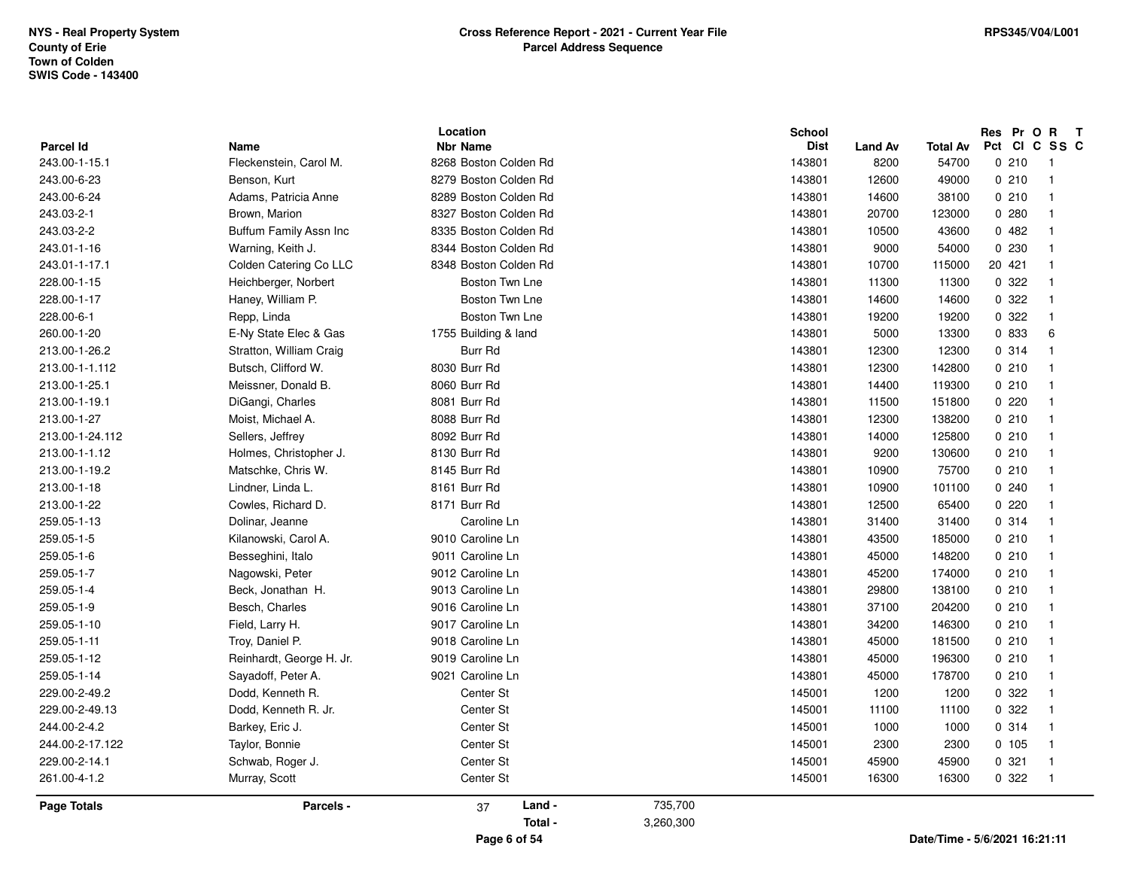|                            |                                |                                          | <b>School</b>         |                        |                          | Pct CI C SS C | Res Pr O R T               |
|----------------------------|--------------------------------|------------------------------------------|-----------------------|------------------------|--------------------------|---------------|----------------------------|
| Parcel Id<br>243.00-1-15.1 | Name<br>Fleckenstein, Carol M. | <b>Nbr Name</b><br>8268 Boston Colden Rd | <b>Dist</b><br>143801 | <b>Land Av</b><br>8200 | <b>Total Av</b><br>54700 | 0210          | $\overline{\phantom{0}}$   |
| 243.00-6-23                | Benson, Kurt                   | 8279 Boston Colden Rd                    | 143801                | 12600                  | 49000                    | 0210          | $\overline{1}$             |
| 243.00-6-24                | Adams, Patricia Anne           | 8289 Boston Colden Rd                    | 143801                | 14600                  | 38100                    | 0210          | $\overline{1}$             |
|                            |                                |                                          |                       |                        |                          |               |                            |
| 243.03-2-1                 | Brown, Marion                  | 8327 Boston Colden Rd                    | 143801                | 20700                  | 123000                   | 0.280         | -1                         |
| 243.03-2-2                 | Buffum Family Assn Inc         | 8335 Boston Colden Rd                    | 143801                | 10500                  | 43600                    | 0482          | $\overline{1}$             |
| 243.01-1-16                | Warning, Keith J.              | 8344 Boston Colden Rd                    | 143801                | 9000                   | 54000                    | 0 2 3 0       | -1                         |
| 243.01-1-17.1              | Colden Catering Co LLC         | 8348 Boston Colden Rd                    | 143801                | 10700                  | 115000                   | 20 421        | $\overline{1}$             |
| 228.00-1-15                | Heichberger, Norbert           | Boston Twn Lne                           | 143801                | 11300                  | 11300                    | 0 322         | $\overline{1}$             |
| 228.00-1-17                | Haney, William P.              | Boston Twn Lne                           | 143801                | 14600                  | 14600                    | 0 322         | $\overline{1}$             |
| 228.00-6-1                 | Repp, Linda                    | Boston Twn Lne                           | 143801                | 19200                  | 19200                    | 0.322         | $\overline{1}$             |
| 260.00-1-20                | E-Ny State Elec & Gas          | 1755 Building & land                     | 143801                | 5000                   | 13300                    | 0 833         | 6                          |
| 213.00-1-26.2              | Stratton, William Craig        | Burr Rd                                  | 143801                | 12300                  | 12300                    | 0 314         | $\overline{1}$             |
| 213.00-1-1.112             | Butsch, Clifford W.            | 8030 Burr Rd                             | 143801                | 12300                  | 142800                   | 0210          | $\overline{\mathbf{1}}$    |
| 213.00-1-25.1              | Meissner, Donald B.            | 8060 Burr Rd                             | 143801                | 14400                  | 119300                   | 0210          | $\overline{1}$             |
| 213.00-1-19.1              | DiGangi, Charles               | 8081 Burr Rd                             | 143801                | 11500                  | 151800                   | 0220          | $\overline{1}$             |
| 213.00-1-27                | Moist, Michael A.              | 8088 Burr Rd                             | 143801                | 12300                  | 138200                   | 0210          | $\overline{1}$             |
| 213.00-1-24.112            | Sellers, Jeffrey               | 8092 Burr Rd                             | 143801                | 14000                  | 125800                   | 0210          | $\overline{1}$             |
| 213.00-1-1.12              | Holmes, Christopher J.         | 8130 Burr Rd                             | 143801                | 9200                   | 130600                   | 0210          | $\overline{1}$             |
| 213.00-1-19.2              | Matschke, Chris W.             | 8145 Burr Rd                             | 143801                | 10900                  | 75700                    | 0210          | $\overline{1}$             |
| 213.00-1-18                | Lindner, Linda L.              | 8161 Burr Rd                             | 143801                | 10900                  | 101100                   | 0240          | $\overline{1}$             |
| 213.00-1-22                | Cowles, Richard D.             | 8171 Burr Rd                             | 143801                | 12500                  | 65400                    | 0220          | -1                         |
| 259.05-1-13                | Dolinar, Jeanne                | Caroline Ln                              | 143801                | 31400                  | 31400                    | 0.314         | $\overline{1}$             |
| 259.05-1-5                 | Kilanowski, Carol A.           | 9010 Caroline Ln                         | 143801                | 43500                  | 185000                   | 0210          | $\overline{1}$             |
| 259.05-1-6                 | Besseghini, Italo              | 9011 Caroline Ln                         | 143801                | 45000                  | 148200                   | 0210          | $\overline{1}$             |
| 259.05-1-7                 | Nagowski, Peter                | 9012 Caroline Ln                         | 143801                | 45200                  | 174000                   | 0210          | $\overline{1}$             |
| 259.05-1-4                 | Beck, Jonathan H.              | 9013 Caroline Ln                         | 143801                | 29800                  | 138100                   | 0210          | $\overline{1}$             |
| 259.05-1-9                 | Besch, Charles                 | 9016 Caroline Ln                         | 143801                | 37100                  | 204200                   | 0210          | $\overline{1}$             |
| 259.05-1-10                | Field, Larry H.                | 9017 Caroline Ln                         | 143801                | 34200                  | 146300                   | 0210          | $\overline{1}$             |
| 259.05-1-11                | Troy, Daniel P.                | 9018 Caroline Ln                         | 143801                | 45000                  | 181500                   | 0210          | $\overline{1}$             |
| 259.05-1-12                | Reinhardt, George H. Jr.       | 9019 Caroline Ln                         | 143801                | 45000                  | 196300                   | 0210          | $\overline{1}$             |
| 259.05-1-14                | Sayadoff, Peter A.             | 9021 Caroline Ln                         | 143801                | 45000                  | 178700                   | 0210          | $\overline{1}$             |
| 229.00-2-49.2              | Dodd, Kenneth R.               | Center St                                | 145001                | 1200                   | 1200                     | 0 322         | $\overline{1}$             |
| 229.00-2-49.13             | Dodd, Kenneth R. Jr.           | Center St                                | 145001                | 11100                  | 11100                    | 0.322         | $\overline{1}$             |
| 244.00-2-4.2               | Barkey, Eric J.                | Center St                                | 145001                | 1000                   | 1000                     | 0.314         | $\overline{1}$             |
| 244.00-2-17.122            | Taylor, Bonnie                 | Center St                                | 145001                | 2300                   | 2300                     | 0, 105        | $\overline{1}$             |
| 229.00-2-14.1              | Schwab, Roger J.               | Center St                                | 145001                | 45900                  | 45900                    | 0.321         | $\overline{1}$             |
| 261.00-4-1.2               | Murray, Scott                  | Center St                                | 145001                | 16300                  | 16300                    | 0.322         | $\overline{\phantom{0}}$ 1 |
| <b>Page Totals</b>         | Parcels -                      | Land -<br>37                             | 735,700               |                        |                          |               |                            |

**Page 6 of 54**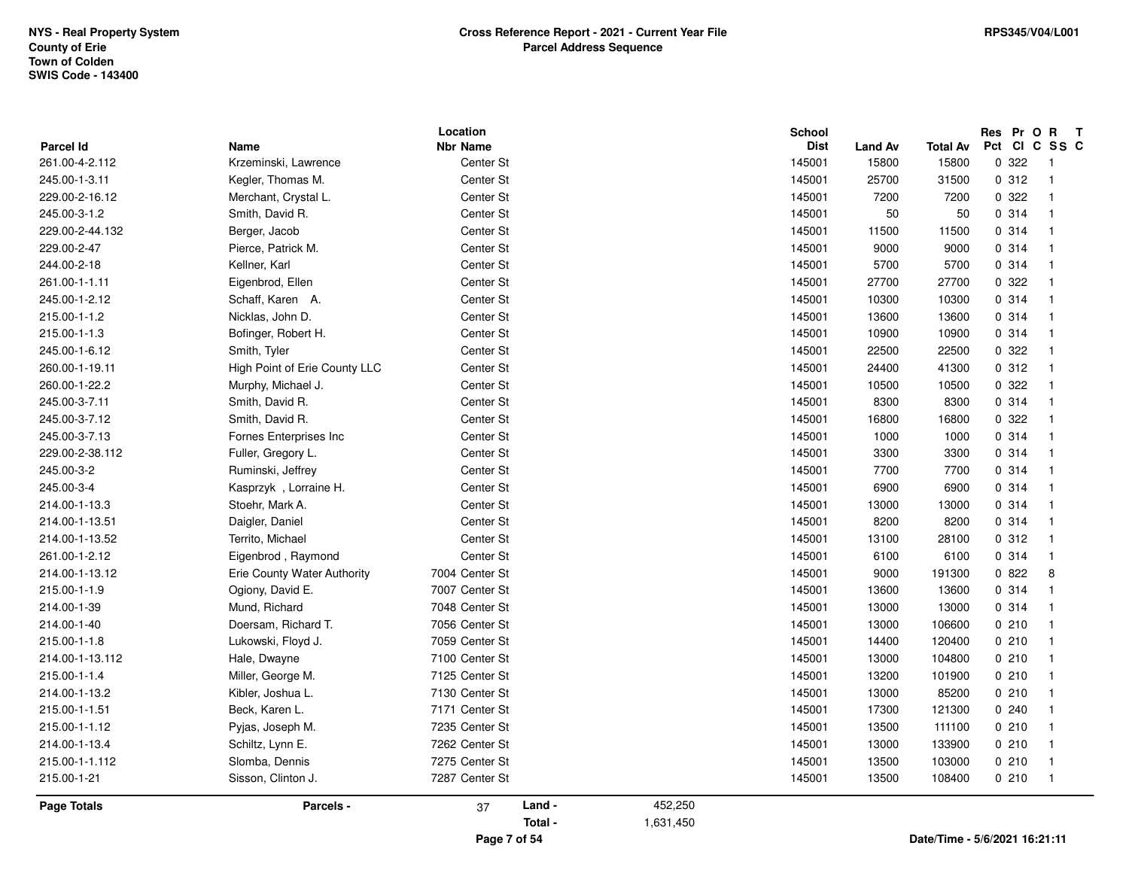| <b>Parcel Id</b>   | <b>Name</b>                   | Location<br><b>Nbr Name</b> |         |           | <b>School</b><br><b>Dist</b> | <b>Land Av</b> | <b>Total Av</b>               | Res Pr O R<br>Pct CI C SS C | $\mathbf{T}$             |
|--------------------|-------------------------------|-----------------------------|---------|-----------|------------------------------|----------------|-------------------------------|-----------------------------|--------------------------|
| 261.00-4-2.112     | Krzeminski, Lawrence          | Center St                   |         |           | 145001                       | 15800          | 15800                         | 0.322                       | $\overline{\phantom{0}}$ |
| 245.00-1-3.11      | Kegler, Thomas M.             | Center St                   |         |           | 145001                       | 25700          | 31500                         | 0.312                       | $\overline{1}$           |
| 229.00-2-16.12     | Merchant, Crystal L.          | Center St                   |         |           | 145001                       | 7200           | 7200                          | 0.322                       | $\mathbf 1$              |
| 245.00-3-1.2       | Smith, David R.               | Center St                   |         |           | 145001                       | 50             | 50                            | 0.314                       | $\mathbf{1}$             |
| 229.00-2-44.132    | Berger, Jacob                 | Center St                   |         |           | 145001                       | 11500          | 11500                         | 0.314                       | $\mathbf{1}$             |
| 229.00-2-47        | Pierce, Patrick M.            | Center St                   |         |           | 145001                       | 9000           | 9000                          | 0.314                       | $\mathbf{1}$             |
| 244.00-2-18        | Kellner, Karl                 | Center St                   |         |           | 145001                       | 5700           | 5700                          | 0 314                       | $\mathbf 1$              |
| 261.00-1-1.11      | Eigenbrod, Ellen              | Center St                   |         |           | 145001                       | 27700          | 27700                         | 0 322                       | 1                        |
| 245.00-1-2.12      | Schaff, Karen A.              | Center St                   |         |           | 145001                       | 10300          | 10300                         | 0.314                       | $\mathbf{1}$             |
| 215.00-1-1.2       | Nicklas, John D.              | Center St                   |         |           | 145001                       | 13600          | 13600                         | 0.314                       | $\mathbf 1$              |
| 215.00-1-1.3       | Bofinger, Robert H.           | Center St                   |         |           | 145001                       | 10900          | 10900                         | 0.314                       | $\mathbf{1}$             |
| 245.00-1-6.12      | Smith, Tyler                  | Center St                   |         |           | 145001                       | 22500          | 22500                         | 0.322                       | $\mathbf 1$              |
| 260.00-1-19.11     | High Point of Erie County LLC | Center St                   |         |           | 145001                       | 24400          | 41300                         | 0.312                       | $\mathbf{1}$             |
| 260.00-1-22.2      | Murphy, Michael J.            | Center St                   |         |           | 145001                       | 10500          | 10500                         | 0.322                       | $\mathbf{1}$             |
| 245.00-3-7.11      | Smith, David R.               | Center St                   |         |           | 145001                       | 8300           | 8300                          | 0 314                       | $\mathbf{1}$             |
| 245.00-3-7.12      | Smith, David R.               | Center St                   |         |           | 145001                       | 16800          | 16800                         | 0.322                       | $\mathbf{1}$             |
| 245.00-3-7.13      | Fornes Enterprises Inc        | Center St                   |         |           | 145001                       | 1000           | 1000                          | 0.314                       | -1                       |
| 229.00-2-38.112    | Fuller, Gregory L.            | Center St                   |         |           | 145001                       | 3300           | 3300                          | 0.314                       | $\mathbf{1}$             |
| 245.00-3-2         | Ruminski, Jeffrey             | Center St                   |         |           | 145001                       | 7700           | 7700                          | 0.314                       | $\mathbf{1}$             |
| 245.00-3-4         | Kasprzyk, Lorraine H.         | Center St                   |         |           | 145001                       | 6900           | 6900                          | 0 314                       | $\mathbf 1$              |
| 214.00-1-13.3      | Stoehr, Mark A.               | Center St                   |         |           | 145001                       | 13000          | 13000                         | 0.314                       | $\mathbf{1}$             |
| 214.00-1-13.51     | Daigler, Daniel               | Center St                   |         |           | 145001                       | 8200           | 8200                          | 0.314                       | $\mathbf{1}$             |
| 214.00-1-13.52     | Territo, Michael              | Center St                   |         |           | 145001                       | 13100          | 28100                         | 0.312                       | $\mathbf{1}$             |
| 261.00-1-2.12      | Eigenbrod, Raymond            | Center St                   |         |           | 145001                       | 6100           | 6100                          | 0.314                       | $\mathbf{1}$             |
| 214.00-1-13.12     | Erie County Water Authority   | 7004 Center St              |         |           | 145001                       | 9000           | 191300                        | 0822                        | 8                        |
| 215.00-1-1.9       | Ogiony, David E.              | 7007 Center St              |         |           | 145001                       | 13600          | 13600                         | 0.314                       | $\mathbf{1}$             |
| 214.00-1-39        | Mund, Richard                 | 7048 Center St              |         |           | 145001                       | 13000          | 13000                         | 0.314                       | $\mathbf{1}$             |
| 214.00-1-40        | Doersam, Richard T.           | 7056 Center St              |         |           | 145001                       | 13000          | 106600                        | 0210                        | $\mathbf 1$              |
| 215.00-1-1.8       | Lukowski, Floyd J.            | 7059 Center St              |         |           | 145001                       | 14400          | 120400                        | 0210                        | $\mathbf{1}$             |
| 214.00-1-13.112    | Hale, Dwayne                  | 7100 Center St              |         |           | 145001                       | 13000          | 104800                        | 0210                        | $\mathbf 1$              |
| 215.00-1-1.4       | Miller, George M.             | 7125 Center St              |         |           | 145001                       | 13200          | 101900                        | 0210                        | $\mathbf 1$              |
| 214.00-1-13.2      | Kibler, Joshua L.             | 7130 Center St              |         |           | 145001                       | 13000          | 85200                         | 0210                        | $\mathbf{1}$             |
| 215.00-1-1.51      | Beck, Karen L.                | 7171 Center St              |         |           | 145001                       | 17300          | 121300                        | 0240                        | $\mathbf{1}$             |
| 215.00-1-1.12      | Pyjas, Joseph M.              | 7235 Center St              |         |           | 145001                       | 13500          | 111100                        | 0210                        | $\mathbf{1}$             |
| 214.00-1-13.4      | Schiltz, Lynn E.              | 7262 Center St              |         |           | 145001                       | 13000          | 133900                        | 0210                        | $\overline{1}$           |
| 215.00-1-1.112     | Slomba, Dennis                | 7275 Center St              |         |           | 145001                       | 13500          | 103000                        | 0210                        | $\mathbf 1$              |
| 215.00-1-21        | Sisson, Clinton J.            | 7287 Center St              |         |           | 145001                       | 13500          | 108400                        | 0210                        | $\overline{1}$           |
| <b>Page Totals</b> | Parcels -                     | 37                          | Land -  | 452,250   |                              |                |                               |                             |                          |
|                    |                               |                             | Total - | 1,631,450 |                              |                |                               |                             |                          |
|                    |                               | Page 7 of 54                |         |           |                              |                | Date/Time - 5/6/2021 16:21:11 |                             |                          |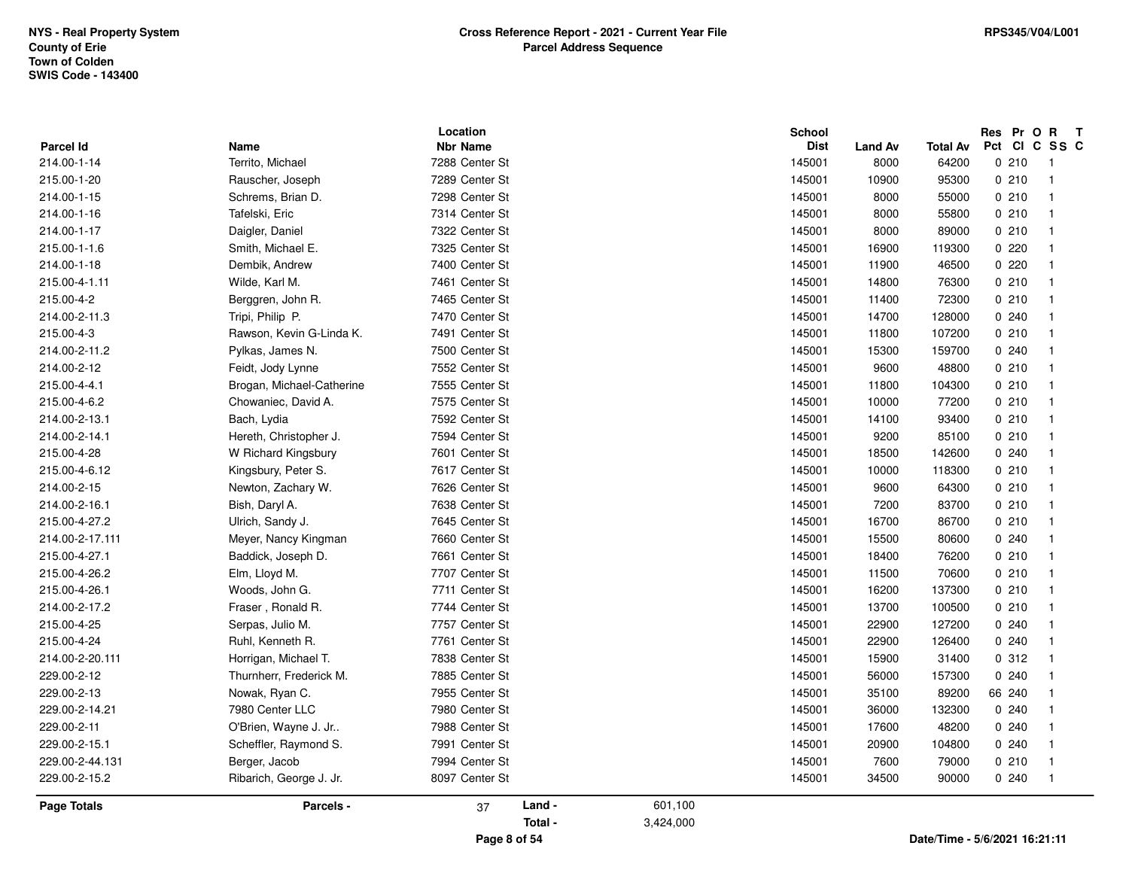| <b>Parcel Id</b><br>214.00-1-14<br>215.00-1-20<br>214.00-1-15<br>214.00-1-16<br>214.00-1-17<br>215.00-1-1.6<br>214.00-1-18<br>215.00-4-1.11<br>215.00-4-2<br>214.00-2-11.3<br>215.00-4-3<br>214.00-2-11.2<br>214.00-2-12<br>215.00-4-4.1<br>215.00-4-6.2<br>214.00-2-13.1<br>214.00-2-14.1<br>215.00-4-28<br>215.00-4-6.12<br>214.00-2-15<br>214.00-2-16.1<br>215.00-4-27.2<br>214.00-2-17.111<br>215.00-4-27.1<br>215.00-4-26.2<br>215.00-4-26.1<br>214.00-2-17.2<br>215.00-4-25<br>215.00-4-24<br>214.00-2-20.111<br>229.00-2-12<br>229.00-2-13<br>229.00-2-14.21 | Name<br>Territo, Michael<br>Rauscher, Joseph<br>Schrems, Brian D.<br>Tafelski, Eric<br>Daigler, Daniel<br>Smith, Michael E.<br>Dembik, Andrew<br>Wilde, Karl M.<br>Berggren, John R.<br>Tripi, Philip P.<br>Rawson, Kevin G-Linda K.<br>Pylkas, James N. | <b>Nbr Name</b><br>7288 Center St<br>7289 Center St<br>7298 Center St<br>7314 Center St<br>7322 Center St<br>7325 Center St<br>7400 Center St<br>7461 Center St<br>7465 Center St |        |         | <b>Dist</b><br>145001<br>145001<br>145001<br>145001<br>145001 | <b>Land Av</b><br>8000<br>10900<br>8000<br>8000<br>8000 | <b>Total Av</b><br>64200<br>95300<br>55000<br>55800 | Pct CI C SS C<br>0210<br>0210<br>0210<br>0210 | $\overline{\phantom{0}}$<br>$\overline{1}$<br>$\overline{1}$ |
|---------------------------------------------------------------------------------------------------------------------------------------------------------------------------------------------------------------------------------------------------------------------------------------------------------------------------------------------------------------------------------------------------------------------------------------------------------------------------------------------------------------------------------------------------------------------|----------------------------------------------------------------------------------------------------------------------------------------------------------------------------------------------------------------------------------------------------------|-----------------------------------------------------------------------------------------------------------------------------------------------------------------------------------|--------|---------|---------------------------------------------------------------|---------------------------------------------------------|-----------------------------------------------------|-----------------------------------------------|--------------------------------------------------------------|
|                                                                                                                                                                                                                                                                                                                                                                                                                                                                                                                                                                     |                                                                                                                                                                                                                                                          |                                                                                                                                                                                   |        |         |                                                               |                                                         |                                                     |                                               |                                                              |
|                                                                                                                                                                                                                                                                                                                                                                                                                                                                                                                                                                     |                                                                                                                                                                                                                                                          |                                                                                                                                                                                   |        |         |                                                               |                                                         |                                                     |                                               |                                                              |
|                                                                                                                                                                                                                                                                                                                                                                                                                                                                                                                                                                     |                                                                                                                                                                                                                                                          |                                                                                                                                                                                   |        |         |                                                               |                                                         |                                                     |                                               |                                                              |
|                                                                                                                                                                                                                                                                                                                                                                                                                                                                                                                                                                     |                                                                                                                                                                                                                                                          |                                                                                                                                                                                   |        |         |                                                               |                                                         |                                                     |                                               |                                                              |
|                                                                                                                                                                                                                                                                                                                                                                                                                                                                                                                                                                     |                                                                                                                                                                                                                                                          |                                                                                                                                                                                   |        |         |                                                               |                                                         |                                                     |                                               | $\mathbf 1$                                                  |
|                                                                                                                                                                                                                                                                                                                                                                                                                                                                                                                                                                     |                                                                                                                                                                                                                                                          |                                                                                                                                                                                   |        |         |                                                               |                                                         | 89000                                               | 0210                                          | $\overline{1}$                                               |
|                                                                                                                                                                                                                                                                                                                                                                                                                                                                                                                                                                     |                                                                                                                                                                                                                                                          |                                                                                                                                                                                   |        |         | 145001                                                        | 16900                                                   | 119300                                              | 0.220                                         | $\mathbf 1$                                                  |
|                                                                                                                                                                                                                                                                                                                                                                                                                                                                                                                                                                     |                                                                                                                                                                                                                                                          |                                                                                                                                                                                   |        |         | 145001                                                        | 11900                                                   | 46500                                               | 0220                                          | $\overline{1}$                                               |
|                                                                                                                                                                                                                                                                                                                                                                                                                                                                                                                                                                     |                                                                                                                                                                                                                                                          |                                                                                                                                                                                   |        |         | 145001                                                        | 14800                                                   | 76300                                               | 0210                                          | $\mathbf{1}$                                                 |
|                                                                                                                                                                                                                                                                                                                                                                                                                                                                                                                                                                     |                                                                                                                                                                                                                                                          |                                                                                                                                                                                   |        |         | 145001                                                        | 11400                                                   | 72300                                               | 0210                                          | $\mathbf{1}$                                                 |
|                                                                                                                                                                                                                                                                                                                                                                                                                                                                                                                                                                     |                                                                                                                                                                                                                                                          | 7470 Center St                                                                                                                                                                    |        |         | 145001                                                        | 14700                                                   | 128000                                              | 0.240                                         | $\mathbf{1}$                                                 |
|                                                                                                                                                                                                                                                                                                                                                                                                                                                                                                                                                                     |                                                                                                                                                                                                                                                          | 7491 Center St                                                                                                                                                                    |        |         | 145001                                                        | 11800                                                   | 107200                                              | 0210                                          | $\mathbf{1}$                                                 |
|                                                                                                                                                                                                                                                                                                                                                                                                                                                                                                                                                                     |                                                                                                                                                                                                                                                          | 7500 Center St                                                                                                                                                                    |        |         | 145001                                                        | 15300                                                   | 159700                                              | 0.240                                         | $\mathbf{1}$                                                 |
|                                                                                                                                                                                                                                                                                                                                                                                                                                                                                                                                                                     | Feidt, Jody Lynne                                                                                                                                                                                                                                        | 7552 Center St                                                                                                                                                                    |        |         | 145001                                                        | 9600                                                    | 48800                                               | 0210                                          | $\overline{1}$                                               |
|                                                                                                                                                                                                                                                                                                                                                                                                                                                                                                                                                                     | Brogan, Michael-Catherine                                                                                                                                                                                                                                | 7555 Center St                                                                                                                                                                    |        |         | 145001                                                        | 11800                                                   | 104300                                              | 0210                                          | $\mathbf 1$                                                  |
|                                                                                                                                                                                                                                                                                                                                                                                                                                                                                                                                                                     | Chowaniec, David A.                                                                                                                                                                                                                                      | 7575 Center St                                                                                                                                                                    |        |         | 145001                                                        | 10000                                                   | 77200                                               | 0210                                          | $\overline{1}$                                               |
|                                                                                                                                                                                                                                                                                                                                                                                                                                                                                                                                                                     | Bach, Lydia                                                                                                                                                                                                                                              | 7592 Center St                                                                                                                                                                    |        |         | 145001                                                        | 14100                                                   | 93400                                               | 0210                                          | $\mathbf{1}$                                                 |
|                                                                                                                                                                                                                                                                                                                                                                                                                                                                                                                                                                     | Hereth, Christopher J.                                                                                                                                                                                                                                   | 7594 Center St                                                                                                                                                                    |        |         | 145001                                                        | 9200                                                    | 85100                                               | 0210                                          | $\mathbf{1}$                                                 |
|                                                                                                                                                                                                                                                                                                                                                                                                                                                                                                                                                                     | W Richard Kingsbury                                                                                                                                                                                                                                      | 7601 Center St                                                                                                                                                                    |        |         | 145001                                                        | 18500                                                   | 142600                                              | 0.240                                         | $\overline{1}$                                               |
|                                                                                                                                                                                                                                                                                                                                                                                                                                                                                                                                                                     | Kingsbury, Peter S.                                                                                                                                                                                                                                      | 7617 Center St                                                                                                                                                                    |        |         | 145001                                                        | 10000                                                   | 118300                                              | 0210                                          | $\mathbf{1}$                                                 |
|                                                                                                                                                                                                                                                                                                                                                                                                                                                                                                                                                                     | Newton, Zachary W.                                                                                                                                                                                                                                       | 7626 Center St                                                                                                                                                                    |        |         | 145001                                                        | 9600                                                    | 64300                                               | 0210                                          | $\overline{1}$                                               |
|                                                                                                                                                                                                                                                                                                                                                                                                                                                                                                                                                                     | Bish, Daryl A.                                                                                                                                                                                                                                           | 7638 Center St                                                                                                                                                                    |        |         | 145001                                                        | 7200                                                    | 83700                                               | 0210                                          | $\mathbf{1}$                                                 |
|                                                                                                                                                                                                                                                                                                                                                                                                                                                                                                                                                                     | Ulrich, Sandy J.                                                                                                                                                                                                                                         | 7645 Center St                                                                                                                                                                    |        |         | 145001                                                        | 16700                                                   | 86700                                               | 0210                                          | $\mathbf{1}$                                                 |
|                                                                                                                                                                                                                                                                                                                                                                                                                                                                                                                                                                     | Meyer, Nancy Kingman                                                                                                                                                                                                                                     | 7660 Center St                                                                                                                                                                    |        |         | 145001                                                        | 15500                                                   | 80600                                               | 0240                                          | $\mathbf{1}$                                                 |
|                                                                                                                                                                                                                                                                                                                                                                                                                                                                                                                                                                     | Baddick, Joseph D.                                                                                                                                                                                                                                       | 7661 Center St                                                                                                                                                                    |        |         | 145001                                                        | 18400                                                   | 76200                                               | 0210                                          | $\overline{1}$                                               |
|                                                                                                                                                                                                                                                                                                                                                                                                                                                                                                                                                                     | Elm, Lloyd M.                                                                                                                                                                                                                                            | 7707 Center St                                                                                                                                                                    |        |         | 145001                                                        | 11500                                                   | 70600                                               | 0210                                          | $\overline{1}$                                               |
|                                                                                                                                                                                                                                                                                                                                                                                                                                                                                                                                                                     | Woods, John G.                                                                                                                                                                                                                                           | 7711 Center St                                                                                                                                                                    |        |         | 145001                                                        | 16200                                                   | 137300                                              | 0210                                          | $\overline{1}$                                               |
|                                                                                                                                                                                                                                                                                                                                                                                                                                                                                                                                                                     | Fraser, Ronald R.                                                                                                                                                                                                                                        | 7744 Center St                                                                                                                                                                    |        |         | 145001                                                        | 13700                                                   | 100500                                              | 0210                                          | $\mathbf{1}$                                                 |
|                                                                                                                                                                                                                                                                                                                                                                                                                                                                                                                                                                     | Serpas, Julio M.                                                                                                                                                                                                                                         | 7757 Center St                                                                                                                                                                    |        |         | 145001                                                        | 22900                                                   | 127200                                              | 0.240                                         | $\overline{1}$                                               |
|                                                                                                                                                                                                                                                                                                                                                                                                                                                                                                                                                                     | Ruhl, Kenneth R.                                                                                                                                                                                                                                         | 7761 Center St                                                                                                                                                                    |        |         | 145001                                                        | 22900                                                   | 126400                                              | 0.240                                         | $\mathbf{1}$                                                 |
|                                                                                                                                                                                                                                                                                                                                                                                                                                                                                                                                                                     | Horrigan, Michael T.                                                                                                                                                                                                                                     | 7838 Center St                                                                                                                                                                    |        |         | 145001                                                        | 15900                                                   | 31400                                               | 0.312                                         | $\overline{1}$                                               |
|                                                                                                                                                                                                                                                                                                                                                                                                                                                                                                                                                                     | Thurnherr, Frederick M.                                                                                                                                                                                                                                  | 7885 Center St                                                                                                                                                                    |        |         | 145001                                                        | 56000                                                   | 157300                                              | 0.240                                         | $\mathbf{1}$                                                 |
|                                                                                                                                                                                                                                                                                                                                                                                                                                                                                                                                                                     | Nowak, Ryan C.                                                                                                                                                                                                                                           | 7955 Center St                                                                                                                                                                    |        |         | 145001                                                        | 35100                                                   | 89200                                               | 66 240                                        | $\overline{1}$                                               |
|                                                                                                                                                                                                                                                                                                                                                                                                                                                                                                                                                                     | 7980 Center LLC                                                                                                                                                                                                                                          | 7980 Center St                                                                                                                                                                    |        |         | 145001                                                        | 36000                                                   | 132300                                              | 0240                                          | $\overline{1}$                                               |
| 229.00-2-11                                                                                                                                                                                                                                                                                                                                                                                                                                                                                                                                                         | O'Brien, Wayne J. Jr                                                                                                                                                                                                                                     | 7988 Center St                                                                                                                                                                    |        |         | 145001                                                        | 17600                                                   | 48200                                               | 0240                                          | $\mathbf{1}$                                                 |
| 229.00-2-15.1                                                                                                                                                                                                                                                                                                                                                                                                                                                                                                                                                       | Scheffler, Raymond S.                                                                                                                                                                                                                                    | 7991 Center St                                                                                                                                                                    |        |         | 145001                                                        | 20900                                                   | 104800                                              | 0.240                                         | $\mathbf{1}$                                                 |
| 229.00-2-44.131                                                                                                                                                                                                                                                                                                                                                                                                                                                                                                                                                     |                                                                                                                                                                                                                                                          | 7994 Center St                                                                                                                                                                    |        |         | 145001                                                        | 7600                                                    | 79000                                               | 0210                                          | $\mathbf 1$                                                  |
| 229.00-2-15.2                                                                                                                                                                                                                                                                                                                                                                                                                                                                                                                                                       | Berger, Jacob                                                                                                                                                                                                                                            | 8097 Center St                                                                                                                                                                    |        |         | 145001                                                        | 34500                                                   | 90000                                               | 0240                                          | $\overline{1}$                                               |
| <b>Page Totals</b>                                                                                                                                                                                                                                                                                                                                                                                                                                                                                                                                                  | Ribarich, George J. Jr.                                                                                                                                                                                                                                  | 37                                                                                                                                                                                | Land - | 601,100 |                                                               |                                                         |                                                     |                                               |                                                              |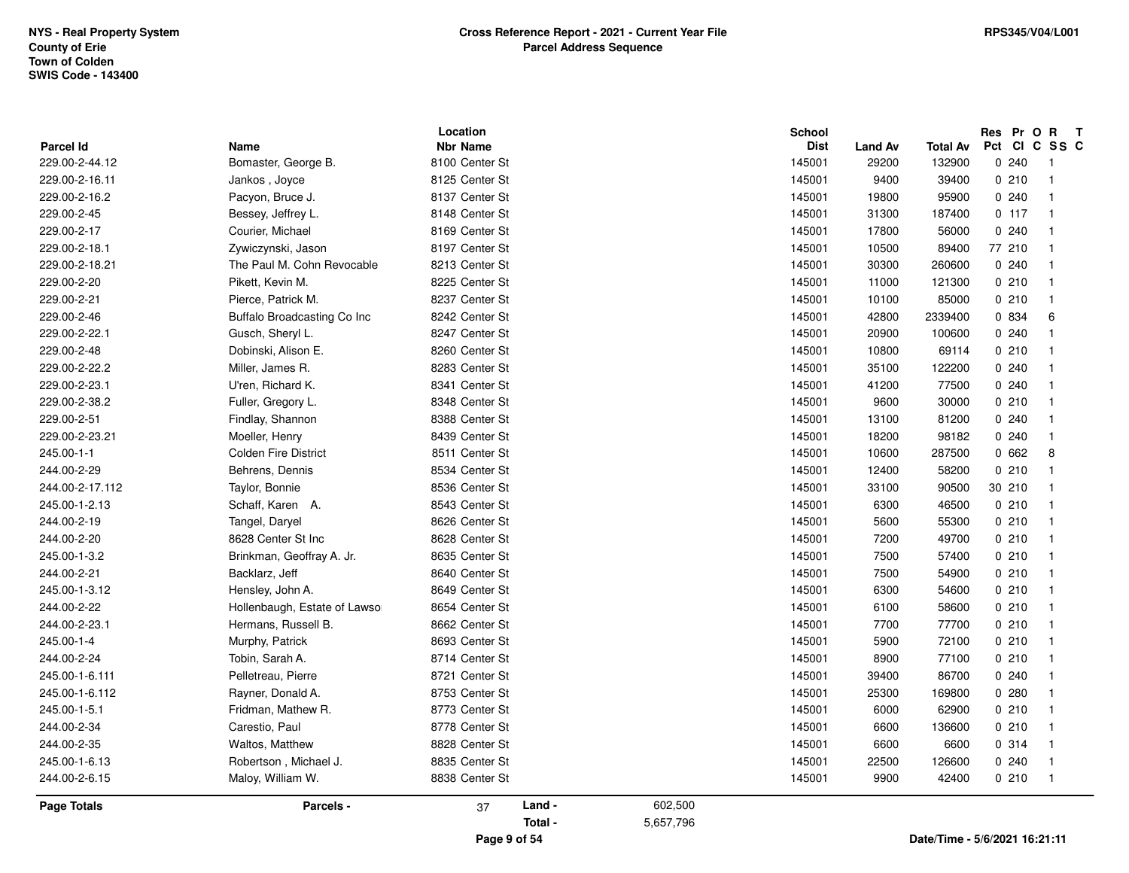| Parcel Id       | Name                          | Location<br><b>Nbr Name</b> |                   |                      | <b>School</b><br><b>Dist</b> | <b>Land Av</b> | Total Av | Res Pr O R<br>Pct CI C SS C | $\mathbf{T}$               |
|-----------------|-------------------------------|-----------------------------|-------------------|----------------------|------------------------------|----------------|----------|-----------------------------|----------------------------|
| 229.00-2-44.12  | Bomaster, George B.           | 8100 Center St              |                   |                      | 145001                       | 29200          | 132900   | 0.240                       | - 1                        |
| 229.00-2-16.11  | Jankos, Joyce                 | 8125 Center St              |                   |                      | 145001                       | 9400           | 39400    | 0210                        | $\overline{1}$             |
| 229.00-2-16.2   | Pacyon, Bruce J.              | 8137 Center St              |                   |                      | 145001                       | 19800          | 95900    | 0.240                       | $\overline{1}$             |
| 229.00-2-45     | Bessey, Jeffrey L.            | 8148 Center St              |                   |                      | 145001                       | 31300          | 187400   | 0.117                       | $\overline{1}$             |
| 229.00-2-17     |                               |                             |                   |                      |                              |                |          |                             | $\overline{1}$             |
|                 | Courier, Michael              | 8169 Center St              |                   |                      | 145001                       | 17800          | 56000    | 0.240                       | $\mathbf{1}$               |
| 229.00-2-18.1   | Zywiczynski, Jason            | 8197 Center St              |                   |                      | 145001                       | 10500          | 89400    | 77 210                      |                            |
| 229.00-2-18.21  | The Paul M. Cohn Revocable    | 8213 Center St              |                   |                      | 145001                       | 30300          | 260600   | 0240                        | $\overline{1}$             |
| 229.00-2-20     | Pikett, Kevin M.              | 8225 Center St              |                   |                      | 145001                       | 11000          | 121300   | 0210                        | $\overline{1}$             |
| 229.00-2-21     | Pierce, Patrick M.            | 8237 Center St              |                   |                      | 145001                       | 10100          | 85000    | 0210                        | $\mathbf{1}$               |
| 229.00-2-46     | Buffalo Broadcasting Co Inc   | 8242 Center St              |                   |                      | 145001                       | 42800          | 2339400  | 0 834                       | 6                          |
| 229.00-2-22.1   | Gusch, Sheryl L.              | 8247 Center St              |                   |                      | 145001                       | 20900          | 100600   | 0240                        | $\mathbf{1}$               |
| 229.00-2-48     | Dobinski, Alison E.           | 8260 Center St              |                   |                      | 145001                       | 10800          | 69114    | 0210                        | $\mathbf{1}$               |
| 229.00-2-22.2   | Miller, James R.              | 8283 Center St              |                   |                      | 145001                       | 35100          | 122200   | 0.240                       | $\mathbf{1}$               |
| 229.00-2-23.1   | U'ren, Richard K.             | 8341 Center St              |                   |                      | 145001                       | 41200          | 77500    | 0.240                       | $\mathbf{1}$               |
| 229.00-2-38.2   | Fuller, Gregory L.            | 8348 Center St              |                   |                      | 145001                       | 9600           | 30000    | 0210                        | $\overline{1}$             |
| 229.00-2-51     | Findlay, Shannon              | 8388 Center St              |                   |                      | 145001                       | 13100          | 81200    | 0.240                       | $\mathbf{1}$               |
| 229.00-2-23.21  | Moeller, Henry                | 8439 Center St              |                   |                      | 145001                       | 18200          | 98182    | 0.240                       | $\mathbf{1}$               |
| 245.00-1-1      | <b>Colden Fire District</b>   | 8511 Center St              |                   |                      | 145001                       | 10600          | 287500   | 0662                        | 8                          |
| 244.00-2-29     | Behrens, Dennis               | 8534 Center St              |                   |                      | 145001                       | 12400          | 58200    | 0210                        | $\overline{1}$             |
| 244.00-2-17.112 | Taylor, Bonnie                | 8536 Center St              |                   |                      | 145001                       | 33100          | 90500    | 30 210                      | $\mathbf{1}$               |
| 245.00-1-2.13   | Schaff, Karen A.              | 8543 Center St              |                   |                      | 145001                       | 6300           | 46500    | 0210                        | $\overline{1}$             |
| 244.00-2-19     | Tangel, Daryel                | 8626 Center St              |                   |                      | 145001                       | 5600           | 55300    | 0210                        | $\mathbf{1}$               |
| 244.00-2-20     | 8628 Center St Inc            | 8628 Center St              |                   |                      | 145001                       | 7200           | 49700    | 0210                        | $\overline{1}$             |
| 245.00-1-3.2    | Brinkman, Geoffray A. Jr.     | 8635 Center St              |                   |                      | 145001                       | 7500           | 57400    | 0210                        | $\overline{1}$             |
| 244.00-2-21     | Backlarz, Jeff                | 8640 Center St              |                   |                      | 145001                       | 7500           | 54900    | 0210                        | $\overline{1}$             |
| 245.00-1-3.12   | Hensley, John A.              | 8649 Center St              |                   |                      | 145001                       | 6300           | 54600    | 0210                        | $\overline{1}$             |
| 244.00-2-22     | Hollenbaugh, Estate of Lawsor | 8654 Center St              |                   |                      | 145001                       | 6100           | 58600    | 0210                        | $\overline{1}$             |
| 244.00-2-23.1   | Hermans, Russell B.           | 8662 Center St              |                   |                      | 145001                       | 7700           | 77700    | 0210                        | $\overline{1}$             |
| 245.00-1-4      | Murphy, Patrick               | 8693 Center St              |                   |                      | 145001                       | 5900           | 72100    | 0210                        | $\overline{1}$             |
| 244.00-2-24     | Tobin, Sarah A.               | 8714 Center St              |                   |                      | 145001                       | 8900           | 77100    | 0210                        | $\mathbf{1}$               |
| 245.00-1-6.111  | Pelletreau, Pierre            | 8721 Center St              |                   |                      | 145001                       | 39400          | 86700    | 0240                        | $\overline{1}$             |
| 245.00-1-6.112  | Rayner, Donald A.             | 8753 Center St              |                   |                      | 145001                       | 25300          | 169800   | 0280                        | $\mathbf{1}$               |
| 245.00-1-5.1    | Fridman, Mathew R.            | 8773 Center St              |                   |                      | 145001                       | 6000           | 62900    | 0210                        | $\mathbf{1}$               |
| 244.00-2-34     | Carestio, Paul                | 8778 Center St              |                   |                      | 145001                       | 6600           | 136600   | 0210                        | $\overline{1}$             |
| 244.00-2-35     | Waltos, Matthew               | 8828 Center St              |                   |                      | 145001                       | 6600           | 6600     | 0 314                       | $\overline{1}$             |
| 245.00-1-6.13   | Robertson, Michael J.         | 8835 Center St              |                   |                      | 145001                       | 22500          | 126600   | 0240                        | $\overline{\mathbf{1}}$    |
| 244.00-2-6.15   | Maloy, William W.             | 8838 Center St              |                   |                      | 145001                       | 9900           | 42400    | 0210                        | $\overline{\phantom{0}}$ 1 |
| Page Totals     | Parcels -                     | 37                          | Land -<br>Total - | 602,500<br>5,657,796 |                              |                |          |                             |                            |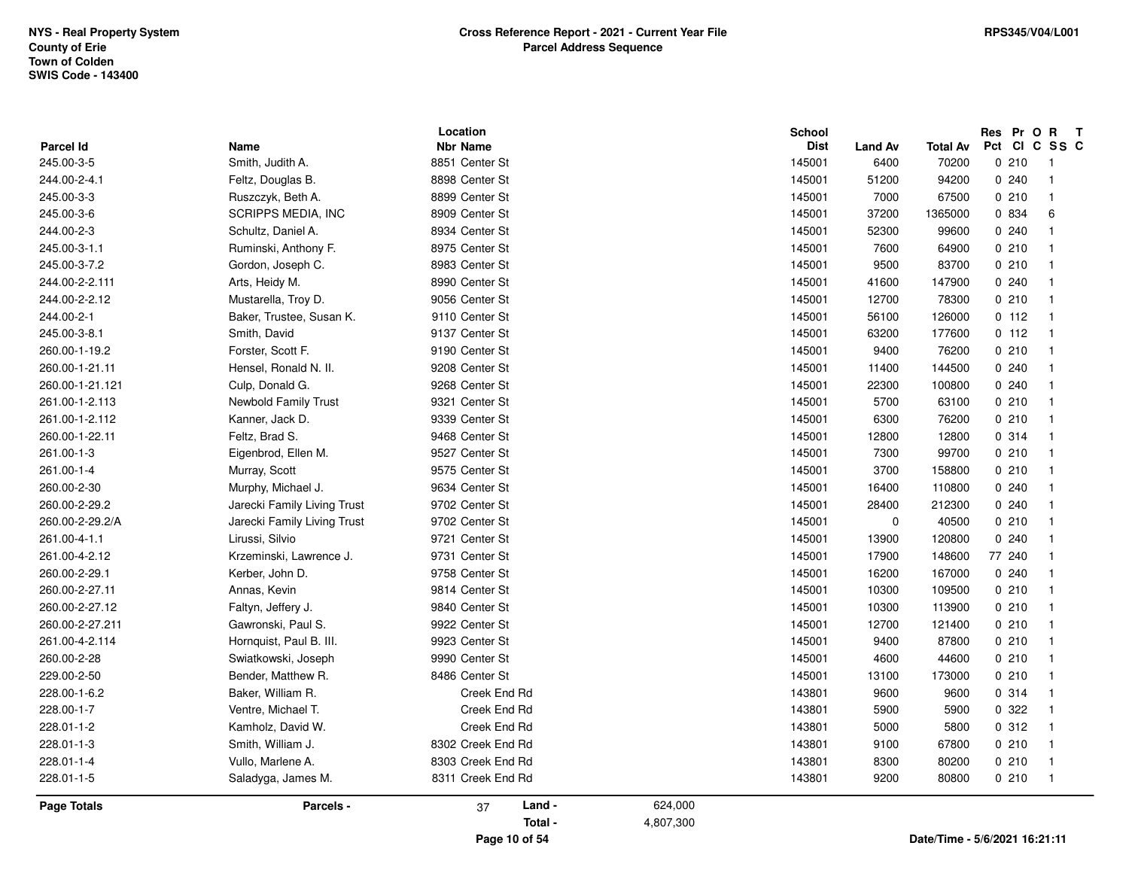|                                |                                 | Location<br><b>Nbr Name</b> |           | School                |                        |                               | Pct Cl | Res Pr O<br>$\mathbf{R}$          | $\mathbf{T}$<br>C SS C |
|--------------------------------|---------------------------------|-----------------------------|-----------|-----------------------|------------------------|-------------------------------|--------|-----------------------------------|------------------------|
| <b>Parcel Id</b><br>245.00-3-5 | <b>Name</b><br>Smith, Judith A. | 8851 Center St              |           | <b>Dist</b><br>145001 | <b>Land Av</b><br>6400 | Total Av<br>70200             |        | 0.210<br>$\overline{1}$           |                        |
| 244.00-2-4.1                   | Feltz, Douglas B.               | 8898 Center St              |           | 145001                | 51200                  | 94200                         |        | 0.240<br>$\overline{\mathbf{1}}$  |                        |
| 245.00-3-3                     | Ruszczyk, Beth A.               | 8899 Center St              |           | 145001                | 7000                   | 67500                         |        | 0210<br>$\overline{1}$            |                        |
| 245.00-3-6                     | <b>SCRIPPS MEDIA, INC</b>       | 8909 Center St              |           | 145001                | 37200                  | 1365000                       |        | 0 834<br>6                        |                        |
|                                |                                 |                             |           |                       |                        |                               |        | $\overline{1}$                    |                        |
| 244.00-2-3                     | Schultz, Daniel A.              | 8934 Center St              |           | 145001                | 52300                  | 99600                         |        | 0.240                             |                        |
| 245.00-3-1.1                   | Ruminski, Anthony F.            | 8975 Center St              |           | 145001                | 7600                   | 64900                         |        | 0210<br>$\overline{\mathbf{1}}$   |                        |
| 245.00-3-7.2                   | Gordon, Joseph C.               | 8983 Center St              |           | 145001                | 9500                   | 83700                         |        | 0210<br>-1                        |                        |
| 244.00-2-2.111                 | Arts, Heidy M.                  | 8990 Center St              |           | 145001                | 41600                  | 147900                        |        | 0.240<br>$\overline{\mathbf{1}}$  |                        |
| 244.00-2-2.12                  | Mustarella, Troy D.             | 9056 Center St              |           | 145001                | 12700                  | 78300                         |        | 0210<br>$\overline{\mathbf{1}}$   |                        |
| 244.00-2-1                     | Baker, Trustee, Susan K.        | 9110 Center St              |           | 145001                | 56100                  | 126000                        |        | 0 112<br>$\overline{1}$           |                        |
| 245.00-3-8.1                   | Smith, David                    | 9137 Center St              |           | 145001                | 63200                  | 177600                        |        | 0 112<br>$\overline{1}$           |                        |
| 260.00-1-19.2                  | Forster, Scott F.               | 9190 Center St              |           | 145001                | 9400                   | 76200                         |        | 0210<br>$\mathbf{1}$              |                        |
| 260.00-1-21.11                 | Hensel, Ronald N. II.           | 9208 Center St              |           | 145001                | 11400                  | 144500                        |        | 0.240<br>-1                       |                        |
| 260.00-1-21.121                | Culp, Donald G.                 | 9268 Center St              |           | 145001                | 22300                  | 100800                        |        | 0.240<br>$\overline{1}$           |                        |
| 261.00-1-2.113                 | <b>Newbold Family Trust</b>     | 9321 Center St              |           | 145001                | 5700                   | 63100                         |        | 0210<br>$\overline{\mathbf{1}}$   |                        |
| 261.00-1-2.112                 | Kanner, Jack D.                 | 9339 Center St              |           | 145001                | 6300                   | 76200                         |        | 0210<br>$\overline{\mathbf{1}}$   |                        |
| 260.00-1-22.11                 | Feltz, Brad S.                  | 9468 Center St              |           | 145001                | 12800                  | 12800                         |        | 0.314<br>$\overline{\mathbf{1}}$  |                        |
| 261.00-1-3                     | Eigenbrod, Ellen M.             | 9527 Center St              |           | 145001                | 7300                   | 99700                         |        | 0210<br>$\overline{\mathbf{1}}$   |                        |
| 261.00-1-4                     | Murray, Scott                   | 9575 Center St              |           | 145001                | 3700                   | 158800                        |        | 0210<br>$\overline{\mathbf{1}}$   |                        |
| 260.00-2-30                    | Murphy, Michael J.              | 9634 Center St              |           | 145001                | 16400                  | 110800                        |        | 0.240<br>$\overline{\mathbf{1}}$  |                        |
| 260.00-2-29.2                  | Jarecki Family Living Trust     | 9702 Center St              |           | 145001                | 28400                  | 212300                        |        | 0.240<br>$\overline{\mathbf{1}}$  |                        |
| 260.00-2-29.2/A                | Jarecki Family Living Trust     | 9702 Center St              |           | 145001                | 0                      | 40500                         |        | 0210<br>$\overline{\mathbf{1}}$   |                        |
| 261.00-4-1.1                   | Lirussi, Silvio                 | 9721 Center St              |           | 145001                | 13900                  | 120800                        |        | 0.240<br>-1                       |                        |
| 261.00-4-2.12                  | Krzeminski, Lawrence J.         | 9731 Center St              |           | 145001                | 17900                  | 148600                        |        | 77 240<br>$\overline{\mathbf{1}}$ |                        |
| 260.00-2-29.1                  | Kerber, John D.                 | 9758 Center St              |           | 145001                | 16200                  | 167000                        |        | 0.240<br>-1                       |                        |
| 260.00-2-27.11                 | Annas, Kevin                    | 9814 Center St              |           | 145001                | 10300                  | 109500                        |        | 0210<br>-1                        |                        |
| 260.00-2-27.12                 | Faltyn, Jeffery J.              | 9840 Center St              |           | 145001                | 10300                  | 113900                        |        | 0210<br>$\overline{\mathbf{1}}$   |                        |
| 260.00-2-27.211                | Gawronski, Paul S.              | 9922 Center St              |           | 145001                | 12700                  | 121400                        |        | 0210<br>$\overline{\mathbf{1}}$   |                        |
| 261.00-4-2.114                 | Hornquist, Paul B. III.         | 9923 Center St              |           | 145001                | 9400                   | 87800                         |        | 0.210<br>$\overline{1}$           |                        |
| 260.00-2-28                    | Swiatkowski, Joseph             | 9990 Center St              |           | 145001                | 4600                   | 44600                         |        | 0210<br>$\overline{1}$            |                        |
| 229.00-2-50                    | Bender, Matthew R.              | 8486 Center St              |           | 145001                | 13100                  | 173000                        |        | 0210<br>$\overline{\mathbf{1}}$   |                        |
| 228.00-1-6.2                   | Baker, William R.               | Creek End Rd                |           | 143801                | 9600                   | 9600                          |        | 0.314<br>$\overline{1}$           |                        |
| 228.00-1-7                     | Ventre, Michael T.              | Creek End Rd                |           | 143801                | 5900                   | 5900                          |        | 0.322<br>$\overline{\mathbf{1}}$  |                        |
| 228.01-1-2                     | Kamholz, David W.               | Creek End Rd                |           | 143801                | 5000                   | 5800                          |        | 0.312<br>$\mathbf{1}$             |                        |
| 228.01-1-3                     | Smith, William J.               | 8302 Creek End Rd           |           | 143801                | 9100                   | 67800                         |        | 0210<br>-1                        |                        |
| 228.01-1-4                     | Vullo, Marlene A.               | 8303 Creek End Rd           |           | 143801                | 8300                   | 80200                         |        | 0210<br>$\overline{\mathbf{1}}$   |                        |
| 228.01-1-5                     | Saladyga, James M.              | 8311 Creek End Rd           |           | 143801                | 9200                   | 80800                         |        | 0210<br>- 1                       |                        |
| <b>Page Totals</b>             | Parcels -                       | Land -<br>37                | 624,000   |                       |                        |                               |        |                                   |                        |
|                                |                                 | Total -                     | 4,807,300 |                       |                        |                               |        |                                   |                        |
|                                |                                 | Page 10 of 54               |           |                       |                        | Date/Time - 5/6/2021 16:21:11 |        |                                   |                        |
|                                |                                 |                             |           |                       |                        |                               |        |                                   |                        |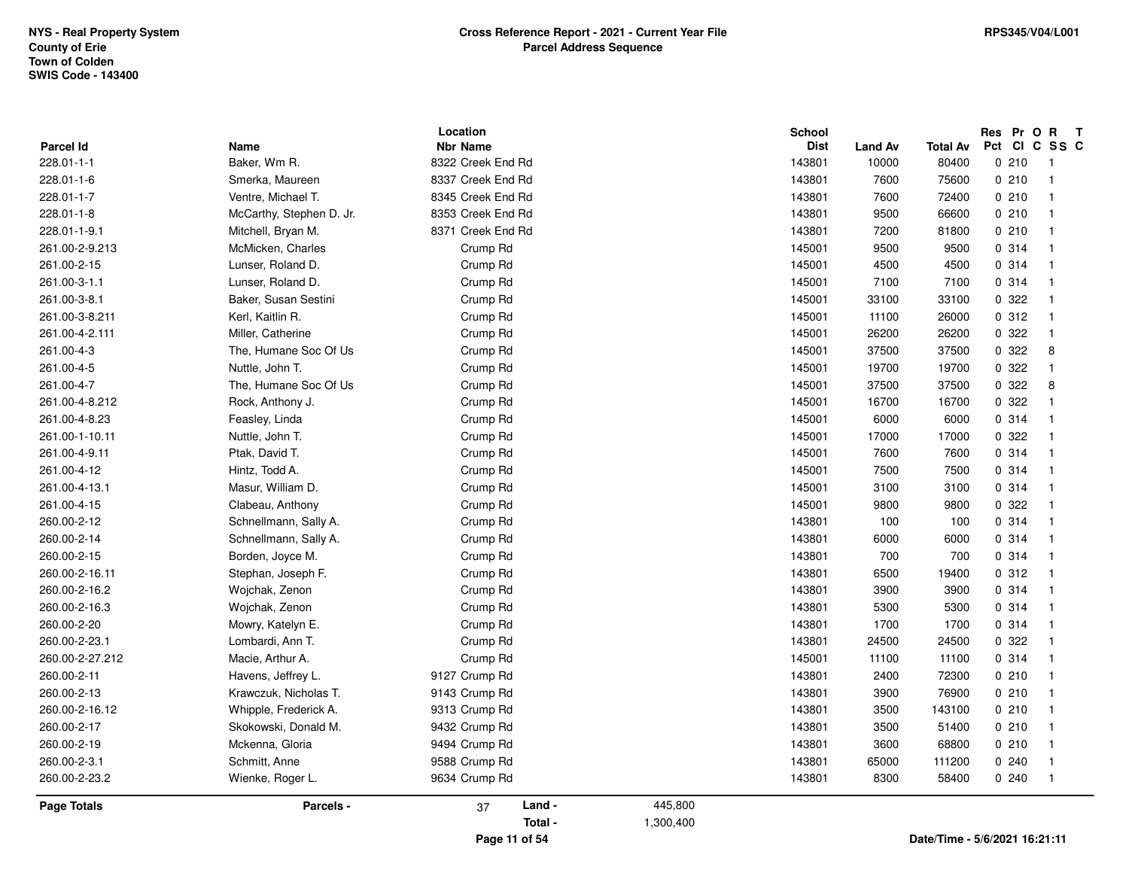| <b>Parcel Id</b><br><b>Nbr Name</b><br>Name<br>Baker, Wm R.<br>228.01-1-1<br>8322 Creek End Rd<br>8337 Creek End Rd<br>228.01-1-6<br>Smerka, Maureen<br>228.01-1-7<br>Ventre, Michael T.<br>8345 Creek End Rd<br>228.01-1-8<br>McCarthy, Stephen D. Jr.<br>8353 Creek End Rd<br>228.01-1-9.1<br>Mitchell, Bryan M.<br>261.00-2-9.213<br>McMicken, Charles<br>261.00-2-15<br>Lunser, Roland D.<br>261.00-3-1.1<br>Lunser, Roland D.<br>261.00-3-8.1<br>Baker, Susan Sestini<br>261.00-3-8.211<br>Kerl, Kaitlin R.<br>Miller, Catherine<br>261.00-4-2.111<br>261.00-4-3<br>The, Humane Soc Of Us<br>261.00-4-5<br>Nuttle, John T.<br>261.00-4-7<br>The, Humane Soc Of Us<br>261.00-4-8.212<br>Rock, Anthony J.<br>261.00-4-8.23<br>Feasley, Linda<br>261.00-1-10.11<br>Nuttle, John T.<br>Ptak, David T.<br>261.00-4-9.11<br>261.00-4-12<br>Hintz, Todd A.<br>261.00-4-13.1<br>Masur, William D.<br>261.00-4-15<br>Clabeau, Anthony<br>260.00-2-12<br>Schnellmann, Sally A.<br>260.00-2-14<br>Schnellmann, Sally A.<br>260.00-2-15<br>Borden, Joyce M.<br>260.00-2-16.11<br>Stephan, Joseph F.<br>260.00-2-16.2<br>Wojchak, Zenon<br>260.00-2-16.3<br>Wojchak, Zenon<br>260.00-2-20<br>Mowry, Katelyn E.<br>260.00-2-23.1<br>Lombardi, Ann T.<br>260.00-2-27.212<br>Macie, Arthur A.<br>260.00-2-11<br>Havens, Jeffrey L.<br>9127 Crump Rd<br>260.00-2-13<br>Krawczuk, Nicholas T.<br>9143 Crump Rd<br>260.00-2-16.12<br>9313 Crump Rd<br>Whipple, Frederick A.<br>260.00-2-17<br>Skokowski, Donald M.<br>9432 Crump Rd<br>260.00-2-19<br>9494 Crump Rd<br>Mckenna, Gloria | Location                | <b>School</b> |                |                 | Res Pr           | $\mathbf{o}$<br>$\mathbf{R}$ | $\mathbf{T}$ |
|--------------------------------------------------------------------------------------------------------------------------------------------------------------------------------------------------------------------------------------------------------------------------------------------------------------------------------------------------------------------------------------------------------------------------------------------------------------------------------------------------------------------------------------------------------------------------------------------------------------------------------------------------------------------------------------------------------------------------------------------------------------------------------------------------------------------------------------------------------------------------------------------------------------------------------------------------------------------------------------------------------------------------------------------------------------------------------------------------------------------------------------------------------------------------------------------------------------------------------------------------------------------------------------------------------------------------------------------------------------------------------------------------------------------------------------------------------------------------------------------------------------------------------------------------------------------------|-------------------------|---------------|----------------|-----------------|------------------|------------------------------|--------------|
|                                                                                                                                                                                                                                                                                                                                                                                                                                                                                                                                                                                                                                                                                                                                                                                                                                                                                                                                                                                                                                                                                                                                                                                                                                                                                                                                                                                                                                                                                                                                                                          |                         | <b>Dist</b>   | <b>Land Av</b> | <b>Total Av</b> | Pct<br><b>CI</b> |                              | C SS C       |
|                                                                                                                                                                                                                                                                                                                                                                                                                                                                                                                                                                                                                                                                                                                                                                                                                                                                                                                                                                                                                                                                                                                                                                                                                                                                                                                                                                                                                                                                                                                                                                          |                         | 143801        | 10000          | 80400           | 0210             | $\overline{1}$               |              |
|                                                                                                                                                                                                                                                                                                                                                                                                                                                                                                                                                                                                                                                                                                                                                                                                                                                                                                                                                                                                                                                                                                                                                                                                                                                                                                                                                                                                                                                                                                                                                                          |                         | 143801        | 7600           | 75600           | 0210             | $\overline{1}$               |              |
|                                                                                                                                                                                                                                                                                                                                                                                                                                                                                                                                                                                                                                                                                                                                                                                                                                                                                                                                                                                                                                                                                                                                                                                                                                                                                                                                                                                                                                                                                                                                                                          |                         | 143801        | 7600           | 72400           | 0210             | $\overline{1}$               |              |
|                                                                                                                                                                                                                                                                                                                                                                                                                                                                                                                                                                                                                                                                                                                                                                                                                                                                                                                                                                                                                                                                                                                                                                                                                                                                                                                                                                                                                                                                                                                                                                          |                         | 143801        | 9500           | 66600           | 0210             | $\overline{1}$               |              |
|                                                                                                                                                                                                                                                                                                                                                                                                                                                                                                                                                                                                                                                                                                                                                                                                                                                                                                                                                                                                                                                                                                                                                                                                                                                                                                                                                                                                                                                                                                                                                                          | 8371 Creek End Rd       | 143801        | 7200           | 81800           | 0210             | $\overline{1}$               |              |
|                                                                                                                                                                                                                                                                                                                                                                                                                                                                                                                                                                                                                                                                                                                                                                                                                                                                                                                                                                                                                                                                                                                                                                                                                                                                                                                                                                                                                                                                                                                                                                          | Crump Rd                | 145001        | 9500           | 9500            | 0.314            | $\overline{\mathbf{1}}$      |              |
|                                                                                                                                                                                                                                                                                                                                                                                                                                                                                                                                                                                                                                                                                                                                                                                                                                                                                                                                                                                                                                                                                                                                                                                                                                                                                                                                                                                                                                                                                                                                                                          | Crump Rd                | 145001        | 4500           | 4500            | 0.314            | $\overline{1}$               |              |
|                                                                                                                                                                                                                                                                                                                                                                                                                                                                                                                                                                                                                                                                                                                                                                                                                                                                                                                                                                                                                                                                                                                                                                                                                                                                                                                                                                                                                                                                                                                                                                          | Crump Rd                | 145001        | 7100           | 7100            | 0.314            | $\overline{1}$               |              |
|                                                                                                                                                                                                                                                                                                                                                                                                                                                                                                                                                                                                                                                                                                                                                                                                                                                                                                                                                                                                                                                                                                                                                                                                                                                                                                                                                                                                                                                                                                                                                                          | Crump Rd                | 145001        | 33100          | 33100           | 0.322            | $\overline{1}$               |              |
|                                                                                                                                                                                                                                                                                                                                                                                                                                                                                                                                                                                                                                                                                                                                                                                                                                                                                                                                                                                                                                                                                                                                                                                                                                                                                                                                                                                                                                                                                                                                                                          | Crump Rd                | 145001        | 11100          | 26000           | 0.312            | -1                           |              |
|                                                                                                                                                                                                                                                                                                                                                                                                                                                                                                                                                                                                                                                                                                                                                                                                                                                                                                                                                                                                                                                                                                                                                                                                                                                                                                                                                                                                                                                                                                                                                                          | Crump Rd                | 145001        | 26200          | 26200           | 0 322            | $\overline{\mathbf{1}}$      |              |
|                                                                                                                                                                                                                                                                                                                                                                                                                                                                                                                                                                                                                                                                                                                                                                                                                                                                                                                                                                                                                                                                                                                                                                                                                                                                                                                                                                                                                                                                                                                                                                          | Crump Rd                | 145001        | 37500          | 37500           | 0.322            | 8                            |              |
|                                                                                                                                                                                                                                                                                                                                                                                                                                                                                                                                                                                                                                                                                                                                                                                                                                                                                                                                                                                                                                                                                                                                                                                                                                                                                                                                                                                                                                                                                                                                                                          | Crump Rd                | 145001        | 19700          | 19700           | 0 322            | $\mathbf{1}$                 |              |
|                                                                                                                                                                                                                                                                                                                                                                                                                                                                                                                                                                                                                                                                                                                                                                                                                                                                                                                                                                                                                                                                                                                                                                                                                                                                                                                                                                                                                                                                                                                                                                          | Crump Rd                | 145001        | 37500          | 37500           | 0 322            | 8                            |              |
|                                                                                                                                                                                                                                                                                                                                                                                                                                                                                                                                                                                                                                                                                                                                                                                                                                                                                                                                                                                                                                                                                                                                                                                                                                                                                                                                                                                                                                                                                                                                                                          | Crump Rd                | 145001        | 16700          | 16700           | 0 322            | $\overline{1}$               |              |
|                                                                                                                                                                                                                                                                                                                                                                                                                                                                                                                                                                                                                                                                                                                                                                                                                                                                                                                                                                                                                                                                                                                                                                                                                                                                                                                                                                                                                                                                                                                                                                          | Crump Rd                | 145001        | 6000           | 6000            | 0 314            | $\overline{\mathbf{1}}$      |              |
|                                                                                                                                                                                                                                                                                                                                                                                                                                                                                                                                                                                                                                                                                                                                                                                                                                                                                                                                                                                                                                                                                                                                                                                                                                                                                                                                                                                                                                                                                                                                                                          | Crump Rd                | 145001        | 17000          | 17000           | 0 322            | $\overline{1}$               |              |
|                                                                                                                                                                                                                                                                                                                                                                                                                                                                                                                                                                                                                                                                                                                                                                                                                                                                                                                                                                                                                                                                                                                                                                                                                                                                                                                                                                                                                                                                                                                                                                          | Crump Rd                | 145001        | 7600           | 7600            | 0.314            | $\overline{1}$               |              |
|                                                                                                                                                                                                                                                                                                                                                                                                                                                                                                                                                                                                                                                                                                                                                                                                                                                                                                                                                                                                                                                                                                                                                                                                                                                                                                                                                                                                                                                                                                                                                                          | Crump Rd                | 145001        | 7500           | 7500            | 0.314            | $\overline{1}$               |              |
|                                                                                                                                                                                                                                                                                                                                                                                                                                                                                                                                                                                                                                                                                                                                                                                                                                                                                                                                                                                                                                                                                                                                                                                                                                                                                                                                                                                                                                                                                                                                                                          | Crump Rd                | 145001        | 3100           | 3100            | 0.314            | $\overline{1}$               |              |
|                                                                                                                                                                                                                                                                                                                                                                                                                                                                                                                                                                                                                                                                                                                                                                                                                                                                                                                                                                                                                                                                                                                                                                                                                                                                                                                                                                                                                                                                                                                                                                          | Crump Rd                | 145001        | 9800           | 9800            | 0 322            | $\overline{\mathbf{1}}$      |              |
|                                                                                                                                                                                                                                                                                                                                                                                                                                                                                                                                                                                                                                                                                                                                                                                                                                                                                                                                                                                                                                                                                                                                                                                                                                                                                                                                                                                                                                                                                                                                                                          | Crump Rd                | 143801        | 100            | 100             | 0.314            | $\overline{1}$               |              |
|                                                                                                                                                                                                                                                                                                                                                                                                                                                                                                                                                                                                                                                                                                                                                                                                                                                                                                                                                                                                                                                                                                                                                                                                                                                                                                                                                                                                                                                                                                                                                                          | Crump Rd                | 143801        | 6000           | 6000            | 0.314            | $\overline{1}$               |              |
|                                                                                                                                                                                                                                                                                                                                                                                                                                                                                                                                                                                                                                                                                                                                                                                                                                                                                                                                                                                                                                                                                                                                                                                                                                                                                                                                                                                                                                                                                                                                                                          | Crump Rd                | 143801        | 700            | 700             | 0.314            | $\overline{\mathbf{1}}$      |              |
|                                                                                                                                                                                                                                                                                                                                                                                                                                                                                                                                                                                                                                                                                                                                                                                                                                                                                                                                                                                                                                                                                                                                                                                                                                                                                                                                                                                                                                                                                                                                                                          | Crump Rd                | 143801        | 6500           | 19400           | 0.312            | $\mathbf{1}$                 |              |
|                                                                                                                                                                                                                                                                                                                                                                                                                                                                                                                                                                                                                                                                                                                                                                                                                                                                                                                                                                                                                                                                                                                                                                                                                                                                                                                                                                                                                                                                                                                                                                          | Crump Rd                | 143801        | 3900           | 3900            | 0.314            | $\overline{1}$               |              |
|                                                                                                                                                                                                                                                                                                                                                                                                                                                                                                                                                                                                                                                                                                                                                                                                                                                                                                                                                                                                                                                                                                                                                                                                                                                                                                                                                                                                                                                                                                                                                                          | Crump Rd                | 143801        | 5300           | 5300            | 0.314            | $\overline{1}$               |              |
|                                                                                                                                                                                                                                                                                                                                                                                                                                                                                                                                                                                                                                                                                                                                                                                                                                                                                                                                                                                                                                                                                                                                                                                                                                                                                                                                                                                                                                                                                                                                                                          | Crump Rd                | 143801        | 1700           | 1700            | 0.314            | $\overline{1}$               |              |
|                                                                                                                                                                                                                                                                                                                                                                                                                                                                                                                                                                                                                                                                                                                                                                                                                                                                                                                                                                                                                                                                                                                                                                                                                                                                                                                                                                                                                                                                                                                                                                          | Crump Rd                | 143801        | 24500          | 24500           | 0 322            | $\overline{\mathbf{1}}$      |              |
|                                                                                                                                                                                                                                                                                                                                                                                                                                                                                                                                                                                                                                                                                                                                                                                                                                                                                                                                                                                                                                                                                                                                                                                                                                                                                                                                                                                                                                                                                                                                                                          | Crump Rd                | 145001        | 11100          | 11100           | 0.314            | $\overline{1}$               |              |
|                                                                                                                                                                                                                                                                                                                                                                                                                                                                                                                                                                                                                                                                                                                                                                                                                                                                                                                                                                                                                                                                                                                                                                                                                                                                                                                                                                                                                                                                                                                                                                          |                         | 143801        | 2400           | 72300           | 0210             | $\overline{1}$               |              |
|                                                                                                                                                                                                                                                                                                                                                                                                                                                                                                                                                                                                                                                                                                                                                                                                                                                                                                                                                                                                                                                                                                                                                                                                                                                                                                                                                                                                                                                                                                                                                                          |                         | 143801        | 3900           | 76900           | 0210             | $\overline{\mathbf{1}}$      |              |
|                                                                                                                                                                                                                                                                                                                                                                                                                                                                                                                                                                                                                                                                                                                                                                                                                                                                                                                                                                                                                                                                                                                                                                                                                                                                                                                                                                                                                                                                                                                                                                          |                         | 143801        | 3500           | 143100          | 0210             | $\overline{1}$               |              |
|                                                                                                                                                                                                                                                                                                                                                                                                                                                                                                                                                                                                                                                                                                                                                                                                                                                                                                                                                                                                                                                                                                                                                                                                                                                                                                                                                                                                                                                                                                                                                                          |                         | 143801        | 3500           | 51400           | 0210             | $\overline{\mathbf{1}}$      |              |
|                                                                                                                                                                                                                                                                                                                                                                                                                                                                                                                                                                                                                                                                                                                                                                                                                                                                                                                                                                                                                                                                                                                                                                                                                                                                                                                                                                                                                                                                                                                                                                          |                         | 143801        | 3600           | 68800           | 0210             | $\overline{1}$               |              |
| 260.00-2-3.1<br>Schmitt, Anne<br>9588 Crump Rd                                                                                                                                                                                                                                                                                                                                                                                                                                                                                                                                                                                                                                                                                                                                                                                                                                                                                                                                                                                                                                                                                                                                                                                                                                                                                                                                                                                                                                                                                                                           |                         | 143801        | 65000          | 111200          | 0.240            | $\overline{\mathbf{1}}$      |              |
| 260.00-2-23.2<br>9634 Crump Rd<br>Wienke, Roger L.                                                                                                                                                                                                                                                                                                                                                                                                                                                                                                                                                                                                                                                                                                                                                                                                                                                                                                                                                                                                                                                                                                                                                                                                                                                                                                                                                                                                                                                                                                                       |                         | 143801        | 8300           | 58400           | 0240             | $\overline{1}$               |              |
| Page Totals<br>Parcels -                                                                                                                                                                                                                                                                                                                                                                                                                                                                                                                                                                                                                                                                                                                                                                                                                                                                                                                                                                                                                                                                                                                                                                                                                                                                                                                                                                                                                                                                                                                                                 | Land -<br>445,800<br>37 |               |                |                 |                  |                              |              |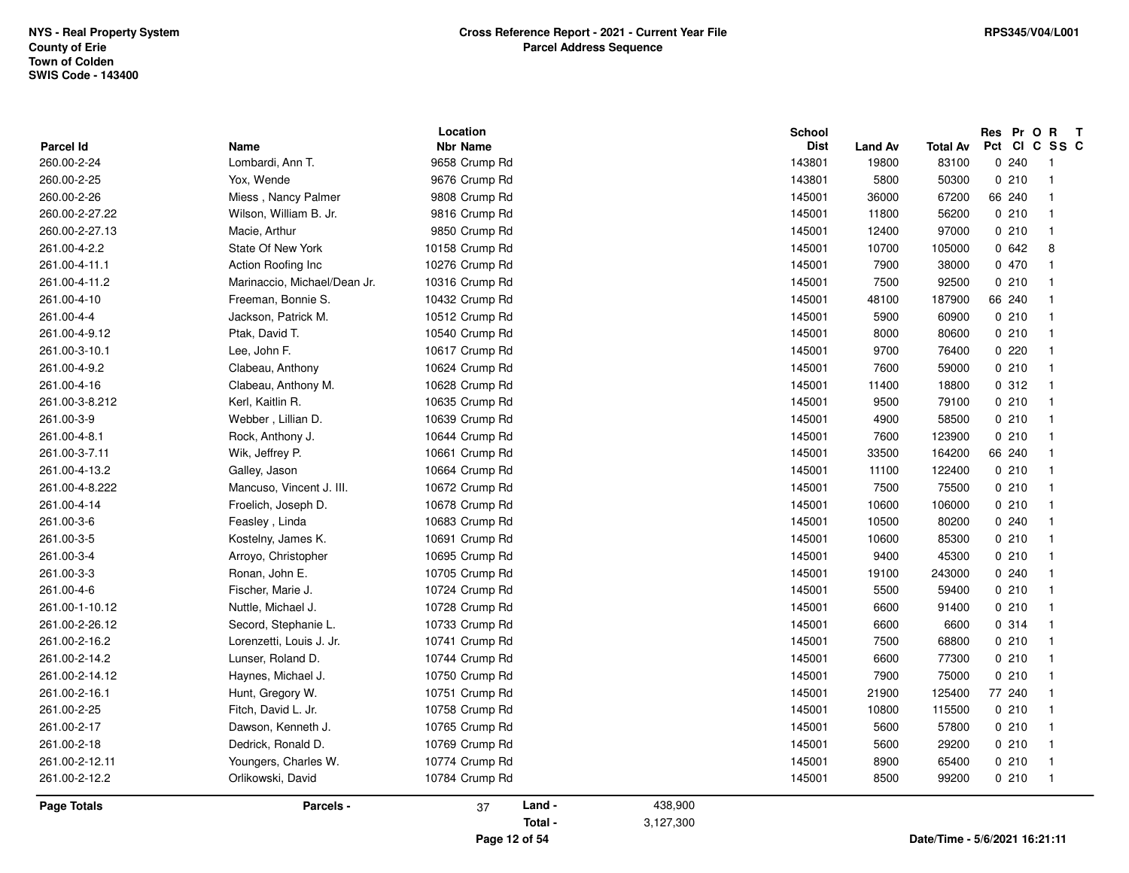|                                 |                              | Location<br><b>Nbr Name</b> |         | <b>School</b><br><b>Dist</b> |                         |                          | Res Pr O R<br>Pct CI C SS C | $\mathbf{T}$            |
|---------------------------------|------------------------------|-----------------------------|---------|------------------------------|-------------------------|--------------------------|-----------------------------|-------------------------|
| <b>Parcel Id</b><br>260.00-2-24 | Name<br>Lombardi, Ann T.     | 9658 Crump Rd               |         | 143801                       | <b>Land Av</b><br>19800 | <b>Total Av</b><br>83100 | 0240                        | $\overline{1}$          |
| 260.00-2-25                     | Yox, Wende                   | 9676 Crump Rd               |         | 143801                       | 5800                    | 50300                    | 0210                        | $\overline{\mathbf{1}}$ |
| 260.00-2-26                     | Miess, Nancy Palmer          | 9808 Crump Rd               |         | 145001                       | 36000                   | 67200                    | 66 240                      | -1                      |
| 260.00-2-27.22                  | Wilson, William B. Jr.       | 9816 Crump Rd               |         | 145001                       | 11800                   | 56200                    | 0210                        | $\overline{\mathbf{1}}$ |
|                                 |                              |                             |         | 145001                       |                         |                          | 0210                        | $\overline{\mathbf{1}}$ |
| 260.00-2-27.13                  | Macie, Arthur                | 9850 Crump Rd               |         |                              | 12400                   | 97000                    |                             |                         |
| 261.00-4-2.2                    | <b>State Of New York</b>     | 10158 Crump Rd              |         | 145001                       | 10700                   | 105000                   | 0642                        | 8                       |
| 261.00-4-11.1                   | Action Roofing Inc           | 10276 Crump Rd              |         | 145001                       | 7900                    | 38000                    | 0 470                       | $\overline{\mathbf{1}}$ |
| 261.00-4-11.2                   | Marinaccio, Michael/Dean Jr. | 10316 Crump Rd              |         | 145001                       | 7500                    | 92500                    | 0210                        | $\overline{\mathbf{1}}$ |
| 261.00-4-10                     | Freeman, Bonnie S.           | 10432 Crump Rd              |         | 145001                       | 48100                   | 187900                   | 66 240                      | -1                      |
| 261.00-4-4                      | Jackson, Patrick M.          | 10512 Crump Rd              |         | 145001                       | 5900                    | 60900                    | 0210                        | - 1                     |
| 261.00-4-9.12                   | Ptak, David T.               | 10540 Crump Rd              |         | 145001                       | 8000                    | 80600                    | 0210                        | $\overline{\mathbf{1}}$ |
| 261.00-3-10.1                   | Lee, John F.                 | 10617 Crump Rd              |         | 145001                       | 9700                    | 76400                    | 0220                        | $\mathbf{1}$            |
| 261.00-4-9.2                    | Clabeau, Anthony             | 10624 Crump Rd              |         | 145001                       | 7600                    | 59000                    | 0210                        | $\overline{\mathbf{1}}$ |
| 261.00-4-16                     | Clabeau, Anthony M.          | 10628 Crump Rd              |         | 145001                       | 11400                   | 18800                    | 0.312                       | $\overline{\mathbf{1}}$ |
| 261.00-3-8.212                  | Kerl, Kaitlin R.             | 10635 Crump Rd              |         | 145001                       | 9500                    | 79100                    | 0210                        | -1                      |
| 261.00-3-9                      | Webber, Lillian D.           | 10639 Crump Rd              |         | 145001                       | 4900                    | 58500                    | 0210                        | $\overline{1}$          |
| 261.00-4-8.1                    | Rock, Anthony J.             | 10644 Crump Rd              |         | 145001                       | 7600                    | 123900                   | 0210                        | $\mathbf{1}$            |
| 261.00-3-7.11                   | Wik, Jeffrey P.              | 10661 Crump Rd              |         | 145001                       | 33500                   | 164200                   | 66 240                      | $\overline{\mathbf{1}}$ |
| 261.00-4-13.2                   | Galley, Jason                | 10664 Crump Rd              |         | 145001                       | 11100                   | 122400                   | 0210                        | -1                      |
| 261.00-4-8.222                  | Mancuso, Vincent J. III.     | 10672 Crump Rd              |         | 145001                       | 7500                    | 75500                    | 0210                        |                         |
| 261.00-4-14                     | Froelich, Joseph D.          | 10678 Crump Rd              |         | 145001                       | 10600                   | 106000                   | 0210                        | $\mathbf{1}$            |
| 261.00-3-6                      | Feasley, Linda               | 10683 Crump Rd              |         | 145001                       | 10500                   | 80200                    | 0240                        | $\overline{\mathbf{1}}$ |
| 261.00-3-5                      | Kostelny, James K.           | 10691 Crump Rd              |         | 145001                       | 10600                   | 85300                    | 0210                        | -1                      |
| 261.00-3-4                      | Arroyo, Christopher          | 10695 Crump Rd              |         | 145001                       | 9400                    | 45300                    | 0210                        | -1                      |
| 261.00-3-3                      | Ronan, John E.               | 10705 Crump Rd              |         | 145001                       | 19100                   | 243000                   | 0240                        |                         |
| 261.00-4-6                      | Fischer, Marie J.            | 10724 Crump Rd              |         | 145001                       | 5500                    | 59400                    | 0210                        | $\overline{\mathbf{1}}$ |
| 261.00-1-10.12                  | Nuttle, Michael J.           | 10728 Crump Rd              |         | 145001                       | 6600                    | 91400                    | 0210                        | -1                      |
| 261.00-2-26.12                  | Secord, Stephanie L.         | 10733 Crump Rd              |         | 145001                       | 6600                    | 6600                     | 0.314                       | $\overline{\mathbf{1}}$ |
| 261.00-2-16.2                   | Lorenzetti, Louis J. Jr.     | 10741 Crump Rd              |         | 145001                       | 7500                    | 68800                    | 0210                        | -1                      |
| 261.00-2-14.2                   | Lunser, Roland D.            | 10744 Crump Rd              |         | 145001                       | 6600                    | 77300                    | 0210                        |                         |
| 261.00-2-14.12                  | Haynes, Michael J.           | 10750 Crump Rd              |         | 145001                       | 7900                    | 75000                    | 0210                        | $\overline{\mathbf{1}}$ |
| 261.00-2-16.1                   | Hunt, Gregory W.             | 10751 Crump Rd              |         | 145001                       | 21900                   | 125400                   | 77 240                      | - 1                     |
| 261.00-2-25                     | Fitch, David L. Jr.          | 10758 Crump Rd              |         | 145001                       | 10800                   | 115500                   | 0210                        | $\overline{1}$          |
| 261.00-2-17                     | Dawson, Kenneth J.           | 10765 Crump Rd              |         | 145001                       | 5600                    | 57800                    | 0210                        | $\mathbf{1}$            |
| 261.00-2-18                     | Dedrick, Ronald D.           | 10769 Crump Rd              |         | 145001                       | 5600                    | 29200                    | 0210                        | $\overline{\mathbf{1}}$ |
| 261.00-2-12.11                  | Youngers, Charles W.         | 10774 Crump Rd              |         | 145001                       | 8900                    | 65400                    | 0210                        | -1                      |
| 261.00-2-12.2                   | Orlikowski, David            | 10784 Crump Rd              |         | 145001                       | 8500                    | 99200                    | 0210                        | $\overline{1}$          |
| <b>Page Totals</b>              | Parcels -                    | Land -<br>37                | 438,900 |                              |                         |                          |                             |                         |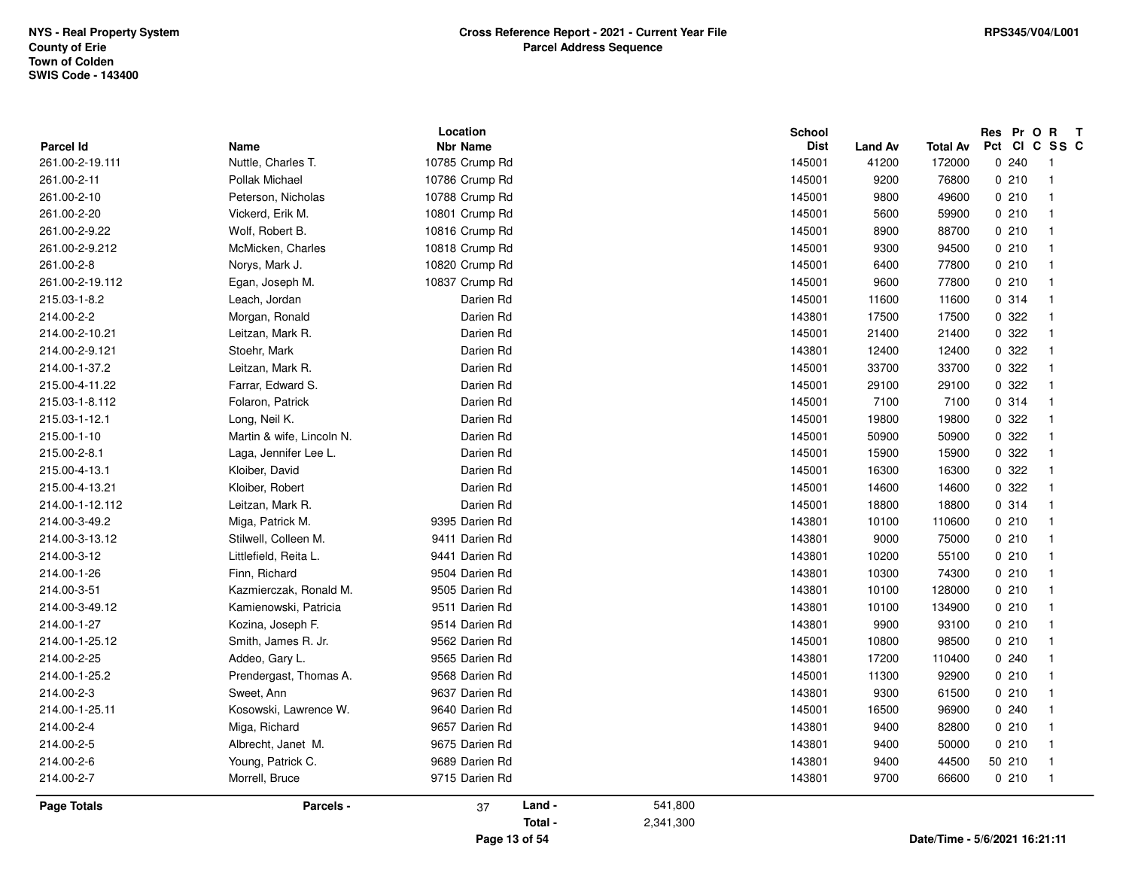|                    |                           | Location        |         |           | School      |                |                               | Res Pr O R T  |                         |
|--------------------|---------------------------|-----------------|---------|-----------|-------------|----------------|-------------------------------|---------------|-------------------------|
| <b>Parcel Id</b>   | Name                      | <b>Nbr Name</b> |         |           | <b>Dist</b> | <b>Land Av</b> | <b>Total Av</b>               | Pct CI C SS C |                         |
| 261.00-2-19.111    | Nuttle, Charles T.        | 10785 Crump Rd  |         |           | 145001      | 41200          | 172000                        | 0.240         | - 1                     |
| 261.00-2-11        | Pollak Michael            | 10786 Crump Rd  |         |           | 145001      | 9200           | 76800                         | 0210          | $\overline{1}$          |
| 261.00-2-10        | Peterson, Nicholas        | 10788 Crump Rd  |         |           | 145001      | 9800           | 49600                         | 0210          | -1                      |
| 261.00-2-20        | Vickerd, Erik M.          | 10801 Crump Rd  |         |           | 145001      | 5600           | 59900                         | 0210          |                         |
| 261.00-2-9.22      | Wolf, Robert B.           | 10816 Crump Rd  |         |           | 145001      | 8900           | 88700                         | 0210          |                         |
| 261.00-2-9.212     | McMicken, Charles         | 10818 Crump Rd  |         |           | 145001      | 9300           | 94500                         | 0210          | -1                      |
| 261.00-2-8         | Norys, Mark J.            | 10820 Crump Rd  |         |           | 145001      | 6400           | 77800                         | 0210          | -1                      |
| 261.00-2-19.112    | Egan, Joseph M.           | 10837 Crump Rd  |         |           | 145001      | 9600           | 77800                         | 0210          |                         |
| 215.03-1-8.2       | Leach, Jordan             | Darien Rd       |         |           | 145001      | 11600          | 11600                         | 0.314         |                         |
| 214.00-2-2         | Morgan, Ronald            | Darien Rd       |         |           | 143801      | 17500          | 17500                         | 0 322         | -1                      |
| 214.00-2-10.21     | Leitzan, Mark R.          | Darien Rd       |         |           | 145001      | 21400          | 21400                         | 0 322         |                         |
| 214.00-2-9.121     | Stoehr, Mark              | Darien Rd       |         |           | 143801      | 12400          | 12400                         | 0.322         | -1                      |
| 214.00-1-37.2      | Leitzan, Mark R.          | Darien Rd       |         |           | 145001      | 33700          | 33700                         | 0.322         |                         |
| 215.00-4-11.22     | Farrar, Edward S.         | Darien Rd       |         |           | 145001      | 29100          | 29100                         | 0.322         | -1                      |
| 215.03-1-8.112     | Folaron, Patrick          | Darien Rd       |         |           | 145001      | 7100           | 7100                          | 0.314         | -1                      |
| 215.03-1-12.1      | Long, Neil K.             | Darien Rd       |         |           | 145001      | 19800          | 19800                         | 0 322         | -1                      |
| 215.00-1-10        | Martin & wife, Lincoln N. | Darien Rd       |         |           | 145001      | 50900          | 50900                         | 0.322         |                         |
| 215.00-2-8.1       | Laga, Jennifer Lee L.     | Darien Rd       |         |           | 145001      | 15900          | 15900                         | 0.322         |                         |
| 215.00-4-13.1      | Kloiber, David            | Darien Rd       |         |           | 145001      | 16300          | 16300                         | 0 322         | -1                      |
| 215.00-4-13.21     | Kloiber, Robert           | Darien Rd       |         |           | 145001      | 14600          | 14600                         | 0.322         | $\overline{\mathbf{1}}$ |
| 214.00-1-12.112    | Leitzan, Mark R.          | Darien Rd       |         |           | 145001      | 18800          | 18800                         | 0.314         | - 1                     |
| 214.00-3-49.2      | Miga, Patrick M.          | 9395 Darien Rd  |         |           | 143801      | 10100          | 110600                        | 0210          |                         |
| 214.00-3-13.12     | Stilwell, Colleen M.      | 9411 Darien Rd  |         |           | 143801      | 9000           | 75000                         | 0210          | -1                      |
| 214.00-3-12        | Littlefield, Reita L.     | 9441 Darien Rd  |         |           | 143801      | 10200          | 55100                         | 0210          |                         |
| 214.00-1-26        | Finn, Richard             | 9504 Darien Rd  |         |           | 143801      | 10300          | 74300                         | 0210          | -1                      |
| 214.00-3-51        | Kazmierczak, Ronald M.    | 9505 Darien Rd  |         |           | 143801      | 10100          | 128000                        | 0210          |                         |
| 214.00-3-49.12     | Kamienowski, Patricia     | 9511 Darien Rd  |         |           | 143801      | 10100          | 134900                        | 0210          | -1                      |
| 214.00-1-27        | Kozina, Joseph F.         | 9514 Darien Rd  |         |           | 143801      | 9900           | 93100                         | 0210          | -1                      |
| 214.00-1-25.12     | Smith, James R. Jr.       | 9562 Darien Rd  |         |           | 145001      | 10800          | 98500                         | 0210          |                         |
| 214.00-2-25        | Addeo, Gary L.            | 9565 Darien Rd  |         |           | 143801      | 17200          | 110400                        | 0240          |                         |
| 214.00-1-25.2      | Prendergast, Thomas A.    | 9568 Darien Rd  |         |           | 145001      | 11300          | 92900                         | 0210          |                         |
| 214.00-2-3         | Sweet, Ann                | 9637 Darien Rd  |         |           | 143801      | 9300           | 61500                         | 0210          | -1                      |
| 214.00-1-25.11     | Kosowski, Lawrence W.     | 9640 Darien Rd  |         |           | 145001      | 16500          | 96900                         | 0240          |                         |
| 214.00-2-4         | Miga, Richard             | 9657 Darien Rd  |         |           | 143801      | 9400           | 82800                         | 0210          |                         |
| 214.00-2-5         | Albrecht, Janet M.        | 9675 Darien Rd  |         |           | 143801      | 9400           | 50000                         | 0210          |                         |
| 214.00-2-6         | Young, Patrick C.         | 9689 Darien Rd  |         |           | 143801      | 9400           | 44500                         | 50 210        | -1                      |
| 214.00-2-7         | Morrell, Bruce            | 9715 Darien Rd  |         |           | 143801      | 9700           | 66600                         | 0210          | $\overline{1}$          |
| <b>Page Totals</b> | Parcels -                 | 37              | Land -  | 541,800   |             |                |                               |               |                         |
|                    |                           |                 | Total - | 2,341,300 |             |                |                               |               |                         |
|                    |                           | Page 13 of 54   |         |           |             |                | Date/Time - 5/6/2021 16:21:11 |               |                         |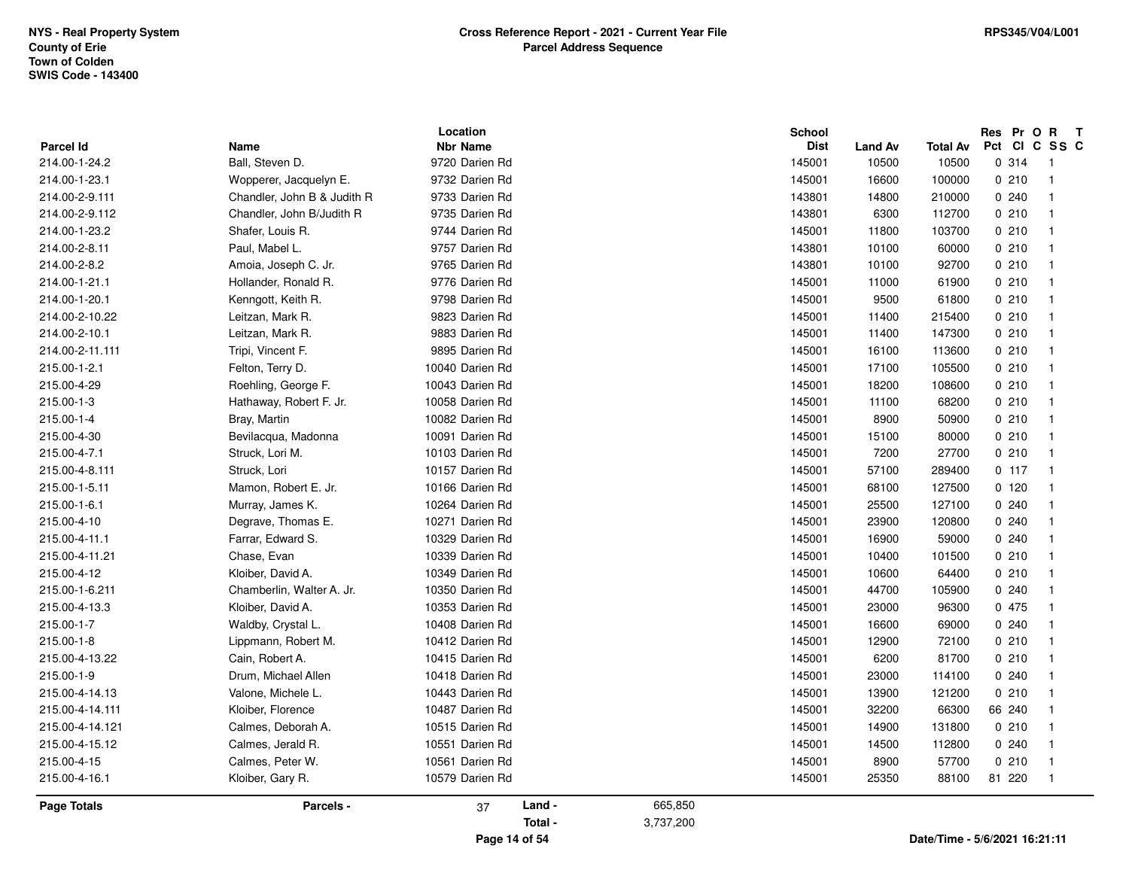| <b>Parcel Id</b><br>214.00-1-24.2<br>214.00-1-23.1<br>214.00-2-9.111<br>214.00-2-9.112<br>214.00-1-23.2 | Name<br>Ball, Steven D.<br>Wopperer, Jacquelyn E.<br>Chandler, John B & Judith R<br>Chandler, John B/Judith R<br>Shafer, Louis R.<br>Paul, Mabel L.<br>Amoia, Joseph C. Jr. | <b>Nbr Name</b><br>9720 Darien Rd<br>9732 Darien Rd<br>9733 Darien Rd<br>9735 Darien Rd<br>9744 Darien Rd |         |           | <b>Dist</b><br>145001<br>145001<br>143801 | <b>Land Av</b><br>10500<br>16600 | <b>Total Av</b><br>10500<br>100000 | Pct CI C SS C<br>0.314<br>0210 | $\overline{\phantom{1}}$<br>$\overline{1}$ |
|---------------------------------------------------------------------------------------------------------|-----------------------------------------------------------------------------------------------------------------------------------------------------------------------------|-----------------------------------------------------------------------------------------------------------|---------|-----------|-------------------------------------------|----------------------------------|------------------------------------|--------------------------------|--------------------------------------------|
|                                                                                                         |                                                                                                                                                                             |                                                                                                           |         |           |                                           |                                  |                                    |                                |                                            |
|                                                                                                         |                                                                                                                                                                             |                                                                                                           |         |           |                                           |                                  |                                    |                                |                                            |
|                                                                                                         |                                                                                                                                                                             |                                                                                                           |         |           |                                           |                                  |                                    | 0.240                          |                                            |
|                                                                                                         |                                                                                                                                                                             |                                                                                                           |         |           |                                           | 14800                            | 210000                             |                                |                                            |
|                                                                                                         |                                                                                                                                                                             |                                                                                                           |         |           | 143801                                    | 6300                             | 112700                             | 0210                           | $\overline{1}$                             |
|                                                                                                         |                                                                                                                                                                             |                                                                                                           |         |           | 145001                                    | 11800                            | 103700                             | 0210                           | -1                                         |
| 214.00-2-8.11                                                                                           |                                                                                                                                                                             | 9757 Darien Rd                                                                                            |         |           | 143801                                    | 10100                            | 60000                              | 0210                           |                                            |
| 214.00-2-8.2                                                                                            |                                                                                                                                                                             | 9765 Darien Rd                                                                                            |         |           | 143801                                    | 10100                            | 92700                              | 0210                           | $\overline{1}$                             |
| 214.00-1-21.1                                                                                           | Hollander, Ronald R.                                                                                                                                                        | 9776 Darien Rd                                                                                            |         |           | 145001                                    | 11000                            | 61900                              | 0210                           | -1                                         |
| 214.00-1-20.1                                                                                           | Kenngott, Keith R.                                                                                                                                                          | 9798 Darien Rd                                                                                            |         |           | 145001                                    | 9500                             | 61800                              | 0210                           | -1                                         |
| 214.00-2-10.22                                                                                          | Leitzan, Mark R.                                                                                                                                                            | 9823 Darien Rd                                                                                            |         |           | 145001                                    | 11400                            | 215400                             | 0210                           |                                            |
| 214.00-2-10.1                                                                                           | Leitzan, Mark R.                                                                                                                                                            | 9883 Darien Rd                                                                                            |         |           | 145001                                    | 11400                            | 147300                             | 0210                           |                                            |
| 214.00-2-11.111                                                                                         | Tripi, Vincent F.                                                                                                                                                           | 9895 Darien Rd                                                                                            |         |           | 145001                                    | 16100                            | 113600                             | 0210                           | -1                                         |
| 215.00-1-2.1                                                                                            | Felton, Terry D.                                                                                                                                                            | 10040 Darien Rd                                                                                           |         |           | 145001                                    | 17100                            | 105500                             | 0210                           | $\overline{\mathbf{1}}$                    |
| 215.00-4-29                                                                                             | Roehling, George F.                                                                                                                                                         | 10043 Darien Rd                                                                                           |         |           | 145001                                    | 18200                            | 108600                             | 0210                           | $\overline{1}$                             |
| 215.00-1-3                                                                                              | Hathaway, Robert F. Jr.                                                                                                                                                     | 10058 Darien Rd                                                                                           |         |           | 145001                                    | 11100                            | 68200                              | 0210                           |                                            |
| 215.00-1-4                                                                                              | Bray, Martin                                                                                                                                                                | 10082 Darien Rd                                                                                           |         |           | 145001                                    | 8900                             | 50900                              | 0210                           |                                            |
| 215.00-4-30                                                                                             | Bevilacqua, Madonna                                                                                                                                                         | 10091 Darien Rd                                                                                           |         |           | 145001                                    | 15100                            | 80000                              | 0210                           | $\overline{\mathbf{1}}$                    |
| 215.00-4-7.1                                                                                            | Struck, Lori M.                                                                                                                                                             | 10103 Darien Rd                                                                                           |         |           | 145001                                    | 7200                             | 27700                              | 0210                           | $\overline{\mathbf{1}}$                    |
| 215.00-4-8.111                                                                                          | Struck, Lori                                                                                                                                                                | 10157 Darien Rd                                                                                           |         |           | 145001                                    | 57100                            | 289400                             | 0.117                          | $\overline{\mathbf{1}}$                    |
| 215.00-1-5.11                                                                                           | Mamon, Robert E. Jr.                                                                                                                                                        | 10166 Darien Rd                                                                                           |         |           | 145001                                    | 68100                            | 127500                             | 0120                           |                                            |
| 215.00-1-6.1                                                                                            | Murray, James K.                                                                                                                                                            | 10264 Darien Rd                                                                                           |         |           | 145001                                    | 25500                            | 127100                             | 0240                           |                                            |
| 215.00-4-10                                                                                             | Degrave, Thomas E.                                                                                                                                                          | 10271 Darien Rd                                                                                           |         |           | 145001                                    | 23900                            | 120800                             | 0240                           |                                            |
| 215.00-4-11.1                                                                                           | Farrar, Edward S.                                                                                                                                                           | 10329 Darien Rd                                                                                           |         |           | 145001                                    | 16900                            | 59000                              | 0.240                          | -1                                         |
| 215.00-4-11.21                                                                                          | Chase, Evan                                                                                                                                                                 | 10339 Darien Rd                                                                                           |         |           | 145001                                    | 10400                            | 101500                             | 0210                           | $\overline{\mathbf{1}}$                    |
| 215.00-4-12                                                                                             | Kloiber, David A.                                                                                                                                                           | 10349 Darien Rd                                                                                           |         |           | 145001                                    | 10600                            | 64400                              | 0210                           |                                            |
| 215.00-1-6.211                                                                                          | Chamberlin, Walter A. Jr.                                                                                                                                                   | 10350 Darien Rd                                                                                           |         |           | 145001                                    | 44700                            | 105900                             | 0240                           |                                            |
| 215.00-4-13.3                                                                                           | Kloiber, David A.                                                                                                                                                           | 10353 Darien Rd                                                                                           |         |           | 145001                                    | 23000                            | 96300                              | 0 475                          |                                            |
| 215.00-1-7                                                                                              | Waldby, Crystal L.                                                                                                                                                          | 10408 Darien Rd                                                                                           |         |           | 145001                                    | 16600                            | 69000                              | 0240                           |                                            |
| 215.00-1-8                                                                                              | Lippmann, Robert M.                                                                                                                                                         | 10412 Darien Rd                                                                                           |         |           | 145001                                    | 12900                            | 72100                              | 0210                           | $\overline{\mathbf{1}}$                    |
| 215.00-4-13.22                                                                                          | Cain, Robert A.                                                                                                                                                             | 10415 Darien Rd                                                                                           |         |           | 145001                                    | 6200                             | 81700                              | 0210                           |                                            |
| 215.00-1-9                                                                                              | Drum, Michael Allen                                                                                                                                                         | 10418 Darien Rd                                                                                           |         |           | 145001                                    | 23000                            | 114100                             | 0240                           |                                            |
| 215.00-4-14.13                                                                                          | Valone, Michele L.                                                                                                                                                          | 10443 Darien Rd                                                                                           |         |           | 145001                                    | 13900                            | 121200                             | 0210                           |                                            |
| 215.00-4-14.111                                                                                         | Kloiber, Florence                                                                                                                                                           | 10487 Darien Rd                                                                                           |         |           | 145001                                    | 32200                            | 66300                              | 66 240                         |                                            |
| 215.00-4-14.121                                                                                         | Calmes, Deborah A.                                                                                                                                                          | 10515 Darien Rd                                                                                           |         |           | 145001                                    | 14900                            | 131800                             | 0210                           | -1                                         |
| 215.00-4-15.12                                                                                          | Calmes, Jerald R.                                                                                                                                                           | 10551 Darien Rd                                                                                           |         |           | 145001                                    | 14500                            | 112800                             | 0240                           | $\overline{1}$                             |
| 215.00-4-15                                                                                             | Calmes, Peter W.                                                                                                                                                            | 10561 Darien Rd                                                                                           |         |           | 145001                                    | 8900                             | 57700                              | 0210                           | $\overline{\mathbf{1}}$                    |
| 215.00-4-16.1                                                                                           | Kloiber, Gary R.                                                                                                                                                            | 10579 Darien Rd                                                                                           |         |           | 145001                                    | 25350                            | 88100                              | 81 220                         | $\overline{1}$                             |
| <b>Page Totals</b>                                                                                      | Parcels -                                                                                                                                                                   | 37                                                                                                        | Land -  | 665,850   |                                           |                                  |                                    |                                |                                            |
|                                                                                                         |                                                                                                                                                                             |                                                                                                           | Total - | 3,737,200 |                                           |                                  |                                    |                                |                                            |

**Page 14 of 54**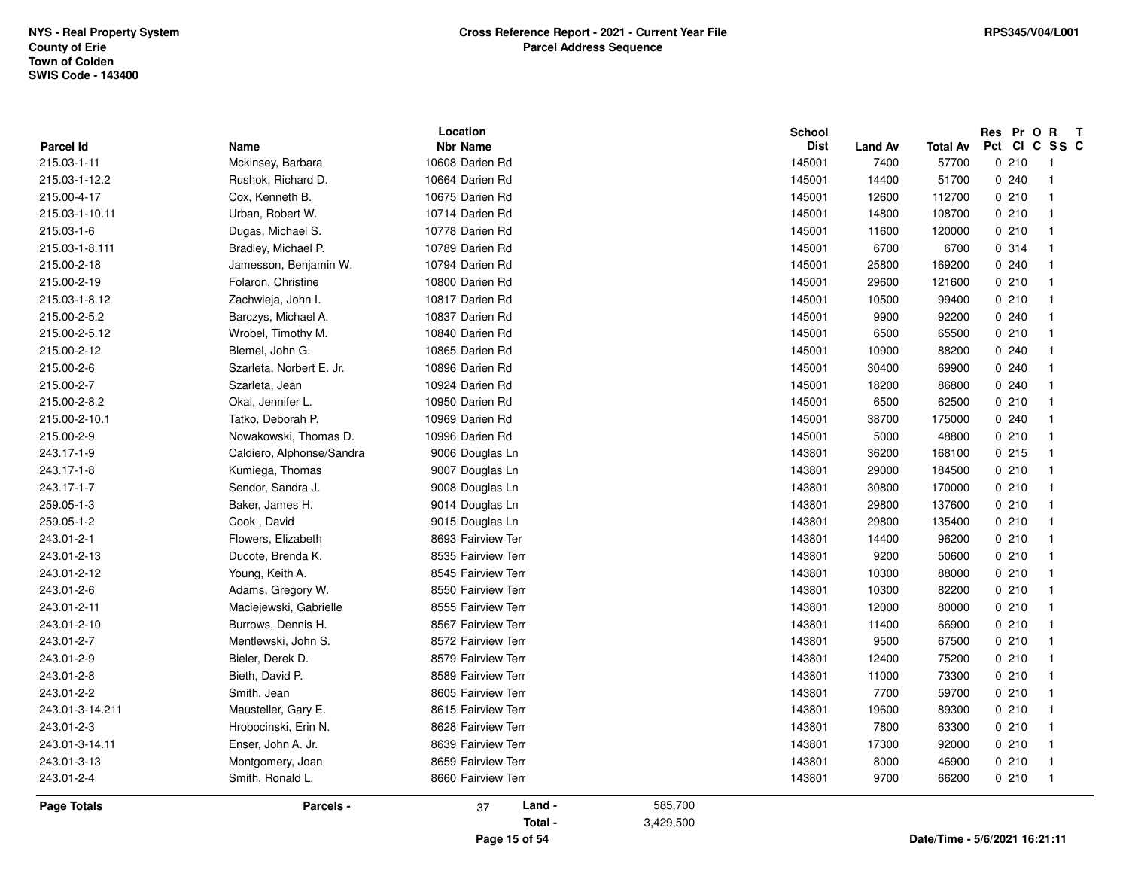|                    |                           | Location           |         | <b>School</b> |                |                 | Res Pr O R |                         | $\mathbf{T}$ |
|--------------------|---------------------------|--------------------|---------|---------------|----------------|-----------------|------------|-------------------------|--------------|
| <b>Parcel Id</b>   | Name                      | <b>Nbr Name</b>    |         | <b>Dist</b>   | <b>Land Av</b> | <b>Total Av</b> |            | Pct CI C SS C           |              |
| 215.03-1-11        | Mckinsey, Barbara         | 10608 Darien Rd    |         | 145001        | 7400           | 57700           | 0210       | - 1                     |              |
| 215.03-1-12.2      | Rushok, Richard D.        | 10664 Darien Rd    |         | 145001        | 14400          | 51700           | 0.240      | $\overline{1}$          |              |
| 215.00-4-17        | Cox, Kenneth B.           | 10675 Darien Rd    |         | 145001        | 12600          | 112700          | 0210       | -1                      |              |
| 215.03-1-10.11     | Urban, Robert W.          | 10714 Darien Rd    |         | 145001        | 14800          | 108700          | 0210       | - 1                     |              |
| 215.03-1-6         | Dugas, Michael S.         | 10778 Darien Rd    |         | 145001        | 11600          | 120000          | 0210       | $\overline{\mathbf{1}}$ |              |
| 215.03-1-8.111     | Bradley, Michael P.       | 10789 Darien Rd    |         | 145001        | 6700           | 6700            | 0.314      | $\overline{1}$          |              |
| 215.00-2-18        | Jamesson, Benjamin W.     | 10794 Darien Rd    |         | 145001        | 25800          | 169200          | 0.240      | $\overline{1}$          |              |
| 215.00-2-19        | Folaron, Christine        | 10800 Darien Rd    |         | 145001        | 29600          | 121600          | 0210       | -1                      |              |
| 215.03-1-8.12      | Zachwieja, John I.        | 10817 Darien Rd    |         | 145001        | 10500          | 99400           | 0210       | - 1                     |              |
| 215.00-2-5.2       | Barczys, Michael A.       | 10837 Darien Rd    |         | 145001        | 9900           | 92200           | 0.240      | 1                       |              |
| 215.00-2-5.12      | Wrobel, Timothy M.        | 10840 Darien Rd    |         | 145001        | 6500           | 65500           | 0210       | -1                      |              |
| 215.00-2-12        | Blemel, John G.           | 10865 Darien Rd    |         | 145001        | 10900          | 88200           | 0.240      | -1                      |              |
| 215.00-2-6         | Szarleta, Norbert E. Jr.  | 10896 Darien Rd    |         | 145001        | 30400          | 69900           | 0.240      | $\overline{\mathbf{1}}$ |              |
| 215.00-2-7         | Szarleta, Jean            | 10924 Darien Rd    |         | 145001        | 18200          | 86800           | 0.240      | -1                      |              |
| 215.00-2-8.2       | Okal, Jennifer L.         | 10950 Darien Rd    |         | 145001        | 6500           | 62500           | 0210       | -1                      |              |
| 215.00-2-10.1      | Tatko, Deborah P.         | 10969 Darien Rd    |         | 145001        | 38700          | 175000          | 0.240      | -1                      |              |
| 215.00-2-9         | Nowakowski, Thomas D.     | 10996 Darien Rd    |         | 145001        | 5000           | 48800           | 0210       | $\overline{1}$          |              |
| 243.17-1-9         | Caldiero, Alphonse/Sandra | 9006 Douglas Ln    |         | 143801        | 36200          | 168100          | 0215       | $\overline{1}$          |              |
| 243.17-1-8         | Kumiega, Thomas           | 9007 Douglas Ln    |         | 143801        | 29000          | 184500          | 0210       | - 1                     |              |
| 243.17-1-7         | Sendor, Sandra J.         | 9008 Douglas Ln    |         | 143801        | 30800          | 170000          | 0210       | $\overline{\mathbf{1}}$ |              |
| 259.05-1-3         | Baker, James H.           | 9014 Douglas Ln    |         | 143801        | 29800          | 137600          | 0210       | $\overline{1}$          |              |
| 259.05-1-2         | Cook, David               | 9015 Douglas Ln    |         | 143801        | 29800          | 135400          | 0210       | $\overline{1}$          |              |
| 243.01-2-1         | Flowers, Elizabeth        | 8693 Fairview Ter  |         | 143801        | 14400          | 96200           | 0210       | $\overline{1}$          |              |
| 243.01-2-13        | Ducote, Brenda K.         | 8535 Fairview Terr |         | 143801        | 9200           | 50600           | 0210       | $\overline{1}$          |              |
| 243.01-2-12        | Young, Keith A.           | 8545 Fairview Terr |         | 143801        | 10300          | 88000           | 0210       | $\overline{1}$          |              |
| 243.01-2-6         | Adams, Gregory W.         | 8550 Fairview Terr |         | 143801        | 10300          | 82200           | 0210       | $\overline{1}$          |              |
| 243.01-2-11        | Maciejewski, Gabrielle    | 8555 Fairview Terr |         | 143801        | 12000          | 80000           | 0210       | $\overline{1}$          |              |
| 243.01-2-10        | Burrows, Dennis H.        | 8567 Fairview Terr |         | 143801        | 11400          | 66900           | 0210       | $\overline{1}$          |              |
| 243.01-2-7         | Mentlewski, John S.       | 8572 Fairview Terr |         | 143801        | 9500           | 67500           | 0210       | $\overline{1}$          |              |
| 243.01-2-9         | Bieler, Derek D.          | 8579 Fairview Terr |         | 143801        | 12400          | 75200           | 0210       | $\overline{1}$          |              |
| 243.01-2-8         | Bieth, David P.           | 8589 Fairview Terr |         | 143801        | 11000          | 73300           | 0210       | $\overline{\mathbf{1}}$ |              |
| 243.01-2-2         | Smith, Jean               | 8605 Fairview Terr |         | 143801        | 7700           | 59700           | 0210       | $\overline{1}$          |              |
| 243.01-3-14.211    | Mausteller, Gary E.       | 8615 Fairview Terr |         | 143801        | 19600          | 89300           | 0210       | $\overline{1}$          |              |
| 243.01-2-3         | Hrobocinski, Erin N.      | 8628 Fairview Terr |         | 143801        | 7800           | 63300           | 0210       | $\overline{1}$          |              |
| 243.01-3-14.11     | Enser, John A. Jr.        | 8639 Fairview Terr |         | 143801        | 17300          | 92000           | 0210       | $\overline{\mathbf{1}}$ |              |
| 243.01-3-13        | Montgomery, Joan          | 8659 Fairview Terr |         | 143801        | 8000           | 46900           | 0210       | $\overline{\mathbf{1}}$ |              |
| 243.01-2-4         | Smith, Ronald L.          | 8660 Fairview Terr |         | 143801        | 9700           | 66200           | 0210       | $\overline{1}$          |              |
| <b>Page Totals</b> | Parcels -                 | Land -<br>37       | 585,700 |               |                |                 |            |                         |              |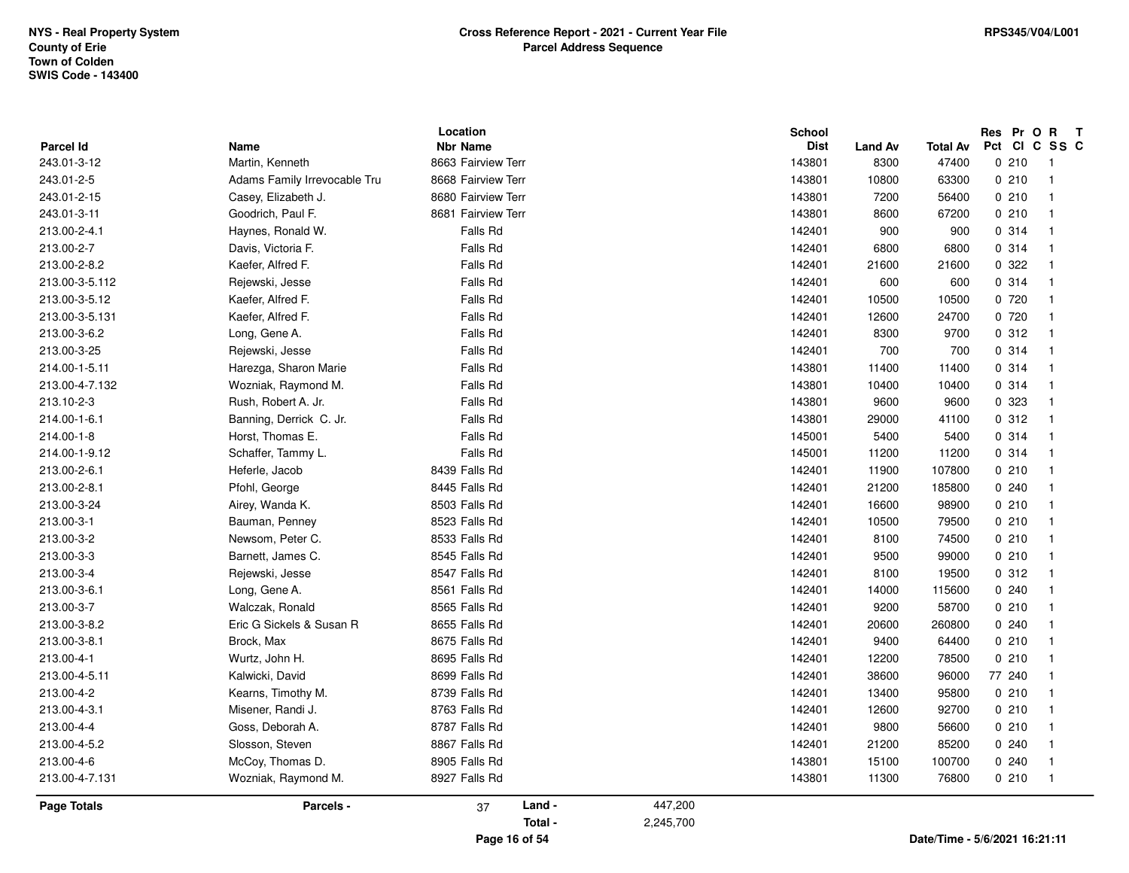| Parcel Id      | Name                         | Location<br><b>Nbr Name</b> |           | <b>School</b><br><b>Dist</b> | <b>Land Av</b> | <b>Total Av</b> | Res Pr O R<br>Pct CI C SS C | $\mathbf{T}$            |
|----------------|------------------------------|-----------------------------|-----------|------------------------------|----------------|-----------------|-----------------------------|-------------------------|
| 243.01-3-12    | Martin, Kenneth              | 8663 Fairview Terr          |           | 143801                       | 8300           | 47400           | 0210                        | - 1                     |
| 243.01-2-5     | Adams Family Irrevocable Tru | 8668 Fairview Terr          |           | 143801                       | 10800          | 63300           | 0210                        | $\overline{1}$          |
| 243.01-2-15    | Casey, Elizabeth J.          | 8680 Fairview Terr          |           | 143801                       | 7200           | 56400           | 0210                        | $\overline{1}$          |
| 243.01-3-11    | Goodrich, Paul F.            | 8681 Fairview Terr          |           | 143801                       | 8600           | 67200           | 0210                        | $\overline{1}$          |
| 213.00-2-4.1   | Haynes, Ronald W.            | Falls Rd                    |           | 142401                       | 900            | 900             | 0.314                       | $\overline{1}$          |
| 213.00-2-7     | Davis, Victoria F.           | Falls Rd                    |           | 142401                       | 6800           | 6800            | 0 314                       | $\overline{\mathbf{1}}$ |
| 213.00-2-8.2   | Kaefer, Alfred F.            | Falls Rd                    |           | 142401                       | 21600          | 21600           | 0.322                       | $\overline{1}$          |
| 213.00-3-5.112 | Rejewski, Jesse              | Falls Rd                    |           | 142401                       | 600            | 600             | 0.314                       | $\overline{1}$          |
| 213.00-3-5.12  | Kaefer, Alfred F.            | Falls Rd                    |           | 142401                       | 10500          | 10500           | 0 720                       | $\overline{1}$          |
| 213.00-3-5.131 | Kaefer, Alfred F.            | Falls Rd                    |           | 142401                       | 12600          | 24700           | 0720                        | $\overline{\mathbf{1}}$ |
| 213.00-3-6.2   | Long, Gene A.                | Falls Rd                    |           | 142401                       | 8300           | 9700            | 0.312                       | $\overline{1}$          |
| 213.00-3-25    | Rejewski, Jesse              | Falls Rd                    |           | 142401                       | 700            | 700             | 0.314                       | $\overline{1}$          |
| 214.00-1-5.11  | Harezga, Sharon Marie        | Falls Rd                    |           | 143801                       | 11400          | 11400           | 0.314                       | $\overline{1}$          |
| 213.00-4-7.132 | Wozniak, Raymond M.          | Falls Rd                    |           | 143801                       | 10400          | 10400           | 0.314                       | $\overline{1}$          |
| 213.10-2-3     | Rush, Robert A. Jr.          | Falls Rd                    |           | 143801                       | 9600           | 9600            | 0 323                       | $\overline{1}$          |
| 214.00-1-6.1   | Banning, Derrick C. Jr.      | Falls Rd                    |           | 143801                       | 29000          | 41100           | 0.312                       | $\overline{1}$          |
| 214.00-1-8     | Horst, Thomas E.             | Falls Rd                    |           | 145001                       | 5400           | 5400            | 0.314                       | $\overline{1}$          |
| 214.00-1-9.12  | Schaffer, Tammy L.           | Falls Rd                    |           | 145001                       | 11200          | 11200           | 0.314                       | $\overline{1}$          |
| 213.00-2-6.1   | Heferle, Jacob               | 8439 Falls Rd               |           | 142401                       | 11900          | 107800          | 0210                        | $\overline{\mathbf{1}}$ |
| 213.00-2-8.1   | Pfohl, George                | 8445 Falls Rd               |           | 142401                       | 21200          | 185800          | 0.240                       | $\overline{1}$          |
| 213.00-3-24    | Airey, Wanda K.              | 8503 Falls Rd               |           | 142401                       | 16600          | 98900           | 0210                        | $\overline{1}$          |
| 213.00-3-1     | Bauman, Penney               | 8523 Falls Rd               |           | 142401                       | 10500          | 79500           | 0210                        | $\overline{1}$          |
| 213.00-3-2     | Newsom, Peter C.             | 8533 Falls Rd               |           | 142401                       | 8100           | 74500           | 0210                        | $\overline{1}$          |
| 213.00-3-3     | Barnett, James C.            | 8545 Falls Rd               |           | 142401                       | 9500           | 99000           | 0210                        | $\overline{1}$          |
| 213.00-3-4     | Rejewski, Jesse              | 8547 Falls Rd               |           | 142401                       | 8100           | 19500           | 0.312                       | $\overline{\mathbf{1}}$ |
| 213.00-3-6.1   | Long, Gene A.                | 8561 Falls Rd               |           | 142401                       | 14000          | 115600          | 0.240                       | $\overline{\mathbf{1}}$ |
| 213.00-3-7     | Walczak, Ronald              | 8565 Falls Rd               |           | 142401                       | 9200           | 58700           | 0210                        | $\overline{1}$          |
| 213.00-3-8.2   | Eric G Sickels & Susan R     | 8655 Falls Rd               |           | 142401                       | 20600          | 260800          | 0.240                       | $\overline{1}$          |
| 213.00-3-8.1   | Brock, Max                   | 8675 Falls Rd               |           | 142401                       | 9400           | 64400           | 0210                        | $\overline{1}$          |
| 213.00-4-1     | Wurtz, John H.               | 8695 Falls Rd               |           | 142401                       | 12200          | 78500           | 0210                        | $\overline{\mathbf{1}}$ |
| 213.00-4-5.11  | Kalwicki, David              | 8699 Falls Rd               |           | 142401                       | 38600          | 96000           | 77 240                      | $\mathbf{1}$            |
| 213.00-4-2     | Kearns, Timothy M.           | 8739 Falls Rd               |           | 142401                       | 13400          | 95800           | 0210                        | $\overline{1}$          |
| 213.00-4-3.1   | Misener, Randi J.            | 8763 Falls Rd               |           | 142401                       | 12600          | 92700           | 0210                        | $\overline{1}$          |
| 213.00-4-4     | Goss, Deborah A.             | 8787 Falls Rd               |           | 142401                       | 9800           | 56600           | 0210                        | $\overline{1}$          |
| 213.00-4-5.2   | Slosson, Steven              | 8867 Falls Rd               |           | 142401                       | 21200          | 85200           | 0240                        | $\overline{\mathbf{1}}$ |
| 213.00-4-6     | McCoy, Thomas D.             | 8905 Falls Rd               |           | 143801                       | 15100          | 100700          | 0240                        | $\overline{\mathbf{1}}$ |
| 213.00-4-7.131 |                              | 8927 Falls Rd               |           | 143801                       | 11300          | 76800           | 0210                        | $\overline{1}$          |
|                | Wozniak, Raymond M.          |                             |           |                              |                |                 |                             |                         |
| Page Totals    | Parcels -                    | Land -<br>37                | 447,200   |                              |                |                 |                             |                         |
|                |                              | Total -                     | 2,245,700 |                              |                |                 |                             |                         |
|                |                              |                             |           |                              |                |                 |                             |                         |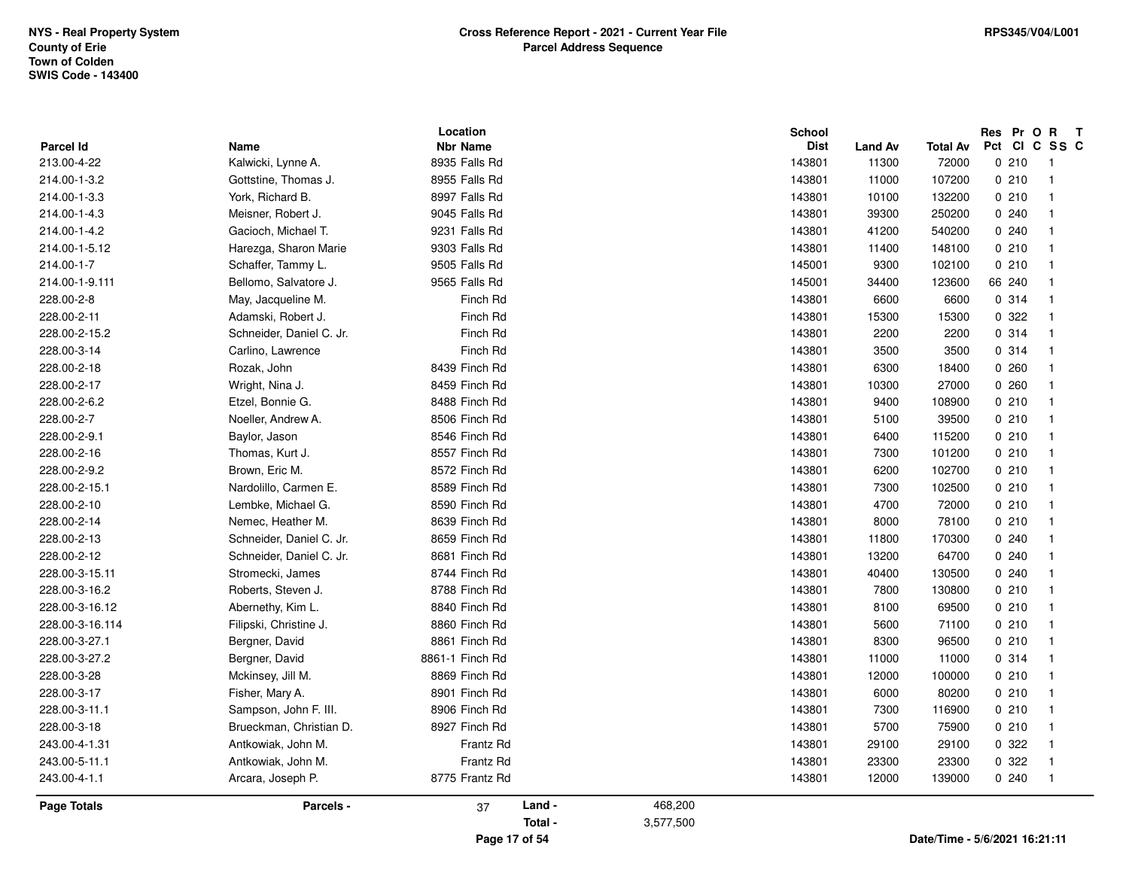| Parcel Id       | Name                     | Location<br><b>Nbr Name</b> |               |           | School<br><b>Dist</b> |                  |                               | Res Pr O R<br>Pct | $\mathsf{T}$<br>CICSSC     |
|-----------------|--------------------------|-----------------------------|---------------|-----------|-----------------------|------------------|-------------------------------|-------------------|----------------------------|
| 213.00-4-22     | Kalwicki, Lynne A.       | 8935 Falls Rd               |               |           | 143801                | Land Av<br>11300 | <b>Total Av</b><br>72000      | 0210              | $\overline{\phantom{0}}$ 1 |
| 214.00-1-3.2    | Gottstine, Thomas J.     | 8955 Falls Rd               |               |           | 143801                | 11000            | 107200                        | 0210              | $\overline{1}$             |
| 214.00-1-3.3    | York, Richard B.         | 8997 Falls Rd               |               |           | 143801                | 10100            | 132200                        | 0210              | $\overline{1}$             |
| 214.00-1-4.3    | Meisner, Robert J.       | 9045 Falls Rd               |               |           | 143801                | 39300            | 250200                        | 0.240             | $\overline{1}$             |
| 214.00-1-4.2    | Gacioch, Michael T.      | 9231 Falls Rd               |               |           | 143801                | 41200            | 540200                        | 0240              | $\overline{1}$             |
| 214.00-1-5.12   | Harezga, Sharon Marie    | 9303 Falls Rd               |               |           | 143801                | 11400            | 148100                        | 0210              | $\overline{1}$             |
| 214.00-1-7      | Schaffer, Tammy L.       | 9505 Falls Rd               |               |           | 145001                | 9300             | 102100                        | 0210              | $\overline{1}$             |
| 214.00-1-9.111  | Bellomo, Salvatore J.    | 9565 Falls Rd               |               |           | 145001                | 34400            | 123600                        | 66 240            | -1                         |
| 228.00-2-8      | May, Jacqueline M.       | Finch Rd                    |               |           | 143801                | 6600             | 6600                          | 0.314             | -1                         |
| 228.00-2-11     | Adamski, Robert J.       | Finch Rd                    |               |           | 143801                | 15300            | 15300                         | 0.322             | $\overline{\mathbf{1}}$    |
| 228.00-2-15.2   | Schneider, Daniel C. Jr. | Finch Rd                    |               |           | 143801                | 2200             | 2200                          | 0.314             | $\overline{1}$             |
| 228.00-3-14     | Carlino, Lawrence        | Finch Rd                    |               |           | 143801                | 3500             | 3500                          | 0.314             | $\overline{1}$             |
| 228.00-2-18     | Rozak, John              | 8439 Finch Rd               |               |           | 143801                | 6300             | 18400                         | 0.260             | $\overline{\mathbf{1}}$    |
| 228.00-2-17     | Wright, Nina J.          | 8459 Finch Rd               |               |           | 143801                | 10300            | 27000                         | 0260              | $\overline{1}$             |
| 228.00-2-6.2    | Etzel, Bonnie G.         | 8488 Finch Rd               |               |           | 143801                | 9400             | 108900                        | 0210              | $\overline{1}$             |
| 228.00-2-7      | Noeller, Andrew A.       | 8506 Finch Rd               |               |           | 143801                | 5100             | 39500                         | 0210              | $\overline{1}$             |
| 228.00-2-9.1    | Baylor, Jason            | 8546 Finch Rd               |               |           | 143801                | 6400             | 115200                        | 0210              | - 1                        |
| 228.00-2-16     | Thomas, Kurt J.          | 8557 Finch Rd               |               |           | 143801                | 7300             | 101200                        | 0210              | - 1                        |
| 228.00-2-9.2    | Brown, Eric M.           | 8572 Finch Rd               |               |           | 143801                | 6200             | 102700                        | 0210              | - 1                        |
| 228.00-2-15.1   | Nardolillo, Carmen E.    | 8589 Finch Rd               |               |           | 143801                | 7300             | 102500                        | 0210              | - 1                        |
| 228.00-2-10     | Lembke, Michael G.       | 8590 Finch Rd               |               |           | 143801                | 4700             | 72000                         | 0210              | $\overline{1}$             |
| 228.00-2-14     | Nemec, Heather M.        | 8639 Finch Rd               |               |           | 143801                | 8000             | 78100                         | 0210              | $\overline{\mathbf{1}}$    |
| 228.00-2-13     | Schneider, Daniel C. Jr. | 8659 Finch Rd               |               |           | 143801                | 11800            | 170300                        | 0240              | $\overline{1}$             |
| 228.00-2-12     | Schneider, Daniel C. Jr. | 8681 Finch Rd               |               |           | 143801                | 13200            | 64700                         | 0.240             | $\overline{\mathbf{1}}$    |
| 228.00-3-15.11  | Stromecki, James         | 8744 Finch Rd               |               |           | 143801                | 40400            | 130500                        | 0.240             | $\overline{1}$             |
| 228.00-3-16.2   | Roberts, Steven J.       | 8788 Finch Rd               |               |           | 143801                | 7800             | 130800                        | 0210              | -1                         |
| 228.00-3-16.12  | Abernethy, Kim L.        | 8840 Finch Rd               |               |           | 143801                | 8100             | 69500                         | 0210              | $\overline{1}$             |
| 228.00-3-16.114 | Filipski, Christine J.   | 8860 Finch Rd               |               |           | 143801                | 5600             | 71100                         | 0210              | - 1                        |
| 228.00-3-27.1   | Bergner, David           | 8861 Finch Rd               |               |           | 143801                | 8300             | 96500                         | 0210              | $\overline{1}$             |
| 228.00-3-27.2   | Bergner, David           | 8861-1 Finch Rd             |               |           | 143801                | 11000            | 11000                         | 0.314             | - 1                        |
| 228.00-3-28     | Mckinsey, Jill M.        | 8869 Finch Rd               |               |           | 143801                | 12000            | 100000                        | 0210              | - 1                        |
| 228.00-3-17     | Fisher, Mary A.          | 8901 Finch Rd               |               |           | 143801                | 6000             | 80200                         | 0210              | - 1                        |
| 228.00-3-11.1   | Sampson, John F. III.    | 8906 Finch Rd               |               |           | 143801                | 7300             | 116900                        | 0210              | $\overline{\mathbf{1}}$    |
| 228.00-3-18     | Brueckman, Christian D.  | 8927 Finch Rd               |               |           | 143801                | 5700             | 75900                         | 0210              | $\overline{1}$             |
| 243.00-4-1.31   | Antkowiak, John M.       | Frantz Rd                   |               |           | 143801                | 29100            | 29100                         | 0.322             | -1                         |
| 243.00-5-11.1   | Antkowiak, John M.       | Frantz Rd                   |               |           | 143801                | 23300            | 23300                         | 0.322             | $\overline{1}$             |
| 243.00-4-1.1    | Arcara, Joseph P.        | 8775 Frantz Rd              |               |           | 143801                | 12000            | 139000                        | 0240              | $\overline{1}$             |
|                 |                          |                             |               |           |                       |                  |                               |                   |                            |
| Page Totals     | Parcels -                | 37                          | Land -        | 468,200   |                       |                  |                               |                   |                            |
|                 |                          |                             | Total -       | 3,577,500 |                       |                  |                               |                   |                            |
|                 |                          |                             | Page 17 of 54 |           |                       |                  | Date/Time - 5/6/2021 16:21:11 |                   |                            |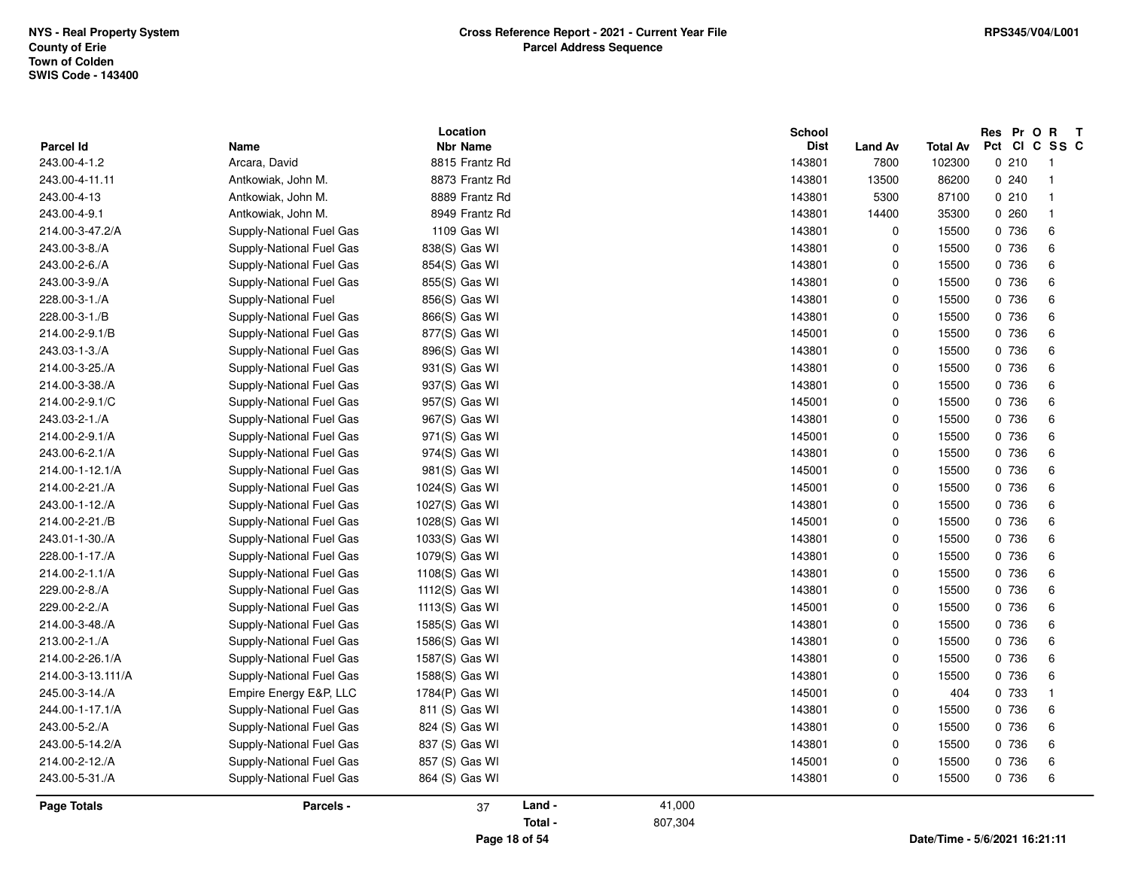| <b>Parcel Id</b>   | Name                     | Location<br><b>Nbr Name</b> |         |         | <b>School</b><br><b>Dist</b> |                        | Total Av                      | Res Pr O R<br>Pct CI C SS C | $\mathbf{T}$   |
|--------------------|--------------------------|-----------------------------|---------|---------|------------------------------|------------------------|-------------------------------|-----------------------------|----------------|
| 243.00-4-1.2       | Arcara, David            | 8815 Frantz Rd              |         |         | 143801                       | <b>Land Av</b><br>7800 | 102300                        | 0210                        | - 1            |
| 243.00-4-11.11     | Antkowiak, John M.       | 8873 Frantz Rd              |         |         | 143801                       | 13500                  | 86200                         | 0.240                       | - 1            |
| 243.00-4-13        | Antkowiak, John M.       | 8889 Frantz Rd              |         |         | 143801                       | 5300                   | 87100                         | 0210                        | $\overline{1}$ |
| 243.00-4-9.1       | Antkowiak, John M.       | 8949 Frantz Rd              |         |         | 143801                       | 14400                  | 35300                         | 0.260                       | $\overline{1}$ |
| 214.00-3-47.2/A    | Supply-National Fuel Gas | 1109 Gas WI                 |         |         | 143801                       | 0                      | 15500                         | 0 736                       | 6              |
| 243.00-3-8./A      | Supply-National Fuel Gas | 838(S) Gas WI               |         |         | 143801                       | $\pmb{0}$              | 15500                         | 0 736                       | 6              |
| 243.00-2-6./A      | Supply-National Fuel Gas | 854(S) Gas WI               |         |         | 143801                       | 0                      | 15500                         | 0 736                       | 6              |
| 243.00-3-9./A      | Supply-National Fuel Gas | 855(S) Gas WI               |         |         | 143801                       | 0                      | 15500                         | 0 736                       | 6              |
| 228.00-3-1./A      | Supply-National Fuel     | 856(S) Gas WI               |         |         | 143801                       | 0                      | 15500                         | 0 736                       | 6              |
| 228.00-3-1./B      | Supply-National Fuel Gas | 866(S) Gas WI               |         |         | 143801                       | 0                      | 15500                         | 0 736                       | 6              |
| 214.00-2-9.1/B     | Supply-National Fuel Gas | 877(S) Gas WI               |         |         | 145001                       | 0                      | 15500                         | 0 736                       | 6              |
| 243.03-1-3./A      | Supply-National Fuel Gas | 896(S) Gas WI               |         |         | 143801                       | $\mathbf 0$            | 15500                         | 0 736                       | 6              |
| 214.00-3-25./A     | Supply-National Fuel Gas | 931(S) Gas WI               |         |         | 143801                       | 0                      | 15500                         | 0 736                       | 6              |
| 214.00-3-38./A     | Supply-National Fuel Gas | 937(S) Gas WI               |         |         | 143801                       | 0                      | 15500                         | 0 736                       | 6              |
| 214.00-2-9.1/C     | Supply-National Fuel Gas | 957(S) Gas WI               |         |         | 145001                       | $\pmb{0}$              | 15500                         | 0 736                       | 6              |
| 243.03-2-1./A      | Supply-National Fuel Gas | 967(S) Gas WI               |         |         | 143801                       | 0                      | 15500                         | 0 736                       | 6              |
| 214.00-2-9.1/A     | Supply-National Fuel Gas | 971(S) Gas WI               |         |         | 145001                       | 0                      | 15500                         | 0 736                       | 6              |
| 243.00-6-2.1/A     | Supply-National Fuel Gas | 974(S) Gas WI               |         |         | 143801                       | 0                      | 15500                         | 0 736                       | 6              |
| 214.00-1-12.1/A    | Supply-National Fuel Gas | 981(S) Gas WI               |         |         | 145001                       | 0                      | 15500                         | 0 736                       | 6              |
| 214.00-2-21./A     | Supply-National Fuel Gas | 1024(S) Gas WI              |         |         | 145001                       | 0                      | 15500                         | 0 736                       | 6              |
| 243.00-1-12./A     | Supply-National Fuel Gas | 1027(S) Gas WI              |         |         | 143801                       | $\pmb{0}$              | 15500                         | 0 736                       | 6              |
| 214.00-2-21./B     | Supply-National Fuel Gas | 1028(S) Gas WI              |         |         | 145001                       | 0                      | 15500                         | 0 736                       | 6              |
| 243.01-1-30./A     | Supply-National Fuel Gas | 1033(S) Gas WI              |         |         | 143801                       | 0                      | 15500                         | 0 736                       | 6              |
| 228.00-1-17./A     | Supply-National Fuel Gas | 1079(S) Gas WI              |         |         | 143801                       | $\mathbf 0$            | 15500                         | 0 736                       | 6              |
| 214.00-2-1.1/A     | Supply-National Fuel Gas | 1108(S) Gas WI              |         |         | 143801                       | 0                      | 15500                         | 0 736                       | 6              |
| 229.00-2-8./A      | Supply-National Fuel Gas | 1112(S) Gas WI              |         |         | 143801                       | $\pmb{0}$              | 15500                         | 0 736                       | 6              |
| 229.00-2-2./A      | Supply-National Fuel Gas | 1113(S) Gas WI              |         |         | 145001                       | 0                      | 15500                         | 0 736                       | 6              |
| 214.00-3-48./A     | Supply-National Fuel Gas | 1585(S) Gas WI              |         |         | 143801                       | 0                      | 15500                         | 0 736                       | 6              |
| 213.00-2-1./A      | Supply-National Fuel Gas | 1586(S) Gas WI              |         |         | 143801                       | 0                      | 15500                         | 0 736                       | $\,6\,$        |
| 214.00-2-26.1/A    | Supply-National Fuel Gas | 1587(S) Gas WI              |         |         | 143801                       | $\pmb{0}$              | 15500                         | 0 736                       | 6              |
| 214.00-3-13.111/A  | Supply-National Fuel Gas | 1588(S) Gas WI              |         |         | 143801                       | 0                      | 15500                         | 0 736                       | 6              |
| 245.00-3-14./A     | Empire Energy E&P, LLC   | 1784(P) Gas WI              |         |         | 145001                       | 0                      | 404                           | 0 733                       | $\mathbf{1}$   |
| 244.00-1-17.1/A    | Supply-National Fuel Gas | 811 (S) Gas WI              |         |         | 143801                       | $\mathbf 0$            | 15500                         | 0 736                       | 6              |
| 243.00-5-2./A      | Supply-National Fuel Gas | 824 (S) Gas WI              |         |         | 143801                       | 0                      | 15500                         | 0 736                       | 6              |
| 243.00-5-14.2/A    | Supply-National Fuel Gas | 837 (S) Gas WI              |         |         | 143801                       | 0                      | 15500                         | 0 736                       | 6              |
| 214.00-2-12./A     | Supply-National Fuel Gas | 857 (S) Gas WI              |         |         | 145001                       | 0                      | 15500                         | 0 736                       | 6              |
| 243.00-5-31./A     | Supply-National Fuel Gas | 864 (S) Gas WI              |         |         | 143801                       | 0                      | 15500                         | 0 736                       | 6              |
| <b>Page Totals</b> | Parcels -                | 37                          | Land -  | 41,000  |                              |                        |                               |                             |                |
|                    |                          |                             | Total - | 807,304 |                              |                        |                               |                             |                |
|                    |                          | Page 18 of 54               |         |         |                              |                        | Date/Time - 5/6/2021 16:21:11 |                             |                |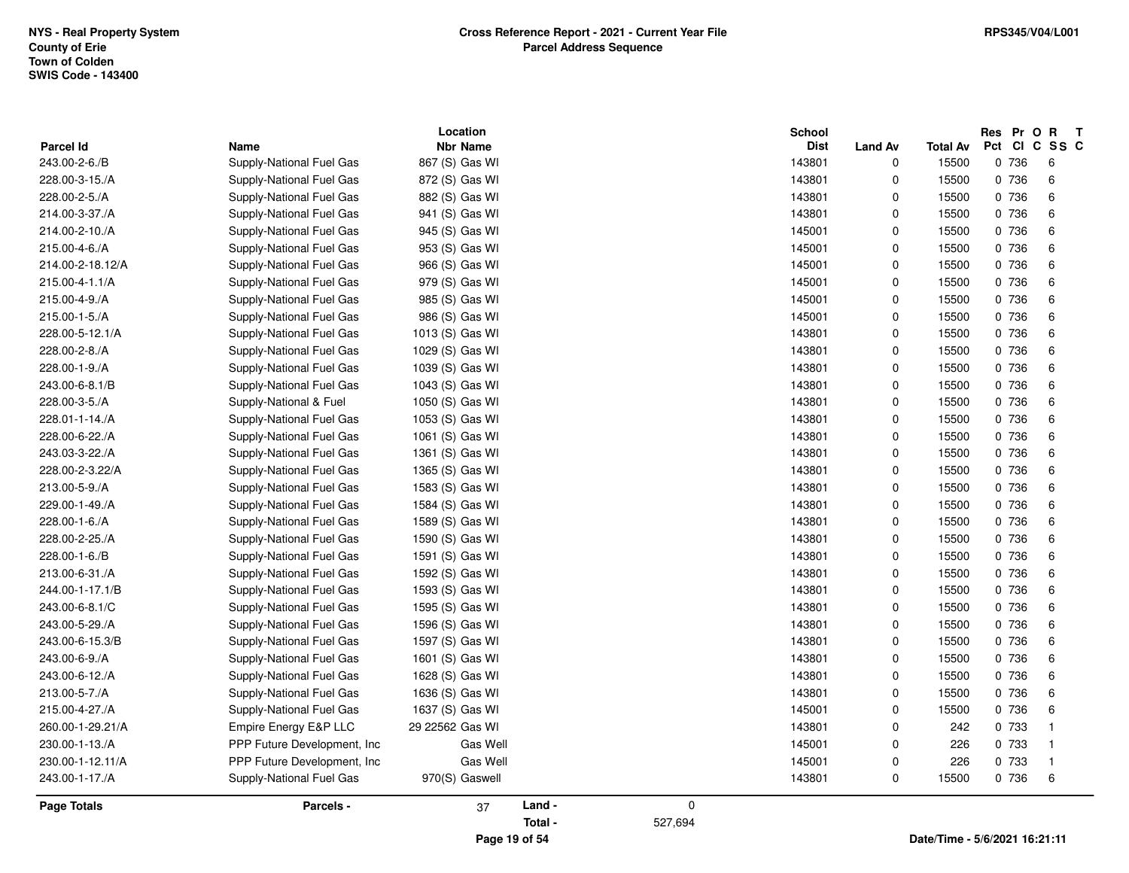|                    |                              | Location        |         |             | <b>School</b> |                |          | Res Pr O R    | $\mathbf{T}$            |
|--------------------|------------------------------|-----------------|---------|-------------|---------------|----------------|----------|---------------|-------------------------|
| <b>Parcel Id</b>   | <b>Name</b>                  | <b>Nbr Name</b> |         |             | <b>Dist</b>   | <b>Land Av</b> | Total Av | Pct CI C SS C |                         |
| 243.00-2-6./B      | Supply-National Fuel Gas     | 867 (S) Gas WI  |         |             | 143801        | $\mathbf 0$    | 15500    | 0 736         | 6                       |
| 228.00-3-15./A     | Supply-National Fuel Gas     | 872 (S) Gas WI  |         |             | 143801        | 0              | 15500    | 0 736         | 6                       |
| 228.00-2-5./A      | Supply-National Fuel Gas     | 882 (S) Gas WI  |         |             | 143801        | 0              | 15500    | 0 736         | 6                       |
| 214.00-3-37./A     | Supply-National Fuel Gas     | 941 (S) Gas WI  |         |             | 143801        | 0              | 15500    | 0 736         | 6                       |
| 214.00-2-10./A     | Supply-National Fuel Gas     | 945 (S) Gas WI  |         |             | 145001        | 0              | 15500    | 0 736         | 6                       |
| 215.00-4-6./A      | Supply-National Fuel Gas     | 953 (S) Gas WI  |         |             | 145001        | $\mathbf 0$    | 15500    | 0 736         | 6                       |
| 214.00-2-18.12/A   | Supply-National Fuel Gas     | 966 (S) Gas WI  |         |             | 145001        | 0              | 15500    | 0 736         | 6                       |
| 215.00-4-1.1/A     | Supply-National Fuel Gas     | 979 (S) Gas WI  |         |             | 145001        | $\pmb{0}$      | 15500    | 0 736         | 6                       |
| 215.00-4-9./A      | Supply-National Fuel Gas     | 985 (S) Gas WI  |         |             | 145001        | 0              | 15500    | 0 736         | 6                       |
| 215.00-1-5./A      | Supply-National Fuel Gas     | 986 (S) Gas WI  |         |             | 145001        | 0              | 15500    | 0 736         | 6                       |
| 228.00-5-12.1/A    | Supply-National Fuel Gas     | 1013 (S) Gas WI |         |             | 143801        | 0              | 15500    | 0 736         | 6                       |
| 228.00-2-8./A      | Supply-National Fuel Gas     | 1029 (S) Gas WI |         |             | 143801        | 0              | 15500    | 0 736         | 6                       |
| 228.00-1-9./A      | Supply-National Fuel Gas     | 1039 (S) Gas WI |         |             | 143801        | 0              | 15500    | 0 736         | 6                       |
| 243.00-6-8.1/B     | Supply-National Fuel Gas     | 1043 (S) Gas WI |         |             | 143801        | 0              | 15500    | 0 736         | 6                       |
| 228.00-3-5./A      | Supply-National & Fuel       | 1050 (S) Gas WI |         |             | 143801        | 0              | 15500    | 0 736         | 6                       |
| 228.01-1-14./A     | Supply-National Fuel Gas     | 1053 (S) Gas WI |         |             | 143801        | 0              | 15500    | 0 736         | 6                       |
| 228.00-6-22./A     | Supply-National Fuel Gas     | 1061 (S) Gas WI |         |             | 143801        | 0              | 15500    | 0 736         | 6                       |
| 243.03-3-22./A     | Supply-National Fuel Gas     | 1361 (S) Gas WI |         |             | 143801        | 0              | 15500    | 0 736         | 6                       |
| 228.00-2-3.22/A    | Supply-National Fuel Gas     | 1365 (S) Gas WI |         |             | 143801        | 0              | 15500    | 0 736         | 6                       |
| 213.00-5-9./A      | Supply-National Fuel Gas     | 1583 (S) Gas WI |         |             | 143801        | 0              | 15500    | 0 736         | 6                       |
| 229.00-1-49./A     | Supply-National Fuel Gas     | 1584 (S) Gas WI |         |             | 143801        | 0              | 15500    | 0 736         | 6                       |
| 228.00-1-6./A      | Supply-National Fuel Gas     | 1589 (S) Gas WI |         |             | 143801        | 0              | 15500    | 0 736         | 6                       |
| 228.00-2-25./A     | Supply-National Fuel Gas     | 1590 (S) Gas WI |         |             | 143801        | 0              | 15500    | 0 736         | 6                       |
| 228.00-1-6./B      | Supply-National Fuel Gas     | 1591 (S) Gas WI |         |             | 143801        | 0              | 15500    | 0 736         | 6                       |
| 213.00-6-31./A     | Supply-National Fuel Gas     | 1592 (S) Gas WI |         |             | 143801        | $\mathbf 0$    | 15500    | 0 736         | 6                       |
| 244.00-1-17.1/B    | Supply-National Fuel Gas     | 1593 (S) Gas WI |         |             | 143801        | 0              | 15500    | 0 736         | 6                       |
| 243.00-6-8.1/C     | Supply-National Fuel Gas     | 1595 (S) Gas WI |         |             | 143801        | $\pmb{0}$      | 15500    | 0 736         | 6                       |
| 243.00-5-29./A     | Supply-National Fuel Gas     | 1596 (S) Gas WI |         |             | 143801        | 0              | 15500    | 0 736         | 6                       |
| 243.00-6-15.3/B    | Supply-National Fuel Gas     | 1597 (S) Gas WI |         |             | 143801        | 0              | 15500    | 0 736         | 6                       |
| 243.00-6-9./A      | Supply-National Fuel Gas     | 1601 (S) Gas WI |         |             | 143801        | 0              | 15500    | 0 736         | 6                       |
| 243.00-6-12./A     | Supply-National Fuel Gas     | 1628 (S) Gas WI |         |             | 143801        | 0              | 15500    | 0 736         | 6                       |
| 213.00-5-7./A      | Supply-National Fuel Gas     | 1636 (S) Gas WI |         |             | 143801        | $\mathbf 0$    | 15500    | 0 736         | 6                       |
| 215.00-4-27./A     | Supply-National Fuel Gas     | 1637 (S) Gas WI |         |             | 145001        | $\mathbf 0$    | 15500    | 0 736         | 6                       |
| 260.00-1-29.21/A   | Empire Energy E&P LLC        | 29 22562 Gas WI |         |             | 143801        | 0              | 242      | 0 733         | -1                      |
| 230.00-1-13./A     | PPP Future Development, Inc. | Gas Well        |         |             | 145001        | 0              | 226      | 0 733         | $\overline{\mathbf{1}}$ |
| 230.00-1-12.11/A   | PPP Future Development, Inc. | Gas Well        |         |             | 145001        | 0              | 226      | 0 733         | -1                      |
| 243.00-1-17./A     | Supply-National Fuel Gas     | 970(S) Gaswell  |         |             | 143801        | 0              | 15500    | 0 736         | 6                       |
| <b>Page Totals</b> | Parcels -                    | 37              | Land -  | $\mathbf 0$ |               |                |          |               |                         |
|                    |                              |                 | Total - | 527,694     |               |                |          |               |                         |

**Page 19 of 54**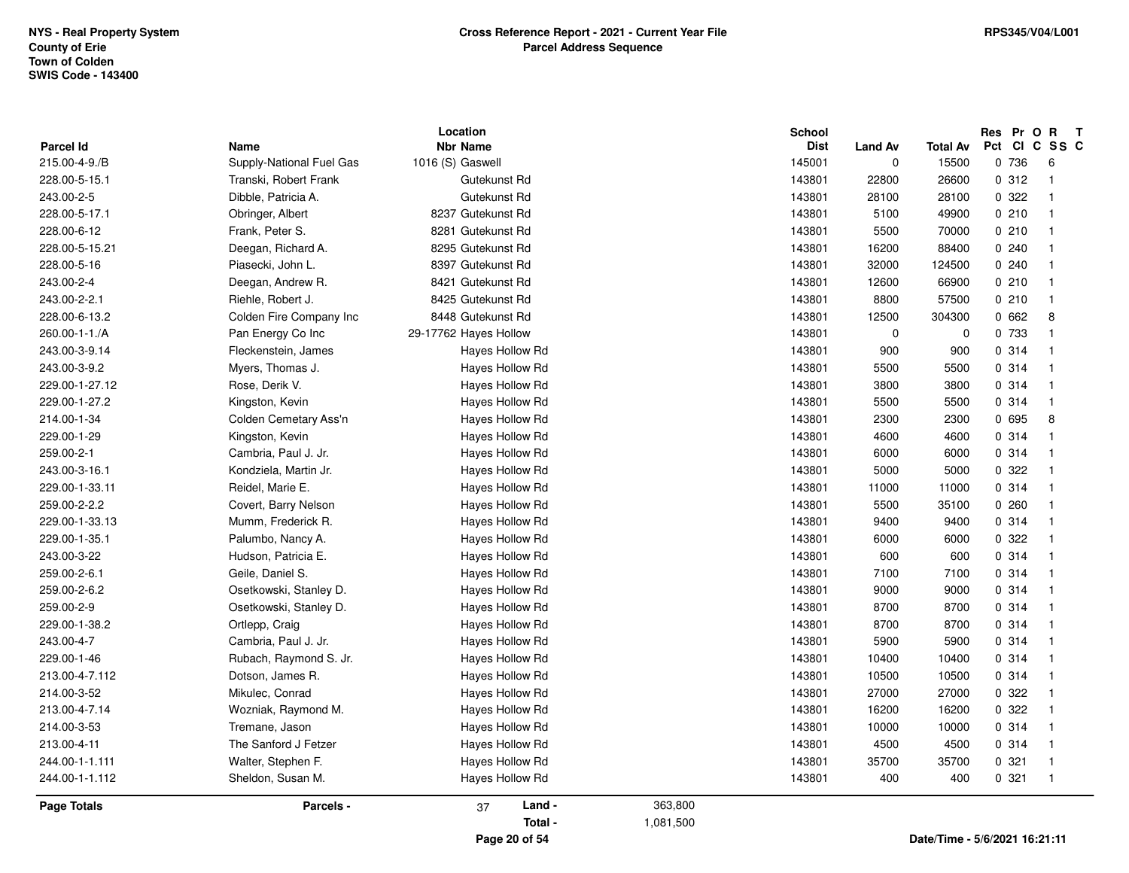|                            |                                  | Location                            |           | <b>School</b>         |                               |                   | Res Pr O R   | $\mathbf{T}$            |
|----------------------------|----------------------------------|-------------------------------------|-----------|-----------------------|-------------------------------|-------------------|--------------|-------------------------|
| Parcel Id<br>215.00-4-9./B | Name<br>Supply-National Fuel Gas | <b>Nbr Name</b><br>1016 (S) Gaswell |           | <b>Dist</b><br>145001 | <b>Land Av</b><br>$\mathbf 0$ | Total Av<br>15500 | Pct<br>0 736 | CICSSC<br>6             |
| 228.00-5-15.1              |                                  |                                     |           | 143801                | 22800                         |                   | 0.312        | $\overline{1}$          |
|                            | Transki, Robert Frank            | Gutekunst Rd                        |           |                       |                               | 26600             |              | -1                      |
| 243.00-2-5                 | Dibble, Patricia A.              | Gutekunst Rd                        |           | 143801                | 28100                         | 28100             | 0.322        |                         |
| 228.00-5-17.1              | Obringer, Albert                 | 8237 Gutekunst Rd                   |           | 143801                | 5100                          | 49900             | 0210         | - 1                     |
| 228.00-6-12                | Frank, Peter S.                  | 8281 Gutekunst Rd                   |           | 143801                | 5500                          | 70000             | 0210         |                         |
| 228.00-5-15.21             | Deegan, Richard A.               | 8295 Gutekunst Rd                   |           | 143801                | 16200                         | 88400             | 0.240        |                         |
| 228.00-5-16                | Piasecki, John L                 | 8397 Gutekunst Rd                   |           | 143801                | 32000                         | 124500            | 0.240        |                         |
| 243.00-2-4                 | Deegan, Andrew R.                | 8421 Gutekunst Rd                   |           | 143801                | 12600                         | 66900             | 0210         |                         |
| 243.00-2-2.1               | Riehle, Robert J.                | 8425 Gutekunst Rd                   |           | 143801                | 8800                          | 57500             | 0210         |                         |
| 228.00-6-13.2              | Colden Fire Company Inc          | 8448 Gutekunst Rd                   |           | 143801                | 12500                         | 304300            | 0662         | 8                       |
| 260.00-1-1./A              | Pan Energy Co Inc                | 29-17762 Hayes Hollow               |           | 143801                | $\mathbf 0$                   | $\mathbf 0$       | 0 733        | $\overline{1}$          |
| 243.00-3-9.14              | Fleckenstein, James              | <b>Haves Hollow Rd</b>              |           | 143801                | 900                           | 900               | 0.314        | $\overline{\mathbf{1}}$ |
| 243.00-3-9.2               | Myers, Thomas J.                 | Hayes Hollow Rd                     |           | 143801                | 5500                          | 5500              | 0.314        | - 1                     |
| 229.00-1-27.12             | Rose, Derik V.                   | Hayes Hollow Rd                     |           | 143801                | 3800                          | 3800              | 0.314        |                         |
| 229.00-1-27.2              | Kingston, Kevin                  | Hayes Hollow Rd                     |           | 143801                | 5500                          | 5500              | 0.314        |                         |
| 214.00-1-34                | Colden Cemetary Ass'n            | Hayes Hollow Rd                     |           | 143801                | 2300                          | 2300              | 0 695        | 8                       |
| 229.00-1-29                | Kingston, Kevin                  | Hayes Hollow Rd                     |           | 143801                | 4600                          | 4600              | 0.314        | $\overline{1}$          |
| 259.00-2-1                 | Cambria, Paul J. Jr.             | Hayes Hollow Rd                     |           | 143801                | 6000                          | 6000              | 0 314        |                         |
| 243.00-3-16.1              | Kondziela, Martin Jr.            | Hayes Hollow Rd                     |           | 143801                | 5000                          | 5000              | 0 322        |                         |
| 229.00-1-33.11             | Reidel, Marie E.                 | Hayes Hollow Rd                     |           | 143801                | 11000                         | 11000             | 0.314        |                         |
| 259.00-2-2.2               | Covert, Barry Nelson             | Hayes Hollow Rd                     |           | 143801                | 5500                          | 35100             | 0260         |                         |
| 229.00-1-33.13             | Mumm, Frederick R.               | Hayes Hollow Rd                     |           | 143801                | 9400                          | 9400              | 0.314        |                         |
| 229.00-1-35.1              | Palumbo, Nancy A.                | Hayes Hollow Rd                     |           | 143801                | 6000                          | 6000              | 0 322        | -1                      |
| 243.00-3-22                | Hudson, Patricia E.              | Hayes Hollow Rd                     |           | 143801                | 600                           | 600               | 0.314        | -1                      |
| 259.00-2-6.1               | Geile, Daniel S.                 | Hayes Hollow Rd                     |           | 143801                | 7100                          | 7100              | 0 314        |                         |
| 259.00-2-6.2               | Osetkowski, Stanley D.           | Hayes Hollow Rd                     |           | 143801                | 9000                          | 9000              | 0.314        | -1                      |
| 259.00-2-9                 | Osetkowski, Stanley D.           | Hayes Hollow Rd                     |           | 143801                | 8700                          | 8700              | 0.314        |                         |
| 229.00-1-38.2              | Ortlepp, Craig                   | Hayes Hollow Rd                     |           | 143801                | 8700                          | 8700              | 0.314        |                         |
| 243.00-4-7                 | Cambria, Paul J. Jr.             | Hayes Hollow Rd                     |           | 143801                | 5900                          | 5900              | 0 314        |                         |
| 229.00-1-46                | Rubach, Raymond S. Jr.           | Hayes Hollow Rd                     |           | 143801                | 10400                         | 10400             | 0 314        |                         |
| 213.00-4-7.112             | Dotson, James R.                 | Hayes Hollow Rd                     |           | 143801                | 10500                         | 10500             | 0.314        | -1                      |
| 214.00-3-52                | Mikulec, Conrad                  | Hayes Hollow Rd                     |           | 143801                | 27000                         | 27000             | 0.322        |                         |
| 213.00-4-7.14              | Wozniak, Raymond M.              | Hayes Hollow Rd                     |           | 143801                | 16200                         | 16200             | 0.322        |                         |
| 214.00-3-53                | Tremane, Jason                   | Hayes Hollow Rd                     |           | 143801                | 10000                         | 10000             | 0.314        | - 1                     |
| 213.00-4-11                | The Sanford J Fetzer             | Hayes Hollow Rd                     |           | 143801                | 4500                          | 4500              | 0.314        | -1                      |
| 244.00-1-1.111             | Walter, Stephen F.               | Hayes Hollow Rd                     |           | 143801                | 35700                         | 35700             | 0.321        | -1                      |
| 244.00-1-1.112             | Sheldon, Susan M.                | Hayes Hollow Rd                     |           | 143801                | 400                           | 400               | 0.321        | -1                      |
|                            |                                  |                                     |           |                       |                               |                   |              |                         |
| Page Totals                | Parcels -                        | Land -<br>37                        | 363,800   |                       |                               |                   |              |                         |
|                            |                                  | Total -                             | 1,081,500 |                       |                               |                   |              |                         |
|                            |                                  |                                     |           |                       |                               |                   |              |                         |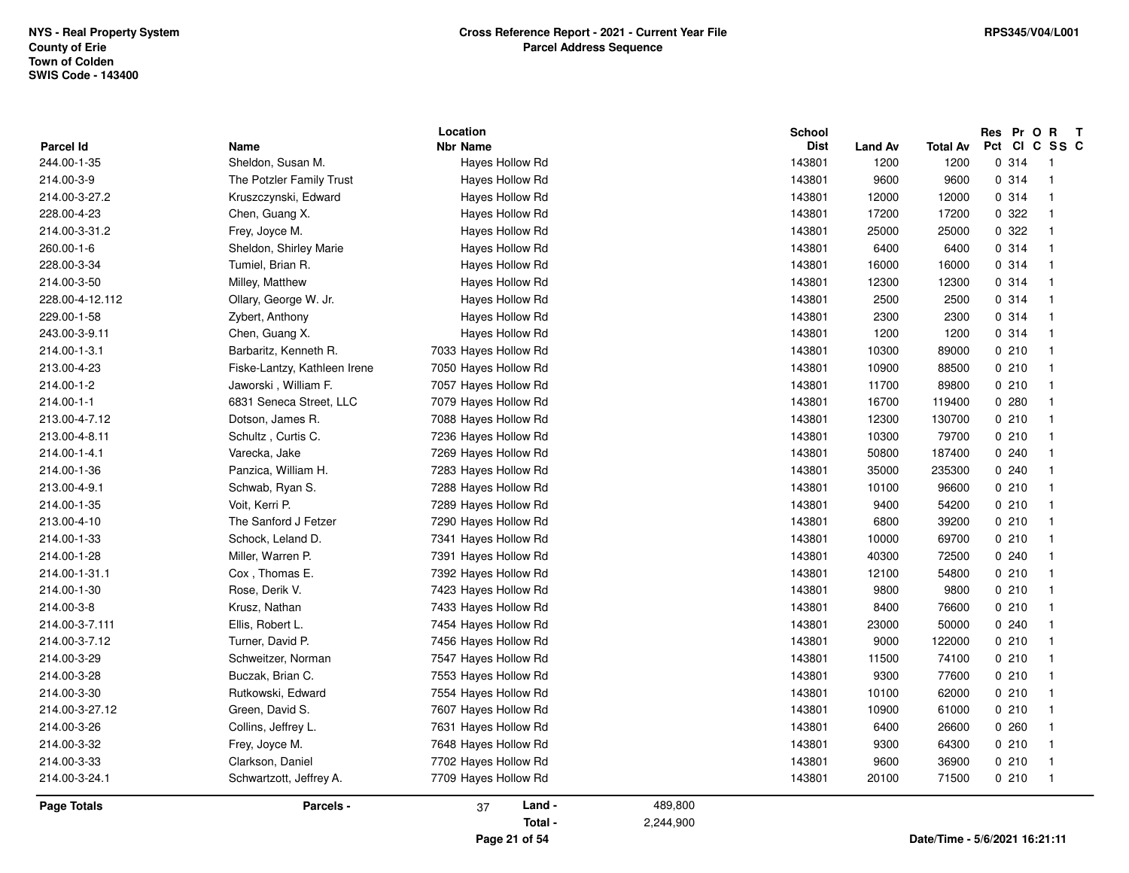|                                 |                                                  | Location                           | School           |                                       |                               | Res Pr O R<br>Pct CI C SS C | $\mathbf{T}$            |
|---------------------------------|--------------------------------------------------|------------------------------------|------------------|---------------------------------------|-------------------------------|-----------------------------|-------------------------|
| <b>Parcel Id</b><br>244.00-1-35 | Name<br>Sheldon, Susan M.                        | <b>Nbr Name</b><br>Hayes Hollow Rd | 143801           | <b>Dist</b><br><b>Land Av</b><br>1200 | <b>Total Av</b><br>1200       | 0.314                       | $\overline{1}$          |
| 214.00-3-9                      |                                                  | Hayes Hollow Rd                    | 143801           |                                       | 9600                          | 0.314                       | $\overline{1}$          |
| 214.00-3-27.2                   | The Potzler Family Trust<br>Kruszczynski, Edward | Hayes Hollow Rd                    | 143801           | 9600<br>12000                         | 12000                         | 0.314                       | $\overline{\mathbf{1}}$ |
|                                 |                                                  |                                    |                  |                                       |                               | 0 322                       | -1                      |
| 228.00-4-23<br>214.00-3-31.2    | Chen, Guang X.                                   | Hayes Hollow Rd                    | 143801<br>143801 | 17200                                 | 17200                         | 0.322                       | $\overline{\mathbf{1}}$ |
|                                 | Frey, Joyce M.                                   | Hayes Hollow Rd                    |                  | 25000                                 | 25000                         |                             | $\overline{1}$          |
| 260.00-1-6                      | Sheldon, Shirley Marie                           | Hayes Hollow Rd                    | 143801           | 6400                                  | 6400                          | 0.314                       |                         |
| 228.00-3-34                     | Tumiel, Brian R.                                 | Hayes Hollow Rd                    | 143801           | 16000                                 | 16000                         | 0 314                       | $\overline{\mathbf{1}}$ |
| 214.00-3-50                     | Milley, Matthew                                  | Hayes Hollow Rd                    | 143801           | 12300                                 | 12300                         | 0.314                       | $\overline{1}$          |
| 228.00-4-12.112                 | Ollary, George W. Jr.                            | Hayes Hollow Rd                    | 143801           | 2500                                  | 2500                          | 0 314                       | -1                      |
| 229.00-1-58                     | Zybert, Anthony                                  | Hayes Hollow Rd                    | 143801           | 2300                                  | 2300                          | 0.314                       | -1                      |
| 243.00-3-9.11                   | Chen, Guang X.                                   | Hayes Hollow Rd                    | 143801           | 1200                                  | 1200                          | 0.314                       | - 1                     |
| 214.00-1-3.1                    | Barbaritz, Kenneth R.                            | 7033 Hayes Hollow Rd               | 143801           | 10300                                 | 89000                         | 0210                        | -1                      |
| 213.00-4-23                     | Fiske-Lantzy, Kathleen Irene                     | 7050 Hayes Hollow Rd               | 143801           | 10900                                 | 88500                         | 0210                        | $\overline{\mathbf{1}}$ |
| 214.00-1-2                      | Jaworski, William F.                             | 7057 Hayes Hollow Rd               | 143801           | 11700                                 | 89800                         | 0210                        | $\overline{1}$          |
| 214.00-1-1                      | 6831 Seneca Street, LLC                          | 7079 Hayes Hollow Rd               | 143801           | 16700                                 | 119400                        | 0.280                       | $\overline{\mathbf{1}}$ |
| 213.00-4-7.12                   | Dotson, James R.                                 | 7088 Hayes Hollow Rd               | 143801           | 12300                                 | 130700                        | 0210                        | $\overline{\mathbf{1}}$ |
| 213.00-4-8.11                   | Schultz, Curtis C.                               | 7236 Hayes Hollow Rd               | 143801           | 10300                                 | 79700                         | 0210                        | $\overline{1}$          |
| 214.00-1-4.1                    | Varecka, Jake                                    | 7269 Hayes Hollow Rd               | 143801           | 50800                                 | 187400                        | 0.240                       |                         |
| 214.00-1-36                     | Panzica, William H.                              | 7283 Hayes Hollow Rd               | 143801           | 35000                                 | 235300                        | 0240                        | $\mathbf 1$             |
| 213.00-4-9.1                    | Schwab, Ryan S.                                  | 7288 Hayes Hollow Rd               | 143801           | 10100                                 | 96600                         | 0210                        | -1                      |
| 214.00-1-35                     | Voit, Kerri P.                                   | 7289 Hayes Hollow Rd               | 143801           | 9400                                  | 54200                         | 0210                        | -1                      |
| 213.00-4-10                     | The Sanford J Fetzer                             | 7290 Hayes Hollow Rd               | 143801           | 6800                                  | 39200                         | 0210                        | -1                      |
| 214.00-1-33                     | Schock, Leland D.                                | 7341 Hayes Hollow Rd               | 143801           | 10000                                 | 69700                         | 0210                        | $\overline{\mathbf{1}}$ |
| 214.00-1-28                     | Miller, Warren P.                                | 7391 Hayes Hollow Rd               | 143801           | 40300                                 | 72500                         | 0.240                       | $\overline{\mathbf{1}}$ |
| 214.00-1-31.1                   | Cox, Thomas E.                                   | 7392 Hayes Hollow Rd               | 143801           | 12100                                 | 54800                         | 0210                        | $\overline{\mathbf{1}}$ |
| 214.00-1-30                     | Rose, Derik V.                                   | 7423 Hayes Hollow Rd               | 143801           | 9800                                  | 9800                          | 0210                        | $\overline{\mathbf{1}}$ |
| 214.00-3-8                      | Krusz, Nathan                                    | 7433 Hayes Hollow Rd               | 143801           | 8400                                  | 76600                         | 0210                        | -1                      |
| 214.00-3-7.111                  | Ellis, Robert L.                                 | 7454 Hayes Hollow Rd               | 143801           | 23000                                 | 50000                         | 0.240                       | $\overline{\mathbf{1}}$ |
| 214.00-3-7.12                   | Turner, David P.                                 | 7456 Hayes Hollow Rd               | 143801           | 9000                                  | 122000                        | 0210                        | $\overline{\mathbf{1}}$ |
| 214.00-3-29                     | Schweitzer, Norman                               | 7547 Hayes Hollow Rd               | 143801           | 11500                                 | 74100                         | 0210                        | -1                      |
| 214.00-3-28                     | Buczak, Brian C.                                 | 7553 Hayes Hollow Rd               | 143801           | 9300                                  | 77600                         | 0210                        | -1                      |
| 214.00-3-30                     | Rutkowski, Edward                                | 7554 Hayes Hollow Rd               | 143801           | 10100                                 | 62000                         | 0210                        | -1                      |
| 214.00-3-27.12                  | Green, David S.                                  | 7607 Hayes Hollow Rd               | 143801           | 10900                                 | 61000                         | 0210                        | - 1                     |
| 214.00-3-26                     | Collins, Jeffrey L.                              | 7631 Hayes Hollow Rd               | 143801           | 6400                                  | 26600                         | 0.260                       | $\overline{\mathbf{1}}$ |
| 214.00-3-32                     | Frey, Joyce M.                                   | 7648 Hayes Hollow Rd               | 143801           | 9300                                  | 64300                         | 0210                        | -1                      |
| 214.00-3-33                     | Clarkson, Daniel                                 | 7702 Hayes Hollow Rd               | 143801           | 9600                                  | 36900                         | 0210                        | $\overline{\mathbf{1}}$ |
| 214.00-3-24.1                   | Schwartzott, Jeffrey A.                          | 7709 Hayes Hollow Rd               | 143801           | 20100                                 | 71500                         | 0210                        | - 1                     |
| <b>Page Totals</b>              | Parcels -                                        | Land -<br>37                       | 489,800          |                                       |                               |                             |                         |
|                                 |                                                  | Total -                            | 2,244,900        |                                       |                               |                             |                         |
|                                 |                                                  | Page 21 of 54                      |                  |                                       | Date/Time - 5/6/2021 16:21:11 |                             |                         |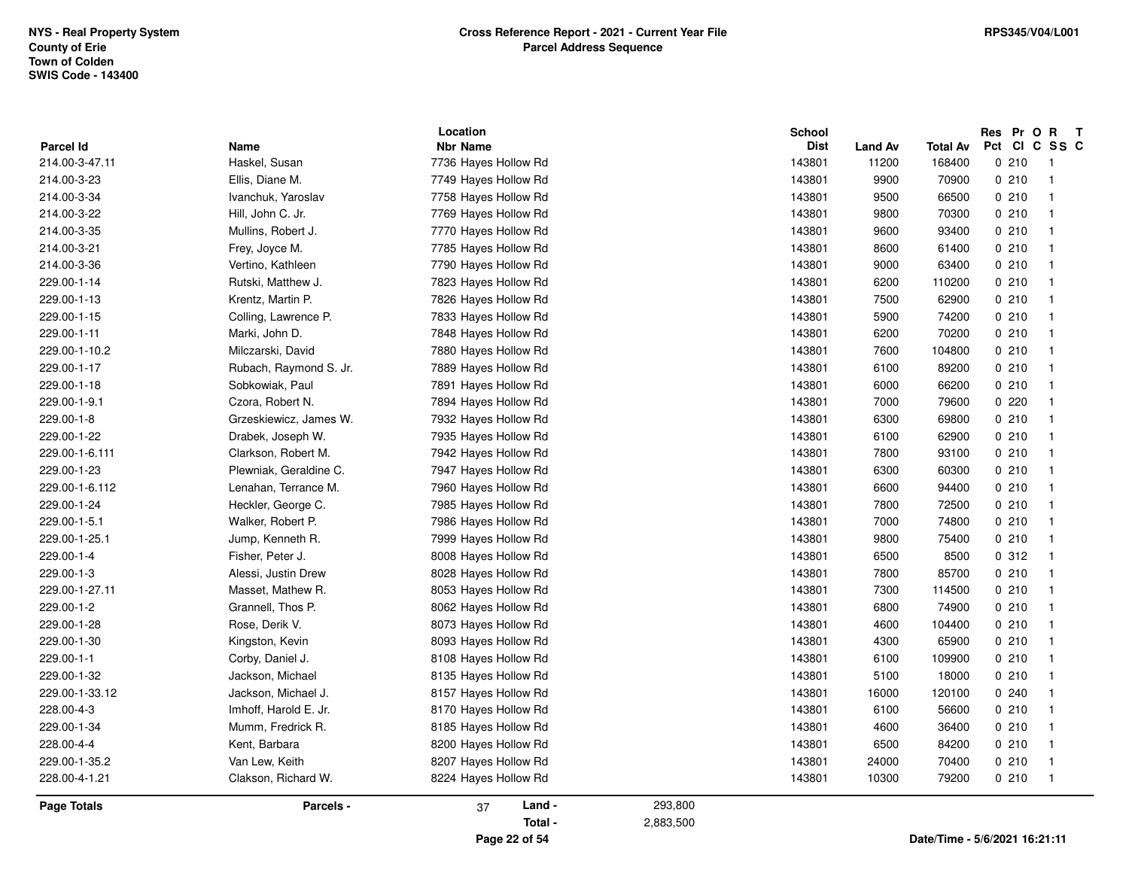| <b>Parcel Id</b>   | <b>Name</b>            | Location<br><b>Nbr Name</b> | <b>School</b><br><b>Dist</b> | <b>Land Av</b> | <b>Total Av</b>               | Res Pr O R T<br>Pct CI C SS C |                         |
|--------------------|------------------------|-----------------------------|------------------------------|----------------|-------------------------------|-------------------------------|-------------------------|
| 214.00-3-47.11     | Haskel, Susan          | 7736 Hayes Hollow Rd        | 143801                       | 11200          | 168400                        | 0210                          | - 1                     |
| 214.00-3-23        | Ellis, Diane M.        | 7749 Hayes Hollow Rd        | 143801                       | 9900           | 70900                         | 0210                          | - 1                     |
| 214.00-3-34        | Ivanchuk, Yaroslav     | 7758 Hayes Hollow Rd        | 143801                       | 9500           | 66500                         | 0210                          | -1                      |
| 214.00-3-22        | Hill, John C. Jr.      | 7769 Hayes Hollow Rd        | 143801                       | 9800           | 70300                         | 0210                          | $\overline{\mathbf{1}}$ |
| 214.00-3-35        | Mullins, Robert J.     | 7770 Hayes Hollow Rd        | 143801                       | 9600           | 93400                         | 0210                          | $\overline{1}$          |
| 214.00-3-21        | Frey, Joyce M.         | 7785 Hayes Hollow Rd        | 143801                       | 8600           | 61400                         | 0210                          | $\overline{\mathbf{1}}$ |
| 214.00-3-36        | Vertino, Kathleen      | 7790 Hayes Hollow Rd        | 143801                       | 9000           | 63400                         | 0210                          | $\overline{\mathbf{1}}$ |
| 229.00-1-14        | Rutski, Matthew J.     | 7823 Hayes Hollow Rd        | 143801                       | 6200           | 110200                        | 0210                          | $\overline{\mathbf{1}}$ |
| 229.00-1-13        | Krentz, Martin P.      | 7826 Hayes Hollow Rd        | 143801                       | 7500           | 62900                         | 0210                          | $\overline{\mathbf{1}}$ |
| 229.00-1-15        | Colling, Lawrence P.   | 7833 Hayes Hollow Rd        | 143801                       | 5900           | 74200                         | 0210                          | $\overline{1}$          |
| 229.00-1-11        | Marki, John D.         | 7848 Hayes Hollow Rd        | 143801                       | 6200           | 70200                         | 0210                          | $\overline{\mathbf{1}}$ |
| 229.00-1-10.2      | Milczarski, David      | 7880 Hayes Hollow Rd        | 143801                       | 7600           | 104800                        | 0210                          | -1                      |
| 229.00-1-17        | Rubach, Raymond S. Jr. | 7889 Hayes Hollow Rd        | 143801                       | 6100           | 89200                         | 0210                          | $\overline{\mathbf{1}}$ |
| 229.00-1-18        | Sobkowiak, Paul        | 7891 Hayes Hollow Rd        | 143801                       | 6000           | 66200                         | 0210                          | $\overline{\mathbf{1}}$ |
| 229.00-1-9.1       | Czora, Robert N.       | 7894 Hayes Hollow Rd        | 143801                       | 7000           | 79600                         | 0220                          | -1                      |
| 229.00-1-8         | Grzeskiewicz, James W. | 7932 Hayes Hollow Rd        | 143801                       | 6300           | 69800                         | 0210                          | $\overline{1}$          |
| 229.00-1-22        | Drabek, Joseph W.      | 7935 Hayes Hollow Rd        | 143801                       | 6100           | 62900                         | 0210                          | $\overline{\mathbf{1}}$ |
| 229.00-1-6.111     | Clarkson, Robert M.    | 7942 Hayes Hollow Rd        | 143801                       | 7800           | 93100                         | 0210                          | $\overline{1}$          |
| 229.00-1-23        | Plewniak, Geraldine C. | 7947 Hayes Hollow Rd        | 143801                       | 6300           | 60300                         | 0210                          | $\overline{\mathbf{1}}$ |
| 229.00-1-6.112     | Lenahan, Terrance M.   | 7960 Hayes Hollow Rd        | 143801                       | 6600           | 94400                         | 0210                          | -1                      |
| 229.00-1-24        | Heckler, George C.     | 7985 Hayes Hollow Rd        | 143801                       | 7800           | 72500                         | 0210                          | $\overline{\mathbf{1}}$ |
| 229.00-1-5.1       | Walker, Robert P.      | 7986 Hayes Hollow Rd        | 143801                       | 7000           | 74800                         | 0210                          | $\overline{\mathbf{1}}$ |
| 229.00-1-25.1      | Jump, Kenneth R.       | 7999 Hayes Hollow Rd        | 143801                       | 9800           | 75400                         | 0210                          | $\overline{\mathbf{1}}$ |
| 229.00-1-4         | Fisher, Peter J.       | 8008 Hayes Hollow Rd        | 143801                       | 6500           | 8500                          | 0.312                         | -1                      |
| 229.00-1-3         | Alessi, Justin Drew    | 8028 Hayes Hollow Rd        | 143801                       | 7800           | 85700                         | 0210                          | -1                      |
| 229.00-1-27.11     | Masset, Mathew R.      | 8053 Hayes Hollow Rd        | 143801                       | 7300           | 114500                        | 0210                          | $\overline{\mathbf{1}}$ |
| 229.00-1-2         | Grannell, Thos P.      | 8062 Hayes Hollow Rd        | 143801                       | 6800           | 74900                         | 0210                          | $\overline{1}$          |
| 229.00-1-28        | Rose, Derik V.         | 8073 Hayes Hollow Rd        | 143801                       | 4600           | 104400                        | 0210                          | $\overline{\mathbf{1}}$ |
| 229.00-1-30        | Kingston, Kevin        | 8093 Hayes Hollow Rd        | 143801                       | 4300           | 65900                         | 0210                          | $\overline{\mathbf{1}}$ |
| 229.00-1-1         | Corby, Daniel J.       | 8108 Hayes Hollow Rd        | 143801                       | 6100           | 109900                        | 0210                          | $\overline{\mathbf{1}}$ |
| 229.00-1-32        | Jackson, Michael       | 8135 Hayes Hollow Rd        | 143801                       | 5100           | 18000                         | 0210                          | -1                      |
| 229.00-1-33.12     | Jackson, Michael J.    | 8157 Hayes Hollow Rd        | 143801                       | 16000          | 120100                        | 0240                          | $\overline{\mathbf{1}}$ |
| 228.00-4-3         | Imhoff, Harold E. Jr.  | 8170 Hayes Hollow Rd        | 143801                       | 6100           | 56600                         | 0210                          | -1                      |
| 229.00-1-34        | Mumm, Fredrick R.      | 8185 Hayes Hollow Rd        | 143801                       | 4600           | 36400                         | 0210                          | $\overline{\mathbf{1}}$ |
| 228.00-4-4         | Kent, Barbara          | 8200 Hayes Hollow Rd        | 143801                       | 6500           | 84200                         | 0210                          | $\overline{\mathbf{1}}$ |
| 229.00-1-35.2      | Van Lew, Keith         | 8207 Hayes Hollow Rd        | 143801                       | 24000          | 70400                         | 0210                          | -1                      |
| 228.00-4-1.21      | Clakson, Richard W.    | 8224 Hayes Hollow Rd        | 143801                       | 10300          | 79200                         | 0210                          | -1                      |
| <b>Page Totals</b> | Parcels -              | Land -<br>37                | 293,800                      |                |                               |                               |                         |
|                    |                        | Total -                     | 2,883,500                    |                |                               |                               |                         |
|                    |                        | Page 22 of 54               |                              |                | Date/Time - 5/6/2021 16:21:11 |                               |                         |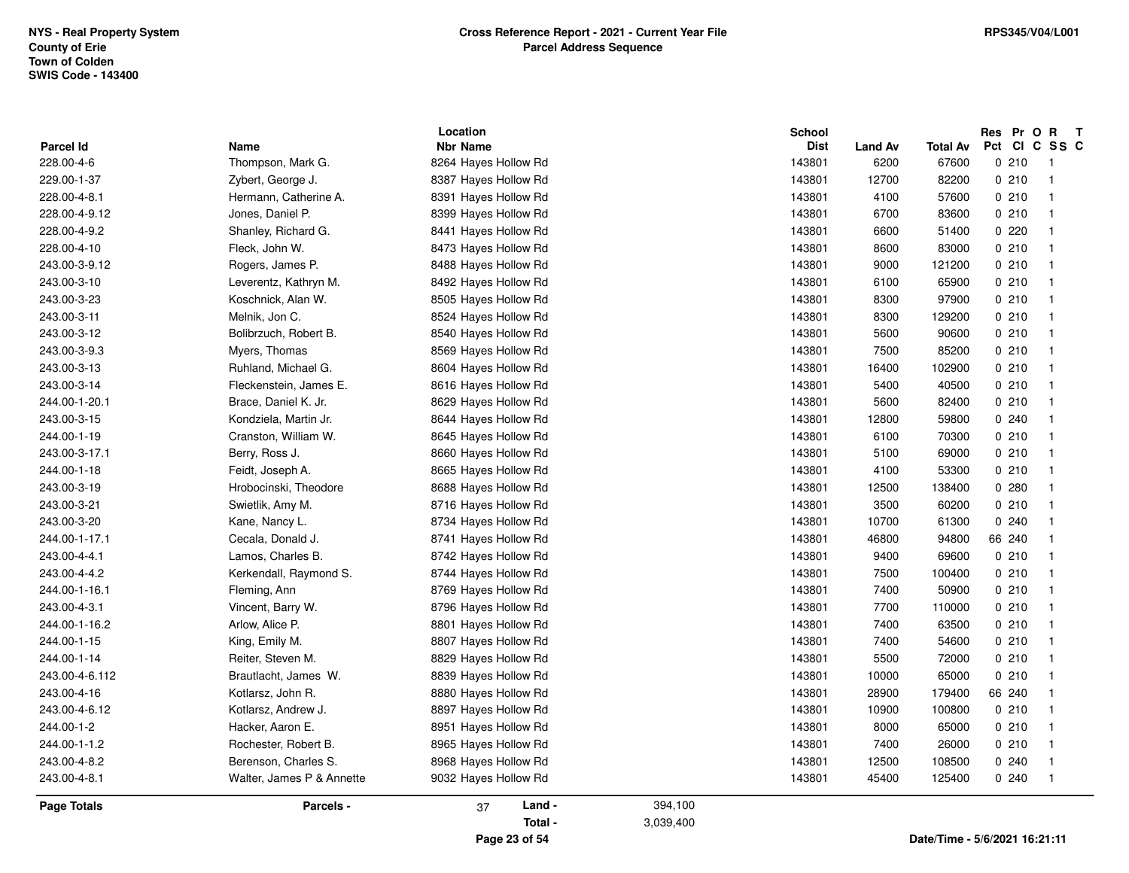|                    |                           | Location             |           | School      |                |                 | Res    | Pr O R T                |
|--------------------|---------------------------|----------------------|-----------|-------------|----------------|-----------------|--------|-------------------------|
| Parcel Id          | Name                      | <b>Nbr Name</b>      |           | <b>Dist</b> | <b>Land Av</b> | <b>Total Av</b> | Pct    | CICSSC                  |
| 228.00-4-6         | Thompson, Mark G.         | 8264 Hayes Hollow Rd |           | 143801      | 6200           | 67600           | 0210   | $\overline{1}$          |
| 229.00-1-37        | Zybert, George J.         | 8387 Hayes Hollow Rd |           | 143801      | 12700          | 82200           | 0210   | -1                      |
| 228.00-4-8.1       | Hermann, Catherine A.     | 8391 Hayes Hollow Rd |           | 143801      | 4100           | 57600           | 0210   | -1                      |
| 228.00-4-9.12      | Jones, Daniel P.          | 8399 Hayes Hollow Rd |           | 143801      | 6700           | 83600           | 0210   | $\mathbf{1}$            |
| 228.00-4-9.2       | Shanley, Richard G.       | 8441 Hayes Hollow Rd |           | 143801      | 6600           | 51400           | 0220   | $\overline{1}$          |
| 228.00-4-10        | Fleck, John W.            | 8473 Hayes Hollow Rd |           | 143801      | 8600           | 83000           | 0210   | $\overline{1}$          |
| 243.00-3-9.12      | Rogers, James P.          | 8488 Hayes Hollow Rd |           | 143801      | 9000           | 121200          | 0210   | -1                      |
| 243.00-3-10        | Leverentz, Kathryn M.     | 8492 Hayes Hollow Rd |           | 143801      | 6100           | 65900           | 0210   | -1                      |
| 243.00-3-23        | Koschnick, Alan W.        | 8505 Hayes Hollow Rd |           | 143801      | 8300           | 97900           | 0210   | $\overline{\mathbf{1}}$ |
| 243.00-3-11        | Melnik, Jon C.            | 8524 Hayes Hollow Rd |           | 143801      | 8300           | 129200          | 0210   | $\mathbf{1}$            |
| 243.00-3-12        | Bolibrzuch, Robert B.     | 8540 Hayes Hollow Rd |           | 143801      | 5600           | 90600           | 0210   | $\mathbf{1}$            |
| 243.00-3-9.3       | Myers, Thomas             | 8569 Hayes Hollow Rd |           | 143801      | 7500           | 85200           | 0210   | $\mathbf{1}$            |
| 243.00-3-13        | Ruhland, Michael G.       | 8604 Hayes Hollow Rd |           | 143801      | 16400          | 102900          | 0210   | $\overline{\mathbf{1}}$ |
| 243.00-3-14        | Fleckenstein, James E.    | 8616 Hayes Hollow Rd |           | 143801      | 5400           | 40500           | 0210   | $\overline{1}$          |
| 244.00-1-20.1      | Brace, Daniel K. Jr.      | 8629 Hayes Hollow Rd |           | 143801      | 5600           | 82400           | 0210   |                         |
| 243.00-3-15        | Kondziela, Martin Jr.     | 8644 Hayes Hollow Rd |           | 143801      | 12800          | 59800           | 0.240  |                         |
| 244.00-1-19        | Cranston, William W.      | 8645 Hayes Hollow Rd |           | 143801      | 6100           | 70300           | 0210   | -1                      |
| 243.00-3-17.1      | Berry, Ross J.            | 8660 Hayes Hollow Rd |           | 143801      | 5100           | 69000           | 0210   | -1                      |
| 244.00-1-18        | Feidt, Joseph A.          | 8665 Hayes Hollow Rd |           | 143801      | 4100           | 53300           | 0210   | $\overline{\mathbf{1}}$ |
| 243.00-3-19        | Hrobocinski, Theodore     | 8688 Hayes Hollow Rd |           | 143801      | 12500          | 138400          | 0.280  |                         |
| 243.00-3-21        | Swietlik, Amy M.          | 8716 Hayes Hollow Rd |           | 143801      | 3500           | 60200           | 0210   | $\overline{1}$          |
| 243.00-3-20        | Kane, Nancy L.            | 8734 Hayes Hollow Rd |           | 143801      | 10700          | 61300           | 0.240  | $\overline{1}$          |
| 244.00-1-17.1      | Cecala, Donald J.         | 8741 Hayes Hollow Rd |           | 143801      | 46800          | 94800           | 66 240 | -1                      |
| 243.00-4-4.1       | Lamos, Charles B.         | 8742 Hayes Hollow Rd |           | 143801      | 9400           | 69600           | 0210   | -1                      |
| 243.00-4-4.2       | Kerkendall, Raymond S.    | 8744 Hayes Hollow Rd |           | 143801      | 7500           | 100400          | 0210   | $\mathbf{1}$            |
| 244.00-1-16.1      | Fleming, Ann              | 8769 Hayes Hollow Rd |           | 143801      | 7400           | 50900           | 0210   | $\overline{\mathbf{1}}$ |
| 243.00-4-3.1       | Vincent, Barry W.         | 8796 Hayes Hollow Rd |           | 143801      | 7700           | 110000          | 0210   | $\overline{\mathbf{1}}$ |
| 244.00-1-16.2      | Arlow, Alice P.           | 8801 Hayes Hollow Rd |           | 143801      | 7400           | 63500           | 0210   | $\overline{\mathbf{1}}$ |
| 244.00-1-15        | King, Emily M.            | 8807 Hayes Hollow Rd |           | 143801      | 7400           | 54600           | 0210   |                         |
| 244.00-1-14        | Reiter, Steven M.         | 8829 Hayes Hollow Rd |           | 143801      | 5500           | 72000           | 0210   | $\overline{\mathbf{1}}$ |
| 243.00-4-6.112     | Brautlacht, James W.      | 8839 Hayes Hollow Rd |           | 143801      | 10000          | 65000           | 0210   | -1                      |
| 243.00-4-16        | Kotlarsz, John R.         | 8880 Hayes Hollow Rd |           | 143801      | 28900          | 179400          | 66 240 | 1                       |
| 243.00-4-6.12      | Kotlarsz, Andrew J.       | 8897 Hayes Hollow Rd |           | 143801      | 10900          | 100800          | 0210   | -1                      |
| 244.00-1-2         | Hacker, Aaron E.          | 8951 Hayes Hollow Rd |           | 143801      | 8000           | 65000           | 0210   | -1                      |
| 244.00-1-1.2       | Rochester, Robert B.      | 8965 Hayes Hollow Rd |           | 143801      | 7400           | 26000           | 0210   | $\overline{1}$          |
| 243.00-4-8.2       | Berenson, Charles S.      | 8968 Hayes Hollow Rd |           | 143801      | 12500          | 108500          | 0240   | $\overline{1}$          |
| 243.00-4-8.1       | Walter, James P & Annette | 9032 Hayes Hollow Rd |           | 143801      | 45400          | 125400          | 0240   | $\overline{1}$          |
| <b>Page Totals</b> | Parcels -                 | Land -<br>37         | 394,100   |             |                |                 |        |                         |
|                    |                           | Total -              | 3,039,400 |             |                |                 |        |                         |
|                    |                           |                      |           |             |                |                 |        |                         |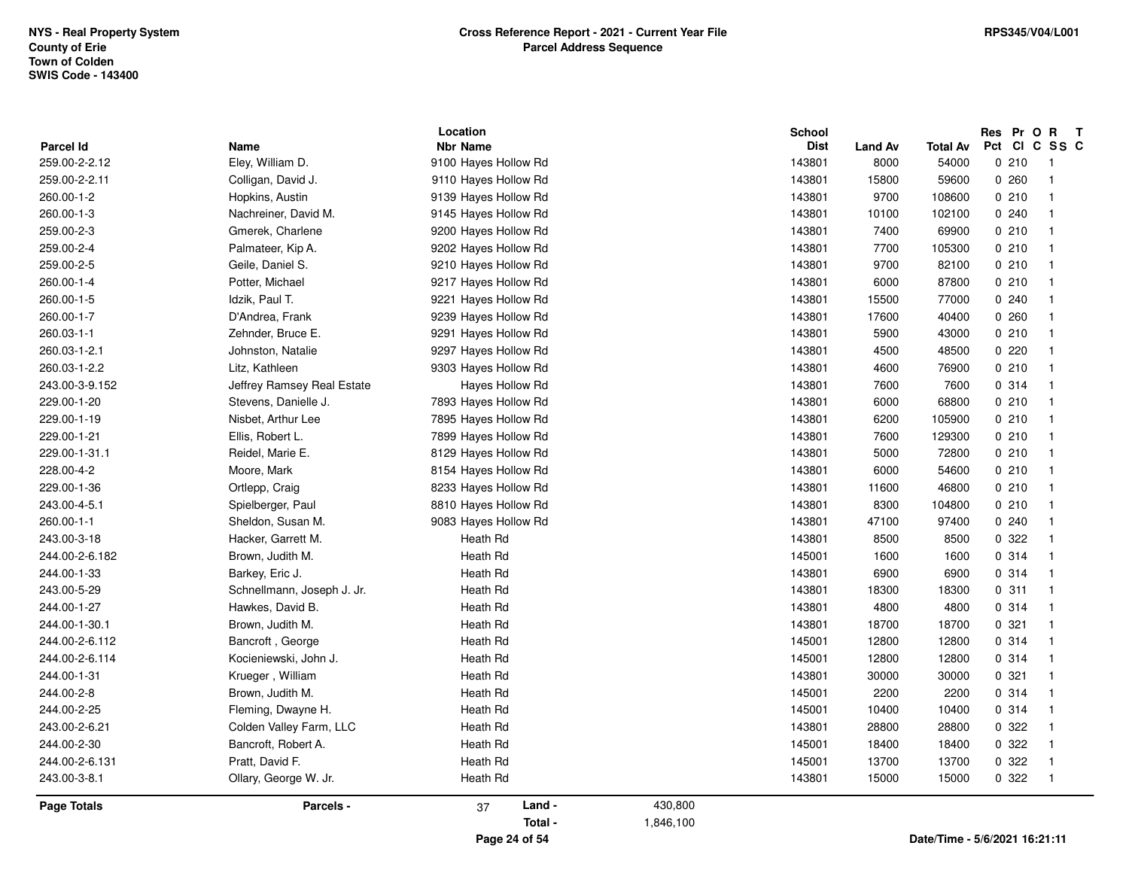| <b>Nbr Name</b><br><b>Dist</b><br><b>Parcel Id</b><br>Name<br><b>Land Av</b><br>Total Av<br>259.00-2-2.12<br>Eley, William D.<br>9100 Hayes Hollow Rd<br>143801<br>8000<br>54000<br>259.00-2-2.11<br>143801<br>15800<br>Colligan, David J.<br>9110 Hayes Hollow Rd<br>59600<br>260.00-1-2<br>Hopkins, Austin<br>9139 Hayes Hollow Rd<br>143801<br>9700<br>108600<br>260.00-1-3<br>Nachreiner, David M.<br>9145 Hayes Hollow Rd<br>143801<br>10100<br>102100<br>259.00-2-3<br>143801<br>Gmerek, Charlene<br>9200 Hayes Hollow Rd<br>7400<br>69900<br>259.00-2-4<br>Palmateer, Kip A.<br>9202 Hayes Hollow Rd<br>143801<br>7700<br>105300<br>259.00-2-5<br>Geile, Daniel S.<br>9210 Hayes Hollow Rd<br>143801<br>9700<br>82100<br>260.00-1-4<br>Potter, Michael<br>9217 Hayes Hollow Rd<br>143801<br>87800<br>6000<br>260.00-1-5<br>Idzik, Paul T.<br>9221 Hayes Hollow Rd<br>143801<br>15500<br>77000<br>143801<br>260.00-1-7<br>17600<br>40400<br>D'Andrea, Frank<br>9239 Hayes Hollow Rd<br>260.03-1-1<br>Zehnder, Bruce E.<br>9291 Hayes Hollow Rd<br>143801<br>5900<br>43000<br>260.03-1-2.1<br>Johnston, Natalie<br>9297 Hayes Hollow Rd<br>143801<br>4500<br>48500<br>260.03-1-2.2<br>Litz, Kathleen<br>9303 Hayes Hollow Rd<br>143801<br>4600<br>76900<br>Jeffrey Ramsey Real Estate<br>Hayes Hollow Rd<br>143801<br>243.00-3-9.152<br>7600<br>7600<br>143801<br>229.00-1-20<br>Stevens, Danielle J.<br>7893 Hayes Hollow Rd<br>6000<br>68800<br>229.00-1-19<br>Nisbet, Arthur Lee<br>143801<br>7895 Hayes Hollow Rd<br>6200<br>105900<br>229.00-1-21<br>Ellis, Robert L.<br>7899 Hayes Hollow Rd<br>143801<br>7600<br>129300<br>229.00-1-31.1<br>Reidel, Marie E.<br>8129 Hayes Hollow Rd<br>143801<br>5000<br>72800<br>228.00-4-2<br>Moore, Mark<br>8154 Hayes Hollow Rd<br>143801<br>6000<br>54600<br>229.00-1-36<br>Ortlepp, Craig<br>8233 Hayes Hollow Rd<br>143801<br>11600<br>46800<br>243.00-4-5.1<br>Spielberger, Paul<br>8810 Hayes Hollow Rd<br>143801<br>8300<br>104800<br>260.00-1-1<br>9083 Hayes Hollow Rd<br>Sheldon, Susan M.<br>143801<br>47100<br>97400<br>243.00-3-18<br>Hacker, Garrett M.<br>Heath Rd<br>143801<br>8500<br>8500<br>Brown, Judith M.<br>Heath Rd<br>145001<br>244.00-2-6.182<br>1600<br>1600<br>244.00-1-33<br>Barkey, Eric J.<br>Heath Rd<br>143801<br>6900<br>6900<br>243.00-5-29<br>Schnellmann, Joseph J. Jr.<br>Heath Rd<br>143801<br>18300<br>18300<br>Heath Rd<br>244.00-1-27<br>Hawkes, David B.<br>143801<br>4800<br>4800<br>Heath Rd<br>143801<br>244.00-1-30.1<br>Brown, Judith M.<br>18700<br>18700<br>Heath Rd<br>244.00-2-6.112<br>Bancroft, George<br>145001<br>12800<br>12800<br>Heath Rd<br>244.00-2-6.114<br>Kocieniewski, John J.<br>145001<br>12800<br>12800<br>244.00-1-31<br>Heath Rd<br>143801<br>Krueger, William<br>30000<br>30000<br>244.00-2-8<br>Brown, Judith M.<br>Heath Rd<br>145001<br>2200<br>2200<br>244.00-2-25<br>Heath Rd<br>145001<br>Fleming, Dwayne H.<br>10400<br>10400<br>243.00-2-6.21<br>Colden Valley Farm, LLC<br>Heath Rd<br>143801<br>28800<br>28800<br>244.00-2-30<br>Bancroft, Robert A.<br>Heath Rd<br>145001<br>18400<br>18400 | Res Pr O R T                        |
|-------------------------------------------------------------------------------------------------------------------------------------------------------------------------------------------------------------------------------------------------------------------------------------------------------------------------------------------------------------------------------------------------------------------------------------------------------------------------------------------------------------------------------------------------------------------------------------------------------------------------------------------------------------------------------------------------------------------------------------------------------------------------------------------------------------------------------------------------------------------------------------------------------------------------------------------------------------------------------------------------------------------------------------------------------------------------------------------------------------------------------------------------------------------------------------------------------------------------------------------------------------------------------------------------------------------------------------------------------------------------------------------------------------------------------------------------------------------------------------------------------------------------------------------------------------------------------------------------------------------------------------------------------------------------------------------------------------------------------------------------------------------------------------------------------------------------------------------------------------------------------------------------------------------------------------------------------------------------------------------------------------------------------------------------------------------------------------------------------------------------------------------------------------------------------------------------------------------------------------------------------------------------------------------------------------------------------------------------------------------------------------------------------------------------------------------------------------------------------------------------------------------------------------------------------------------------------------------------------------------------------------------------------------------------------------------------------------------------------------------------------------------------------------------------------------------------------------------------------------------------------------------------------------------------------------------------------------------------------------------------------------------------------------------------------------------------------------------------------------------------------|-------------------------------------|
|                                                                                                                                                                                                                                                                                                                                                                                                                                                                                                                                                                                                                                                                                                                                                                                                                                                                                                                                                                                                                                                                                                                                                                                                                                                                                                                                                                                                                                                                                                                                                                                                                                                                                                                                                                                                                                                                                                                                                                                                                                                                                                                                                                                                                                                                                                                                                                                                                                                                                                                                                                                                                                                                                                                                                                                                                                                                                                                                                                                                                                                                                                                               | Pct CI C SS C                       |
|                                                                                                                                                                                                                                                                                                                                                                                                                                                                                                                                                                                                                                                                                                                                                                                                                                                                                                                                                                                                                                                                                                                                                                                                                                                                                                                                                                                                                                                                                                                                                                                                                                                                                                                                                                                                                                                                                                                                                                                                                                                                                                                                                                                                                                                                                                                                                                                                                                                                                                                                                                                                                                                                                                                                                                                                                                                                                                                                                                                                                                                                                                                               | 0210<br>- 1<br>- 1                  |
|                                                                                                                                                                                                                                                                                                                                                                                                                                                                                                                                                                                                                                                                                                                                                                                                                                                                                                                                                                                                                                                                                                                                                                                                                                                                                                                                                                                                                                                                                                                                                                                                                                                                                                                                                                                                                                                                                                                                                                                                                                                                                                                                                                                                                                                                                                                                                                                                                                                                                                                                                                                                                                                                                                                                                                                                                                                                                                                                                                                                                                                                                                                               | 0260                                |
|                                                                                                                                                                                                                                                                                                                                                                                                                                                                                                                                                                                                                                                                                                                                                                                                                                                                                                                                                                                                                                                                                                                                                                                                                                                                                                                                                                                                                                                                                                                                                                                                                                                                                                                                                                                                                                                                                                                                                                                                                                                                                                                                                                                                                                                                                                                                                                                                                                                                                                                                                                                                                                                                                                                                                                                                                                                                                                                                                                                                                                                                                                                               | 0210<br>$\overline{\mathbf{1}}$     |
|                                                                                                                                                                                                                                                                                                                                                                                                                                                                                                                                                                                                                                                                                                                                                                                                                                                                                                                                                                                                                                                                                                                                                                                                                                                                                                                                                                                                                                                                                                                                                                                                                                                                                                                                                                                                                                                                                                                                                                                                                                                                                                                                                                                                                                                                                                                                                                                                                                                                                                                                                                                                                                                                                                                                                                                                                                                                                                                                                                                                                                                                                                                               | 0.240<br>-1                         |
|                                                                                                                                                                                                                                                                                                                                                                                                                                                                                                                                                                                                                                                                                                                                                                                                                                                                                                                                                                                                                                                                                                                                                                                                                                                                                                                                                                                                                                                                                                                                                                                                                                                                                                                                                                                                                                                                                                                                                                                                                                                                                                                                                                                                                                                                                                                                                                                                                                                                                                                                                                                                                                                                                                                                                                                                                                                                                                                                                                                                                                                                                                                               | 0210<br>- 1                         |
|                                                                                                                                                                                                                                                                                                                                                                                                                                                                                                                                                                                                                                                                                                                                                                                                                                                                                                                                                                                                                                                                                                                                                                                                                                                                                                                                                                                                                                                                                                                                                                                                                                                                                                                                                                                                                                                                                                                                                                                                                                                                                                                                                                                                                                                                                                                                                                                                                                                                                                                                                                                                                                                                                                                                                                                                                                                                                                                                                                                                                                                                                                                               | 0210<br>$\overline{1}$              |
|                                                                                                                                                                                                                                                                                                                                                                                                                                                                                                                                                                                                                                                                                                                                                                                                                                                                                                                                                                                                                                                                                                                                                                                                                                                                                                                                                                                                                                                                                                                                                                                                                                                                                                                                                                                                                                                                                                                                                                                                                                                                                                                                                                                                                                                                                                                                                                                                                                                                                                                                                                                                                                                                                                                                                                                                                                                                                                                                                                                                                                                                                                                               | 0210<br>$\overline{1}$              |
|                                                                                                                                                                                                                                                                                                                                                                                                                                                                                                                                                                                                                                                                                                                                                                                                                                                                                                                                                                                                                                                                                                                                                                                                                                                                                                                                                                                                                                                                                                                                                                                                                                                                                                                                                                                                                                                                                                                                                                                                                                                                                                                                                                                                                                                                                                                                                                                                                                                                                                                                                                                                                                                                                                                                                                                                                                                                                                                                                                                                                                                                                                                               | 0210<br>$\overline{\mathbf{1}}$     |
|                                                                                                                                                                                                                                                                                                                                                                                                                                                                                                                                                                                                                                                                                                                                                                                                                                                                                                                                                                                                                                                                                                                                                                                                                                                                                                                                                                                                                                                                                                                                                                                                                                                                                                                                                                                                                                                                                                                                                                                                                                                                                                                                                                                                                                                                                                                                                                                                                                                                                                                                                                                                                                                                                                                                                                                                                                                                                                                                                                                                                                                                                                                               | 0.240<br>$\overline{\mathbf{1}}$    |
|                                                                                                                                                                                                                                                                                                                                                                                                                                                                                                                                                                                                                                                                                                                                                                                                                                                                                                                                                                                                                                                                                                                                                                                                                                                                                                                                                                                                                                                                                                                                                                                                                                                                                                                                                                                                                                                                                                                                                                                                                                                                                                                                                                                                                                                                                                                                                                                                                                                                                                                                                                                                                                                                                                                                                                                                                                                                                                                                                                                                                                                                                                                               | 0.260<br>$\overline{\mathbf{1}}$    |
|                                                                                                                                                                                                                                                                                                                                                                                                                                                                                                                                                                                                                                                                                                                                                                                                                                                                                                                                                                                                                                                                                                                                                                                                                                                                                                                                                                                                                                                                                                                                                                                                                                                                                                                                                                                                                                                                                                                                                                                                                                                                                                                                                                                                                                                                                                                                                                                                                                                                                                                                                                                                                                                                                                                                                                                                                                                                                                                                                                                                                                                                                                                               | 0210<br>$\overline{\mathbf{1}}$     |
|                                                                                                                                                                                                                                                                                                                                                                                                                                                                                                                                                                                                                                                                                                                                                                                                                                                                                                                                                                                                                                                                                                                                                                                                                                                                                                                                                                                                                                                                                                                                                                                                                                                                                                                                                                                                                                                                                                                                                                                                                                                                                                                                                                                                                                                                                                                                                                                                                                                                                                                                                                                                                                                                                                                                                                                                                                                                                                                                                                                                                                                                                                                               | 0220<br>$\overline{\mathbf{1}}$     |
|                                                                                                                                                                                                                                                                                                                                                                                                                                                                                                                                                                                                                                                                                                                                                                                                                                                                                                                                                                                                                                                                                                                                                                                                                                                                                                                                                                                                                                                                                                                                                                                                                                                                                                                                                                                                                                                                                                                                                                                                                                                                                                                                                                                                                                                                                                                                                                                                                                                                                                                                                                                                                                                                                                                                                                                                                                                                                                                                                                                                                                                                                                                               | 0210<br>$\overline{\mathbf{1}}$     |
|                                                                                                                                                                                                                                                                                                                                                                                                                                                                                                                                                                                                                                                                                                                                                                                                                                                                                                                                                                                                                                                                                                                                                                                                                                                                                                                                                                                                                                                                                                                                                                                                                                                                                                                                                                                                                                                                                                                                                                                                                                                                                                                                                                                                                                                                                                                                                                                                                                                                                                                                                                                                                                                                                                                                                                                                                                                                                                                                                                                                                                                                                                                               | 0 314<br>- 1                        |
|                                                                                                                                                                                                                                                                                                                                                                                                                                                                                                                                                                                                                                                                                                                                                                                                                                                                                                                                                                                                                                                                                                                                                                                                                                                                                                                                                                                                                                                                                                                                                                                                                                                                                                                                                                                                                                                                                                                                                                                                                                                                                                                                                                                                                                                                                                                                                                                                                                                                                                                                                                                                                                                                                                                                                                                                                                                                                                                                                                                                                                                                                                                               | 0210<br>$\overline{1}$              |
|                                                                                                                                                                                                                                                                                                                                                                                                                                                                                                                                                                                                                                                                                                                                                                                                                                                                                                                                                                                                                                                                                                                                                                                                                                                                                                                                                                                                                                                                                                                                                                                                                                                                                                                                                                                                                                                                                                                                                                                                                                                                                                                                                                                                                                                                                                                                                                                                                                                                                                                                                                                                                                                                                                                                                                                                                                                                                                                                                                                                                                                                                                                               | 0210<br>$\overline{\mathbf{1}}$     |
|                                                                                                                                                                                                                                                                                                                                                                                                                                                                                                                                                                                                                                                                                                                                                                                                                                                                                                                                                                                                                                                                                                                                                                                                                                                                                                                                                                                                                                                                                                                                                                                                                                                                                                                                                                                                                                                                                                                                                                                                                                                                                                                                                                                                                                                                                                                                                                                                                                                                                                                                                                                                                                                                                                                                                                                                                                                                                                                                                                                                                                                                                                                               | 0210<br>$\overline{\mathbf{1}}$     |
|                                                                                                                                                                                                                                                                                                                                                                                                                                                                                                                                                                                                                                                                                                                                                                                                                                                                                                                                                                                                                                                                                                                                                                                                                                                                                                                                                                                                                                                                                                                                                                                                                                                                                                                                                                                                                                                                                                                                                                                                                                                                                                                                                                                                                                                                                                                                                                                                                                                                                                                                                                                                                                                                                                                                                                                                                                                                                                                                                                                                                                                                                                                               | 0210<br>$\overline{\mathbf{1}}$     |
|                                                                                                                                                                                                                                                                                                                                                                                                                                                                                                                                                                                                                                                                                                                                                                                                                                                                                                                                                                                                                                                                                                                                                                                                                                                                                                                                                                                                                                                                                                                                                                                                                                                                                                                                                                                                                                                                                                                                                                                                                                                                                                                                                                                                                                                                                                                                                                                                                                                                                                                                                                                                                                                                                                                                                                                                                                                                                                                                                                                                                                                                                                                               | 0210<br>- 1                         |
|                                                                                                                                                                                                                                                                                                                                                                                                                                                                                                                                                                                                                                                                                                                                                                                                                                                                                                                                                                                                                                                                                                                                                                                                                                                                                                                                                                                                                                                                                                                                                                                                                                                                                                                                                                                                                                                                                                                                                                                                                                                                                                                                                                                                                                                                                                                                                                                                                                                                                                                                                                                                                                                                                                                                                                                                                                                                                                                                                                                                                                                                                                                               | 0210<br>-1                          |
|                                                                                                                                                                                                                                                                                                                                                                                                                                                                                                                                                                                                                                                                                                                                                                                                                                                                                                                                                                                                                                                                                                                                                                                                                                                                                                                                                                                                                                                                                                                                                                                                                                                                                                                                                                                                                                                                                                                                                                                                                                                                                                                                                                                                                                                                                                                                                                                                                                                                                                                                                                                                                                                                                                                                                                                                                                                                                                                                                                                                                                                                                                                               | 0210<br>$\overline{1}$              |
|                                                                                                                                                                                                                                                                                                                                                                                                                                                                                                                                                                                                                                                                                                                                                                                                                                                                                                                                                                                                                                                                                                                                                                                                                                                                                                                                                                                                                                                                                                                                                                                                                                                                                                                                                                                                                                                                                                                                                                                                                                                                                                                                                                                                                                                                                                                                                                                                                                                                                                                                                                                                                                                                                                                                                                                                                                                                                                                                                                                                                                                                                                                               | 0.240<br>$\overline{\mathbf{1}}$    |
|                                                                                                                                                                                                                                                                                                                                                                                                                                                                                                                                                                                                                                                                                                                                                                                                                                                                                                                                                                                                                                                                                                                                                                                                                                                                                                                                                                                                                                                                                                                                                                                                                                                                                                                                                                                                                                                                                                                                                                                                                                                                                                                                                                                                                                                                                                                                                                                                                                                                                                                                                                                                                                                                                                                                                                                                                                                                                                                                                                                                                                                                                                                               | 0 322<br>$\overline{1}$             |
|                                                                                                                                                                                                                                                                                                                                                                                                                                                                                                                                                                                                                                                                                                                                                                                                                                                                                                                                                                                                                                                                                                                                                                                                                                                                                                                                                                                                                                                                                                                                                                                                                                                                                                                                                                                                                                                                                                                                                                                                                                                                                                                                                                                                                                                                                                                                                                                                                                                                                                                                                                                                                                                                                                                                                                                                                                                                                                                                                                                                                                                                                                                               | 0.314<br>- 1                        |
|                                                                                                                                                                                                                                                                                                                                                                                                                                                                                                                                                                                                                                                                                                                                                                                                                                                                                                                                                                                                                                                                                                                                                                                                                                                                                                                                                                                                                                                                                                                                                                                                                                                                                                                                                                                                                                                                                                                                                                                                                                                                                                                                                                                                                                                                                                                                                                                                                                                                                                                                                                                                                                                                                                                                                                                                                                                                                                                                                                                                                                                                                                                               | 0.314<br>- 1                        |
|                                                                                                                                                                                                                                                                                                                                                                                                                                                                                                                                                                                                                                                                                                                                                                                                                                                                                                                                                                                                                                                                                                                                                                                                                                                                                                                                                                                                                                                                                                                                                                                                                                                                                                                                                                                                                                                                                                                                                                                                                                                                                                                                                                                                                                                                                                                                                                                                                                                                                                                                                                                                                                                                                                                                                                                                                                                                                                                                                                                                                                                                                                                               | 0.311<br>$\overline{1}$             |
|                                                                                                                                                                                                                                                                                                                                                                                                                                                                                                                                                                                                                                                                                                                                                                                                                                                                                                                                                                                                                                                                                                                                                                                                                                                                                                                                                                                                                                                                                                                                                                                                                                                                                                                                                                                                                                                                                                                                                                                                                                                                                                                                                                                                                                                                                                                                                                                                                                                                                                                                                                                                                                                                                                                                                                                                                                                                                                                                                                                                                                                                                                                               | 0.314<br>$\overline{\mathbf{1}}$    |
|                                                                                                                                                                                                                                                                                                                                                                                                                                                                                                                                                                                                                                                                                                                                                                                                                                                                                                                                                                                                                                                                                                                                                                                                                                                                                                                                                                                                                                                                                                                                                                                                                                                                                                                                                                                                                                                                                                                                                                                                                                                                                                                                                                                                                                                                                                                                                                                                                                                                                                                                                                                                                                                                                                                                                                                                                                                                                                                                                                                                                                                                                                                               | 0.321<br>$\overline{1}$             |
|                                                                                                                                                                                                                                                                                                                                                                                                                                                                                                                                                                                                                                                                                                                                                                                                                                                                                                                                                                                                                                                                                                                                                                                                                                                                                                                                                                                                                                                                                                                                                                                                                                                                                                                                                                                                                                                                                                                                                                                                                                                                                                                                                                                                                                                                                                                                                                                                                                                                                                                                                                                                                                                                                                                                                                                                                                                                                                                                                                                                                                                                                                                               | 0 314<br>$\overline{1}$             |
|                                                                                                                                                                                                                                                                                                                                                                                                                                                                                                                                                                                                                                                                                                                                                                                                                                                                                                                                                                                                                                                                                                                                                                                                                                                                                                                                                                                                                                                                                                                                                                                                                                                                                                                                                                                                                                                                                                                                                                                                                                                                                                                                                                                                                                                                                                                                                                                                                                                                                                                                                                                                                                                                                                                                                                                                                                                                                                                                                                                                                                                                                                                               | 0.314<br>$\overline{\mathbf{1}}$    |
|                                                                                                                                                                                                                                                                                                                                                                                                                                                                                                                                                                                                                                                                                                                                                                                                                                                                                                                                                                                                                                                                                                                                                                                                                                                                                                                                                                                                                                                                                                                                                                                                                                                                                                                                                                                                                                                                                                                                                                                                                                                                                                                                                                                                                                                                                                                                                                                                                                                                                                                                                                                                                                                                                                                                                                                                                                                                                                                                                                                                                                                                                                                               | 0.321<br>$\overline{1}$             |
|                                                                                                                                                                                                                                                                                                                                                                                                                                                                                                                                                                                                                                                                                                                                                                                                                                                                                                                                                                                                                                                                                                                                                                                                                                                                                                                                                                                                                                                                                                                                                                                                                                                                                                                                                                                                                                                                                                                                                                                                                                                                                                                                                                                                                                                                                                                                                                                                                                                                                                                                                                                                                                                                                                                                                                                                                                                                                                                                                                                                                                                                                                                               | 0.314<br>$\overline{\mathbf{1}}$    |
|                                                                                                                                                                                                                                                                                                                                                                                                                                                                                                                                                                                                                                                                                                                                                                                                                                                                                                                                                                                                                                                                                                                                                                                                                                                                                                                                                                                                                                                                                                                                                                                                                                                                                                                                                                                                                                                                                                                                                                                                                                                                                                                                                                                                                                                                                                                                                                                                                                                                                                                                                                                                                                                                                                                                                                                                                                                                                                                                                                                                                                                                                                                               | 0.314<br>$\overline{\phantom{0}}$   |
|                                                                                                                                                                                                                                                                                                                                                                                                                                                                                                                                                                                                                                                                                                                                                                                                                                                                                                                                                                                                                                                                                                                                                                                                                                                                                                                                                                                                                                                                                                                                                                                                                                                                                                                                                                                                                                                                                                                                                                                                                                                                                                                                                                                                                                                                                                                                                                                                                                                                                                                                                                                                                                                                                                                                                                                                                                                                                                                                                                                                                                                                                                                               | 0.322<br>- 1                        |
|                                                                                                                                                                                                                                                                                                                                                                                                                                                                                                                                                                                                                                                                                                                                                                                                                                                                                                                                                                                                                                                                                                                                                                                                                                                                                                                                                                                                                                                                                                                                                                                                                                                                                                                                                                                                                                                                                                                                                                                                                                                                                                                                                                                                                                                                                                                                                                                                                                                                                                                                                                                                                                                                                                                                                                                                                                                                                                                                                                                                                                                                                                                               | 0.322<br>- 1                        |
| Pratt, David F.<br>Heath Rd<br>244.00-2-6.131<br>145001<br>13700<br>13700                                                                                                                                                                                                                                                                                                                                                                                                                                                                                                                                                                                                                                                                                                                                                                                                                                                                                                                                                                                                                                                                                                                                                                                                                                                                                                                                                                                                                                                                                                                                                                                                                                                                                                                                                                                                                                                                                                                                                                                                                                                                                                                                                                                                                                                                                                                                                                                                                                                                                                                                                                                                                                                                                                                                                                                                                                                                                                                                                                                                                                                     | 0 322<br>- 1                        |
| 243.00-3-8.1<br>Heath Rd<br>Ollary, George W. Jr.<br>143801<br>15000<br>15000                                                                                                                                                                                                                                                                                                                                                                                                                                                                                                                                                                                                                                                                                                                                                                                                                                                                                                                                                                                                                                                                                                                                                                                                                                                                                                                                                                                                                                                                                                                                                                                                                                                                                                                                                                                                                                                                                                                                                                                                                                                                                                                                                                                                                                                                                                                                                                                                                                                                                                                                                                                                                                                                                                                                                                                                                                                                                                                                                                                                                                                 | 0 322<br>$\overline{\phantom{0}}$ 1 |
| Land -<br>430,800<br>Page Totals<br>Parcels -<br>37                                                                                                                                                                                                                                                                                                                                                                                                                                                                                                                                                                                                                                                                                                                                                                                                                                                                                                                                                                                                                                                                                                                                                                                                                                                                                                                                                                                                                                                                                                                                                                                                                                                                                                                                                                                                                                                                                                                                                                                                                                                                                                                                                                                                                                                                                                                                                                                                                                                                                                                                                                                                                                                                                                                                                                                                                                                                                                                                                                                                                                                                           |                                     |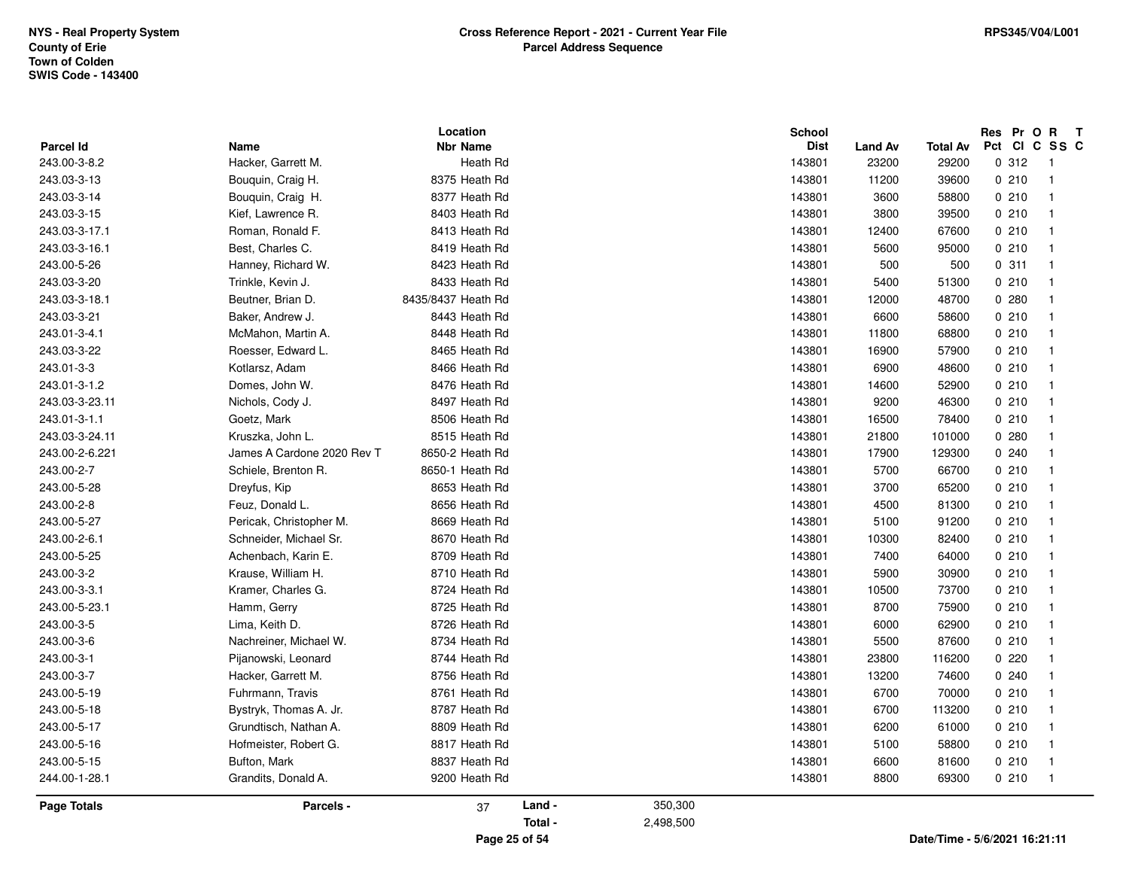| Parcel Id      | Name                        | Location<br><b>Nbr Name</b> |        |         | School<br><b>Dist</b> | <b>Land Av</b> | <b>Total Av</b> | Res Pr O R<br>Pct CI C SS C | $\mathbf{T}$             |
|----------------|-----------------------------|-----------------------------|--------|---------|-----------------------|----------------|-----------------|-----------------------------|--------------------------|
| 243.00-3-8.2   | Hacker, Garrett M.          | Heath Rd                    |        |         | 143801                | 23200          | 29200           | 0.312                       | $\overline{\phantom{1}}$ |
| 243.03-3-13    | Bouquin, Craig H.           | 8375 Heath Rd               |        |         | 143801                | 11200          | 39600           | 0210                        | $\overline{1}$           |
| 243.03-3-14    | Bouquin, Craig H.           | 8377 Heath Rd               |        |         | 143801                | 3600           | 58800           | 0210                        | $\overline{1}$           |
| 243.03-3-15    | Kief, Lawrence R.           | 8403 Heath Rd               |        |         | 143801                | 3800           | 39500           | 0210                        | $\overline{1}$           |
| 243.03-3-17.1  | Roman, Ronald F.            | 8413 Heath Rd               |        |         | 143801                | 12400          | 67600           | 0210                        | $\overline{1}$           |
| 243.03-3-16.1  | Best, Charles C.            | 8419 Heath Rd               |        |         | 143801                | 5600           | 95000           | 0210                        | $\mathbf{1}$             |
| 243.00-5-26    | Hanney, Richard W.          | 8423 Heath Rd               |        |         | 143801                | 500            | 500             | 0.311                       | $\overline{1}$           |
| 243.03-3-20    | Trinkle, Kevin J.           | 8433 Heath Rd               |        |         | 143801                | 5400           | 51300           | 0210                        | $\overline{1}$           |
| 243.03-3-18.1  | Beutner, Brian D.           | 8435/8437 Heath Rd          |        |         | 143801                | 12000          | 48700           | 0280                        | $\mathbf{1}$             |
| 243.03-3-21    | Baker, Andrew J.            | 8443 Heath Rd               |        |         | 143801                | 6600           | 58600           | 0210                        | $\overline{1}$           |
| 243.01-3-4.1   | McMahon, Martin A.          | 8448 Heath Rd               |        |         | 143801                | 11800          | 68800           | 0210                        | -1                       |
| 243.03-3-22    | Roesser, Edward L.          | 8465 Heath Rd               |        |         | 143801                | 16900          | 57900           | 0210                        | $\blacksquare$           |
| 243.01-3-3     | Kotlarsz, Adam              | 8466 Heath Rd               |        |         | 143801                | 6900           | 48600           | 0210                        | $\overline{1}$           |
| 243.01-3-1.2   | Domes, John W.              | 8476 Heath Rd               |        |         | 143801                | 14600          | 52900           | 0210                        | $\overline{1}$           |
| 243.03-3-23.11 | Nichols, Cody J.            | 8497 Heath Rd               |        |         | 143801                | 9200           | 46300           | 0210                        | $\overline{1}$           |
| 243.01-3-1.1   | Goetz, Mark                 | 8506 Heath Rd               |        |         | 143801                | 16500          | 78400           | 0210                        | $\mathbf{1}$             |
| 243.03-3-24.11 | Kruszka, John L.            | 8515 Heath Rd               |        |         | 143801                | 21800          | 101000          | 0.280                       | $\mathbf{1}$             |
| 243.00-2-6.221 | James A Cardone 2020 Rev Ti | 8650-2 Heath Rd             |        |         | 143801                | 17900          | 129300          | 0.240                       | $\mathbf{1}$             |
| 243.00-2-7     | Schiele, Brenton R.         | 8650-1 Heath Rd             |        |         | 143801                | 5700           | 66700           | 0210                        | $\overline{1}$           |
| 243.00-5-28    | Dreyfus, Kip                | 8653 Heath Rd               |        |         | 143801                | 3700           | 65200           | 0210                        | $\mathbf{1}$             |
| 243.00-2-8     | Feuz, Donald L.             | 8656 Heath Rd               |        |         | 143801                | 4500           | 81300           | 0210                        | $\overline{1}$           |
| 243.00-5-27    | Pericak, Christopher M.     | 8669 Heath Rd               |        |         | 143801                | 5100           | 91200           | 0210                        | $\overline{1}$           |
| 243.00-2-6.1   | Schneider, Michael Sr.      | 8670 Heath Rd               |        |         | 143801                | 10300          | 82400           | 0210                        | $\overline{1}$           |
| 243.00-5-25    | Achenbach, Karin E.         | 8709 Heath Rd               |        |         | 143801                | 7400           | 64000           | 0210                        | $\overline{1}$           |
| 243.00-3-2     | Krause, William H.          | 8710 Heath Rd               |        |         | 143801                | 5900           | 30900           | 0210                        | $\overline{1}$           |
| 243.00-3-3.1   | Kramer, Charles G.          | 8724 Heath Rd               |        |         | 143801                | 10500          | 73700           | 0210                        | $\overline{\mathbf{1}}$  |
| 243.00-5-23.1  | Hamm, Gerry                 | 8725 Heath Rd               |        |         | 143801                | 8700           | 75900           | 0210                        | $\overline{1}$           |
| 243.00-3-5     | Lima, Keith D.              | 8726 Heath Rd               |        |         | 143801                | 6000           | 62900           | 0210                        | -1                       |
| 243.00-3-6     | Nachreiner, Michael W.      | 8734 Heath Rd               |        |         | 143801                | 5500           | 87600           | 0210                        | $\overline{1}$           |
| 243.00-3-1     | Pijanowski, Leonard         | 8744 Heath Rd               |        |         | 143801                | 23800          | 116200          | 0220                        | $\overline{1}$           |
| 243.00-3-7     | Hacker, Garrett M.          | 8756 Heath Rd               |        |         | 143801                | 13200          | 74600           | 0.240                       | $\overline{1}$           |
| 243.00-5-19    | Fuhrmann, Travis            | 8761 Heath Rd               |        |         | 143801                | 6700           | 70000           | 0210                        | $\overline{1}$           |
| 243.00-5-18    | Bystryk, Thomas A. Jr.      | 8787 Heath Rd               |        |         | 143801                | 6700           | 113200          | 0210                        | $\overline{1}$           |
| 243.00-5-17    | Grundtisch, Nathan A.       | 8809 Heath Rd               |        |         | 143801                | 6200           | 61000           | 0210                        | $\overline{1}$           |
| 243.00-5-16    | Hofmeister, Robert G.       | 8817 Heath Rd               |        |         | 143801                | 5100           | 58800           | 0210                        | $\overline{1}$           |
| 243.00-5-15    | Bufton, Mark                | 8837 Heath Rd               |        |         | 143801                | 6600           | 81600           | 0210                        | -1                       |
| 244.00-1-28.1  | Grandits, Donald A.         | 9200 Heath Rd               |        |         | 143801                | 8800           | 69300           | 0210                        | $\overline{1}$           |
| Page Totals    | Parcels -                   | 37                          | Land - | 350,300 |                       |                |                 |                             |                          |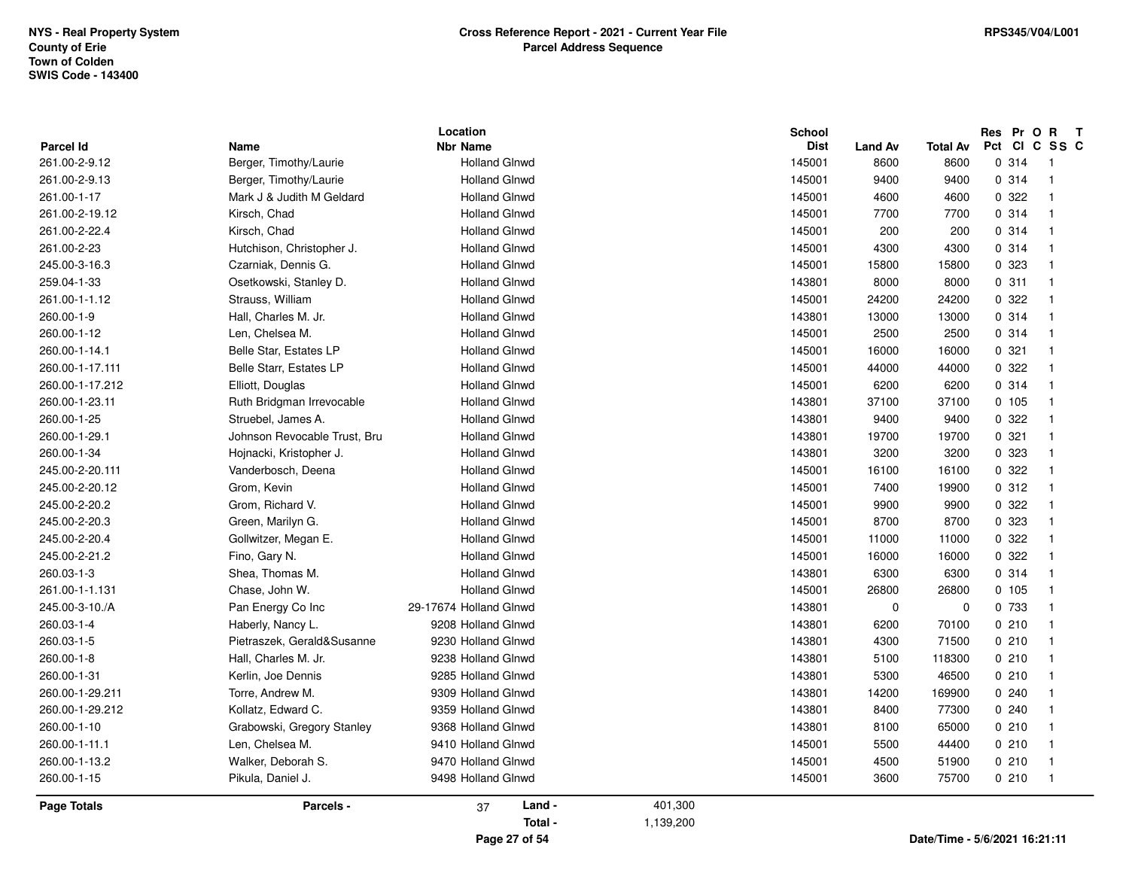| <b>Parcel Id</b>   | Name                         | Location<br><b>Nbr Name</b> |                      | <b>School</b><br><b>Dist</b> | <b>Land Av</b> | <b>Total Av</b> | <b>Res</b><br>Pct | Pr O R<br>т<br>CICSSC    |
|--------------------|------------------------------|-----------------------------|----------------------|------------------------------|----------------|-----------------|-------------------|--------------------------|
| 261.00-2-9.12      | Berger, Timothy/Laurie       | <b>Holland Glnwd</b>        |                      | 145001                       | 8600           | 8600            | 0.314             | - 1                      |
| 261.00-2-9.13      | Berger, Timothy/Laurie       | <b>Holland Glnwd</b>        |                      | 145001                       | 9400           | 9400            | 0.314             | $\overline{1}$           |
| 261.00-1-17        | Mark J & Judith M Geldard    | <b>Holland Glnwd</b>        |                      | 145001                       | 4600           | 4600            | 0 322             | - 1                      |
| 261.00-2-19.12     | Kirsch, Chad                 | <b>Holland Glnwd</b>        |                      | 145001                       | 7700           | 7700            | 0.314             | $\overline{1}$           |
| 261.00-2-22.4      | Kirsch, Chad                 | <b>Holland Glnwd</b>        |                      | 145001                       | 200            | 200             | 0.314             | -1                       |
| 261.00-2-23        | Hutchison, Christopher J.    | <b>Holland Glnwd</b>        |                      | 145001                       | 4300           | 4300            | 0.314             | $\overline{1}$           |
| 245.00-3-16.3      | Czarniak, Dennis G.          | <b>Holland Glnwd</b>        |                      | 145001                       | 15800          | 15800           | 0 323             | -1                       |
| 259.04-1-33        | Osetkowski, Stanley D.       | <b>Holland Glnwd</b>        |                      | 143801                       | 8000           | 8000            | 0.311             | - 1                      |
| 261.00-1-1.12      | Strauss, William             | <b>Holland Glnwd</b>        |                      | 145001                       | 24200          | 24200           | 0.322             | $\overline{1}$           |
| 260.00-1-9         | Hall, Charles M. Jr.         | <b>Holland Glnwd</b>        |                      | 143801                       | 13000          | 13000           | 0.314             | $\overline{1}$           |
| 260.00-1-12        | Len, Chelsea M.              | <b>Holland Glnwd</b>        |                      | 145001                       | 2500           | 2500            | 0.314             | $\overline{1}$           |
| 260.00-1-14.1      | Belle Star, Estates LP       | <b>Holland Glnwd</b>        |                      | 145001                       | 16000          | 16000           | 0.321             | $\overline{1}$           |
| 260.00-1-17.111    | Belle Starr, Estates LP      | <b>Holland Glnwd</b>        |                      | 145001                       | 44000          | 44000           | 0.322             | $\overline{1}$           |
| 260.00-1-17.212    | Elliott, Douglas             | <b>Holland Glnwd</b>        |                      | 145001                       | 6200           | 6200            | 0.314             | $\overline{1}$           |
| 260.00-1-23.11     | Ruth Bridgman Irrevocable    | <b>Holland Glnwd</b>        |                      | 143801                       | 37100          | 37100           | 0.105             | $\overline{1}$           |
| 260.00-1-25        | Struebel, James A.           | <b>Holland Glnwd</b>        |                      | 143801                       | 9400           | 9400            | 0 322             | - 1                      |
| 260.00-1-29.1      | Johnson Revocable Trust, Bru | <b>Holland Glnwd</b>        |                      | 143801                       | 19700          | 19700           | 0.321             | $\overline{1}$           |
| 260.00-1-34        | Hojnacki, Kristopher J.      | <b>Holland Glnwd</b>        |                      | 143801                       | 3200           | 3200            | 0 323             | $\overline{1}$           |
| 245.00-2-20.111    | Vanderbosch, Deena           | <b>Holland Glnwd</b>        |                      | 145001                       | 16100          | 16100           | 0.322             | $\overline{1}$           |
| 245.00-2-20.12     | Grom, Kevin                  | <b>Holland Glnwd</b>        |                      | 145001                       | 7400           | 19900           | 0.312             | $\overline{1}$           |
| 245.00-2-20.2      | Grom, Richard V.             | <b>Holland Glnwd</b>        |                      | 145001                       | 9900           | 9900            | 0 322             | - 1                      |
| 245.00-2-20.3      | Green, Marilyn G.            | <b>Holland Glnwd</b>        |                      | 145001                       | 8700           | 8700            | 0 323             | - 1                      |
| 245.00-2-20.4      | Gollwitzer, Megan E.         | <b>Holland Glnwd</b>        |                      | 145001                       | 11000          | 11000           | 0 322             | $\overline{1}$           |
| 245.00-2-21.2      | Fino, Gary N.                | <b>Holland Glnwd</b>        |                      | 145001                       | 16000          | 16000           | 0 322             | $\overline{1}$           |
| 260.03-1-3         | Shea, Thomas M.              | <b>Holland Glnwd</b>        |                      | 143801                       | 6300           | 6300            | 0.314             | $\overline{1}$           |
| 261.00-1-1.131     | Chase, John W.               | <b>Holland Glnwd</b>        |                      | 145001                       | 26800          | 26800           | 0.105             | - 1                      |
| 245.00-3-10./A     | Pan Energy Co Inc            | 29-17674 Holland Glnwd      |                      | 143801                       | $\mathbf 0$    | 0               | 0 733             | $\overline{\phantom{0}}$ |
| 260.03-1-4         | Haberly, Nancy L.            | 9208 Holland Glnwd          |                      | 143801                       | 6200           | 70100           | 0210              | $\overline{1}$           |
| 260.03-1-5         | Pietraszek, Gerald&Susanne   | 9230 Holland Glnwd          |                      | 143801                       | 4300           | 71500           | 0210              | $\overline{1}$           |
| 260.00-1-8         | Hall, Charles M. Jr.         | 9238 Holland Glnwd          |                      | 143801                       | 5100           | 118300          | 0210              | - 1                      |
| 260.00-1-31        | Kerlin, Joe Dennis           | 9285 Holland Glnwd          |                      | 143801                       | 5300           | 46500           | 0210              | - 1                      |
| 260.00-1-29.211    | Torre, Andrew M.             | 9309 Holland Glnwd          |                      | 143801                       | 14200          | 169900          | 0.240             | -1                       |
|                    |                              | 9359 Holland Glnwd          |                      |                              |                |                 |                   | -1                       |
| 260.00-1-29.212    | Kollatz, Edward C.           |                             |                      | 143801                       | 8400           | 77300           | 0.240             | $\overline{1}$           |
| 260.00-1-10        | Grabowski, Gregory Stanley   | 9368 Holland Glnwd          |                      | 143801                       | 8100           | 65000           | 0210              |                          |
| 260.00-1-11.1      | Len, Chelsea M.              | 9410 Holland Glnwd          |                      | 145001                       | 5500           | 44400           | 0210              | $\overline{1}$           |
| 260.00-1-13.2      | Walker, Deborah S.           | 9470 Holland Glnwd          |                      | 145001                       | 4500           | 51900           | 0210              | $\overline{1}$           |
| 260.00-1-15        | Pikula, Daniel J.            | 9498 Holland Glnwd          |                      | 145001                       | 3600           | 75700           | 0210              | $\overline{\phantom{1}}$ |
| <b>Page Totals</b> | Parcels -                    | Land -<br>37<br>Total -     | 401,300<br>1,139,200 |                              |                |                 |                   |                          |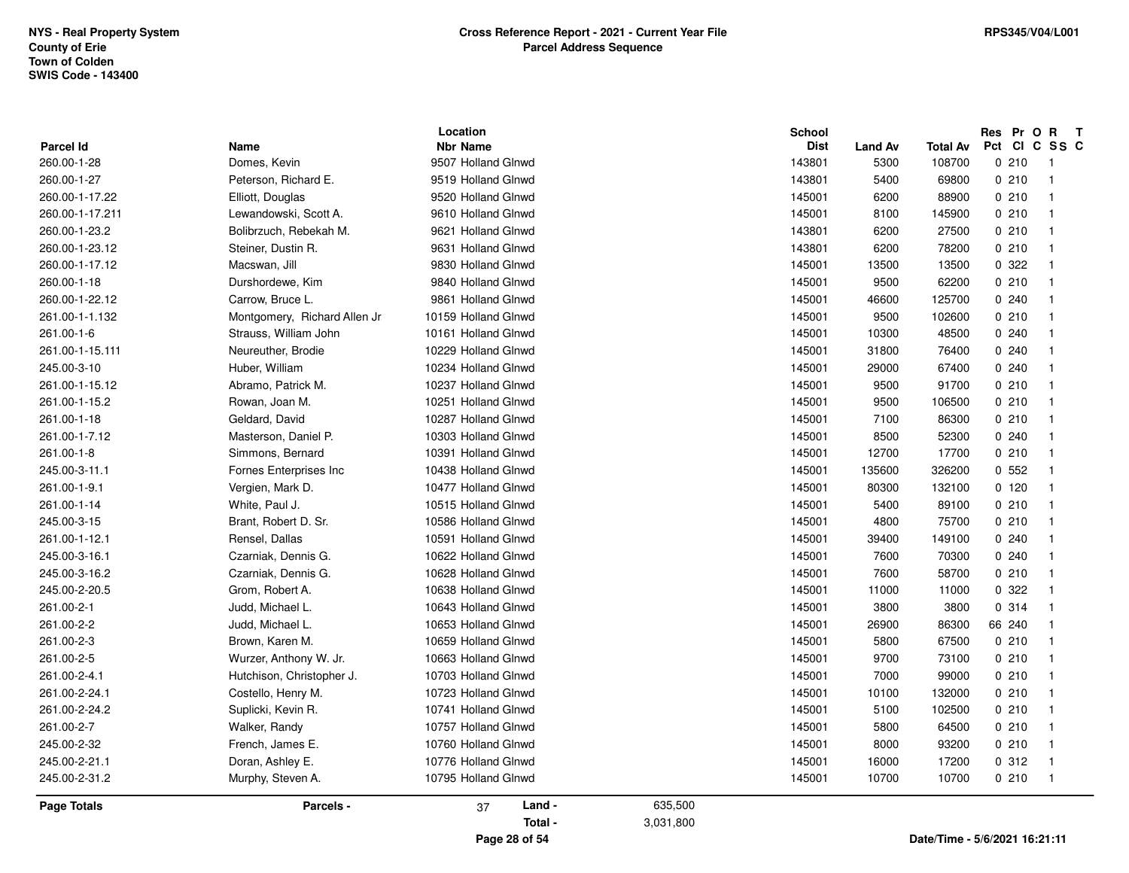| <b>Parcel Id</b>   | <b>Name</b>                   | Location<br><b>Nbr Name</b> |         | <b>School</b><br><b>Dist</b> | <b>Land Av</b> | <b>Total Av</b> | Res Pr O R | $\mathbf{T}$<br>Pct CI C SS C |
|--------------------|-------------------------------|-----------------------------|---------|------------------------------|----------------|-----------------|------------|-------------------------------|
| 260.00-1-28        | Domes, Kevin                  | 9507 Holland Glnwd          |         | 143801                       | 5300           | 108700          | 0210       | - 1                           |
| 260.00-1-27        | Peterson, Richard E.          | 9519 Holland Glnwd          |         | 143801                       | 5400           | 69800           | 0210       | $\overline{1}$                |
| 260.00-1-17.22     | Elliott, Douglas              | 9520 Holland Glnwd          |         | 145001                       | 6200           | 88900           | 0210       | $\overline{1}$                |
| 260.00-1-17.211    | Lewandowski, Scott A.         | 9610 Holland Glnwd          |         | 145001                       | 8100           | 145900          | 0210       | $\overline{1}$                |
| 260.00-1-23.2      | Bolibrzuch, Rebekah M.        | 9621 Holland Glnwd          |         | 143801                       | 6200           | 27500           | 0210       | $\overline{1}$                |
| 260.00-1-23.12     | Steiner, Dustin R.            | 9631 Holland Glnwd          |         | 143801                       | 6200           | 78200           | 0210       | - 1                           |
| 260.00-1-17.12     | Macswan, Jill                 | 9830 Holland Glnwd          |         | 145001                       | 13500          | 13500           | 0 322      | -1                            |
| 260.00-1-18        | Durshordewe, Kim              | 9840 Holland Glnwd          |         | 145001                       | 9500           | 62200           | 0210       | $\overline{1}$                |
| 260.00-1-22.12     | Carrow, Bruce L.              | 9861 Holland Glnwd          |         | 145001                       | 46600          | 125700          | 0.240      | $\overline{1}$                |
| 261.00-1-1.132     | Montgomery, Richard Allen Jr. | 10159 Holland Glnwd         |         | 145001                       | 9500           | 102600          | 0210       | $\overline{1}$                |
| 261.00-1-6         | Strauss, William John         | 10161 Holland Glnwd         |         | 145001                       | 10300          | 48500           | 0.240      | -1                            |
| 261.00-1-15.111    | Neureuther, Brodie            | 10229 Holland Glnwd         |         | 145001                       | 31800          | 76400           | 0.240      | -1                            |
| 245.00-3-10        |                               | 10234 Holland Glnwd         |         | 145001                       |                | 67400           | 0.240      | $\overline{1}$                |
|                    | Huber, William                |                             |         |                              | 29000          |                 | 0210       | $\overline{1}$                |
| 261.00-1-15.12     | Abramo, Patrick M.            | 10237 Holland Glnwd         |         | 145001                       | 9500           | 91700           |            |                               |
| 261.00-1-15.2      | Rowan, Joan M.                | 10251 Holland Glnwd         |         | 145001                       | 9500           | 106500          | 0210       | -1                            |
| 261.00-1-18        | Geldard, David                | 10287 Holland Glnwd         |         | 145001                       | 7100           | 86300           | 0210       | - 1                           |
| 261.00-1-7.12      | Masterson, Daniel P.          | 10303 Holland Glnwd         |         | 145001                       | 8500           | 52300           | 0.240      | $\overline{1}$                |
| 261.00-1-8         | Simmons, Bernard              | 10391 Holland Glnwd         |         | 145001                       | 12700          | 17700           | 0210       | $\overline{1}$                |
| 245.00-3-11.1      | Fornes Enterprises Inc        | 10438 Holland Glnwd         |         | 145001                       | 135600         | 326200          | 0.552      | $\overline{1}$                |
| 261.00-1-9.1       | Vergien, Mark D.              | 10477 Holland Glnwd         |         | 145001                       | 80300          | 132100          | 0, 120     | -1                            |
| 261.00-1-14        | White, Paul J.                | 10515 Holland Glnwd         |         | 145001                       | 5400           | 89100           | 0210       | $\overline{1}$                |
| 245.00-3-15        | Brant, Robert D. Sr.          | 10586 Holland Glnwd         |         | 145001                       | 4800           | 75700           | 0210       | $\overline{1}$                |
| 261.00-1-12.1      | Rensel, Dallas                | 10591 Holland Glnwd         |         | 145001                       | 39400          | 149100          | 0.240      | $\overline{1}$                |
| 245.00-3-16.1      | Czarniak, Dennis G.           | 10622 Holland Glnwd         |         | 145001                       | 7600           | 70300           | 0.240      | $\overline{1}$                |
| 245.00-3-16.2      | Czarniak, Dennis G.           | 10628 Holland Glnwd         |         | 145001                       | 7600           | 58700           | 0210       | -1                            |
| 245.00-2-20.5      | Grom, Robert A.               | 10638 Holland Glnwd         |         | 145001                       | 11000          | 11000           | 0.322      | - 1                           |
| 261.00-2-1         | Judd, Michael L.              | 10643 Holland Glnwd         |         | 145001                       | 3800           | 3800            | 0.314      | $\overline{1}$                |
| 261.00-2-2         | Judd, Michael L.              | 10653 Holland Glnwd         |         | 145001                       | 26900          | 86300           | 66 240     | $\overline{1}$                |
| 261.00-2-3         | Brown, Karen M.               | 10659 Holland Glnwd         |         | 145001                       | 5800           | 67500           | 0210       | $\overline{1}$                |
| 261.00-2-5         | Wurzer, Anthony W. Jr.        | 10663 Holland Glnwd         |         | 145001                       | 9700           | 73100           | 0210       | -1                            |
| 261.00-2-4.1       | Hutchison, Christopher J.     | 10703 Holland Glnwd         |         | 145001                       | 7000           | 99000           | 0210       | - 1                           |
| 261.00-2-24.1      | Costello, Henry M.            | 10723 Holland Glnwd         |         | 145001                       | 10100          | 132000          | 0210       | $\overline{1}$                |
| 261.00-2-24.2      | Suplicki, Kevin R.            | 10741 Holland Glnwd         |         | 145001                       | 5100           | 102500          | 0210       | $\overline{1}$                |
| 261.00-2-7         | Walker, Randy                 | 10757 Holland Glnwd         |         | 145001                       | 5800           | 64500           | 0210       | $\overline{1}$                |
| 245.00-2-32        | French, James E.              | 10760 Holland Glnwd         |         | 145001                       | 8000           | 93200           | 0210       | -1                            |
| 245.00-2-21.1      | Doran, Ashley E.              | 10776 Holland Glnwd         |         | 145001                       | 16000          | 17200           | 0.312      | - 1                           |
| 245.00-2-31.2      | Murphy, Steven A.             | 10795 Holland Glnwd         |         | 145001                       | 10700          | 10700           | 0210       | $\overline{1}$                |
| <b>Page Totals</b> | Parcels -                     | Land -<br>37<br>Total -     | 635,500 |                              |                |                 |            |                               |

**Page 28 of 54**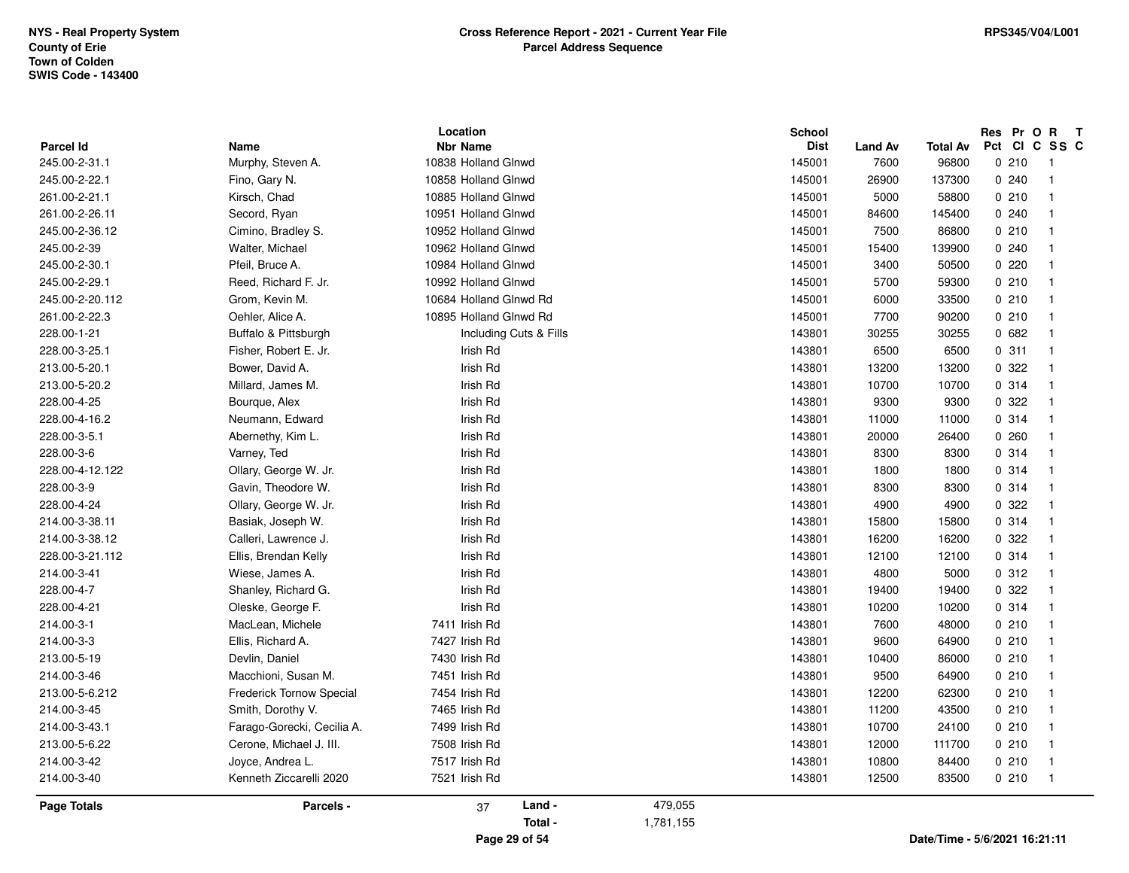| <b>Page Totals</b>            | Parcels -                                             | 37                             | Land -<br>Total - | 479,055<br>1,781,155 |                  |                |                |                |                                            |
|-------------------------------|-------------------------------------------------------|--------------------------------|-------------------|----------------------|------------------|----------------|----------------|----------------|--------------------------------------------|
|                               |                                                       |                                |                   |                      |                  |                |                |                |                                            |
| 214.00-3-40                   | Kenneth Ziccarelli 2020                               | 7521 Irish Rd                  |                   |                      | 143801           | 12500          | 83500          | 0210           | $\overline{\phantom{0}}$ 1                 |
| 214.00-3-42                   | Joyce, Andrea L.                                      | 7517 Irish Rd                  |                   |                      | 143801           | 10800          | 84400          | 0210           | $\overline{1}$                             |
| 213.00-5-6.22                 | Farago-Gorecki, Cecilia A.<br>Cerone, Michael J. III. | 7508 Irish Rd                  |                   |                      | 143801           | 12000          | 111700         | 0210           | - 1                                        |
| 214.00-3-43.1                 | Smith, Dorothy V.                                     | 7465 Irish Rd<br>7499 Irish Rd |                   |                      | 143801<br>143801 | 11200<br>10700 | 43500<br>24100 | 0210           | $\overline{1}$                             |
| 213.00-5-6.212<br>214.00-3-45 | <b>Frederick Tornow Special</b>                       | 7454 Irish Rd                  |                   |                      | 143801           | 12200          | 62300          | 0210<br>0210   | $\overline{1}$<br>$\overline{1}$           |
| 214.00-3-46                   | Macchioni, Susan M.                                   | 7451 Irish Rd                  |                   |                      | 143801           | 9500           | 64900          | 0210           | $\overline{1}$                             |
| 213.00-5-19                   | Devlin, Daniel                                        | 7430 Irish Rd                  |                   |                      | 143801           | 10400          | 86000          | 0210           | - 1                                        |
| 214.00-3-3                    | Ellis, Richard A.                                     | 7427 Irish Rd                  |                   |                      | 143801           | 9600           | 64900          | 0210           | $\overline{1}$                             |
| 214.00-3-1                    | MacLean, Michele                                      | 7411 Irish Rd                  |                   |                      | 143801           | 7600           | 48000          | 0210           | - 1                                        |
|                               |                                                       |                                |                   |                      |                  |                |                |                |                                            |
| 228.00-4-21                   | Oleske, George F.                                     | Irish Rd                       |                   |                      | 143801<br>143801 | 10200          | 19400<br>10200 | 0.314          | $\overline{1}$                             |
| 214.00-3-41<br>228.00-4-7     | Wiese, James A.<br>Shanley, Richard G.                | Irish Rd<br>Irish Rd           |                   |                      | 143801           | 4800<br>19400  | 5000           | 0.312<br>0 322 | $\overline{\phantom{0}}$ 1<br>- 1          |
| 228.00-3-21.112               | Ellis, Brendan Kelly                                  | Irish Rd                       |                   |                      | 143801           | 12100          | 12100          | 0.314          |                                            |
| 214.00-3-38.12                | Calleri, Lawrence J.                                  | Irish Rd                       |                   |                      | 143801           | 16200          | 16200          | 0.322          | $\overline{1}$<br>$\overline{\phantom{0}}$ |
| 214.00-3-38.11                | Basiak, Joseph W.                                     | Irish Rd                       |                   |                      | 143801           | 15800          | 15800          | 0.314          | $\overline{\phantom{0}}$                   |
| 228.00-4-24                   | Ollary, George W. Jr.                                 | Irish Rd                       |                   |                      | 143801           | 4900           | 4900           | 0.322          | $\overline{1}$                             |
| 228.00-3-9                    | Gavin, Theodore W.                                    | Irish Rd                       |                   |                      | 143801           | 8300           | 8300           | 0.314          | $\overline{1}$                             |
| 228.00-4-12.122               | Ollary, George W. Jr.                                 | Irish Rd                       |                   |                      | 143801           | 1800           | 1800           | 0.314          | $\overline{1}$                             |
| 228.00-3-6                    | Varney, Ted                                           | Irish Rd                       |                   |                      | 143801           | 8300           | 8300           | 0.314          | $\overline{1}$                             |
| 228.00-3-5.1                  | Abernethy, Kim L.                                     | Irish Rd                       |                   |                      | 143801           | 20000          | 26400          | 0.260          | - 1                                        |
| 228.00-4-16.2                 | Neumann, Edward                                       | Irish Rd                       |                   |                      | 143801           | 11000          | 11000          | 0.314          | $\overline{1}$                             |
| 228.00-4-25                   | Bourque, Alex                                         | Irish Rd                       |                   |                      | 143801           | 9300           | 9300           | 0 322          | $\overline{1}$                             |
| 213.00-5-20.2                 | Millard, James M.                                     | Irish Rd                       |                   |                      | 143801           | 10700          | 10700          | 0.314          | $\overline{1}$                             |
| 213.00-5-20.1                 | Bower, David A.                                       | Irish Rd                       |                   |                      | 143801           | 13200          | 13200          | 0.322          | - 1                                        |
| 228.00-3-25.1                 | Fisher, Robert E. Jr.                                 | Irish Rd                       |                   |                      | 143801           | 6500           | 6500           | 0.311          | $\overline{1}$                             |
| 228.00-1-21                   | Buffalo & Pittsburgh                                  | Including Cuts & Fills         |                   |                      | 143801           | 30255          | 30255          | 0682           | $\overline{1}$                             |
| 261.00-2-22.3                 | Oehler, Alice A.                                      | 10895 Holland Glnwd Rd         |                   |                      | 145001           | 7700           | 90200          | 0210           | - 1                                        |
| 245.00-2-20.112               | Grom, Kevin M.                                        | 10684 Holland Glnwd Rd         |                   |                      | 145001           | 6000           | 33500          | 0210           | - 1                                        |
| 245.00-2-29.1                 | Reed, Richard F. Jr.                                  | 10992 Holland Glnwd            |                   |                      | 145001           | 5700           | 59300          | 0210           | - 1                                        |
| 245.00-2-30.1                 | Pfeil, Bruce A.                                       | 10984 Holland Glnwd            |                   |                      | 145001           | 3400           | 50500          | 0220           | $\overline{1}$                             |
| 245.00-2-39                   | Walter, Michael                                       | 10962 Holland Glnwd            |                   |                      | 145001           | 15400          | 139900         | 0240           | - 1                                        |
| 245.00-2-36.12                | Cimino, Bradley S.                                    | 10952 Holland Glnwd            |                   |                      | 145001           | 7500           | 86800          | 0210           | $\overline{1}$                             |
| 261.00-2-26.11                | Secord, Ryan                                          | 10951 Holland Glnwd            |                   |                      | 145001           | 84600          | 145400         | 0.240          | - 1                                        |
| 261.00-2-21.1                 | Kirsch, Chad                                          | 10885 Holland Glnwd            |                   |                      | 145001           | 5000           | 58800          | 0.210          | $\overline{1}$                             |
| 245.00-2-22.1                 | Fino, Gary N.                                         | 10858 Holland Glnwd            |                   |                      | 145001           | 26900          | 137300         | 0.240          | $\overline{1}$                             |
| 245.00-2-31.1                 | Murphy, Steven A.                                     | 10838 Holland Glnwd            |                   |                      | 145001           | 7600           | 96800          | 0210           | - 1                                        |
| Parcel Id                     | Name                                                  | <b>Nbr Name</b>                |                   |                      | <b>Dist</b>      | <b>Land Av</b> | Total Av       |                | Pct CI C SS C                              |
|                               |                                                       | Location                       |                   |                      | School           |                |                | Res Pr O R     | $\mathbf{T}$                               |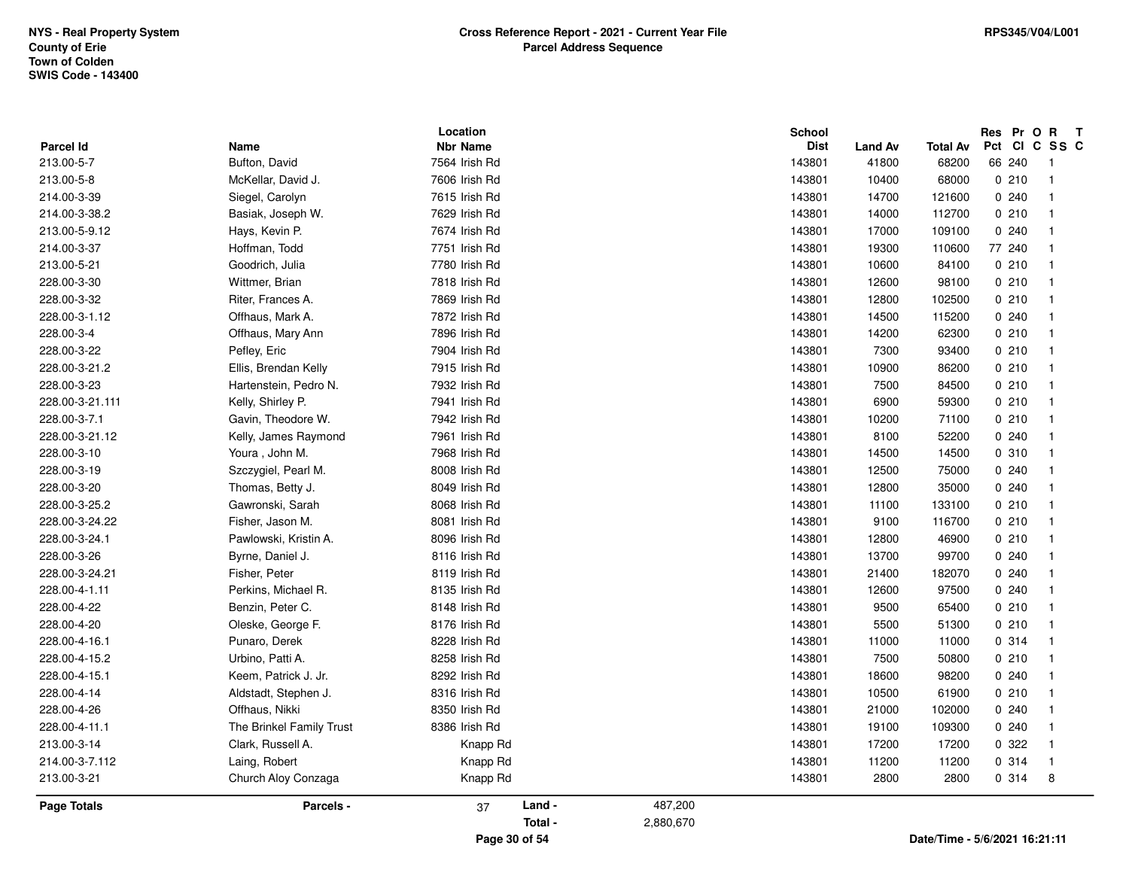|                    |                          | Location        | <b>School</b> |                |          | Res Pr O R T  |                |
|--------------------|--------------------------|-----------------|---------------|----------------|----------|---------------|----------------|
| <b>Parcel Id</b>   | Name                     | <b>Nbr Name</b> | <b>Dist</b>   | <b>Land Av</b> | Total Av | Pct<br>CICSSC |                |
| 213.00-5-7         | Bufton, David            | 7564 Irish Rd   | 143801        | 41800          | 68200    | 66 240        | - 1            |
| 213.00-5-8         | McKellar, David J.       | 7606 Irish Rd   | 143801        | 10400          | 68000    | 0210          | $\overline{1}$ |
| 214.00-3-39        | Siegel, Carolyn          | 7615 Irish Rd   | 143801        | 14700          | 121600   | 0.240         | -1             |
| 214.00-3-38.2      | Basiak, Joseph W.        | 7629 Irish Rd   | 143801        | 14000          | 112700   | 0210          | -1             |
| 213.00-5-9.12      | Hays, Kevin P.           | 7674 Irish Rd   | 143801        | 17000          | 109100   | 0.240         |                |
| 214.00-3-37        | Hoffman, Todd            | 7751 Irish Rd   | 143801        | 19300          | 110600   | 77 240        |                |
| 213.00-5-21        | Goodrich, Julia          | 7780 Irish Rd   | 143801        | 10600          | 84100    | 0210          |                |
| 228.00-3-30        | Wittmer, Brian           | 7818 Irish Rd   | 143801        | 12600          | 98100    | 0210          |                |
| 228.00-3-32        | Riter, Frances A.        | 7869 Irish Rd   | 143801        | 12800          | 102500   | 0210          |                |
| 228.00-3-1.12      | Offhaus, Mark A.         | 7872 Irish Rd   | 143801        | 14500          | 115200   | 0240          |                |
| 228.00-3-4         | Offhaus, Mary Ann        | 7896 Irish Rd   | 143801        | 14200          | 62300    | 0210          |                |
| 228.00-3-22        | Pefley, Eric             | 7904 Irish Rd   | 143801        | 7300           | 93400    | 0210          |                |
| 228.00-3-21.2      | Ellis, Brendan Kelly     | 7915 Irish Rd   | 143801        | 10900          | 86200    | 0210          | -1             |
| 228.00-3-23        | Hartenstein, Pedro N.    | 7932 Irish Rd   | 143801        | 7500           | 84500    | 0210          |                |
| 228.00-3-21.111    | Kelly, Shirley P.        | 7941 Irish Rd   | 143801        | 6900           | 59300    | 0210          |                |
| 228.00-3-7.1       | Gavin, Theodore W.       | 7942 Irish Rd   | 143801        | 10200          | 71100    | 0210          |                |
| 228.00-3-21.12     | Kelly, James Raymond     | 7961 Irish Rd   | 143801        | 8100           | 52200    | 0.240         | -1             |
| 228.00-3-10        | Youra, John M.           | 7968 Irish Rd   | 143801        | 14500          | 14500    | 0 310         |                |
| 228.00-3-19        | Szczygiel, Pearl M.      | 8008 Irish Rd   | 143801        | 12500          | 75000    | 0.240         |                |
| 228.00-3-20        | Thomas, Betty J.         | 8049 Irish Rd   | 143801        | 12800          | 35000    | 0.240         |                |
| 228.00-3-25.2      | Gawronski, Sarah         | 8068 Irish Rd   | 143801        | 11100          | 133100   | 0210          |                |
| 228.00-3-24.22     | Fisher, Jason M.         | 8081 Irish Rd   | 143801        | 9100           | 116700   | 0210          | -1             |
| 228.00-3-24.1      | Pawlowski, Kristin A.    | 8096 Irish Rd   | 143801        | 12800          | 46900    | 0210          |                |
| 228.00-3-26        | Byrne, Daniel J.         | 8116 Irish Rd   | 143801        | 13700          | 99700    | 0.240         |                |
| 228.00-3-24.21     | Fisher, Peter            | 8119 Irish Rd   | 143801        | 21400          | 182070   | 0240          |                |
| 228.00-4-1.11      | Perkins, Michael R.      | 8135 Irish Rd   | 143801        | 12600          | 97500    | 0.240         |                |
| 228.00-4-22        | Benzin, Peter C.         | 8148 Irish Rd   | 143801        | 9500           | 65400    | 0210          |                |
| 228.00-4-20        | Oleske, George F.        | 8176 Irish Rd   | 143801        | 5500           | 51300    | 0210          |                |
| 228.00-4-16.1      | Punaro, Derek            | 8228 Irish Rd   | 143801        | 11000          | 11000    | 0.314         |                |
| 228.00-4-15.2      | Urbino, Patti A.         | 8258 Irish Rd   | 143801        | 7500           | 50800    | 0210          |                |
| 228.00-4-15.1      | Keem, Patrick J. Jr.     | 8292 Irish Rd   | 143801        | 18600          | 98200    | 0240          |                |
| 228.00-4-14        | Aldstadt, Stephen J.     | 8316 Irish Rd   | 143801        | 10500          | 61900    | 0210          |                |
| 228.00-4-26        | Offhaus, Nikki           | 8350 Irish Rd   | 143801        | 21000          | 102000   | 0.240         | -1             |
| 228.00-4-11.1      | The Brinkel Family Trust | 8386 Irish Rd   | 143801        | 19100          | 109300   | 0240          |                |
| 213.00-3-14        | Clark, Russell A.        | Knapp Rd        | 143801        | 17200          | 17200    | 0.322         |                |
| 214.00-3-7.112     | Laing, Robert            | Knapp Rd        | 143801        | 11200          | 11200    | 0.314         |                |
| 213.00-3-21        | Church Aloy Conzaga      | Knapp Rd        | 143801        | 2800           | 2800     | 0.314         | 8              |
| <b>Page Totals</b> | Parcels -                | Land -<br>37    | 487,200       |                |          |               |                |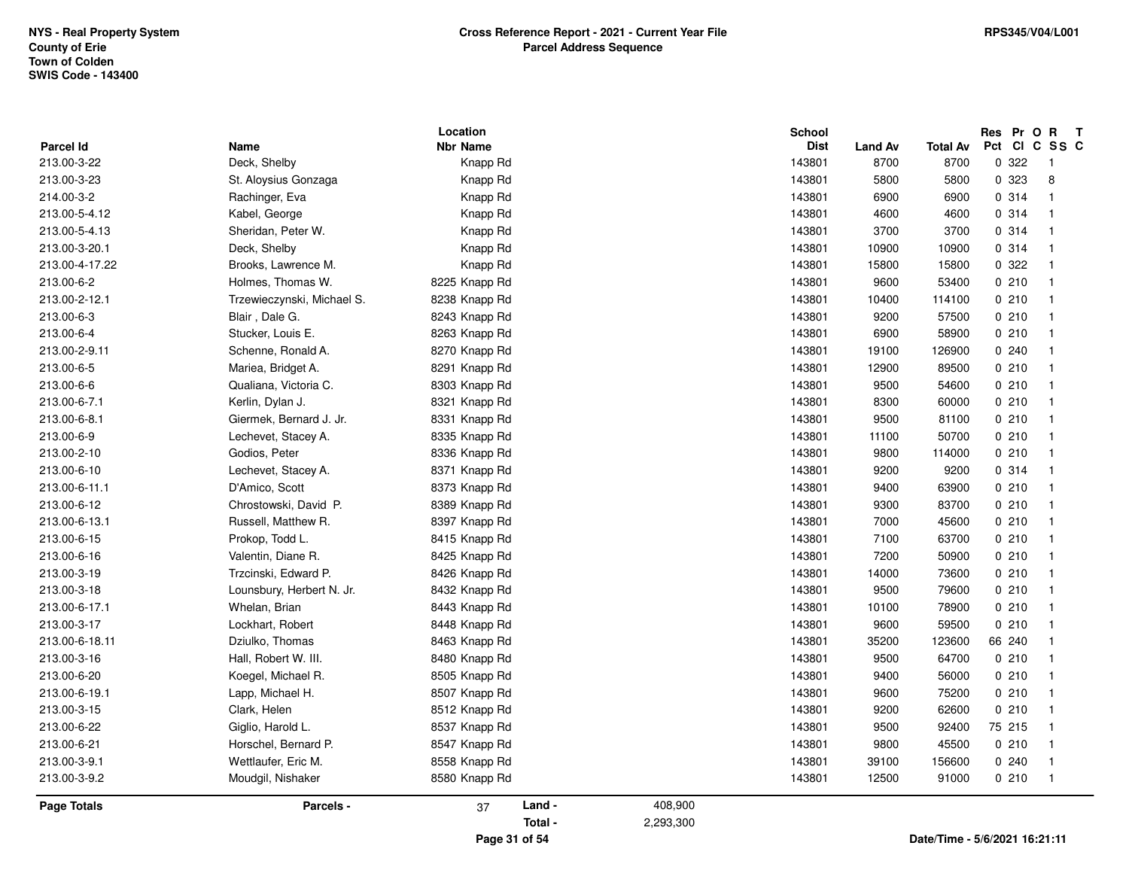|                    |                            | Location        |                      | <b>School</b> |                |                 | Res Pr O R T |                |
|--------------------|----------------------------|-----------------|----------------------|---------------|----------------|-----------------|--------------|----------------|
| Parcel Id          | Name                       | <b>Nbr Name</b> |                      | <b>Dist</b>   | <b>Land Av</b> | <b>Total Av</b> | Pct          | CICSSC         |
| 213.00-3-22        | Deck, Shelby               | Knapp Rd        |                      | 143801        | 8700           | 8700            | 0 322        | $\overline{1}$ |
| 213.00-3-23        | St. Aloysius Gonzaga       | Knapp Rd        |                      | 143801        | 5800           | 5800            | 0 323        | 8              |
| 214.00-3-2         | Rachinger, Eva             | Knapp Rd        |                      | 143801        | 6900           | 6900            | 0 314        |                |
| 213.00-5-4.12      | Kabel, George              | Knapp Rd        |                      | 143801        | 4600           | 4600            | 0.314        |                |
| 213.00-5-4.13      | Sheridan, Peter W.         | Knapp Rd        |                      | 143801        | 3700           | 3700            | 0.314        |                |
| 213.00-3-20.1      | Deck, Shelby               | Knapp Rd        |                      | 143801        | 10900          | 10900           | 0 314        |                |
| 213.00-4-17.22     | Brooks, Lawrence M.        | Knapp Rd        |                      | 143801        | 15800          | 15800           | 0 322        |                |
| 213.00-6-2         | Holmes, Thomas W.          | 8225 Knapp Rd   |                      | 143801        | 9600           | 53400           | 0210         |                |
| 213.00-2-12.1      | Trzewieczynski, Michael S. | 8238 Knapp Rd   |                      | 143801        | 10400          | 114100          | 0210         |                |
| 213.00-6-3         | Blair, Dale G.             | 8243 Knapp Rd   |                      | 143801        | 9200           | 57500           | 0210         |                |
| 213.00-6-4         | Stucker, Louis E.          | 8263 Knapp Rd   |                      | 143801        | 6900           | 58900           | 0210         |                |
| 213.00-2-9.11      | Schenne, Ronald A.         | 8270 Knapp Rd   |                      | 143801        | 19100          | 126900          | 0.240        |                |
| 213.00-6-5         | Mariea, Bridget A.         | 8291 Knapp Rd   |                      | 143801        | 12900          | 89500           | 0210         |                |
| 213.00-6-6         | Qualiana, Victoria C.      | 8303 Knapp Rd   |                      | 143801        | 9500           | 54600           | 0210         |                |
| 213.00-6-7.1       | Kerlin, Dylan J.           | 8321 Knapp Rd   |                      | 143801        | 8300           | 60000           | 0210         |                |
| 213.00-6-8.1       | Giermek, Bernard J. Jr.    | 8331 Knapp Rd   |                      | 143801        | 9500           | 81100           | 0210         |                |
| 213.00-6-9         | Lechevet, Stacey A.        | 8335 Knapp Rd   |                      | 143801        | 11100          | 50700           | 0210         |                |
| 213.00-2-10        | Godios, Peter              | 8336 Knapp Rd   |                      | 143801        | 9800           | 114000          | 0210         |                |
| 213.00-6-10        | Lechevet, Stacey A.        | 8371 Knapp Rd   |                      | 143801        | 9200           | 9200            | 0.314        |                |
| 213.00-6-11.1      | D'Amico, Scott             | 8373 Knapp Rd   |                      | 143801        | 9400           | 63900           | 0210         |                |
| 213.00-6-12        | Chrostowski, David P.      | 8389 Knapp Rd   |                      | 143801        | 9300           | 83700           | 0210         |                |
| 213.00-6-13.1      | Russell, Matthew R.        | 8397 Knapp Rd   |                      | 143801        | 7000           | 45600           | 0210         |                |
| 213.00-6-15        | Prokop, Todd L.            | 8415 Knapp Rd   |                      | 143801        | 7100           | 63700           | 0210         |                |
| 213.00-6-16        | Valentin, Diane R.         | 8425 Knapp Rd   |                      | 143801        | 7200           | 50900           | 0210         |                |
| 213.00-3-19        | Trzcinski, Edward P.       | 8426 Knapp Rd   |                      | 143801        | 14000          | 73600           | 0210         |                |
| 213.00-3-18        | Lounsbury, Herbert N. Jr.  | 8432 Knapp Rd   |                      | 143801        | 9500           | 79600           | 0210         |                |
| 213.00-6-17.1      | Whelan, Brian              | 8443 Knapp Rd   |                      | 143801        | 10100          | 78900           | 0210         |                |
| 213.00-3-17        | Lockhart, Robert           | 8448 Knapp Rd   |                      | 143801        | 9600           | 59500           | 0210         |                |
| 213.00-6-18.11     | Dziulko, Thomas            | 8463 Knapp Rd   |                      | 143801        | 35200          | 123600          | 66 240       |                |
| 213.00-3-16        | Hall, Robert W. III.       | 8480 Knapp Rd   |                      | 143801        | 9500           | 64700           | 0210         |                |
| 213.00-6-20        | Koegel, Michael R.         | 8505 Knapp Rd   |                      | 143801        | 9400           | 56000           | 0210         |                |
| 213.00-6-19.1      | Lapp, Michael H.           | 8507 Knapp Rd   |                      | 143801        | 9600           | 75200           | 0210         |                |
| 213.00-3-15        | Clark, Helen               | 8512 Knapp Rd   |                      | 143801        | 9200           | 62600           | 0210         |                |
| 213.00-6-22        | Giglio, Harold L.          | 8537 Knapp Rd   |                      | 143801        | 9500           | 92400           | 75 215       |                |
| 213.00-6-21        | Horschel, Bernard P.       | 8547 Knapp Rd   |                      | 143801        | 9800           | 45500           | 0210         |                |
| 213.00-3-9.1       | Wettlaufer, Eric M.        | 8558 Knapp Rd   |                      | 143801        | 39100          | 156600          | 0.240        |                |
| 213.00-3-9.2       | Moudgil, Nishaker          | 8580 Knapp Rd   |                      | 143801        | 12500          | 91000           | 0210         | $\overline{1}$ |
|                    |                            |                 |                      |               |                |                 |              |                |
| <b>Page Totals</b> | Parcels -                  | 37              | Land -<br>408,900    |               |                |                 |              |                |
|                    |                            |                 | Total -<br>2,293,300 |               |                |                 |              |                |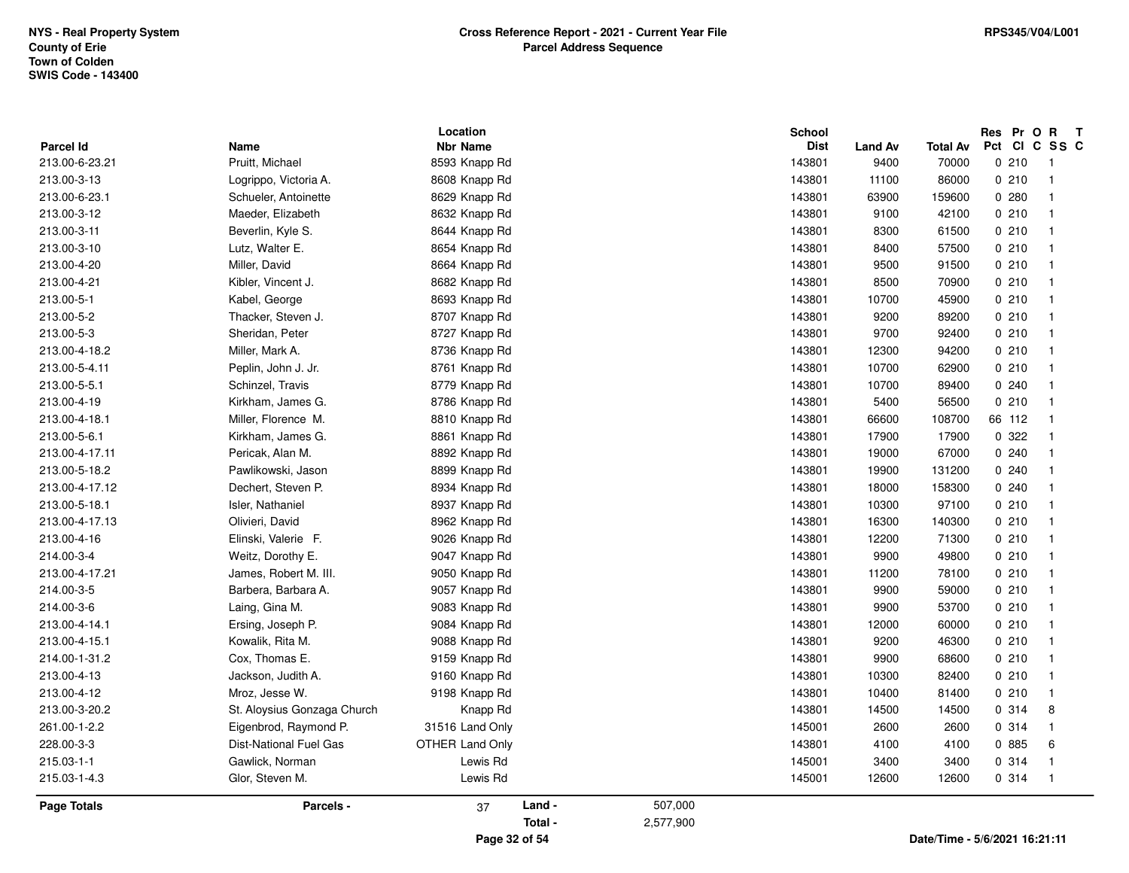|                    |                             | Location               |        |         | School      |                |                 |        | Res Pr O R T            |
|--------------------|-----------------------------|------------------------|--------|---------|-------------|----------------|-----------------|--------|-------------------------|
| <b>Parcel Id</b>   | Name                        | <b>Nbr Name</b>        |        |         | <b>Dist</b> | <b>Land Av</b> | <b>Total Av</b> |        | Pct CI C SS C           |
| 213.00-6-23.21     | Pruitt, Michael             | 8593 Knapp Rd          |        |         | 143801      | 9400           | 70000           | 0210   | - 1                     |
| 213.00-3-13        | Logrippo, Victoria A.       | 8608 Knapp Rd          |        |         | 143801      | 11100          | 86000           | 0210   | $\overline{1}$          |
| 213.00-6-23.1      | Schueler, Antoinette        | 8629 Knapp Rd          |        |         | 143801      | 63900          | 159600          | 0.280  | $\overline{1}$          |
| 213.00-3-12        | Maeder, Elizabeth           | 8632 Knapp Rd          |        |         | 143801      | 9100           | 42100           | 0210   | $\overline{1}$          |
| 213.00-3-11        | Beverlin, Kyle S.           | 8644 Knapp Rd          |        |         | 143801      | 8300           | 61500           | 0210   | -1                      |
| 213.00-3-10        | Lutz, Walter E.             | 8654 Knapp Rd          |        |         | 143801      | 8400           | 57500           | 0210   | $\overline{1}$          |
| 213.00-4-20        | Miller, David               | 8664 Knapp Rd          |        |         | 143801      | 9500           | 91500           | 0210   | $\overline{\mathbf{1}}$ |
| 213.00-4-21        | Kibler, Vincent J.          | 8682 Knapp Rd          |        |         | 143801      | 8500           | 70900           | 0210   | $\overline{1}$          |
| 213.00-5-1         | Kabel, George               | 8693 Knapp Rd          |        |         | 143801      | 10700          | 45900           | 0210   | $\overline{\mathbf{1}}$ |
| 213.00-5-2         | Thacker, Steven J.          | 8707 Knapp Rd          |        |         | 143801      | 9200           | 89200           | 0210   | $\overline{\mathbf{1}}$ |
| 213.00-5-3         | Sheridan, Peter             | 8727 Knapp Rd          |        |         | 143801      | 9700           | 92400           | 0210   | $\overline{\mathbf{1}}$ |
| 213.00-4-18.2      | Miller, Mark A.             | 8736 Knapp Rd          |        |         | 143801      | 12300          | 94200           | 0210   | $\overline{\mathbf{1}}$ |
| 213.00-5-4.11      | Peplin, John J. Jr.         | 8761 Knapp Rd          |        |         | 143801      | 10700          | 62900           | 0210   | $\overline{\mathbf{1}}$ |
| 213.00-5-5.1       | Schinzel, Travis            | 8779 Knapp Rd          |        |         | 143801      | 10700          | 89400           | 0.240  | $\mathbf{1}$            |
| 213.00-4-19        | Kirkham, James G.           | 8786 Knapp Rd          |        |         | 143801      | 5400           | 56500           | 0210   | $\overline{1}$          |
| 213.00-4-18.1      | Miller, Florence M.         | 8810 Knapp Rd          |        |         | 143801      | 66600          | 108700          | 66 112 | $\overline{\mathbf{1}}$ |
| 213.00-5-6.1       | Kirkham, James G.           | 8861 Knapp Rd          |        |         | 143801      | 17900          | 17900           | 0 322  | $\overline{\mathbf{1}}$ |
| 213.00-4-17.11     | Pericak, Alan M.            | 8892 Knapp Rd          |        |         | 143801      | 19000          | 67000           | 0.240  | -1                      |
| 213.00-5-18.2      | Pawlikowski, Jason          | 8899 Knapp Rd          |        |         | 143801      | 19900          | 131200          | 0.240  | $\mathbf{1}$            |
| 213.00-4-17.12     | Dechert, Steven P.          | 8934 Knapp Rd          |        |         | 143801      | 18000          | 158300          | 0.240  | $\overline{1}$          |
| 213.00-5-18.1      | Isler, Nathaniel            | 8937 Knapp Rd          |        |         | 143801      | 10300          | 97100           | 0210   | $\overline{1}$          |
| 213.00-4-17.13     | Olivieri, David             | 8962 Knapp Rd          |        |         | 143801      | 16300          | 140300          | 0210   | $\overline{1}$          |
| 213.00-4-16        | Elinski, Valerie F.         | 9026 Knapp Rd          |        |         | 143801      | 12200          | 71300           | 0210   | $\overline{\mathbf{1}}$ |
| 214.00-3-4         | Weitz, Dorothy E.           | 9047 Knapp Rd          |        |         | 143801      | 9900           | 49800           | 0210   | $\overline{\mathbf{1}}$ |
| 213.00-4-17.21     | James, Robert M. III.       | 9050 Knapp Rd          |        |         | 143801      | 11200          | 78100           | 0210   | $\overline{1}$          |
| 214.00-3-5         | Barbera, Barbara A.         | 9057 Knapp Rd          |        |         | 143801      | 9900           | 59000           | 0210   | $\overline{1}$          |
| 214.00-3-6         | Laing, Gina M.              | 9083 Knapp Rd          |        |         | 143801      | 9900           | 53700           | 0210   | $\overline{1}$          |
| 213.00-4-14.1      | Ersing, Joseph P.           | 9084 Knapp Rd          |        |         | 143801      | 12000          | 60000           | 0210   | $\overline{\mathbf{1}}$ |
| 213.00-4-15.1      | Kowalik, Rita M.            | 9088 Knapp Rd          |        |         | 143801      | 9200           | 46300           | 0210   | $\overline{\mathbf{1}}$ |
| 214.00-1-31.2      | Cox, Thomas E.              | 9159 Knapp Rd          |        |         | 143801      | 9900           | 68600           | 0210   | $\overline{1}$          |
| 213.00-4-13        | Jackson, Judith A.          | 9160 Knapp Rd          |        |         | 143801      | 10300          | 82400           | 0210   | $\overline{1}$          |
| 213.00-4-12        | Mroz, Jesse W.              | 9198 Knapp Rd          |        |         | 143801      | 10400          | 81400           | 0210   | $\overline{1}$          |
| 213.00-3-20.2      | St. Aloysius Gonzaga Church | Knapp Rd               |        |         | 143801      | 14500          | 14500           | 0.314  | 8                       |
| 261.00-1-2.2       | Eigenbrod, Raymond P.       | 31516 Land Only        |        |         | 145001      | 2600           | 2600            | 0.314  | $\overline{1}$          |
| 228.00-3-3         | Dist-National Fuel Gas      | <b>OTHER Land Only</b> |        |         | 143801      | 4100           | 4100            | 0 885  | 6                       |
| 215.03-1-1         | Gawlick, Norman             | Lewis Rd               |        |         | 145001      | 3400           | 3400            | 0.314  | $\overline{1}$          |
| 215.03-1-4.3       | Glor, Steven M.             | Lewis Rd               |        |         | 145001      | 12600          | 12600           | 0.314  | $\overline{1}$          |
| <b>Page Totals</b> | Parcels -                   | 37                     | Land - | 507,000 |             |                |                 |        |                         |

**Page 32 of 54**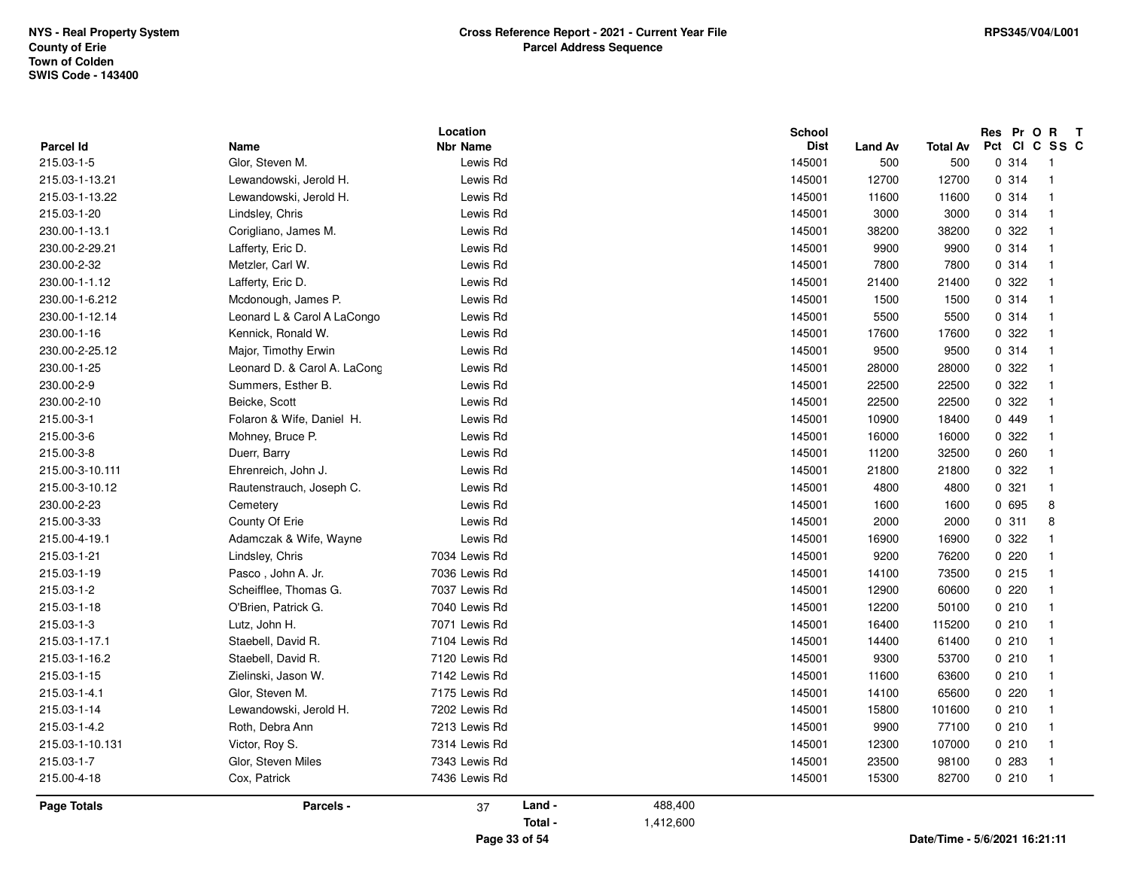| Parcel Id       | Name                         | Location<br><b>Nbr Name</b> |        |         | <b>School</b><br><b>Dist</b> | <b>Land Av</b> | <b>Total Av</b> | Res Pr O R T<br>Pct CI C SS C |                |
|-----------------|------------------------------|-----------------------------|--------|---------|------------------------------|----------------|-----------------|-------------------------------|----------------|
| 215.03-1-5      | Glor, Steven M.              | Lewis Rd                    |        |         | 145001                       | 500            | 500             | 0.314                         | $\overline{1}$ |
| 215.03-1-13.21  | Lewandowski, Jerold H.       | Lewis Rd                    |        |         | 145001                       | 12700          | 12700           | 0.314                         | $\overline{1}$ |
| 215.03-1-13.22  | Lewandowski, Jerold H.       | Lewis Rd                    |        |         | 145001                       | 11600          | 11600           | 0.314                         | $\overline{1}$ |
| 215.03-1-20     | Lindsley, Chris              | Lewis Rd                    |        |         | 145001                       | 3000           | 3000            | 0.314                         | $\overline{1}$ |
| 230.00-1-13.1   | Corigliano, James M.         | Lewis Rd                    |        |         | 145001                       | 38200          | 38200           | 0 322                         | $\overline{1}$ |
| 230.00-2-29.21  | Lafferty, Eric D.            | Lewis Rd                    |        |         | 145001                       | 9900           | 9900            | 0.314                         | $\mathbf{1}$   |
| 230.00-2-32     | Metzler, Carl W.             | Lewis Rd                    |        |         | 145001                       | 7800           | 7800            | 0.314                         | $\mathbf{1}$   |
| 230.00-1-1.12   | Lafferty, Eric D.            | Lewis Rd                    |        |         | 145001                       | 21400          | 21400           | 0.322                         | $\overline{1}$ |
| 230.00-1-6.212  | Mcdonough, James P.          | Lewis Rd                    |        |         | 145001                       | 1500           | 1500            | 0.314                         | $\mathbf{1}$   |
| 230.00-1-12.14  | Leonard L & Carol A LaCongo  | Lewis Rd                    |        |         | 145001                       | 5500           | 5500            | 0.314                         | $\overline{1}$ |
| 230.00-1-16     | Kennick, Ronald W.           | Lewis Rd                    |        |         | 145001                       | 17600          | 17600           | 0.322                         | $\overline{1}$ |
| 230.00-2-25.12  | Major, Timothy Erwin         | Lewis Rd                    |        |         | 145001                       | 9500           | 9500            | 0.314                         | $\mathbf{1}$   |
| 230.00-1-25     | Leonard D. & Carol A. LaCong | Lewis Rd                    |        |         | 145001                       | 28000          | 28000           | 0.322                         | $\overline{1}$ |
| 230.00-2-9      | Summers, Esther B.           | Lewis Rd                    |        |         | 145001                       | 22500          | 22500           | 0 322                         | $\mathbf{1}$   |
| 230.00-2-10     | Beicke, Scott                | Lewis Rd                    |        |         | 145001                       | 22500          | 22500           | 0 322                         | $\overline{1}$ |
| 215.00-3-1      | Folaron & Wife, Daniel H.    | Lewis Rd                    |        |         | 145001                       | 10900          | 18400           | 0449                          | $\overline{1}$ |
| 215.00-3-6      | Mohney, Bruce P.             | Lewis Rd                    |        |         | 145001                       | 16000          | 16000           | 0.322                         | $\mathbf{1}$   |
| 215.00-3-8      | Duerr, Barry                 | Lewis Rd                    |        |         | 145001                       | 11200          | 32500           | 0.260                         | $\overline{1}$ |
| 215.00-3-10.111 | Ehrenreich, John J.          | Lewis Rd                    |        |         | 145001                       | 21800          | 21800           | 0 322                         | $\mathbf{1}$   |
| 215.00-3-10.12  | Rautenstrauch, Joseph C.     | Lewis Rd                    |        |         | 145001                       | 4800           | 4800            | 0.321                         | $\mathbf{1}$   |
| 230.00-2-23     | Cemetery                     | Lewis Rd                    |        |         | 145001                       | 1600           | 1600            | 0 695                         | 8              |
| 215.00-3-33     | County Of Erie               | Lewis Rd                    |        |         | 145001                       | 2000           | 2000            | 0.311                         | 8              |
| 215.00-4-19.1   | Adamczak & Wife, Wayne       | Lewis Rd                    |        |         | 145001                       | 16900          | 16900           | 0.322                         | $\mathbf{1}$   |
| 215.03-1-21     | Lindsley, Chris              | 7034 Lewis Rd               |        |         | 145001                       | 9200           | 76200           | 0220                          | $\overline{1}$ |
| 215.03-1-19     | Pasco, John A. Jr.           | 7036 Lewis Rd               |        |         | 145001                       | 14100          | 73500           | 0215                          | $\overline{1}$ |
| 215.03-1-2      | Scheifflee, Thomas G.        | 7037 Lewis Rd               |        |         | 145001                       | 12900          | 60600           | 0220                          | $\overline{1}$ |
| 215.03-1-18     | O'Brien, Patrick G.          | 7040 Lewis Rd               |        |         | 145001                       | 12200          | 50100           | 0210                          | $\mathbf{1}$   |
| 215.03-1-3      | Lutz, John H.                | 7071 Lewis Rd               |        |         | 145001                       | 16400          | 115200          | 0210                          | $\overline{1}$ |
| 215.03-1-17.1   | Staebell, David R.           | 7104 Lewis Rd               |        |         | 145001                       | 14400          | 61400           | 0210                          | $\overline{1}$ |
| 215.03-1-16.2   | Staebell, David R.           | 7120 Lewis Rd               |        |         | 145001                       | 9300           | 53700           | 0210                          | $\mathbf{1}$   |
| 215.03-1-15     | Zielinski, Jason W.          | 7142 Lewis Rd               |        |         | 145001                       | 11600          | 63600           | 0210                          | $\overline{1}$ |
| 215.03-1-4.1    | Glor, Steven M.              | 7175 Lewis Rd               |        |         | 145001                       | 14100          | 65600           | 0220                          | $\mathbf{1}$   |
| 215.03-1-14     | Lewandowski, Jerold H.       | 7202 Lewis Rd               |        |         | 145001                       | 15800          | 101600          | 0210                          | $\mathbf{1}$   |
| 215.03-1-4.2    | Roth, Debra Ann              | 7213 Lewis Rd               |        |         | 145001                       | 9900           | 77100           | 0210                          | $\mathbf{1}$   |
| 215.03-1-10.131 | Victor, Roy S.               | 7314 Lewis Rd               |        |         | 145001                       | 12300          | 107000          | 0210                          | $\mathbf{1}$   |
| 215.03-1-7      | Glor, Steven Miles           | 7343 Lewis Rd               |        |         | 145001                       | 23500          | 98100           | 0.283                         | $\overline{1}$ |
| 215.00-4-18     | Cox, Patrick                 | 7436 Lewis Rd               |        |         | 145001                       | 15300          | 82700           | 0210                          | $\overline{1}$ |
| Page Totals     | Parcels -                    | 37                          | Land - | 488,400 |                              |                |                 |                               |                |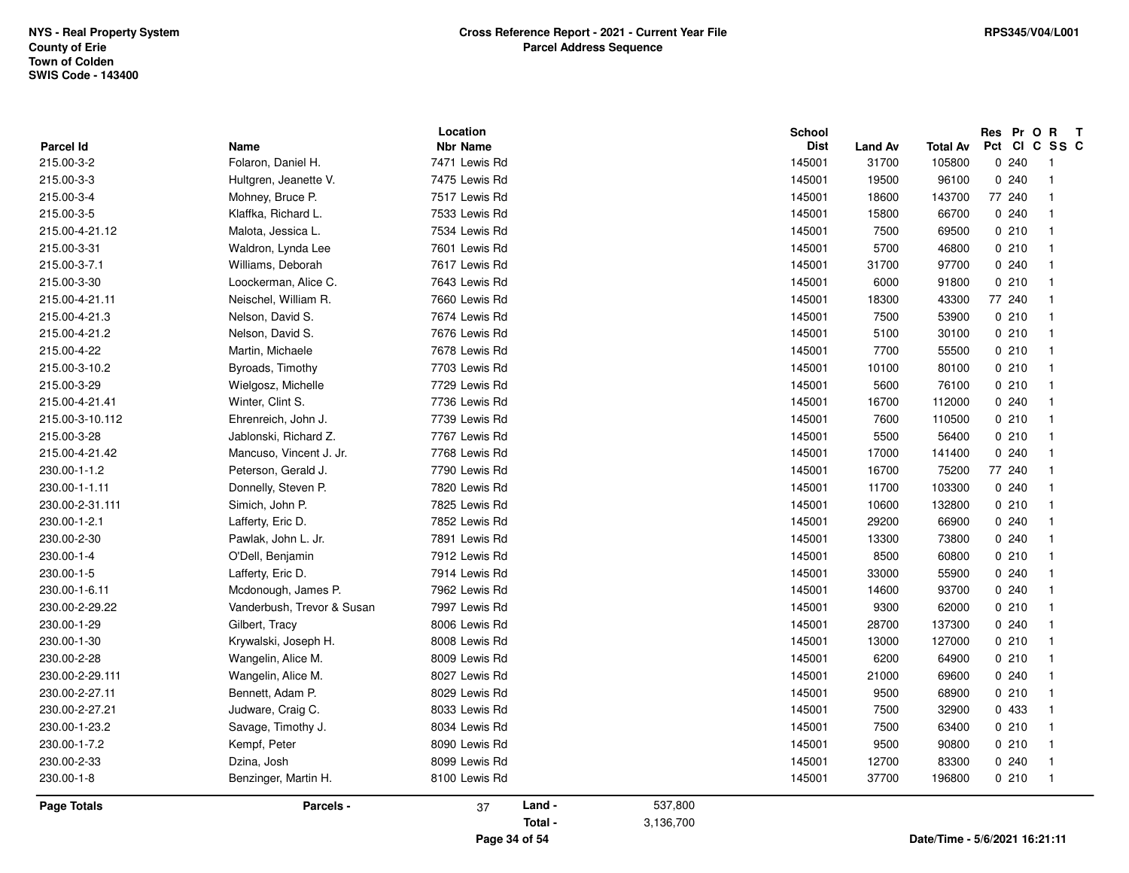| Parcel Id       | Name                       | Location<br><b>Nbr Name</b> | <b>School</b><br><b>Dist</b> | <b>Land Av</b> | Total Av | Res Pr O R<br>$\mathbf{T}$<br>Pct CI C SS C |
|-----------------|----------------------------|-----------------------------|------------------------------|----------------|----------|---------------------------------------------|
| 215.00-3-2      | Folaron, Daniel H.         | 7471 Lewis Rd               | 145001                       | 31700          | 105800   | 0240                                        |
| 215.00-3-3      | Hultgren, Jeanette V.      | 7475 Lewis Rd               | 145001                       | 19500          | 96100    | 0.240<br>$\overline{1}$                     |
| 215.00-3-4      | Mohney, Bruce P.           | 7517 Lewis Rd               | 145001                       | 18600          | 143700   | 77 240<br>$\mathbf 1$                       |
| 215.00-3-5      | Klaffka, Richard L.        | 7533 Lewis Rd               | 145001                       | 15800          | 66700    | 0240<br>$\overline{\mathbf{1}}$             |
| 215.00-4-21.12  | Malota, Jessica L.         | 7534 Lewis Rd               | 145001                       | 7500           | 69500    | 0210<br>$\overline{1}$                      |
| 215.00-3-31     | Waldron, Lynda Lee         | 7601 Lewis Rd               | 145001                       | 5700           | 46800    | 0210<br>$\overline{1}$                      |
| 215.00-3-7.1    | Williams, Deborah          | 7617 Lewis Rd               | 145001                       | 31700          | 97700    | 0.240<br>$\overline{1}$                     |
| 215.00-3-30     | Loockerman, Alice C.       | 7643 Lewis Rd               | 145001                       | 6000           | 91800    | 0210<br>$\overline{1}$                      |
| 215.00-4-21.11  | Neischel, William R.       | 7660 Lewis Rd               | 145001                       | 18300          | 43300    | 77 240<br>$\mathbf{1}$                      |
| 215.00-4-21.3   | Nelson, David S.           | 7674 Lewis Rd               | 145001                       | 7500           | 53900    | 0210<br>$\mathbf{1}$                        |
| 215.00-4-21.2   | Nelson, David S.           | 7676 Lewis Rd               | 145001                       | 5100           | 30100    | 0210<br>$\overline{1}$                      |
| 215.00-4-22     | Martin, Michaele           | 7678 Lewis Rd               | 145001                       | 7700           | 55500    | 0210<br>$\overline{1}$                      |
| 215.00-3-10.2   | Byroads, Timothy           | 7703 Lewis Rd               | 145001                       | 10100          | 80100    | 0210<br>$\overline{1}$                      |
| 215.00-3-29     | Wielgosz, Michelle         | 7729 Lewis Rd               | 145001                       | 5600           | 76100    | 0210<br>$\overline{\mathbf{1}}$             |
| 215.00-4-21.41  | Winter, Clint S.           | 7736 Lewis Rd               | 145001                       | 16700          | 112000   | 0240<br>$\mathbf{1}$                        |
| 215.00-3-10.112 | Ehrenreich, John J.        | 7739 Lewis Rd               | 145001                       | 7600           | 110500   | 0210<br>$\overline{1}$                      |
| 215.00-3-28     | Jablonski, Richard Z.      | 7767 Lewis Rd               | 145001                       | 5500           | 56400    | 0210<br>$\overline{1}$                      |
| 215.00-4-21.42  | Mancuso, Vincent J. Jr.    | 7768 Lewis Rd               | 145001                       | 17000          | 141400   | 0.240<br>$\overline{\mathbf{1}}$            |
| 230.00-1-1.2    | Peterson, Gerald J.        | 7790 Lewis Rd               | 145001                       | 16700          | 75200    | 77 240<br>$\mathbf{1}$                      |
| 230.00-1-1.11   | Donnelly, Steven P.        | 7820 Lewis Rd               | 145001                       | 11700          | 103300   | 0240<br>$\mathbf{1}$                        |
| 230.00-2-31.111 | Simich, John P.            | 7825 Lewis Rd               | 145001                       | 10600          | 132800   | 0210<br>$\overline{1}$                      |
| 230.00-1-2.1    | Lafferty, Eric D.          | 7852 Lewis Rd               | 145001                       | 29200          | 66900    | 0240<br>$\overline{1}$                      |
| 230.00-2-30     | Pawlak, John L. Jr.        | 7891 Lewis Rd               | 145001                       | 13300          | 73800    | 0240<br>$\overline{1}$                      |
| 230.00-1-4      | O'Dell, Benjamin           | 7912 Lewis Rd               | 145001                       | 8500           | 60800    | 0210<br>$\overline{1}$                      |
| 230.00-1-5      | Lafferty, Eric D.          | 7914 Lewis Rd               | 145001                       | 33000          | 55900    | 0240<br>$\mathbf{1}$                        |
| 230.00-1-6.11   | Mcdonough, James P.        | 7962 Lewis Rd               | 145001                       | 14600          | 93700    | 0240<br>$\overline{1}$                      |
| 230.00-2-29.22  | Vanderbush, Trevor & Susan | 7997 Lewis Rd               | 145001                       | 9300           | 62000    | 0210<br>$\overline{1}$                      |
| 230.00-1-29     | Gilbert, Tracy             | 8006 Lewis Rd               | 145001                       | 28700          | 137300   | 0240<br>$\overline{\mathbf{1}}$             |
| 230.00-1-30     | Krywalski, Joseph H.       | 8008 Lewis Rd               | 145001                       | 13000          | 127000   | 0210<br>$\overline{1}$                      |
| 230.00-2-28     | Wangelin, Alice M.         | 8009 Lewis Rd               | 145001                       | 6200           | 64900    | 0210<br>$\mathbf{1}$                        |
| 230.00-2-29.111 | Wangelin, Alice M.         | 8027 Lewis Rd               | 145001                       | 21000          | 69600    | 0240<br>$\overline{1}$                      |
| 230.00-2-27.11  | Bennett, Adam P.           | 8029 Lewis Rd               | 145001                       | 9500           | 68900    | 0210<br>$\overline{1}$                      |
| 230.00-2-27.21  | Judware, Craig C.          | 8033 Lewis Rd               | 145001                       | 7500           | 32900    | 0 433<br>$\overline{1}$                     |
| 230.00-1-23.2   | Savage, Timothy J.         | 8034 Lewis Rd               | 145001                       | 7500           | 63400    | 0210<br>$\overline{1}$                      |
| 230.00-1-7.2    | Kempf, Peter               | 8090 Lewis Rd               | 145001                       | 9500           | 90800    | 0210<br>$\overline{1}$                      |
| 230.00-2-33     | Dzina, Josh                | 8099 Lewis Rd               | 145001                       | 12700          | 83300    | 0240<br>$\mathbf{1}$                        |
| 230.00-1-8      | Benzinger, Martin H.       | 8100 Lewis Rd               | 145001                       | 37700          | 196800   | 0210<br>$\overline{1}$                      |
| Page Totals     | Parcels -                  | Land -<br>37                | 537,800                      |                |          |                                             |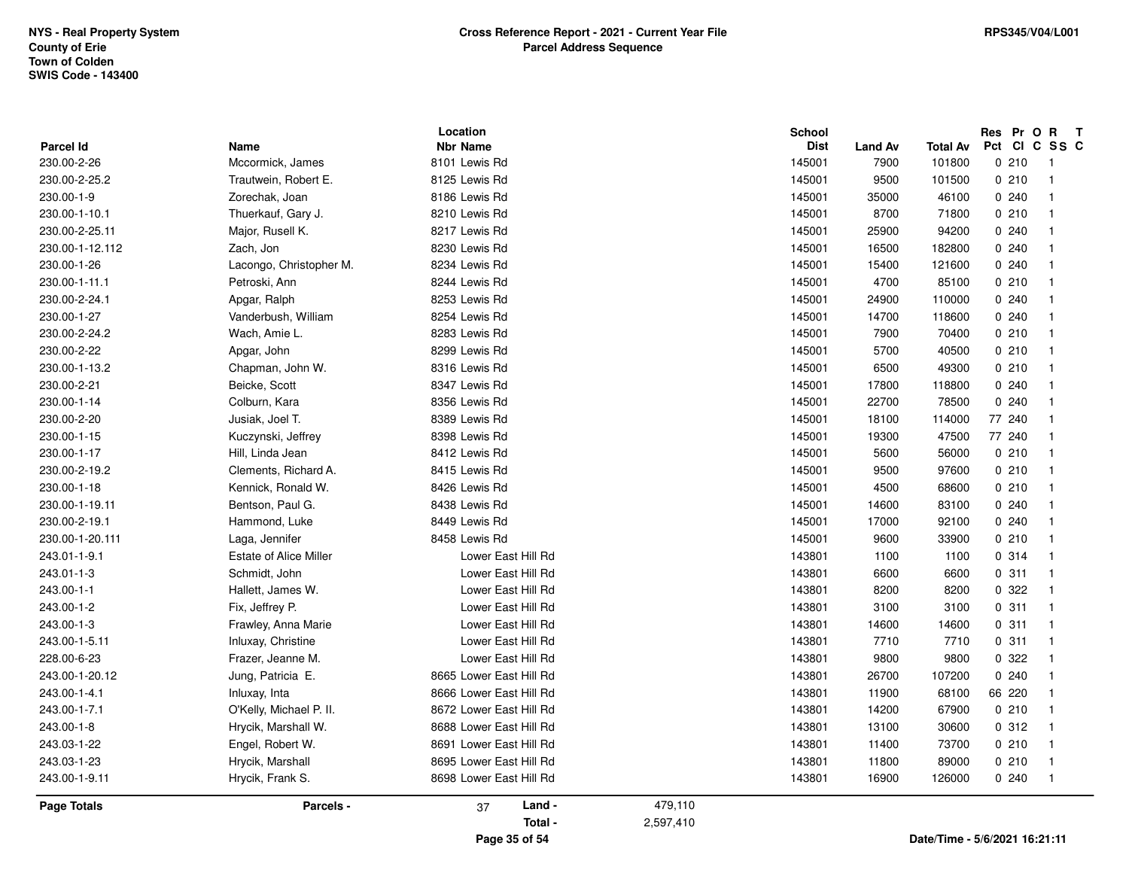| 243.03-1-23<br>243.00-1-9.11 | Hrycik, Marshall<br>Hrycik, Frank S.     | 8695 Lower East Hill Rd<br>8698 Lower East Hill Rd | 143801<br>143801 | 11800<br>16900 | 89000<br>126000  | 0210<br>0.240            | $\overline{1}$<br>$\overline{1}$ |
|------------------------------|------------------------------------------|----------------------------------------------------|------------------|----------------|------------------|--------------------------|----------------------------------|
|                              |                                          |                                                    |                  |                |                  |                          |                                  |
|                              |                                          |                                                    |                  |                |                  |                          |                                  |
| 243.03-1-22                  | Engel, Robert W.                         | 8691 Lower East Hill Rd                            | 143801           | 11400          | 73700            | 0210                     | $\overline{1}$                   |
| 243.00-1-8                   | Hrycik, Marshall W.                      | 8688 Lower East Hill Rd                            | 143801           | 13100          | 30600            | 0.312                    | $\overline{1}$                   |
| 243.00-1-7.1                 | O'Kelly, Michael P. II.                  | 8672 Lower East Hill Rd                            | 143801           | 14200          | 67900            | 0210                     | $\overline{1}$                   |
| 243.00-1-4.1                 | Inluxay, Inta                            | 8666 Lower East Hill Rd                            | 143801           | 11900          | 68100            | 66 220                   | $\overline{1}$                   |
| 243.00-1-20.12               | Jung, Patricia E.                        | 8665 Lower East Hill Rd                            | 143801           | 26700          | 107200           | 0240                     | $\overline{1}$                   |
| 228.00-6-23                  | Frazer, Jeanne M.                        | Lower East Hill Rd                                 | 143801           | 9800           | 9800             | 0.322                    | $\overline{1}$                   |
| 243.00-1-5.11                | Inluxay, Christine                       | Lower East Hill Rd                                 | 143801           | 7710           | 7710             | 0.311                    | $\overline{1}$                   |
| 243.00-1-3                   | Frawley, Anna Marie                      | Lower East Hill Rd                                 | 143801           | 14600          | 14600            | 0.311                    | $\overline{1}$                   |
| 243.00-1-2                   | Fix, Jeffrey P.                          | Lower East Hill Rd                                 | 143801           | 3100           | 3100             | 0.311                    | $\overline{1}$                   |
| 243.00-1-1                   | Hallett, James W.                        | Lower East Hill Rd                                 | 143801           | 8200           | 8200             | 0.322                    | $\overline{1}$                   |
| 243.01-1-3                   | Schmidt, John                            | Lower East Hill Rd                                 | 143801           | 6600           | 6600             | 0.311                    | $\overline{1}$                   |
| 243.01-1-9.1                 | <b>Estate of Alice Miller</b>            | Lower East Hill Rd                                 | 143801           | 1100           | 1100             | 0.314                    | $\overline{1}$                   |
| 230.00-1-20.111              | Laga, Jennifer                           | 8458 Lewis Rd                                      | 145001           | 9600           | 33900            | 0210                     | $\overline{1}$                   |
| 230.00-2-19.1                | Hammond, Luke                            | 8449 Lewis Rd                                      | 145001           | 17000          | 92100            | 0.240                    | $\overline{1}$                   |
| 230.00-1-19.11               | Bentson, Paul G.                         | 8438 Lewis Rd                                      | 145001           | 14600          | 83100            | 0.240                    | $\overline{1}$                   |
| 230.00-1-18                  | Kennick, Ronald W.                       | 8426 Lewis Rd                                      | 145001           | 4500           | 68600            | 0210                     | $\overline{1}$                   |
| 230.00-2-19.2                | Clements, Richard A.                     | 8415 Lewis Rd                                      | 145001           | 9500           | 97600            | 0210                     | $\overline{1}$                   |
| 230.00-1-17                  | Hill, Linda Jean                         | 8412 Lewis Rd                                      | 145001           | 5600           | 56000            | 0210                     | $\overline{1}$                   |
| 230.00-1-15                  | Kuczynski, Jeffrey                       | 8398 Lewis Rd                                      | 145001           | 19300          | 47500            | 77 240                   | $\overline{1}$                   |
| 230.00-2-20                  | Jusiak, Joel T.                          | 8389 Lewis Rd                                      | 145001           | 18100          | 114000           | 77 240                   | $\overline{1}$                   |
| 230.00-1-14                  | Colburn, Kara                            | 8356 Lewis Rd                                      | 145001           | 22700          | 78500            | 0.240                    | $\overline{1}$                   |
| 230.00-2-21                  | Beicke, Scott                            | 8347 Lewis Rd                                      | 145001           | 17800          | 118800           | 0.240                    | $\overline{1}$                   |
| 230.00-1-13.2                | Chapman, John W.                         | 8316 Lewis Rd                                      | 145001           | 6500           | 49300            | 0210                     | $\overline{1}$                   |
| 230.00-2-22                  | Apgar, John                              | 8299 Lewis Rd                                      | 145001           | 5700           | 40500            | 0210                     | $\overline{1}$                   |
| 230.00-2-24.2                | Wach, Amie L.                            | 8283 Lewis Rd                                      | 145001           | 7900           | 70400            | 0210                     | $\overline{1}$                   |
| 230.00-1-27                  | Vanderbush, William                      | 8254 Lewis Rd                                      | 145001           | 14700          | 118600           | 0.240                    | $\overline{1}$                   |
| 230.00-2-24.1                | Apgar, Ralph                             | 8253 Lewis Rd                                      | 145001           | 24900          | 110000           | 0240                     | $\overline{1}$                   |
| 230.00-1-11.1                | Petroski, Ann                            | 8244 Lewis Rd                                      | 145001           | 4700           | 85100            | 0210                     | $\overline{1}$                   |
| 230.00-1-26                  | Lacongo, Christopher M.                  | 8234 Lewis Rd                                      | 145001           | 15400          | 121600           | 0.240                    | $\overline{1}$                   |
| 230.00-1-12.112              | Zach, Jon                                | 8230 Lewis Rd                                      | 145001           | 16500          | 182800           | 0240                     | $\overline{1}$                   |
| 230.00-2-25.11               | Major, Rusell K.                         | 8217 Lewis Rd                                      | 145001           | 25900          | 94200            | 0.240                    | $\overline{1}$                   |
| 230.00-1-10.1                | Thuerkauf, Gary J.                       | 8210 Lewis Rd                                      | 145001           | 8700           | 71800            | 0210                     | $\overline{1}$                   |
| 230.00-1-9                   | Zorechak, Joan                           | 8186 Lewis Rd                                      | 145001           | 35000          | 46100            | 0240                     | $\overline{1}$                   |
| 230.00-2-26<br>230.00-2-25.2 | Mccormick, James<br>Trautwein, Robert E. | 8125 Lewis Rd                                      | 145001<br>145001 | 7900<br>9500   | 101800<br>101500 | 0210                     | $\overline{1}$<br>$\overline{1}$ |
| Parcel Id                    | Name                                     | <b>Nbr Name</b><br>8101 Lewis Rd                   | <b>Dist</b>      | <b>Land Av</b> | <b>Total Av</b>  | Pct<br><b>CI</b><br>0210 | C SS C                           |
|                              |                                          | Location                                           | <b>School</b>    |                |                  | Res Pr O R               | $\mathbf{T}$                     |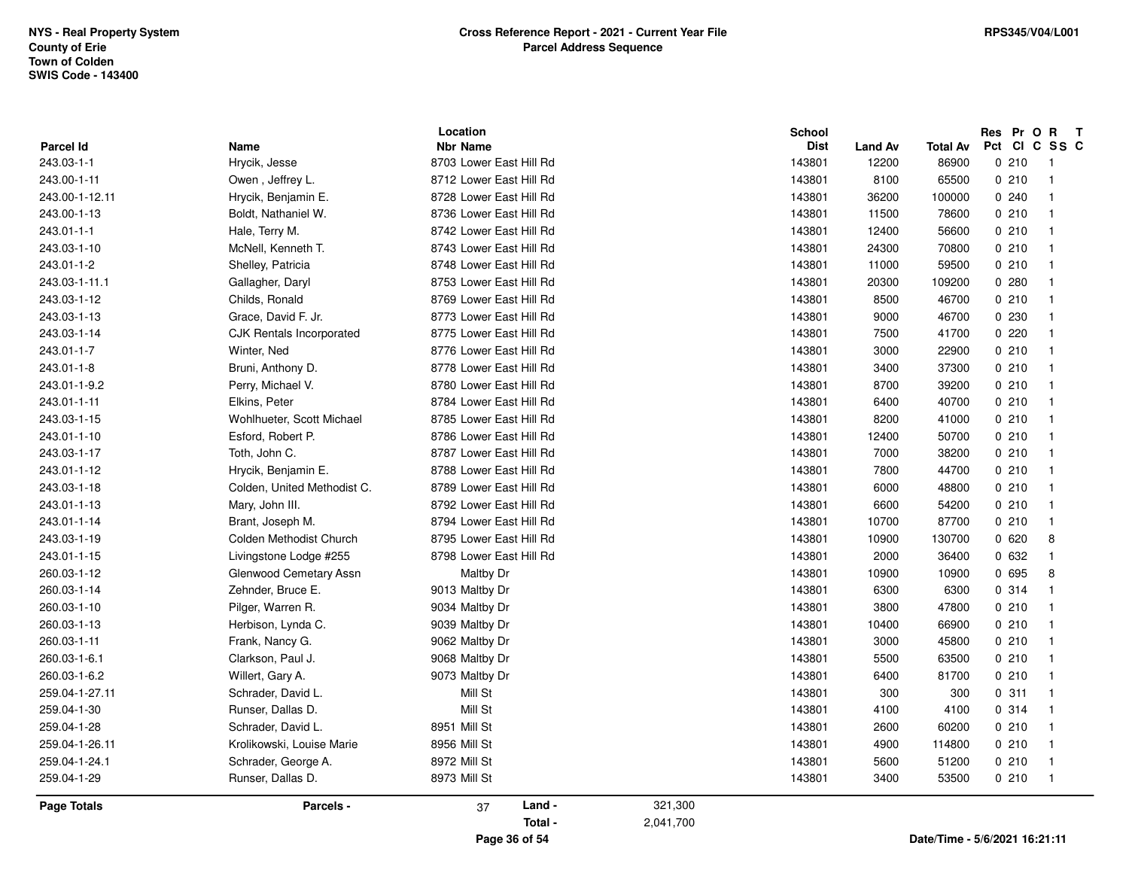|                    |                                 | Location                                   |           | <b>School</b> |                |          | Res Pr O R T  |                            |
|--------------------|---------------------------------|--------------------------------------------|-----------|---------------|----------------|----------|---------------|----------------------------|
| Parcel Id          | Name                            | <b>Nbr Name</b><br>8703 Lower East Hill Rd |           | <b>Dist</b>   | <b>Land Av</b> | Total Av | Pct CI C SS C |                            |
| 243.03-1-1         | Hrycik, Jesse                   |                                            |           | 143801        | 12200          | 86900    | 0210          | $\overline{\phantom{0}}$ 1 |
| 243.00-1-11        | Owen, Jeffrey L.                | 8712 Lower East Hill Rd                    |           | 143801        | 8100           | 65500    | 0210          | $\overline{1}$             |
| 243.00-1-12.11     | Hrycik, Benjamin E.             | 8728 Lower East Hill Rd                    |           | 143801        | 36200          | 100000   | 0.240         | $\overline{1}$             |
| 243.00-1-13        | Boldt, Nathaniel W.             | 8736 Lower East Hill Rd                    |           | 143801        | 11500          | 78600    | 0210          | $\overline{1}$             |
| 243.01-1-1         | Hale, Terry M.                  | 8742 Lower East Hill Rd                    |           | 143801        | 12400          | 56600    | 0210          | $\overline{1}$             |
| 243.03-1-10        | McNell, Kenneth T.              | 8743 Lower East Hill Rd                    |           | 143801        | 24300          | 70800    | 0210          | $\overline{1}$             |
| 243.01-1-2         | Shelley, Patricia               | 8748 Lower East Hill Rd                    |           | 143801        | 11000          | 59500    | 0210          | $\overline{1}$             |
| 243.03-1-11.1      | Gallagher, Daryl                | 8753 Lower East Hill Rd                    |           | 143801        | 20300          | 109200   | 0.280         | $\overline{1}$             |
| 243.03-1-12        | Childs, Ronald                  | 8769 Lower East Hill Rd                    |           | 143801        | 8500           | 46700    | 0210          | $\overline{1}$             |
| 243.03-1-13        | Grace, David F. Jr.             | 8773 Lower East Hill Rd                    |           | 143801        | 9000           | 46700    | 0 2 3 0       | -1                         |
| 243.03-1-14        | <b>CJK Rentals Incorporated</b> | 8775 Lower East Hill Rd                    |           | 143801        | 7500           | 41700    | 0220          | $\overline{1}$             |
| 243.01-1-7         | Winter, Ned                     | 8776 Lower East Hill Rd                    |           | 143801        | 3000           | 22900    | 0210          | $\overline{1}$             |
| 243.01-1-8         | Bruni, Anthony D.               | 8778 Lower East Hill Rd                    |           | 143801        | 3400           | 37300    | 0210          | $\overline{1}$             |
| 243.01-1-9.2       | Perry, Michael V.               | 8780 Lower East Hill Rd                    |           | 143801        | 8700           | 39200    | 0210          | $\overline{1}$             |
| 243.01-1-11        | Elkins, Peter                   | 8784 Lower East Hill Rd                    |           | 143801        | 6400           | 40700    | 0210          | $\overline{1}$             |
| 243.03-1-15        | Wohlhueter, Scott Michael       | 8785 Lower East Hill Rd                    |           | 143801        | 8200           | 41000    | 0210          | $\overline{1}$             |
| 243.01-1-10        | Esford, Robert P.               | 8786 Lower East Hill Rd                    |           | 143801        | 12400          | 50700    | 0210          | $\overline{1}$             |
| 243.03-1-17        | Toth, John C.                   | 8787 Lower East Hill Rd                    |           | 143801        | 7000           | 38200    | 0210          | $\overline{1}$             |
| 243.01-1-12        | Hrycik, Benjamin E.             | 8788 Lower East Hill Rd                    |           | 143801        | 7800           | 44700    | 0210          | $\overline{1}$             |
| 243.03-1-18        | Colden, United Methodist C.     | 8789 Lower East Hill Rd                    |           | 143801        | 6000           | 48800    | 0210          | $\overline{1}$             |
| 243.01-1-13        | Mary, John III.                 | 8792 Lower East Hill Rd                    |           | 143801        | 6600           | 54200    | 0210          | $\overline{1}$             |
| 243.01-1-14        | Brant, Joseph M.                | 8794 Lower East Hill Rd                    |           | 143801        | 10700          | 87700    | 0210          | $\overline{1}$             |
| 243.03-1-19        | Colden Methodist Church         | 8795 Lower East Hill Rd                    |           | 143801        | 10900          | 130700   | 0620          | 8                          |
| 243.01-1-15        | Livingstone Lodge #255          | 8798 Lower East Hill Rd                    |           | 143801        | 2000           | 36400    | 0 632         | $\overline{1}$             |
| 260.03-1-12        | Glenwood Cemetary Assn          | Maltby Dr                                  |           | 143801        | 10900          | 10900    | 0 695         | 8                          |
| 260.03-1-14        | Zehnder, Bruce E.               | 9013 Maltby Dr                             |           | 143801        | 6300           | 6300     | 0 314         | $\overline{1}$             |
| 260.03-1-10        | Pilger, Warren R.               | 9034 Maltby Dr                             |           | 143801        | 3800           | 47800    | 0210          | $\overline{1}$             |
| 260.03-1-13        | Herbison, Lynda C.              | 9039 Maltby Dr                             |           | 143801        | 10400          | 66900    | 0210          | $\overline{1}$             |
| 260.03-1-11        | Frank, Nancy G.                 | 9062 Maltby Dr                             |           | 143801        | 3000           | 45800    | 0210          | $\overline{1}$             |
| 260.03-1-6.1       | Clarkson, Paul J.               | 9068 Maltby Dr                             |           | 143801        | 5500           | 63500    | 0210          | $\overline{1}$             |
| 260.03-1-6.2       | Willert, Gary A.                | 9073 Maltby Dr                             |           | 143801        | 6400           | 81700    | 0210          | $\overline{1}$             |
| 259.04-1-27.11     | Schrader, David L.              | Mill St                                    |           | 143801        | 300            | 300      | 0.311         | $\overline{1}$             |
| 259.04-1-30        | Runser, Dallas D.               | Mill St                                    |           | 143801        | 4100           | 4100     | 0.314         | $\overline{1}$             |
| 259.04-1-28        | Schrader, David L.              | 8951 Mill St                               |           | 143801        | 2600           | 60200    | 0210          | $\overline{1}$             |
| 259.04-1-26.11     | Krolikowski, Louise Marie       | 8956 Mill St                               |           | 143801        | 4900           | 114800   | 0210          | $\overline{1}$             |
| 259.04-1-24.1      | Schrader, George A.             | 8972 Mill St                               |           | 143801        | 5600           | 51200    | 0210          | $\overline{1}$             |
| 259.04-1-29        | Runser, Dallas D.               | 8973 Mill St                               |           | 143801        | 3400           | 53500    | 0210          | $\overline{1}$             |
|                    |                                 |                                            |           |               |                |          |               |                            |
| <b>Page Totals</b> | Parcels -                       | Land -<br>37                               | 321,300   |               |                |          |               |                            |
|                    |                                 | Total -                                    | 2,041,700 |               |                |          |               |                            |
|                    |                                 |                                            |           |               |                |          |               |                            |

**Page 36 of 54**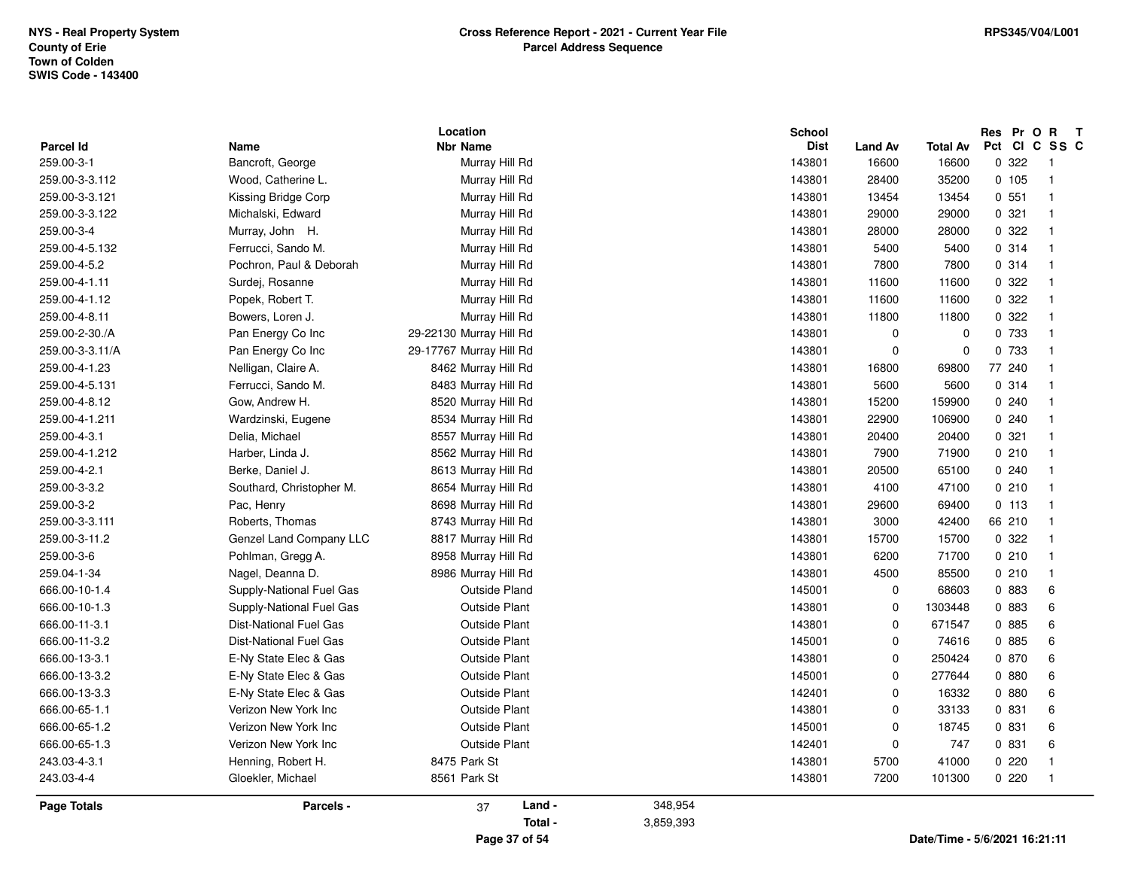| Parcel Id          | Name                          | Location<br><b>Nbr Name</b> |         | <b>School</b><br><b>Dist</b> | <b>Land Av</b> | <b>Total Av</b> | Res Pr O R<br>Pct | $\mathbf{T}$<br>CICSSC |
|--------------------|-------------------------------|-----------------------------|---------|------------------------------|----------------|-----------------|-------------------|------------------------|
| 259.00-3-1         | Bancroft, George              | Murray Hill Rd              |         | 143801                       | 16600          | 16600           | 0 322             | $\overline{1}$         |
| 259.00-3-3.112     | Wood, Catherine L.            | Murray Hill Rd              |         | 143801                       | 28400          | 35200           | 0.105             | $\overline{1}$         |
| 259.00-3-3.121     | Kissing Bridge Corp           | Murray Hill Rd              |         | 143801                       | 13454          | 13454           | 0.551             | $\overline{1}$         |
| 259.00-3-3.122     | Michalski, Edward             | Murray Hill Rd              |         | 143801                       | 29000          | 29000           | 0.321             | $\overline{1}$         |
| 259.00-3-4         | Murray, John H.               | Murray Hill Rd              |         | 143801                       | 28000          | 28000           | 0.322             | $\overline{1}$         |
| 259.00-4-5.132     | Ferrucci, Sando M.            | Murray Hill Rd              |         | 143801                       | 5400           | 5400            | 0.314             | $\overline{1}$         |
| 259.00-4-5.2       | Pochron, Paul & Deborah       | Murray Hill Rd              |         | 143801                       | 7800           | 7800            | 0.314             | $\overline{1}$         |
| 259.00-4-1.11      | Surdej, Rosanne               | Murray Hill Rd              |         | 143801                       | 11600          | 11600           | 0.322             | $\overline{1}$         |
| 259.00-4-1.12      | Popek, Robert T.              | Murray Hill Rd              |         | 143801                       | 11600          | 11600           | 0 322             | $\overline{1}$         |
| 259.00-4-8.11      | Bowers, Loren J.              | Murray Hill Rd              |         | 143801                       | 11800          | 11800           | 0 322             | $\overline{1}$         |
| 259.00-2-30./A     | Pan Energy Co Inc             | 29-22130 Murray Hill Rd     |         | 143801                       | $\mathbf 0$    | 0               | 0 733             | $\overline{1}$         |
| 259.00-3-3.11/A    | Pan Energy Co Inc             | 29-17767 Murray Hill Rd     |         | 143801                       | $\mathbf 0$    | 0               | 0 733             | $\overline{1}$         |
| 259.00-4-1.23      | Nelligan, Claire A.           | 8462 Murray Hill Rd         |         | 143801                       | 16800          | 69800           | 77 240            | $\overline{1}$         |
| 259.00-4-5.131     | Ferrucci, Sando M.            | 8483 Murray Hill Rd         |         | 143801                       | 5600           | 5600            | 0.314             | $\overline{1}$         |
| 259.00-4-8.12      | Gow, Andrew H.                | 8520 Murray Hill Rd         |         | 143801                       | 15200          | 159900          | 0240              | $\overline{1}$         |
| 259.00-4-1.211     | Wardzinski, Eugene            | 8534 Murray Hill Rd         |         | 143801                       | 22900          | 106900          | 0.240             | $\overline{1}$         |
| 259.00-4-3.1       | Delia, Michael                | 8557 Murray Hill Rd         |         | 143801                       | 20400          | 20400           | 0.321             | $\overline{1}$         |
| 259.00-4-1.212     | Harber, Linda J.              | 8562 Murray Hill Rd         |         | 143801                       | 7900           | 71900           | 0210              | $\overline{1}$         |
| 259.00-4-2.1       | Berke, Daniel J.              | 8613 Murray Hill Rd         |         | 143801                       | 20500          | 65100           | 0.240             | $\overline{1}$         |
| 259.00-3-3.2       | Southard, Christopher M.      | 8654 Murray Hill Rd         |         | 143801                       | 4100           | 47100           | 0210              | $\overline{1}$         |
| 259.00-3-2         | Pac, Henry                    | 8698 Murray Hill Rd         |         | 143801                       | 29600          | 69400           | 0, 113            | $\overline{1}$         |
| 259.00-3-3.111     | Roberts, Thomas               | 8743 Murray Hill Rd         |         | 143801                       | 3000           | 42400           | 66 210            | $\overline{1}$         |
| 259.00-3-11.2      | Genzel Land Company LLC       | 8817 Murray Hill Rd         |         | 143801                       | 15700          | 15700           | 0.322             | $\overline{1}$         |
| 259.00-3-6         | Pohlman, Gregg A.             | 8958 Murray Hill Rd         |         | 143801                       | 6200           | 71700           | 0210              | $\overline{1}$         |
| 259.04-1-34        | Nagel, Deanna D.              | 8986 Murray Hill Rd         |         | 143801                       | 4500           | 85500           | 0210              | $\overline{1}$         |
| 666.00-10-1.4      | Supply-National Fuel Gas      | Outside Pland               |         | 145001                       | $\mathbf 0$    | 68603           | 0 883             | 6                      |
| 666.00-10-1.3      | Supply-National Fuel Gas      | <b>Outside Plant</b>        |         | 143801                       | $\mathbf 0$    | 1303448         | 0 883             | 6                      |
| 666.00-11-3.1      | <b>Dist-National Fuel Gas</b> | <b>Outside Plant</b>        |         | 143801                       | $\mathbf 0$    | 671547          | 0 885             | 6                      |
| 666.00-11-3.2      | Dist-National Fuel Gas        | <b>Outside Plant</b>        |         | 145001                       | $\mathbf 0$    | 74616           | 0 885             | 6                      |
| 666.00-13-3.1      | E-Ny State Elec & Gas         | <b>Outside Plant</b>        |         | 143801                       | $\mathbf 0$    | 250424          | 0 870             | 6                      |
| 666.00-13-3.2      | E-Ny State Elec & Gas         | <b>Outside Plant</b>        |         | 145001                       | $\mathbf 0$    | 277644          | 0880              | 6                      |
| 666.00-13-3.3      | E-Ny State Elec & Gas         | <b>Outside Plant</b>        |         | 142401                       | $\mathbf 0$    | 16332           | 0.880             | 6                      |
| 666.00-65-1.1      | Verizon New York Inc          | <b>Outside Plant</b>        |         | 143801                       | $\mathbf 0$    | 33133           | 0 831             | 6                      |
| 666.00-65-1.2      | Verizon New York Inc          | <b>Outside Plant</b>        |         | 145001                       | $\mathbf 0$    | 18745           | 0 831             | 6                      |
| 666.00-65-1.3      | Verizon New York Inc          | <b>Outside Plant</b>        |         | 142401                       | $\mathbf 0$    | 747             | 0 831             | 6                      |
| 243.03-4-3.1       | Henning, Robert H.            | 8475 Park St                |         | 143801                       | 5700           | 41000           | 0220              | $\overline{1}$         |
| 243.03-4-4         | Gloekler, Michael             | 8561 Park St                |         | 143801                       | 7200           | 101300          | 0220              | $\overline{1}$         |
| <b>Page Totals</b> | Parcels -                     | Land -<br>37                | 348,954 |                              |                |                 |                   |                        |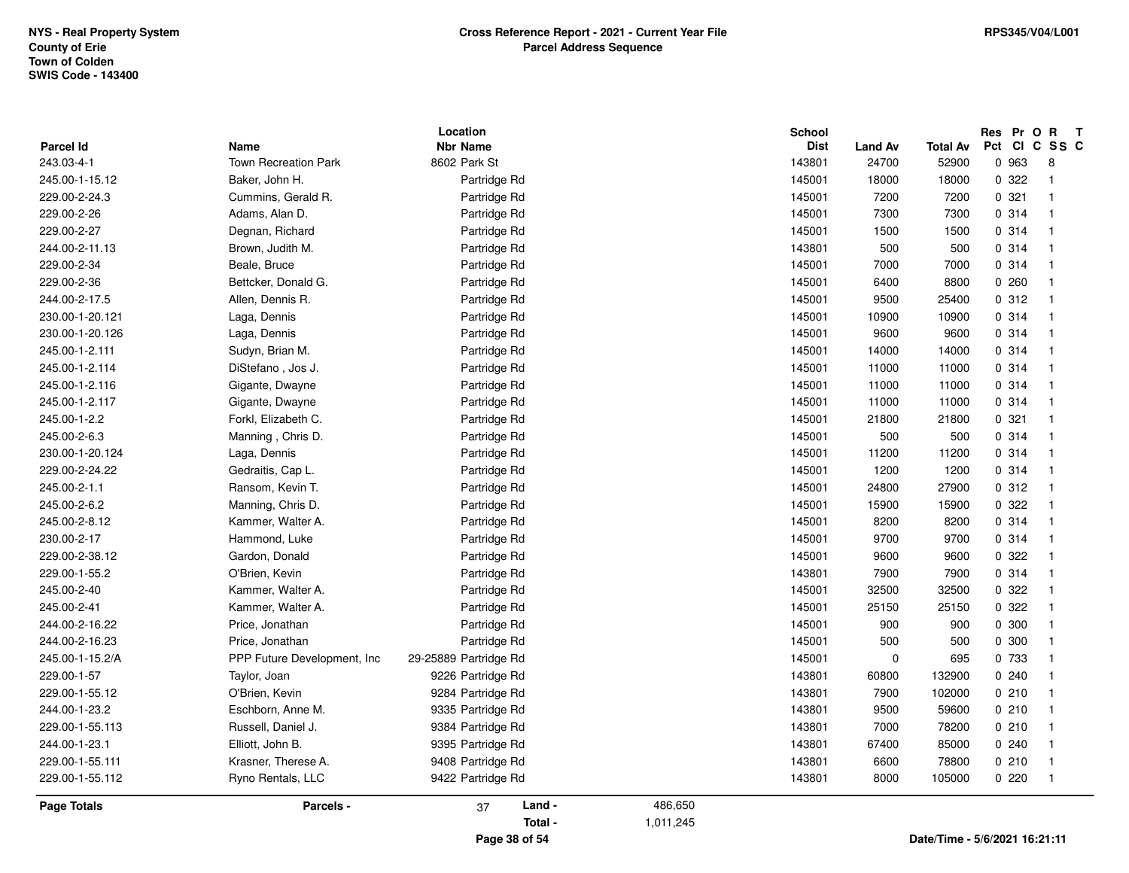| <b>Parcel Id</b> | Name                         | Location<br><b>Nbr Name</b> |           | School<br><b>Dist</b> |                         |                               |       | Res Pr O R T<br>Pct CI C SS C |
|------------------|------------------------------|-----------------------------|-----------|-----------------------|-------------------------|-------------------------------|-------|-------------------------------|
| 243.03-4-1       | <b>Town Recreation Park</b>  | 8602 Park St                |           | 143801                | <b>Land Av</b><br>24700 | <b>Total Av</b><br>52900      | 0 963 | 8                             |
| 245.00-1-15.12   | Baker, John H.               | Partridge Rd                |           | 145001                | 18000                   | 18000                         | 0.322 | $\overline{1}$                |
| 229.00-2-24.3    | Cummins, Gerald R.           | Partridge Rd                |           | 145001                | 7200                    | 7200                          | 0.321 | $\overline{1}$                |
| 229.00-2-26      | Adams, Alan D.               | Partridge Rd                |           | 145001                | 7300                    | 7300                          | 0.314 | $\overline{1}$                |
| 229.00-2-27      | Degnan, Richard              | Partridge Rd                |           | 145001                | 1500                    | 1500                          | 0 314 | $\overline{1}$                |
| 244.00-2-11.13   | Brown, Judith M.             | Partridge Rd                |           | 143801                | 500                     | 500                           | 0.314 | $\overline{1}$                |
| 229.00-2-34      | Beale, Bruce                 | Partridge Rd                |           | 145001                | 7000                    | 7000                          | 0.314 | $\mathbf{1}$                  |
| 229.00-2-36      | Bettcker, Donald G.          | Partridge Rd                |           | 145001                | 6400                    | 8800                          | 0260  | 1                             |
| 244.00-2-17.5    | Allen, Dennis R.             | Partridge Rd                |           | 145001                | 9500                    | 25400                         | 0.312 | $\mathbf{1}$                  |
| 230.00-1-20.121  | Laga, Dennis                 | Partridge Rd                |           | 145001                | 10900                   | 10900                         | 0.314 | $\overline{\mathbf{1}}$       |
| 230.00-1-20.126  | Laga, Dennis                 | Partridge Rd                |           | 145001                | 9600                    | 9600                          | 0.314 | $\overline{1}$                |
| 245.00-1-2.111   | Sudyn, Brian M.              | Partridge Rd                |           | 145001                | 14000                   | 14000                         | 0.314 | $\overline{1}$                |
| 245.00-1-2.114   | DiStefano, Jos J.            | Partridge Rd                |           | 145001                | 11000                   | 11000                         | 0.314 | $\mathbf{1}$                  |
| 245.00-1-2.116   | Gigante, Dwayne              | Partridge Rd                |           | 145001                | 11000                   | 11000                         | 0.314 | $\overline{1}$                |
| 245.00-1-2.117   | Gigante, Dwayne              | Partridge Rd                |           | 145001                | 11000                   | 11000                         | 0.314 | $\overline{1}$                |
| 245.00-1-2.2     | Forkl, Elizabeth C.          | Partridge Rd                |           | 145001                | 21800                   | 21800                         | 0.321 | $\overline{1}$                |
| 245.00-2-6.3     | Manning, Chris D.            | Partridge Rd                |           | 145001                | 500                     | 500                           | 0.314 | $\mathbf{1}$                  |
| 230.00-1-20.124  | Laga, Dennis                 | Partridge Rd                |           | 145001                | 11200                   | 11200                         | 0 314 | $\overline{1}$                |
| 229.00-2-24.22   | Gedraitis, Cap L.            | Partridge Rd                |           | 145001                | 1200                    | 1200                          | 0.314 | -1                            |
| 245.00-2-1.1     | Ransom, Kevin T.             | Partridge Rd                |           | 145001                | 24800                   | 27900                         | 0.312 | $\overline{1}$                |
| 245.00-2-6.2     | Manning, Chris D.            | Partridge Rd                |           | 145001                | 15900                   | 15900                         | 0.322 | -1                            |
| 245.00-2-8.12    | Kammer, Walter A.            | Partridge Rd                |           | 145001                | 8200                    | 8200                          | 0.314 | $\overline{\mathbf{1}}$       |
| 230.00-2-17      | Hammond, Luke                | Partridge Rd                |           | 145001                | 9700                    | 9700                          | 0.314 | $\overline{1}$                |
| 229.00-2-38.12   | Gardon, Donald               | Partridge Rd                |           | 145001                | 9600                    | 9600                          | 0.322 | $\overline{1}$                |
| 229.00-1-55.2    | O'Brien, Kevin               | Partridge Rd                |           | 143801                | 7900                    | 7900                          | 0.314 | $\overline{1}$                |
| 245.00-2-40      | Kammer, Walter A.            | Partridge Rd                |           | 145001                | 32500                   | 32500                         | 0 322 | 1                             |
| 245.00-2-41      | Kammer, Walter A.            | Partridge Rd                |           | 145001                | 25150                   | 25150                         | 0.322 | $\mathbf{1}$                  |
| 244.00-2-16.22   | Price, Jonathan              | Partridge Rd                |           | 145001                | 900                     | 900                           | 0 300 | $\overline{1}$                |
| 244.00-2-16.23   | Price, Jonathan              | Partridge Rd                |           | 145001                | 500                     | 500                           | 0 300 | $\mathbf{1}$                  |
| 245.00-1-15.2/A  | PPP Future Development, Inc. | 29-25889 Partridge Rd       |           | 145001                | $\mathbf 0$             | 695                           | 0 733 |                               |
| 229.00-1-57      | Taylor, Joan                 | 9226 Partridge Rd           |           | 143801                | 60800                   | 132900                        | 0.240 |                               |
| 229.00-1-55.12   | O'Brien, Kevin               | 9284 Partridge Rd           |           | 143801                | 7900                    | 102000                        | 0210  | $\overline{1}$                |
| 244.00-1-23.2    | Eschborn, Anne M.            | 9335 Partridge Rd           |           | 143801                | 9500                    | 59600                         | 0210  | $\mathbf{1}$                  |
| 229.00-1-55.113  | Russell, Daniel J.           | 9384 Partridge Rd           |           | 143801                | 7000                    | 78200                         | 0210  | $\mathbf{1}$                  |
| 244.00-1-23.1    | Elliott, John B.             | 9395 Partridge Rd           |           | 143801                | 67400                   | 85000                         | 0240  | $\mathbf{1}$                  |
| 229.00-1-55.111  | Krasner, Therese A.          | 9408 Partridge Rd           |           | 143801                | 6600                    | 78800                         | 0210  | $\mathbf{1}$                  |
| 229.00-1-55.112  | Ryno Rentals, LLC            | 9422 Partridge Rd           |           | 143801                | 8000                    | 105000                        | 0220  | $\overline{\mathbf{1}}$       |
| Page Totals      | Parcels -                    | Land -<br>37                | 486,650   |                       |                         |                               |       |                               |
|                  |                              | Total -                     | 1,011,245 |                       |                         |                               |       |                               |
|                  |                              | Page 38 of 54               |           |                       |                         | Date/Time - 5/6/2021 16:21:11 |       |                               |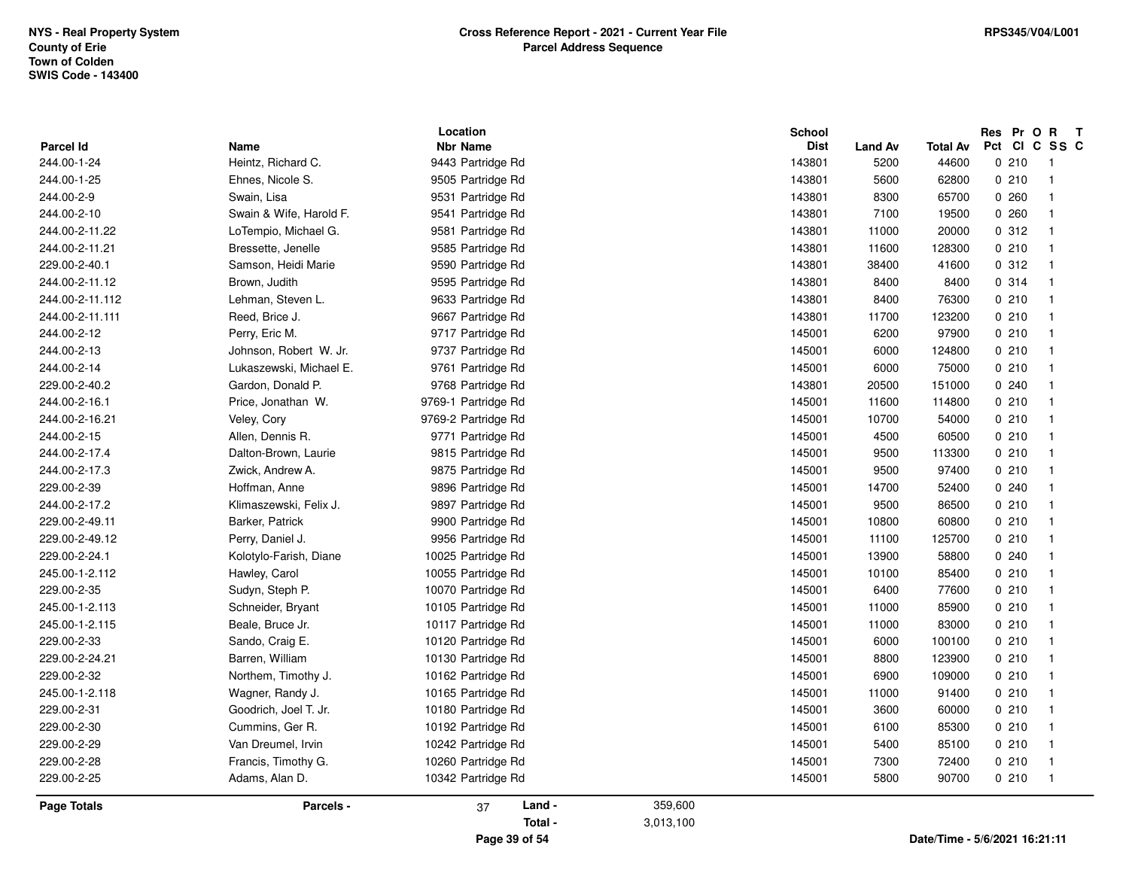| <b>Parcel Id</b>   |                            | Location<br><b>Nbr Name</b>            | <b>School</b><br><b>Dist</b> |                        | <b>Total Av</b> |       | Res Pr O R T<br>Pct CI C SS C |  |
|--------------------|----------------------------|----------------------------------------|------------------------------|------------------------|-----------------|-------|-------------------------------|--|
| 244.00-1-24        | Name<br>Heintz, Richard C. | 9443 Partridge Rd                      | 143801                       | <b>Land Av</b><br>5200 | 44600           | 0210  | $\overline{1}$                |  |
| 244.00-1-25        | Ehnes, Nicole S.           | 9505 Partridge Rd                      | 143801                       | 5600                   | 62800           | 0210  | $\overline{1}$                |  |
| 244.00-2-9         | Swain, Lisa                | 9531 Partridge Rd                      | 143801                       | 8300                   | 65700           | 0260  | $\overline{\mathbf{1}}$       |  |
| 244.00-2-10        | Swain & Wife, Harold F.    | 9541 Partridge Rd                      | 143801                       | 7100                   | 19500           | 0.260 | $\overline{1}$                |  |
| 244.00-2-11.22     |                            |                                        | 143801                       | 11000                  |                 | 0.312 | $\overline{1}$                |  |
| 244.00-2-11.21     | LoTempio, Michael G.       | 9581 Partridge Rd<br>9585 Partridge Rd | 143801                       | 11600                  | 20000<br>128300 | 0210  | $\overline{1}$                |  |
|                    | Bressette, Jenelle         |                                        |                              |                        |                 | 0.312 |                               |  |
| 229.00-2-40.1      | Samson, Heidi Marie        | 9590 Partridge Rd                      | 143801                       | 38400                  | 41600           |       | $\overline{1}$                |  |
| 244.00-2-11.12     | Brown, Judith              | 9595 Partridge Rd                      | 143801                       | 8400                   | 8400            | 0.314 | $\overline{1}$                |  |
| 244.00-2-11.112    | Lehman, Steven L.          | 9633 Partridge Rd                      | 143801                       | 8400                   | 76300           | 0210  | $\overline{1}$                |  |
| 244.00-2-11.111    | Reed, Brice J.             | 9667 Partridge Rd                      | 143801                       | 11700                  | 123200          | 0210  | $\overline{1}$                |  |
| 244.00-2-12        | Perry, Eric M.             | 9717 Partridge Rd                      | 145001                       | 6200                   | 97900           | 0210  | $\overline{1}$                |  |
| 244.00-2-13        | Johnson, Robert W. Jr.     | 9737 Partridge Rd                      | 145001                       | 6000                   | 124800          | 0210  | $\overline{1}$                |  |
| 244.00-2-14        | Lukaszewski, Michael E.    | 9761 Partridge Rd                      | 145001                       | 6000                   | 75000           | 0210  | $\overline{1}$                |  |
| 229.00-2-40.2      | Gardon, Donald P.          | 9768 Partridge Rd                      | 143801                       | 20500                  | 151000          | 0.240 | $\overline{1}$                |  |
| 244.00-2-16.1      | Price, Jonathan W.         | 9769-1 Partridge Rd                    | 145001                       | 11600                  | 114800          | 0210  | $\overline{1}$                |  |
| 244.00-2-16.21     | Veley, Cory                | 9769-2 Partridge Rd                    | 145001                       | 10700                  | 54000           | 0210  | $\overline{1}$                |  |
| 244.00-2-15        | Allen, Dennis R.           | 9771 Partridge Rd                      | 145001                       | 4500                   | 60500           | 0210  | $\overline{1}$                |  |
| 244.00-2-17.4      | Dalton-Brown, Laurie       | 9815 Partridge Rd                      | 145001                       | 9500                   | 113300          | 0210  | $\overline{1}$                |  |
| 244.00-2-17.3      | Zwick, Andrew A.           | 9875 Partridge Rd                      | 145001                       | 9500                   | 97400           | 0210  | $\overline{\mathbf{1}}$       |  |
| 229.00-2-39        | Hoffman, Anne              | 9896 Partridge Rd                      | 145001                       | 14700                  | 52400           | 0240  | $\mathbf{1}$                  |  |
| 244.00-2-17.2      | Klimaszewski, Felix J.     | 9897 Partridge Rd                      | 145001                       | 9500                   | 86500           | 0210  | $\overline{1}$                |  |
| 229.00-2-49.11     | Barker, Patrick            | 9900 Partridge Rd                      | 145001                       | 10800                  | 60800           | 0210  | $\overline{1}$                |  |
| 229.00-2-49.12     | Perry, Daniel J.           | 9956 Partridge Rd                      | 145001                       | 11100                  | 125700          | 0210  | $\overline{1}$                |  |
| 229.00-2-24.1      | Kolotylo-Farish, Diane     | 10025 Partridge Rd                     | 145001                       | 13900                  | 58800           | 0240  | $\mathbf{1}$                  |  |
| 245.00-1-2.112     | Hawley, Carol              | 10055 Partridge Rd                     | 145001                       | 10100                  | 85400           | 0210  | $\overline{1}$                |  |
| 229.00-2-35        | Sudyn, Steph P.            | 10070 Partridge Rd                     | 145001                       | 6400                   | 77600           | 0210  | $\overline{1}$                |  |
| 245.00-1-2.113     | Schneider, Bryant          | 10105 Partridge Rd                     | 145001                       | 11000                  | 85900           | 0210  | $\overline{1}$                |  |
| 245.00-1-2.115     | Beale, Bruce Jr.           | 10117 Partridge Rd                     | 145001                       | 11000                  | 83000           | 0210  | $\overline{\mathbf{1}}$       |  |
| 229.00-2-33        | Sando, Craig E.            | 10120 Partridge Rd                     | 145001                       | 6000                   | 100100          | 0210  | $\overline{\mathbf{1}}$       |  |
| 229.00-2-24.21     | Barren, William            | 10130 Partridge Rd                     | 145001                       | 8800                   | 123900          | 0210  | $\overline{1}$                |  |
| 229.00-2-32        | Northem, Timothy J.        | 10162 Partridge Rd                     | 145001                       | 6900                   | 109000          | 0210  | $\overline{1}$                |  |
| 245.00-1-2.118     | Wagner, Randy J.           | 10165 Partridge Rd                     | 145001                       | 11000                  | 91400           | 0210  | $\overline{1}$                |  |
| 229.00-2-31        | Goodrich, Joel T. Jr.      | 10180 Partridge Rd                     | 145001                       | 3600                   | 60000           | 0210  | $\overline{\mathbf{1}}$       |  |
| 229.00-2-30        | Cummins, Ger R.            | 10192 Partridge Rd                     | 145001                       | 6100                   | 85300           | 0210  | $\overline{1}$                |  |
| 229.00-2-29        | Van Dreumel, Irvin         | 10242 Partridge Rd                     | 145001                       | 5400                   | 85100           | 0210  | $\overline{1}$                |  |
| 229.00-2-28        | Francis, Timothy G.        | 10260 Partridge Rd                     | 145001                       | 7300                   | 72400           | 0210  | $\overline{\mathbf{1}}$       |  |
| 229.00-2-25        | Adams, Alan D.             | 10342 Partridge Rd                     | 145001                       | 5800                   | 90700           | 0210  | $\overline{1}$                |  |
| <b>Page Totals</b> | Parcels -                  | Land -<br>37                           | 359,600                      |                        |                 |       |                               |  |

**Page 39 of 54**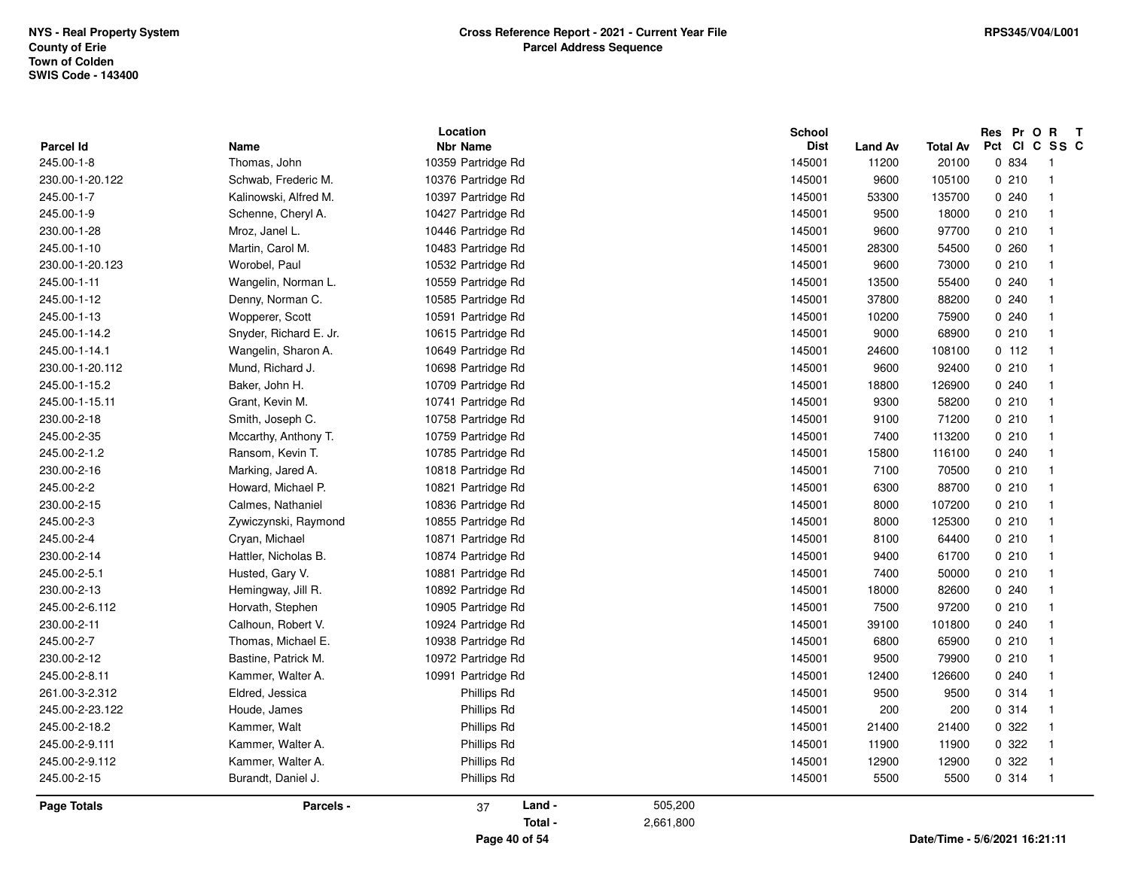|                 |                        | Location           | <b>School</b> |                               |                               |       | Res Pr O R T            |
|-----------------|------------------------|--------------------|---------------|-------------------------------|-------------------------------|-------|-------------------------|
| Parcel Id       | Name                   | <b>Nbr Name</b>    |               | <b>Dist</b><br><b>Land Av</b> | <b>Total Av</b>               |       | Pct CI C SS C           |
| 245.00-1-8      | Thomas, John           | 10359 Partridge Rd | 145001        | 11200                         | 20100                         | 0 834 | $\overline{1}$          |
| 230.00-1-20.122 | Schwab, Frederic M.    | 10376 Partridge Rd | 145001        | 9600                          | 105100                        | 0210  | $\overline{1}$          |
| 245.00-1-7      | Kalinowski, Alfred M.  | 10397 Partridge Rd | 145001        | 53300                         | 135700                        | 0.240 | $\overline{1}$          |
| 245.00-1-9      | Schenne, Cheryl A.     | 10427 Partridge Rd | 145001        | 9500                          | 18000                         | 0210  | $\overline{1}$          |
| 230.00-1-28     | Mroz, Janel L.         | 10446 Partridge Rd | 145001        | 9600                          | 97700                         | 0210  | $\overline{1}$          |
| 245.00-1-10     | Martin, Carol M.       | 10483 Partridge Rd | 145001        | 28300                         | 54500                         | 0.260 | $\overline{1}$          |
| 230.00-1-20.123 | Worobel, Paul          | 10532 Partridge Rd | 145001        | 9600                          | 73000                         | 0210  | $\overline{1}$          |
| 245.00-1-11     | Wangelin, Norman L.    | 10559 Partridge Rd | 145001        | 13500                         | 55400                         | 0.240 | $\mathbf{1}$            |
| 245.00-1-12     | Denny, Norman C.       | 10585 Partridge Rd | 145001        | 37800                         | 88200                         | 0240  | $\mathbf 1$             |
| 245.00-1-13     | Wopperer, Scott        | 10591 Partridge Rd | 145001        | 10200                         | 75900                         | 0.240 | $\overline{1}$          |
| 245.00-1-14.2   | Snyder, Richard E. Jr. | 10615 Partridge Rd | 145001        | 9000                          | 68900                         | 0210  | $\overline{1}$          |
| 245.00-1-14.1   | Wangelin, Sharon A.    | 10649 Partridge Rd | 145001        | 24600                         | 108100                        | 0 112 | $\overline{1}$          |
| 230.00-1-20.112 | Mund, Richard J.       | 10698 Partridge Rd | 145001        | 9600                          | 92400                         | 0210  | $\overline{1}$          |
| 245.00-1-15.2   | Baker, John H.         | 10709 Partridge Rd | 145001        | 18800                         | 126900                        | 0.240 | $\mathbf{1}$            |
| 245.00-1-15.11  | Grant, Kevin M.        | 10741 Partridge Rd | 145001        | 9300                          | 58200                         | 0210  | $\overline{1}$          |
| 230.00-2-18     | Smith, Joseph C.       | 10758 Partridge Rd | 145001        | 9100                          | 71200                         | 0210  | $\overline{1}$          |
| 245.00-2-35     | Mccarthy, Anthony T.   | 10759 Partridge Rd | 145001        | 7400                          | 113200                        | 0210  | $\overline{\mathbf{1}}$ |
| 245.00-2-1.2    | Ransom, Kevin T.       | 10785 Partridge Rd | 145001        | 15800                         | 116100                        | 0.240 | $\overline{1}$          |
| 230.00-2-16     | Marking, Jared A.      | 10818 Partridge Rd | 145001        | 7100                          | 70500                         | 0210  | $\overline{1}$          |
| 245.00-2-2      | Howard, Michael P.     | 10821 Partridge Rd | 145001        | 6300                          | 88700                         | 0210  | $\overline{1}$          |
| 230.00-2-15     | Calmes, Nathaniel      | 10836 Partridge Rd | 145001        | 8000                          | 107200                        | 0210  | $\overline{1}$          |
| 245.00-2-3      | Zywiczynski, Raymond   | 10855 Partridge Rd | 145001        | 8000                          | 125300                        | 0210  | $\overline{1}$          |
| 245.00-2-4      | Cryan, Michael         | 10871 Partridge Rd | 145001        | 8100                          | 64400                         | 0210  | $\overline{1}$          |
| 230.00-2-14     | Hattler, Nicholas B.   | 10874 Partridge Rd | 145001        | 9400                          | 61700                         | 0210  | $\overline{1}$          |
| 245.00-2-5.1    | Husted, Gary V.        | 10881 Partridge Rd | 145001        | 7400                          | 50000                         | 0210  | $\overline{1}$          |
| 230.00-2-13     | Hemingway, Jill R.     | 10892 Partridge Rd | 145001        | 18000                         | 82600                         | 0.240 | $\overline{1}$          |
| 245.00-2-6.112  | Horvath, Stephen       | 10905 Partridge Rd | 145001        | 7500                          | 97200                         | 0210  | $\mathbf{1}$            |
| 230.00-2-11     | Calhoun, Robert V.     | 10924 Partridge Rd | 145001        | 39100                         | 101800                        | 0.240 | $\mathbf{1}$            |
| 245.00-2-7      | Thomas, Michael E.     | 10938 Partridge Rd | 145001        | 6800                          | 65900                         | 0210  | $\overline{1}$          |
| 230.00-2-12     | Bastine, Patrick M.    | 10972 Partridge Rd | 145001        | 9500                          | 79900                         | 0210  | $\overline{\mathbf{1}}$ |
| 245.00-2-8.11   | Kammer, Walter A.      | 10991 Partridge Rd | 145001        | 12400                         | 126600                        | 0.240 | $\overline{\mathbf{1}}$ |
| 261.00-3-2.312  | Eldred, Jessica        | Phillips Rd        | 145001        | 9500                          | 9500                          | 0.314 | $\overline{1}$          |
| 245.00-2-23.122 | Houde, James           | Phillips Rd        | 145001        | 200                           | 200                           | 0.314 | $\overline{1}$          |
| 245.00-2-18.2   | Kammer, Walt           | Phillips Rd        | 145001        | 21400                         | 21400                         | 0.322 | $\overline{1}$          |
| 245.00-2-9.111  | Kammer, Walter A.      | Phillips Rd        | 145001        | 11900                         | 11900                         | 0.322 | $\overline{1}$          |
| 245.00-2-9.112  | Kammer, Walter A.      | Phillips Rd        | 145001        | 12900                         | 12900                         | 0 322 | $\overline{1}$          |
| 245.00-2-15     | Burandt, Daniel J.     | Phillips Rd        | 145001        | 5500                          | 5500                          | 0.314 | $\overline{1}$          |
| Page Totals     | Parcels -              | Land -<br>37       | 505,200       |                               |                               |       |                         |
|                 |                        | Total -            | 2,661,800     |                               |                               |       |                         |
|                 |                        | Page 40 of 54      |               |                               | Date/Time - 5/6/2021 16:21:11 |       |                         |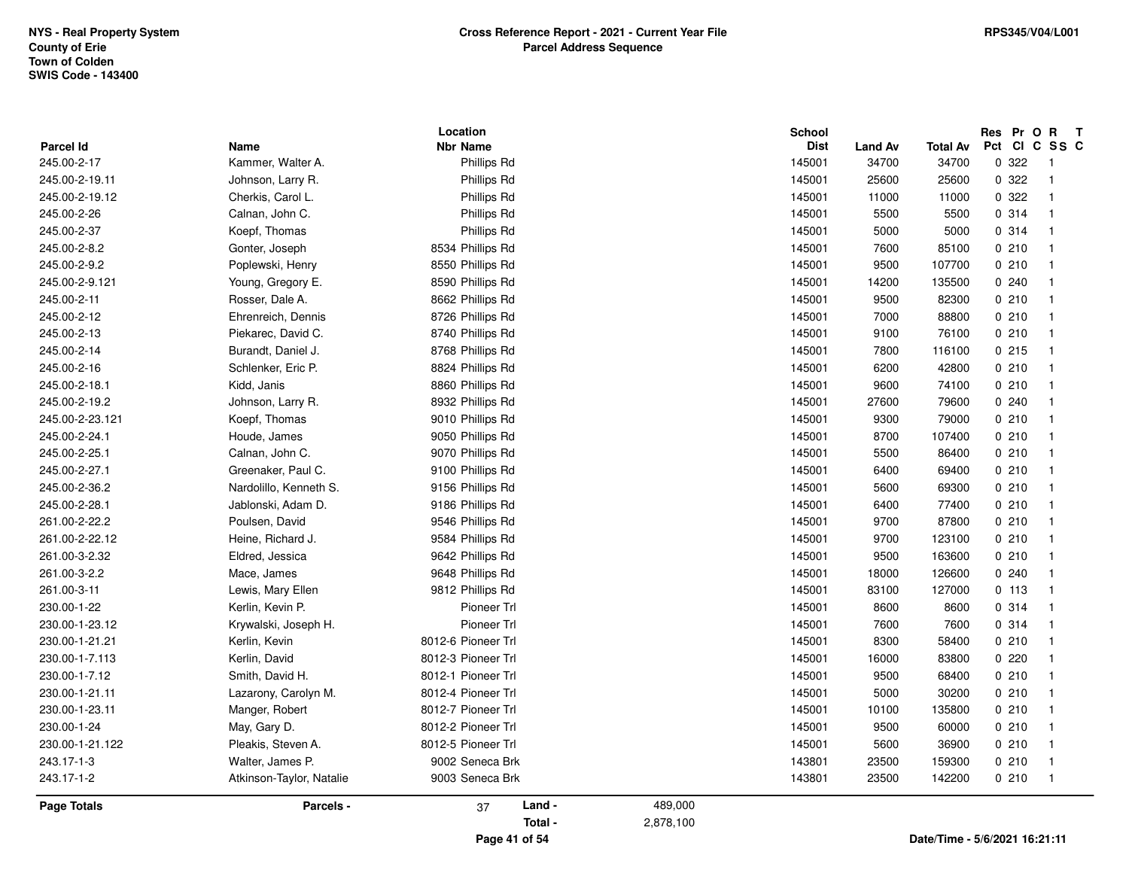|                  |                          | Location           |           | School      |                |                 | Res Pr O R T            |  |
|------------------|--------------------------|--------------------|-----------|-------------|----------------|-----------------|-------------------------|--|
| <b>Parcel Id</b> | Name                     | <b>Nbr Name</b>    |           | <b>Dist</b> | <b>Land Av</b> | <b>Total Av</b> | Pct CI C SS C           |  |
| 245.00-2-17      | Kammer, Walter A.        | Phillips Rd        |           | 145001      | 34700          | 34700           | 0.322<br>$\overline{1}$ |  |
| 245.00-2-19.11   | Johnson, Larry R.        | Phillips Rd        |           | 145001      | 25600          | 25600           | 0 322<br>$\overline{1}$ |  |
| 245.00-2-19.12   | Cherkis, Carol L.        | Phillips Rd        |           | 145001      | 11000          | 11000           | 0.322<br>$\overline{1}$ |  |
| 245.00-2-26      | Calnan, John C.          | Phillips Rd        |           | 145001      | 5500           | 5500            | 0.314<br>$\overline{1}$ |  |
| 245.00-2-37      | Koepf, Thomas            | Phillips Rd        |           | 145001      | 5000           | 5000            | 0.314<br>$\overline{1}$ |  |
| 245.00-2-8.2     | Gonter, Joseph           | 8534 Phillips Rd   |           | 145001      | 7600           | 85100           | 0210<br>$\overline{1}$  |  |
| 245.00-2-9.2     | Poplewski, Henry         | 8550 Phillips Rd   |           | 145001      | 9500           | 107700          | 0210<br>$\overline{1}$  |  |
| 245.00-2-9.121   | Young, Gregory E.        | 8590 Phillips Rd   |           | 145001      | 14200          | 135500          | 0.240<br>$\overline{1}$ |  |
| 245.00-2-11      | Rosser, Dale A.          | 8662 Phillips Rd   |           | 145001      | 9500           | 82300           | 0210<br>$\overline{1}$  |  |
| 245.00-2-12      | Ehrenreich, Dennis       | 8726 Phillips Rd   |           | 145001      | 7000           | 88800           | 0210<br>$\overline{1}$  |  |
| 245.00-2-13      | Piekarec, David C.       | 8740 Phillips Rd   |           | 145001      | 9100           | 76100           | 0210<br>$\overline{1}$  |  |
| 245.00-2-14      | Burandt, Daniel J.       | 8768 Phillips Rd   |           | 145001      | 7800           | 116100          | 0215<br>$\overline{1}$  |  |
| 245.00-2-16      | Schlenker, Eric P.       | 8824 Phillips Rd   |           | 145001      | 6200           | 42800           | 0210<br>$\overline{1}$  |  |
| 245.00-2-18.1    | Kidd, Janis              | 8860 Phillips Rd   |           | 145001      | 9600           | 74100           | 0210<br>$\overline{1}$  |  |
| 245.00-2-19.2    | Johnson, Larry R.        | 8932 Phillips Rd   |           | 145001      | 27600          | 79600           | 0.240<br>$\overline{1}$ |  |
| 245.00-2-23.121  | Koepf, Thomas            | 9010 Phillips Rd   |           | 145001      | 9300           | 79000           | 0210<br>$\overline{1}$  |  |
| 245.00-2-24.1    | Houde, James             | 9050 Phillips Rd   |           | 145001      | 8700           | 107400          | 0210<br>$\overline{1}$  |  |
| 245.00-2-25.1    | Calnan, John C.          | 9070 Phillips Rd   |           | 145001      | 5500           | 86400           | 0210<br>$\overline{1}$  |  |
| 245.00-2-27.1    | Greenaker, Paul C.       | 9100 Phillips Rd   |           | 145001      | 6400           | 69400           | 0210<br>$\overline{1}$  |  |
| 245.00-2-36.2    | Nardolillo, Kenneth S.   | 9156 Phillips Rd   |           | 145001      | 5600           | 69300           | 0210<br>$\overline{1}$  |  |
| 245.00-2-28.1    | Jablonski, Adam D.       | 9186 Phillips Rd   |           | 145001      | 6400           | 77400           | 0210<br>$\overline{1}$  |  |
| 261.00-2-22.2    | Poulsen, David           | 9546 Phillips Rd   |           | 145001      | 9700           | 87800           | 0210<br>$\overline{1}$  |  |
| 261.00-2-22.12   | Heine, Richard J.        | 9584 Phillips Rd   |           | 145001      | 9700           | 123100          | 0210<br>$\overline{1}$  |  |
| 261.00-3-2.32    | Eldred, Jessica          | 9642 Phillips Rd   |           | 145001      | 9500           | 163600          | 0210<br>$\overline{1}$  |  |
| 261.00-3-2.2     | Mace, James              | 9648 Phillips Rd   |           | 145001      | 18000          | 126600          | 0.240<br>$\overline{1}$ |  |
| 261.00-3-11      | Lewis, Mary Ellen        | 9812 Phillips Rd   |           | 145001      | 83100          | 127000          | 0 113<br>$\overline{1}$ |  |
| 230.00-1-22      | Kerlin, Kevin P.         | Pioneer Trl        |           | 145001      | 8600           | 8600            | 0.314<br>$\overline{1}$ |  |
| 230.00-1-23.12   | Krywalski, Joseph H.     | Pioneer Trl        |           | 145001      | 7600           | 7600            | 0.314<br>$\overline{1}$ |  |
| 230.00-1-21.21   | Kerlin, Kevin            | 8012-6 Pioneer Trl |           | 145001      | 8300           | 58400           | 0210<br>$\overline{1}$  |  |
| 230.00-1-7.113   | Kerlin, David            | 8012-3 Pioneer Trl |           | 145001      | 16000          | 83800           | 0220<br>$\overline{1}$  |  |
| 230.00-1-7.12    | Smith, David H.          | 8012-1 Pioneer Trl |           | 145001      | 9500           | 68400           | 0210<br>$\overline{1}$  |  |
| 230.00-1-21.11   | Lazarony, Carolyn M.     | 8012-4 Pioneer Trl |           | 145001      | 5000           | 30200           | 0210<br>$\overline{1}$  |  |
| 230.00-1-23.11   | Manger, Robert           | 8012-7 Pioneer Trl |           | 145001      | 10100          | 135800          | 0210<br>$\overline{1}$  |  |
| 230.00-1-24      | May, Gary D.             | 8012-2 Pioneer Trl |           | 145001      | 9500           | 60000           | 0210<br>$\overline{1}$  |  |
| 230.00-1-21.122  | Pleakis, Steven A.       | 8012-5 Pioneer Trl |           | 145001      | 5600           | 36900           | 0210<br>$\overline{1}$  |  |
| 243.17-1-3       | Walter, James P.         | 9002 Seneca Brk    |           | 143801      | 23500          | 159300          | 0210<br>$\overline{1}$  |  |
| 243.17-1-2       | Atkinson-Taylor, Natalie | 9003 Seneca Brk    |           | 143801      | 23500          | 142200          | 0210<br>$\overline{1}$  |  |
| Page Totals      | Parcels -                | Land -<br>37       | 489,000   |             |                |                 |                         |  |
|                  |                          | Total -            | 2,878,100 |             |                |                 |                         |  |

**Page 41 of 54**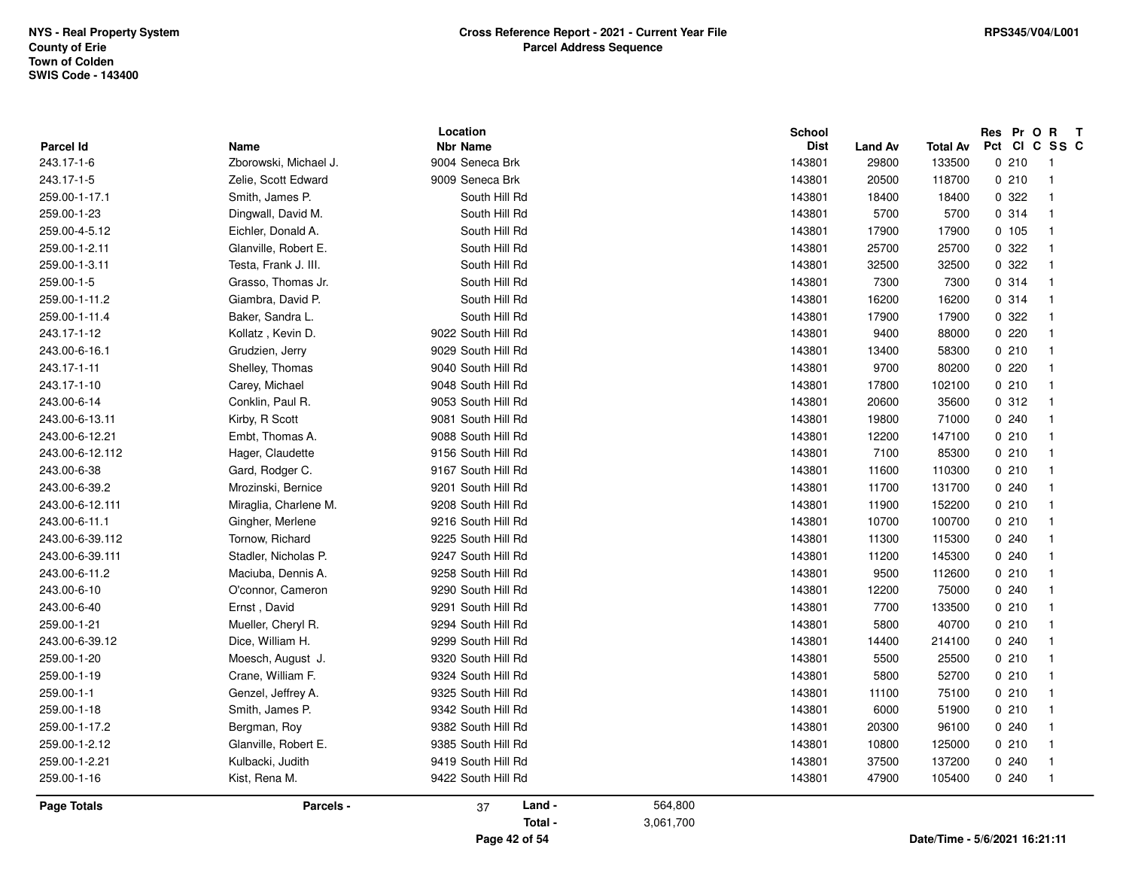|                         |                               | Location                           |           | <b>School</b>         |                  |                               | Pct |       | Res Pr O R T<br>CICSSC           |
|-------------------------|-------------------------------|------------------------------------|-----------|-----------------------|------------------|-------------------------------|-----|-------|----------------------------------|
| Parcel Id<br>243.17-1-6 | Name<br>Zborowski, Michael J. | <b>Nbr Name</b><br>9004 Seneca Brk |           | <b>Dist</b><br>143801 | Land Av<br>29800 | <b>Total Av</b><br>133500     |     | 0210  | -1                               |
|                         |                               |                                    |           |                       |                  |                               |     |       |                                  |
| 243.17-1-5              | Zelie, Scott Edward           | 9009 Seneca Brk<br>South Hill Rd   |           | 143801                | 20500            | 118700                        |     | 0210  | $\overline{1}$<br>$\overline{1}$ |
| 259.00-1-17.1           | Smith, James P.               |                                    |           | 143801                | 18400            | 18400                         |     | 0 322 |                                  |
| 259.00-1-23             | Dingwall, David M.            | South Hill Rd                      |           | 143801                | 5700             | 5700                          |     | 0.314 | $\mathbf{1}$                     |
| 259.00-4-5.12           | Eichler, Donald A.            | South Hill Rd                      |           | 143801                | 17900            | 17900                         |     | 0.105 | $\mathbf{1}$                     |
| 259.00-1-2.11           | Glanville, Robert E.          | South Hill Rd                      |           | 143801                | 25700            | 25700                         |     | 0 322 | $\mathbf{1}$                     |
| 259.00-1-3.11           | Testa, Frank J. III.          | South Hill Rd                      |           | 143801                | 32500            | 32500                         |     | 0 322 | $\mathbf{1}$                     |
| 259.00-1-5              | Grasso, Thomas Jr.            | South Hill Rd                      |           | 143801                | 7300             | 7300                          |     | 0.314 | $\mathbf{1}$                     |
| 259.00-1-11.2           | Giambra, David P.             | South Hill Rd                      |           | 143801                | 16200            | 16200                         |     | 0.314 | $\overline{1}$                   |
| 259.00-1-11.4           | Baker, Sandra L.              | South Hill Rd                      |           | 143801                | 17900            | 17900                         |     | 0 322 | $\overline{1}$                   |
| 243.17-1-12             | Kollatz, Kevin D.             | 9022 South Hill Rd                 |           | 143801                | 9400             | 88000                         |     | 0.220 | $\mathbf{1}$                     |
| 243.00-6-16.1           | Grudzien, Jerry               | 9029 South Hill Rd                 |           | 143801                | 13400            | 58300                         |     | 0210  | $\overline{1}$                   |
| 243.17-1-11             | Shelley, Thomas               | 9040 South Hill Rd                 |           | 143801                | 9700             | 80200                         |     | 0220  | $\mathbf{1}$                     |
| 243.17-1-10             | Carey, Michael                | 9048 South Hill Rd                 |           | 143801                | 17800            | 102100                        |     | 0210  | $\mathbf{1}$                     |
| 243.00-6-14             | Conklin, Paul R.              | 9053 South Hill Rd                 |           | 143801                | 20600            | 35600                         |     | 0.312 | $\overline{1}$                   |
| 243.00-6-13.11          | Kirby, R Scott                | 9081 South Hill Rd                 |           | 143801                | 19800            | 71000                         |     | 0.240 | $\mathbf{1}$                     |
| 243.00-6-12.21          | Embt, Thomas A.               | 9088 South Hill Rd                 |           | 143801                | 12200            | 147100                        |     | 0210  | $\mathbf{1}$                     |
| 243.00-6-12.112         | Hager, Claudette              | 9156 South Hill Rd                 |           | 143801                | 7100             | 85300                         |     | 0210  | $\overline{1}$                   |
| 243.00-6-38             | Gard, Rodger C.               | 9167 South Hill Rd                 |           | 143801                | 11600            | 110300                        |     | 0210  | $\mathbf{1}$                     |
| 243.00-6-39.2           | Mrozinski, Bernice            | 9201 South Hill Rd                 |           | 143801                | 11700            | 131700                        |     | 0.240 | $\mathbf{1}$                     |
| 243.00-6-12.111         | Miraglia, Charlene M.         | 9208 South Hill Rd                 |           | 143801                | 11900            | 152200                        |     | 0210  | $\mathbf{1}$                     |
| 243.00-6-11.1           | Gingher, Merlene              | 9216 South Hill Rd                 |           | 143801                | 10700            | 100700                        |     | 0210  | -1                               |
| 243.00-6-39.112         | Tornow, Richard               | 9225 South Hill Rd                 |           | 143801                | 11300            | 115300                        |     | 0.240 | $\mathbf{1}$                     |
| 243.00-6-39.111         | Stadler, Nicholas P.          | 9247 South Hill Rd                 |           | 143801                | 11200            | 145300                        |     | 0.240 | $\mathbf{1}$                     |
| 243.00-6-11.2           | Maciuba, Dennis A.            | 9258 South Hill Rd                 |           | 143801                | 9500             | 112600                        |     | 0210  | -1                               |
| 243.00-6-10             | O'connor, Cameron             | 9290 South Hill Rd                 |           | 143801                | 12200            | 75000                         |     | 0.240 | $\mathbf{1}$                     |
| 243.00-6-40             | Ernst, David                  | 9291 South Hill Rd                 |           | 143801                | 7700             | 133500                        |     | 0210  | $\mathbf{1}$                     |
| 259.00-1-21             | Mueller, Cheryl R.            | 9294 South Hill Rd                 |           | 143801                | 5800             | 40700                         |     | 0210  | $\mathbf{1}$                     |
| 243.00-6-39.12          | Dice, William H.              | 9299 South Hill Rd                 |           | 143801                | 14400            | 214100                        |     | 0.240 | $\mathbf{1}$                     |
| 259.00-1-20             | Moesch, August J.             | 9320 South Hill Rd                 |           | 143801                | 5500             | 25500                         |     | 0210  | $\mathbf{1}$                     |
| 259.00-1-19             | Crane, William F.             | 9324 South Hill Rd                 |           | 143801                | 5800             | 52700                         |     | 0210  | $\overline{1}$                   |
| 259.00-1-1              | Genzel, Jeffrey A.            | 9325 South Hill Rd                 |           | 143801                | 11100            | 75100                         |     | 0210  | $\mathbf{1}$                     |
| 259.00-1-18             | Smith, James P.               | 9342 South Hill Rd                 |           | 143801                | 6000             | 51900                         |     | 0210  | $\mathbf{1}$                     |
| 259.00-1-17.2           | Bergman, Roy                  | 9382 South Hill Rd                 |           | 143801                | 20300            | 96100                         |     | 0240  | $\mathbf{1}$                     |
| 259.00-1-2.12           | Glanville, Robert E.          | 9385 South Hill Rd                 |           | 143801                | 10800            | 125000                        |     | 0210  | $\mathbf{1}$                     |
| 259.00-1-2.21           | Kulbacki, Judith              | 9419 South Hill Rd                 |           | 143801                | 37500            | 137200                        |     | 0.240 | $\mathbf{1}$                     |
| 259.00-1-16             | Kist, Rena M.                 | 9422 South Hill Rd                 |           | 143801                | 47900            | 105400                        |     | 0240  | $\overline{1}$                   |
| Page Totals             | Parcels -                     | Land -<br>37                       | 564,800   |                       |                  |                               |     |       |                                  |
|                         |                               | Total -                            | 3,061,700 |                       |                  |                               |     |       |                                  |
|                         |                               | Page 42 of 54                      |           |                       |                  | Date/Time - 5/6/2021 16:21:11 |     |       |                                  |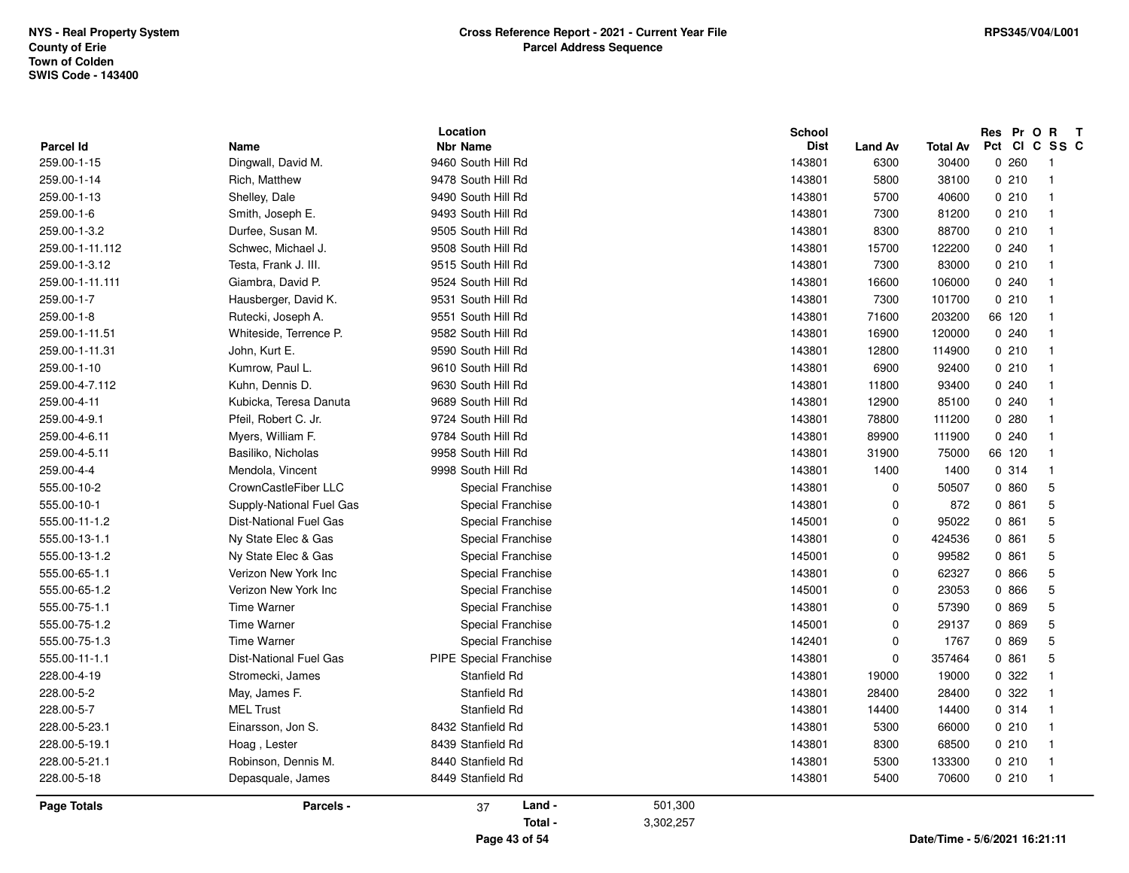|                                 | <b>Time Warner</b>            | Special Franchise                                 | 142401                                 | 0                      | 1767                     | 0 869                        | 5                        |
|---------------------------------|-------------------------------|---------------------------------------------------|----------------------------------------|------------------------|--------------------------|------------------------------|--------------------------|
| 555.00-75-1.1                   | <b>Time Warner</b>            | <b>Special Franchise</b>                          | 143801                                 | $\mathbf 0$            | 57390                    | 0 869                        | $\overline{5}$           |
| 555.00-75-1.2                   | <b>Time Warner</b>            | Special Franchise                                 | 145001                                 | 0                      | 29137                    | 0 869                        | 5                        |
| 555.00-65-1.1                   | Verizon New York Inc          | Special Franchise                                 | 143801                                 | 0                      | 62327                    | 0 866                        | 5                        |
| 555.00-65-1.2                   | Verizon New York Inc          | Special Franchise                                 | 145001                                 | 0                      | 23053                    | 0 866                        | $\overline{5}$           |
| 555.00-11-1.2                   | <b>Dist-National Fuel Gas</b> | Special Franchise                                 | 145001                                 | $\mathbf 0$            | 95022                    | 0861                         | 5                        |
| 555.00-13-1.1                   | Ny State Elec & Gas           | Special Franchise                                 | 143801                                 | $\mathbf 0$            | 424536                   | 0861                         | 5                        |
| 555.00-13-1.2                   | Ny State Elec & Gas           | Special Franchise                                 | 145001                                 | 0                      | 99582                    | 0861                         | 5                        |
| 555.00-10-2                     | CrownCastleFiber LLC          | Special Franchise                                 | 143801                                 | 0                      | 50507                    | 0 860                        | 5                        |
| 555.00-10-1                     | Supply-National Fuel Gas      | Special Franchise                                 | 143801                                 | 0                      | 872                      | 0861                         | 5                        |
| 259.00-4-5.11                   | Basiliko, Nicholas            | 9958 South Hill Rd                                | 143801                                 | 31900                  | 75000                    | 66 120                       | $\overline{1}$           |
| 259.00-4-4                      | Mendola, Vincent              | 9998 South Hill Rd                                | 143801                                 | 1400                   | 1400                     | 0.314                        | $\overline{1}$           |
| 259.00-4-9.1                    | Pfeil, Robert C. Jr.          | 9724 South Hill Rd                                | 143801                                 | 78800                  | 111200                   | 0.280                        | $\overline{1}$           |
| 259.00-4-6.11                   | Myers, William F.             | 9784 South Hill Rd                                | 143801                                 | 89900                  | 111900                   | 0.240                        | $\overline{1}$           |
| 259.00-4-7.112                  | Kuhn, Dennis D.               | 9630 South Hill Rd                                | 143801                                 | 11800                  | 93400                    | 0240                         | $\overline{1}$           |
| 259.00-4-11                     | Kubicka, Teresa Danuta        | 9689 South Hill Rd                                | 143801                                 | 12900                  | 85100                    | 0.240                        | $\overline{1}$           |
| 259.00-1-11.51                  | Whiteside, Terrence P.        | 9582 South Hill Rd                                | 143801                                 | 16900                  | 120000                   | 0.240                        | $\overline{1}$           |
| 259.00-1-11.31                  | John, Kurt E.                 | 9590 South Hill Rd                                | 143801                                 | 12800                  | 114900                   | 0210                         | $\overline{1}$           |
| 259.00-1-10                     | Kumrow, Paul L.               | 9610 South Hill Rd                                | 143801                                 | 6900                   | 92400                    | 0210                         | $\overline{1}$           |
| 259.00-1-11.111                 | Giambra, David P.             | 9524 South Hill Rd                                | 143801                                 | 16600                  | 106000                   | 0240                         | $\overline{1}$           |
| 259.00-1-7                      | Hausberger, David K.          | 9531 South Hill Rd                                | 143801                                 | 7300                   | 101700                   | 0210                         | $\overline{1}$           |
| 259.00-1-8                      | Rutecki, Joseph A.            | 9551 South Hill Rd                                | 143801                                 | 71600                  | 203200                   | 66 120                       | $\overline{1}$           |
| 259.00-1-3.2                    | Durfee, Susan M.              | 9505 South Hill Rd                                | 143801                                 | 8300                   | 88700                    | 0210                         | $\overline{1}$           |
| 259.00-1-11.112                 | Schwec, Michael J.            | 9508 South Hill Rd                                | 143801                                 | 15700                  | 122200                   | 0240                         | $\overline{1}$           |
| 259.00-1-3.12                   | Testa, Frank J. III.          | 9515 South Hill Rd                                | 143801                                 | 7300                   | 83000                    | 0210                         | $\overline{1}$           |
| 259.00-1-14                     | Rich, Matthew                 | 9478 South Hill Rd                                | 143801                                 | 5800                   | 38100                    | 0210                         | $\overline{1}$           |
| 259.00-1-13                     | Shelley, Dale                 | 9490 South Hill Rd                                | 143801                                 | 5700                   | 40600                    | 0210                         | $\overline{1}$           |
| 259.00-1-6                      | Smith, Joseph E.              | 9493 South Hill Rd                                | 143801                                 | 7300                   | 81200                    | 0210                         | $\overline{1}$           |
| <b>Parcel Id</b><br>259.00-1-15 | Name<br>Dingwall, David M.    | Location<br><b>Nbr Name</b><br>9460 South Hill Rd | <b>School</b><br><b>Dist</b><br>143801 | <b>Land Av</b><br>6300 | <b>Total Av</b><br>30400 | Res Pr O R T<br>Pct<br>0.260 | CICSSC<br>$\overline{1}$ |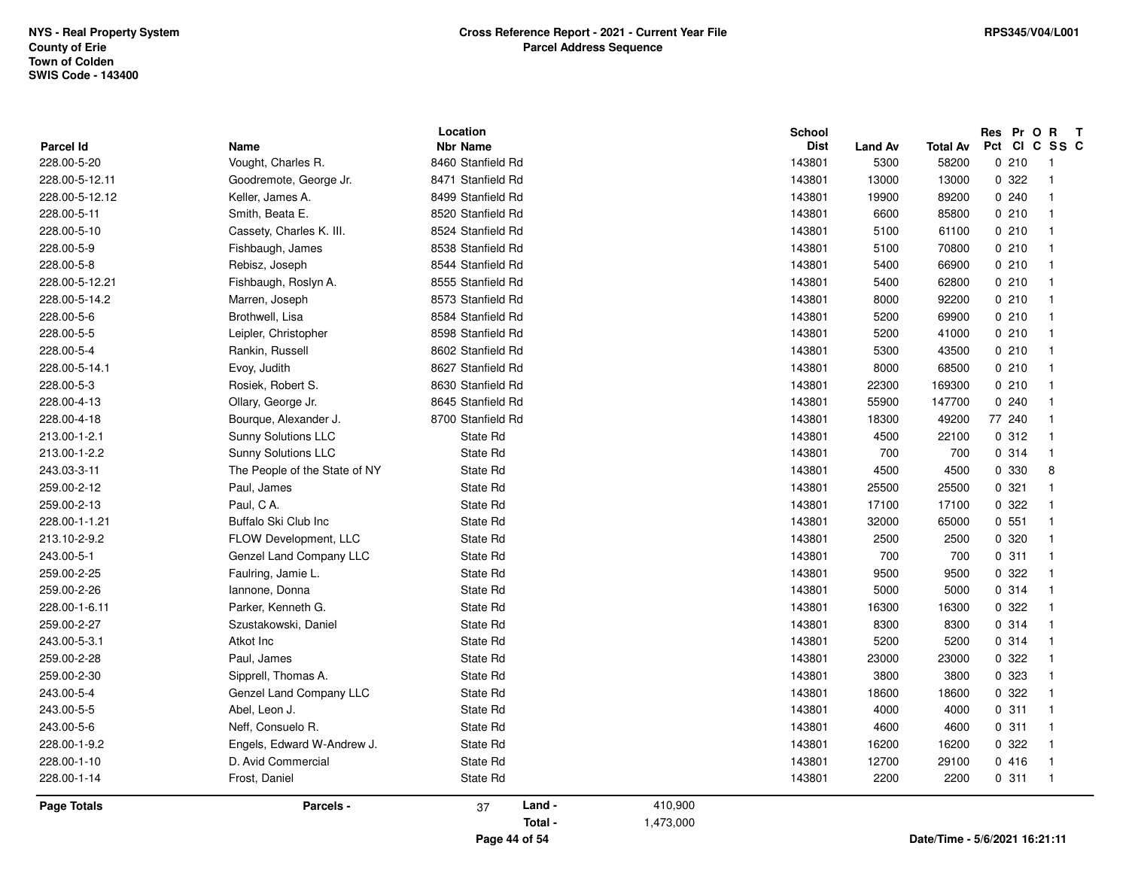| Parcel Id<br>228.00-5-20<br>228.00-5-12.11<br>228.00-5-12.12<br>228.00-5-11 | Name<br>Vought, Charles R.<br>Goodremote, George Jr.<br>Keller, James A.<br>Smith, Beata E. | <b>Nbr Name</b><br>8460 Stanfield Rd<br>8471 Stanfield Rd<br>8499 Stanfield Rd |           | <b>Dist</b><br>143801 | <b>Land Av</b><br>5300 | <b>Total Av</b><br>58200 | 0210   | Pct CI C SS C                 |
|-----------------------------------------------------------------------------|---------------------------------------------------------------------------------------------|--------------------------------------------------------------------------------|-----------|-----------------------|------------------------|--------------------------|--------|-------------------------------|
|                                                                             |                                                                                             |                                                                                |           |                       |                        |                          |        |                               |
|                                                                             |                                                                                             |                                                                                |           |                       | 13000                  | 13000                    | 0 322  | -1<br>$\overline{\mathbf{1}}$ |
|                                                                             |                                                                                             |                                                                                |           | 143801<br>143801      | 19900                  |                          | 0.240  | $\mathbf{1}$                  |
|                                                                             |                                                                                             |                                                                                |           |                       |                        | 89200                    |        |                               |
|                                                                             |                                                                                             | 8520 Stanfield Rd                                                              |           | 143801                | 6600                   | 85800                    | 0210   | $\mathbf{1}$                  |
| 228.00-5-10                                                                 | Cassety, Charles K. III.                                                                    | 8524 Stanfield Rd                                                              |           | 143801                | 5100                   | 61100                    | 0210   | $\overline{1}$                |
| 228.00-5-9                                                                  | Fishbaugh, James                                                                            | 8538 Stanfield Rd                                                              |           | 143801                | 5100                   | 70800                    | 0210   | $\overline{1}$                |
| 228.00-5-8                                                                  | Rebisz, Joseph                                                                              | 8544 Stanfield Rd                                                              |           | 143801                | 5400                   | 66900                    | 0210   | $\mathbf{1}$                  |
| 228.00-5-12.21                                                              | Fishbaugh, Roslyn A.                                                                        | 8555 Stanfield Rd                                                              |           | 143801                | 5400                   | 62800                    | 0210   | $\mathbf{1}$                  |
| 228.00-5-14.2                                                               | Marren, Joseph                                                                              | 8573 Stanfield Rd                                                              |           | 143801                | 8000                   | 92200                    | 0210   | $\mathbf 1$                   |
| 228.00-5-6                                                                  | Brothwell, Lisa                                                                             | 8584 Stanfield Rd                                                              |           | 143801                | 5200                   | 69900                    | 0210   | 1                             |
| 228.00-5-5                                                                  | Leipler, Christopher                                                                        | 8598 Stanfield Rd                                                              |           | 143801                | 5200                   | 41000                    | 0210   | $\overline{1}$                |
| 228.00-5-4                                                                  | Rankin, Russell                                                                             | 8602 Stanfield Rd                                                              |           | 143801                | 5300                   | 43500                    | 0210   | $\mathbf{1}$                  |
| 228.00-5-14.1                                                               | Evoy, Judith                                                                                | 8627 Stanfield Rd                                                              |           | 143801                | 8000                   | 68500                    | 0210   | $\mathbf{1}$                  |
| 228.00-5-3                                                                  | Rosiek, Robert S.                                                                           | 8630 Stanfield Rd                                                              |           | 143801                | 22300                  | 169300                   | 0210   | $\mathbf{1}$                  |
| 228.00-4-13                                                                 | Ollary, George Jr.                                                                          | 8645 Stanfield Rd                                                              |           | 143801                | 55900                  | 147700                   | 0.240  | 1                             |
| 228.00-4-18                                                                 | Bourque, Alexander J.                                                                       | 8700 Stanfield Rd                                                              |           | 143801                | 18300                  | 49200                    | 77 240 | $\overline{1}$                |
| 213.00-1-2.1                                                                | Sunny Solutions LLC                                                                         | State Rd                                                                       |           | 143801                | 4500                   | 22100                    | 0.312  | $\mathbf{1}$                  |
| 213.00-1-2.2                                                                | Sunny Solutions LLC                                                                         | State Rd                                                                       |           | 143801                | 700                    | 700                      | 0 314  | $\mathbf{1}$                  |
| 243.03-3-11                                                                 | The People of the State of NY                                                               | State Rd                                                                       |           | 143801                | 4500                   | 4500                     | 0 330  | 8                             |
| 259.00-2-12                                                                 | Paul, James                                                                                 | State Rd                                                                       |           | 143801                | 25500                  | 25500                    | 0.321  | $\mathbf{1}$                  |
| 259.00-2-13                                                                 | Paul, CA.                                                                                   | State Rd                                                                       |           | 143801                | 17100                  | 17100                    | 0.322  | $\overline{1}$                |
| 228.00-1-1.21                                                               | Buffalo Ski Club Inc                                                                        | State Rd                                                                       |           | 143801                | 32000                  | 65000                    | 0.551  | $\mathbf{1}$                  |
| 213.10-2-9.2                                                                | FLOW Development, LLC                                                                       | State Rd                                                                       |           | 143801                | 2500                   | 2500                     | 0.320  | $\mathbf{1}$                  |
| 243.00-5-1                                                                  | Genzel Land Company LLC                                                                     | State Rd                                                                       |           | 143801                | 700                    | 700                      | 0.311  | $\overline{1}$                |
| 259.00-2-25                                                                 | Faulring, Jamie L.                                                                          | State Rd                                                                       |           | 143801                | 9500                   | 9500                     | 0 322  | $\mathbf{1}$                  |
| 259.00-2-26                                                                 | Iannone, Donna                                                                              | State Rd                                                                       |           | 143801                | 5000                   | 5000                     | 0.314  | $\overline{1}$                |
| 228.00-1-6.11                                                               | Parker, Kenneth G.                                                                          | State Rd                                                                       |           | 143801                | 16300                  | 16300                    | 0 322  | $\mathbf{1}$                  |
| 259.00-2-27                                                                 | Szustakowski, Daniel                                                                        | State Rd                                                                       |           | 143801                | 8300                   | 8300                     | 0.314  | $\mathbf{1}$                  |
| 243.00-5-3.1                                                                | Atkot Inc                                                                                   | State Rd                                                                       |           | 143801                | 5200                   | 5200                     | 0.314  | $\mathbf{1}$                  |
| 259.00-2-28                                                                 | Paul, James                                                                                 | State Rd                                                                       |           | 143801                | 23000                  | 23000                    | 0 322  | 1                             |
| 259.00-2-30                                                                 | Sipprell, Thomas A.                                                                         | State Rd                                                                       |           | 143801                | 3800                   | 3800                     | 0 323  | $\mathbf{1}$                  |
| 243.00-5-4                                                                  | Genzel Land Company LLC                                                                     | State Rd                                                                       |           | 143801                | 18600                  | 18600                    | 0.322  | $\overline{1}$                |
| 243.00-5-5                                                                  | Abel, Leon J.                                                                               | State Rd                                                                       |           | 143801                | 4000                   | 4000                     | 0.311  | $\overline{\mathbf{1}}$       |
| 243.00-5-6                                                                  | Neff, Consuelo R.                                                                           | State Rd                                                                       |           | 143801                | 4600                   | 4600                     | 0.311  | $\mathbf{1}$                  |
| 228.00-1-9.2                                                                | Engels, Edward W-Andrew J.                                                                  | State Rd                                                                       |           | 143801                | 16200                  | 16200                    | 0.322  | $\overline{1}$                |
| 228.00-1-10                                                                 | D. Avid Commercial                                                                          | State Rd                                                                       |           | 143801                | 12700                  | 29100                    | 0416   | $\mathbf{1}$                  |
| 228.00-1-14                                                                 | Frost, Daniel                                                                               | State Rd                                                                       |           | 143801                | 2200                   | 2200                     | 0.311  | $\overline{\phantom{1}}$      |
| <b>Page Totals</b>                                                          | Parcels -                                                                                   | Land -<br>37                                                                   | 410,900   |                       |                        |                          |        |                               |
|                                                                             |                                                                                             | Total -                                                                        | 1,473,000 |                       |                        |                          |        |                               |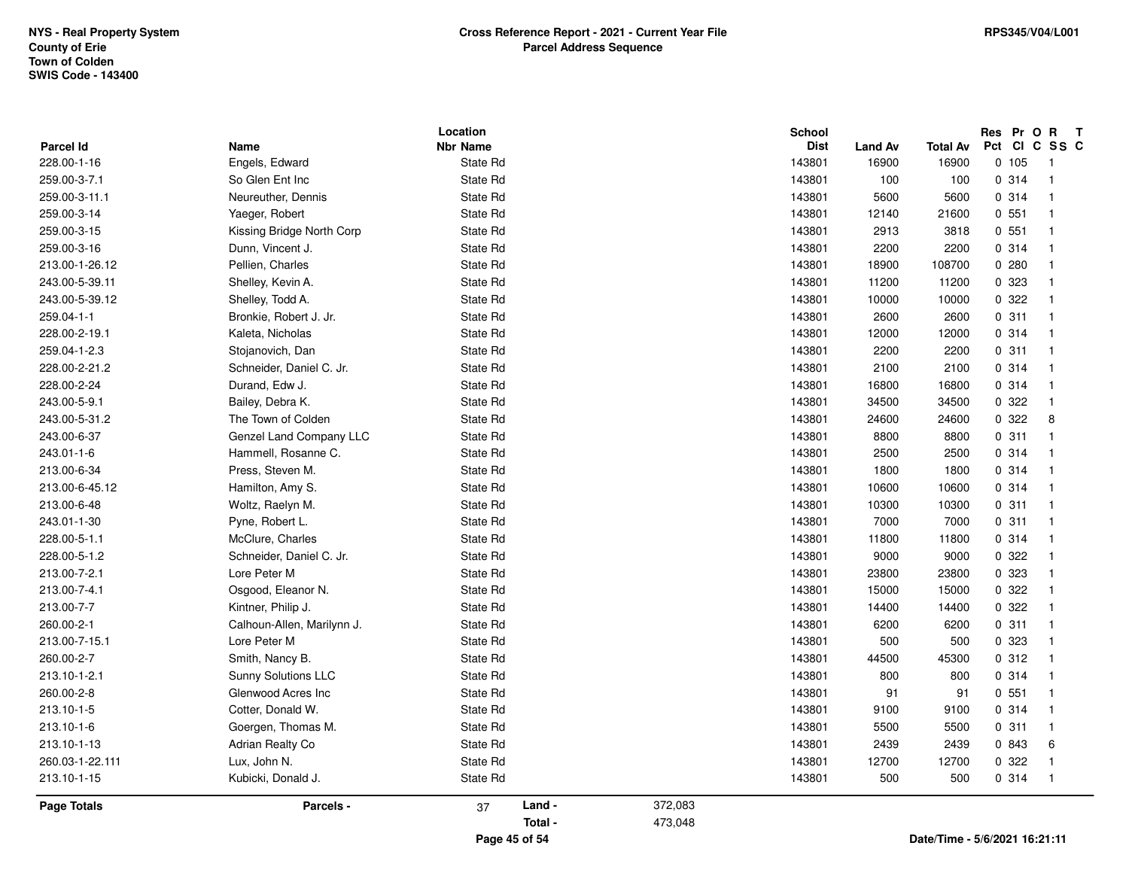| Parcel Id       | Name                                  | Location<br><b>Nbr Name</b> |         |         | <b>School</b><br><b>Dist</b> | Land Av | <b>Total Av</b> | Res Pr O R<br>Pct CI C SS C | $\mathbf{T}$                   |
|-----------------|---------------------------------------|-----------------------------|---------|---------|------------------------------|---------|-----------------|-----------------------------|--------------------------------|
| 228.00-1-16     | Engels, Edward                        | State Rd                    |         |         | 143801                       | 16900   | 16900           | 0, 105                      | -1                             |
| 259.00-3-7.1    | So Glen Ent Inc                       | State Rd                    |         |         | 143801                       | 100     | 100             | 0.314                       | $\overline{1}$                 |
| 259.00-3-11.1   | Neureuther, Dennis                    | State Rd                    |         |         | 143801                       | 5600    | 5600            | 0.314                       | $\overline{1}$                 |
| 259.00-3-14     | Yaeger, Robert                        | State Rd                    |         |         | 143801                       | 12140   | 21600           | 0.551                       | $\mathbf{1}$                   |
| 259.00-3-15     | Kissing Bridge North Corp             | State Rd                    |         |         | 143801                       | 2913    | 3818            | 0.551                       | $\overline{1}$                 |
| 259.00-3-16     | Dunn, Vincent J.                      | State Rd                    |         |         | 143801                       | 2200    | 2200            | 0 314                       | $\overline{1}$                 |
| 213.00-1-26.12  | Pellien, Charles                      | State Rd                    |         |         | 143801                       | 18900   | 108700          | 0.280                       | $\mathbf{1}$                   |
| 243.00-5-39.11  |                                       |                             |         |         | 143801                       | 11200   | 11200           | 0 323                       | $\mathbf{1}$                   |
| 243.00-5-39.12  | Shelley, Kevin A.<br>Shelley, Todd A. | State Rd<br>State Rd        |         |         | 143801                       | 10000   | 10000           | 0.322                       | $\mathbf{1}$                   |
|                 |                                       |                             |         |         |                              |         |                 |                             | $\overline{1}$                 |
| 259.04-1-1      | Bronkie, Robert J. Jr.                | State Rd                    |         |         | 143801                       | 2600    | 2600            | 0.311                       | $\overline{1}$                 |
| 228.00-2-19.1   | Kaleta, Nicholas                      | State Rd                    |         |         | 143801                       | 12000   | 12000           | 0.314                       |                                |
| 259.04-1-2.3    | Stojanovich, Dan                      | State Rd                    |         |         | 143801                       | 2200    | 2200            | 0.311                       | $\mathbf{1}$<br>$\overline{1}$ |
| 228.00-2-21.2   | Schneider, Daniel C. Jr.              | State Rd                    |         |         | 143801                       | 2100    | 2100            | 0.314                       |                                |
| 228.00-2-24     | Durand, Edw J.                        | State Rd                    |         |         | 143801                       | 16800   | 16800           | 0.314                       | $\mathbf{1}$<br>$\overline{1}$ |
| 243.00-5-9.1    | Bailey, Debra K.                      | State Rd                    |         |         | 143801                       | 34500   | 34500           | 0.322                       |                                |
| 243.00-5-31.2   | The Town of Colden                    | State Rd                    |         |         | 143801                       | 24600   | 24600           | 0.322                       | 8                              |
| 243.00-6-37     | Genzel Land Company LLC               | State Rd                    |         |         | 143801                       | 8800    | 8800            | 0.311                       | $\overline{1}$                 |
| 243.01-1-6      | Hammell, Rosanne C.                   | State Rd                    |         |         | 143801                       | 2500    | 2500            | 0.314                       | $\overline{1}$                 |
| 213.00-6-34     | Press, Steven M.                      | State Rd                    |         |         | 143801                       | 1800    | 1800            | 0.314                       | $\mathbf{1}$                   |
| 213.00-6-45.12  | Hamilton, Amy S.                      | State Rd                    |         |         | 143801                       | 10600   | 10600           | 0.314                       | $\overline{\mathbf{1}}$        |
| 213.00-6-48     | Woltz, Raelyn M.                      | State Rd                    |         |         | 143801                       | 10300   | 10300           | 0.311                       | $\overline{1}$                 |
| 243.01-1-30     | Pyne, Robert L.                       | State Rd                    |         |         | 143801                       | 7000    | 7000            | 0.311                       | $\overline{1}$                 |
| 228.00-5-1.1    | McClure, Charles                      | State Rd                    |         |         | 143801                       | 11800   | 11800           | 0.314                       | $\overline{1}$                 |
| 228.00-5-1.2    | Schneider, Daniel C. Jr.              | State Rd                    |         |         | 143801                       | 9000    | 9000            | 0.322                       | $\mathbf{1}$                   |
| 213.00-7-2.1    | Lore Peter M                          | State Rd                    |         |         | 143801                       | 23800   | 23800           | 0 323                       | $\overline{1}$                 |
| 213.00-7-4.1    | Osgood, Eleanor N.                    | State Rd                    |         |         | 143801                       | 15000   | 15000           | 0.322                       | $\overline{1}$                 |
| 213.00-7-7      | Kintner, Philip J.                    | State Rd                    |         |         | 143801                       | 14400   | 14400           | 0.322                       | $\overline{1}$                 |
| 260.00-2-1      | Calhoun-Allen, Marilynn J.            | State Rd                    |         |         | 143801                       | 6200    | 6200            | 0.311                       | $\overline{1}$                 |
| 213.00-7-15.1   | Lore Peter M                          | State Rd                    |         |         | 143801                       | 500     | 500             | 0 323                       | $\overline{1}$                 |
| 260.00-2-7      | Smith, Nancy B.                       | State Rd                    |         |         | 143801                       | 44500   | 45300           | 0.312                       | $\overline{1}$                 |
| 213.10-1-2.1    | <b>Sunny Solutions LLC</b>            | State Rd                    |         |         | 143801                       | 800     | 800             | 0.314                       | $\overline{1}$                 |
| 260.00-2-8      | Glenwood Acres Inc                    | State Rd                    |         |         | 143801                       | 91      | 91              | 0.551                       | $\overline{1}$                 |
| 213.10-1-5      | Cotter, Donald W.                     | State Rd                    |         |         | 143801                       | 9100    | 9100            | 0.314                       | $\overline{1}$                 |
| 213.10-1-6      | Goergen, Thomas M.                    | State Rd                    |         |         | 143801                       | 5500    | 5500            | 0.311                       | $\mathbf{1}$                   |
| 213.10-1-13     | Adrian Realty Co                      | State Rd                    |         |         | 143801                       | 2439    | 2439            | 0 843                       | 6                              |
| 260.03-1-22.111 | Lux, John N.                          | State Rd                    |         |         | 143801                       | 12700   | 12700           | 0 322                       | $\overline{1}$                 |
| 213.10-1-15     | Kubicki, Donald J.                    | State Rd                    |         |         | 143801                       | 500     | 500             | 0.314                       | $\overline{1}$                 |
| Page Totals     | Parcels -                             | 37                          | Land -  | 372,083 |                              |         |                 |                             |                                |
|                 |                                       |                             | Total - | 473,048 |                              |         |                 |                             |                                |
|                 |                                       | $\overline{\phantom{a}}$    |         |         |                              |         | - - -           | EIGIGGGA AG GA -            |                                |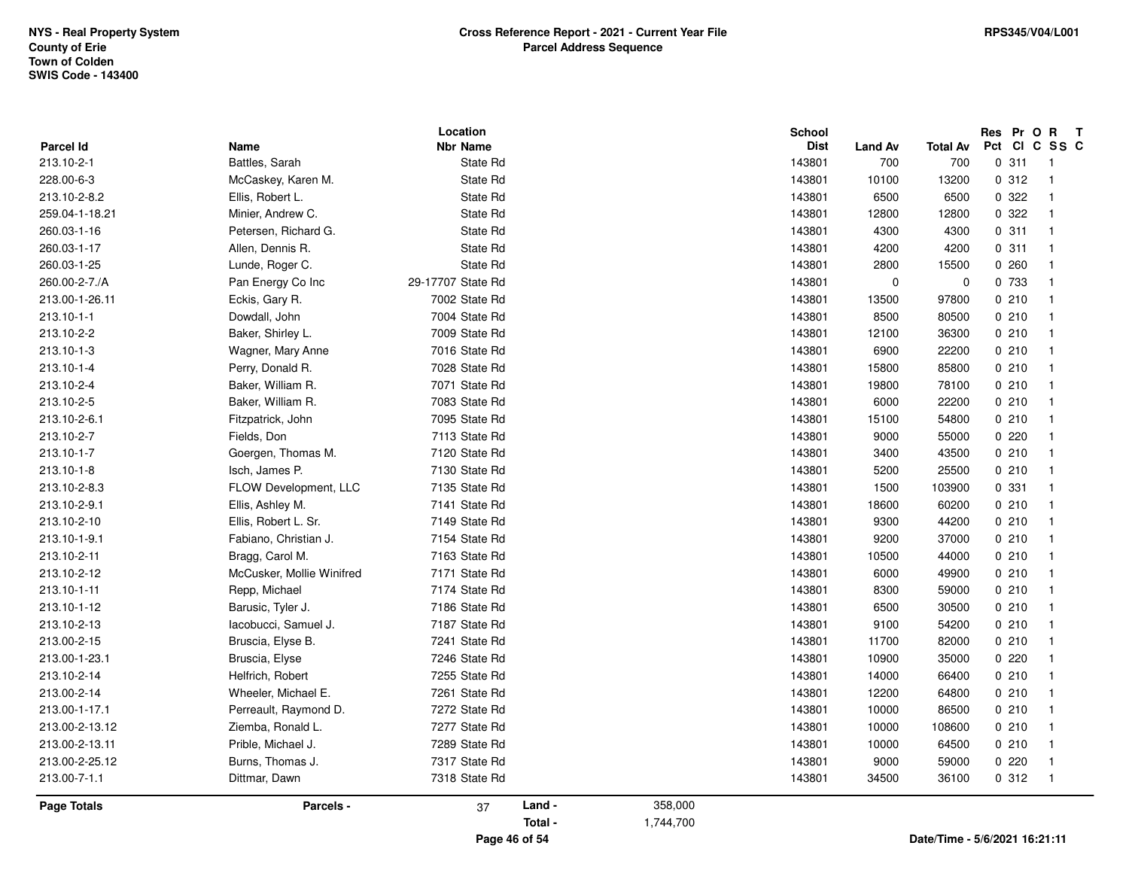| Parcel Id          | Name                      | Location<br><b>Nbr Name</b> |         | <b>School</b><br>Dist<br>Land Av | <b>Total Av</b> | Res Pr O R T<br>Pct CI C SS C |
|--------------------|---------------------------|-----------------------------|---------|----------------------------------|-----------------|-------------------------------|
| 213.10-2-1         | Battles, Sarah            | State Rd                    |         | 143801<br>700                    | 700             | 0.311<br>$\overline{1}$       |
| 228.00-6-3         | McCaskey, Karen M.        | State Rd                    |         | 143801<br>10100                  | 13200           | 0.312<br>$\overline{1}$       |
| 213.10-2-8.2       | Ellis, Robert L.          | State Rd                    |         | 143801<br>6500                   | 6500            | 0.322<br>$\overline{1}$       |
| 259.04-1-18.21     | Minier, Andrew C.         | State Rd                    |         | 143801<br>12800                  | 12800           | 0.322<br>$\overline{1}$       |
| 260.03-1-16        | Petersen, Richard G.      | State Rd                    |         | 143801<br>4300                   | 4300            | 0.311<br>$\mathbf{1}$         |
| 260.03-1-17        | Allen, Dennis R.          | State Rd                    |         | 143801<br>4200                   | 4200            | 0.311<br>$\overline{1}$       |
| 260.03-1-25        | Lunde, Roger C.           | State Rd                    |         | 143801<br>2800                   | 15500           | 0.260<br>$\overline{1}$       |
| 260.00-2-7./A      | Pan Energy Co Inc         | 29-17707 State Rd           |         | 143801<br>$\pmb{0}$              | $\mathbf 0$     | 0 733<br>$\overline{1}$       |
| 213.00-1-26.11     | Eckis, Gary R.            | 7002 State Rd               |         | 143801<br>13500                  | 97800           | 0210<br>$\overline{1}$        |
| 213.10-1-1         | Dowdall, John             | 7004 State Rd               |         | 143801<br>8500                   | 80500           | 0210<br>$\overline{1}$        |
| 213.10-2-2         | Baker, Shirley L.         | 7009 State Rd               |         | 143801<br>12100                  | 36300           | 0210<br>$\overline{1}$        |
| 213.10-1-3         | Wagner, Mary Anne         | 7016 State Rd               |         | 143801<br>6900                   | 22200           | 0210<br>$\mathbf{1}$          |
| 213.10-1-4         | Perry, Donald R.          | 7028 State Rd               |         | 143801<br>15800                  | 85800           | 0210<br>$\mathbf{1}$          |
| 213.10-2-4         | Baker, William R.         | 7071 State Rd               |         | 143801<br>19800                  | 78100           | 0210<br>$\mathbf{1}$          |
| 213.10-2-5         | Baker, William R.         | 7083 State Rd               |         | 143801<br>6000                   | 22200           | 0210<br>$\mathbf{1}$          |
| 213.10-2-6.1       | Fitzpatrick, John         | 7095 State Rd               |         | 143801<br>15100                  | 54800           | 0210<br>$\mathbf{1}$          |
| 213.10-2-7         | Fields, Don               | 7113 State Rd               |         | 143801<br>9000                   | 55000           | 0220<br>$\mathbf{1}$          |
| 213.10-1-7         | Goergen, Thomas M.        | 7120 State Rd               |         | 143801<br>3400                   | 43500           | 0210<br>$\mathbf{1}$          |
| 213.10-1-8         | Isch, James P.            | 7130 State Rd               |         | 143801<br>5200                   | 25500           | 0210<br>$\mathbf{1}$          |
| 213.10-2-8.3       | FLOW Development, LLC     | 7135 State Rd               |         | 143801<br>1500                   | 103900          | 0 331<br>$\mathbf{1}$         |
| 213.10-2-9.1       | Ellis, Ashley M.          | 7141 State Rd               |         | 143801<br>18600                  | 60200           | 0210<br>$\overline{1}$        |
| 213.10-2-10        | Ellis, Robert L. Sr.      | 7149 State Rd               |         | 143801<br>9300                   | 44200           | 0210<br>$\overline{1}$        |
| 213.10-1-9.1       | Fabiano, Christian J.     | 7154 State Rd               |         | 143801<br>9200                   | 37000           | 0210<br>$\overline{1}$        |
| 213.10-2-11        | Bragg, Carol M.           | 7163 State Rd               |         | 143801<br>10500                  | 44000           | 0210<br>$\overline{1}$        |
| 213.10-2-12        | McCusker, Mollie Winifred | 7171 State Rd               |         | 143801<br>6000                   | 49900           | 0210<br>$\mathbf{1}$          |
| 213.10-1-11        | Repp, Michael             | 7174 State Rd               |         | 143801<br>8300                   | 59000           | 0210<br>$\overline{1}$        |
| 213.10-1-12        | Barusic, Tyler J.         | 7186 State Rd               |         | 143801<br>6500                   | 30500           | 0210<br>$\overline{1}$        |
| 213.10-2-13        | lacobucci, Samuel J.      | 7187 State Rd               |         | 143801<br>9100                   | 54200           | 0210<br>$\mathbf{1}$          |
| 213.00-2-15        | Bruscia, Elyse B.         | 7241 State Rd               |         | 143801<br>11700                  | 82000           | 0210<br>$\mathbf{1}$          |
| 213.00-1-23.1      | Bruscia, Elyse            | 7246 State Rd               |         | 143801<br>10900                  | 35000           | 0220<br>$\mathbf{1}$          |
| 213.10-2-14        | Helfrich, Robert          | 7255 State Rd               |         | 143801<br>14000                  | 66400           | 0210<br>$\overline{1}$        |
| 213.00-2-14        | Wheeler, Michael E.       | 7261 State Rd               |         | 143801<br>12200                  | 64800           | 0210<br>$\overline{1}$        |
| 213.00-1-17.1      | Perreault, Raymond D.     | 7272 State Rd               |         | 143801<br>10000                  | 86500           | 0210<br>$\overline{1}$        |
| 213.00-2-13.12     | Ziemba, Ronald L.         | 7277 State Rd               |         | 143801<br>10000                  | 108600          | 0210<br>$\overline{1}$        |
| 213.00-2-13.11     | Prible, Michael J.        | 7289 State Rd               |         | 143801<br>10000                  | 64500           | 0210<br>$\mathbf{1}$          |
| 213.00-2-25.12     | Burns, Thomas J.          | 7317 State Rd               |         | 143801<br>9000                   | 59000           | 0220<br>$\mathbf{1}$          |
| 213.00-7-1.1       | Dittmar, Dawn             | 7318 State Rd               |         | 34500<br>143801                  | 36100           | 0.312<br>$\overline{1}$       |
| <b>Page Totals</b> | Parcels -                 | Land -<br>37                | 358,000 |                                  |                 |                               |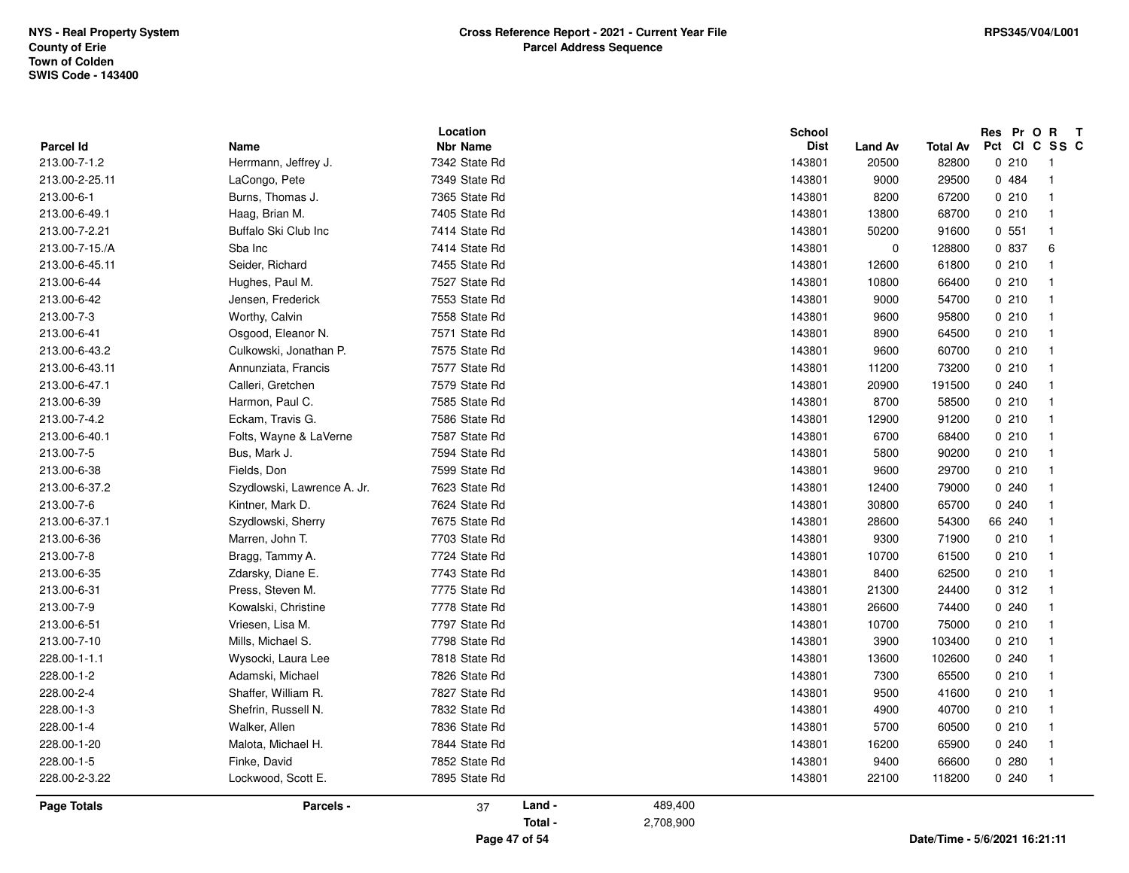|                    |                             | Location        |         |           | <b>School</b> |             |          | Res Pr O R T  |              |
|--------------------|-----------------------------|-----------------|---------|-----------|---------------|-------------|----------|---------------|--------------|
| Parcel Id          | Name                        | <b>Nbr Name</b> |         |           | <b>Dist</b>   | Land Av     | Total Av | Pct CI C SS C |              |
| 213.00-7-1.2       | Herrmann, Jeffrey J.        | 7342 State Rd   |         |           | 143801        | 20500       | 82800    | 0210          | -1           |
| 213.00-2-25.11     | LaCongo, Pete               | 7349 State Rd   |         |           | 143801        | 9000        | 29500    | 0.484         | $\mathbf{1}$ |
| 213.00-6-1         | Burns, Thomas J.            | 7365 State Rd   |         |           | 143801        | 8200        | 67200    | 0210          | $\mathbf{1}$ |
| 213.00-6-49.1      | Haag, Brian M.              | 7405 State Rd   |         |           | 143801        | 13800       | 68700    | 0210          | $\mathbf{1}$ |
| 213.00-7-2.21      | Buffalo Ski Club Inc        | 7414 State Rd   |         |           | 143801        | 50200       | 91600    | 0.551         | $\mathbf{1}$ |
| 213.00-7-15./A     | Sba Inc                     | 7414 State Rd   |         |           | 143801        | $\mathbf 0$ | 128800   | 0 837         | 6            |
| 213.00-6-45.11     | Seider, Richard             | 7455 State Rd   |         |           | 143801        | 12600       | 61800    | 0210          | $\mathbf{1}$ |
| 213.00-6-44        | Hughes, Paul M.             | 7527 State Rd   |         |           | 143801        | 10800       | 66400    | 0210          | $\mathbf{1}$ |
| 213.00-6-42        | Jensen, Frederick           | 7553 State Rd   |         |           | 143801        | 9000        | 54700    | 0210          | $\mathbf{1}$ |
| 213.00-7-3         | Worthy, Calvin              | 7558 State Rd   |         |           | 143801        | 9600        | 95800    | 0210          | $\mathbf{1}$ |
| 213.00-6-41        | Osgood, Eleanor N.          | 7571 State Rd   |         |           | 143801        | 8900        | 64500    | 0210          | $\mathbf{1}$ |
| 213.00-6-43.2      | Culkowski, Jonathan P.      | 7575 State Rd   |         |           | 143801        | 9600        | 60700    | 0210          | $\mathbf{1}$ |
| 213.00-6-43.11     | Annunziata, Francis         | 7577 State Rd   |         |           | 143801        | 11200       | 73200    | 0210          | $\mathbf{1}$ |
| 213.00-6-47.1      | Calleri, Gretchen           | 7579 State Rd   |         |           | 143801        | 20900       | 191500   | 0.240         | $\mathbf{1}$ |
| 213.00-6-39        | Harmon, Paul C.             | 7585 State Rd   |         |           | 143801        | 8700        | 58500    | 0210          | $\mathbf{1}$ |
| 213.00-7-4.2       | Eckam, Travis G.            | 7586 State Rd   |         |           | 143801        | 12900       | 91200    | 0210          | $\mathbf{1}$ |
| 213.00-6-40.1      | Folts, Wayne & LaVerne      | 7587 State Rd   |         |           | 143801        | 6700        | 68400    | 0210          | $\mathbf{1}$ |
| 213.00-7-5         | Bus, Mark J.                | 7594 State Rd   |         |           | 143801        | 5800        | 90200    | 0210          | $\mathbf{1}$ |
| 213.00-6-38        | Fields, Don                 | 7599 State Rd   |         |           | 143801        | 9600        | 29700    | 0210          | $\mathbf{1}$ |
| 213.00-6-37.2      | Szydlowski, Lawrence A. Jr. | 7623 State Rd   |         |           | 143801        | 12400       | 79000    | 0.240         | $\mathbf{1}$ |
| 213.00-7-6         | Kintner, Mark D.            | 7624 State Rd   |         |           | 143801        | 30800       | 65700    | 0.240         | $\mathbf{1}$ |
| 213.00-6-37.1      | Szydlowski, Sherry          | 7675 State Rd   |         |           | 143801        | 28600       | 54300    | 66 240        | $\mathbf{1}$ |
| 213.00-6-36        | Marren, John T.             | 7703 State Rd   |         |           | 143801        | 9300        | 71900    | 0210          | $\mathbf{1}$ |
| 213.00-7-8         | Bragg, Tammy A.             | 7724 State Rd   |         |           | 143801        | 10700       | 61500    | 0210          | $\mathbf{1}$ |
| 213.00-6-35        | Zdarsky, Diane E.           | 7743 State Rd   |         |           | 143801        | 8400        | 62500    | 0210          | $\mathbf{1}$ |
| 213.00-6-31        | Press, Steven M.            | 7775 State Rd   |         |           | 143801        | 21300       | 24400    | 0.312         | $\mathbf{1}$ |
| 213.00-7-9         | Kowalski, Christine         | 7778 State Rd   |         |           | 143801        | 26600       | 74400    | 0.240         | $\mathbf{1}$ |
| 213.00-6-51        | Vriesen, Lisa M.            | 7797 State Rd   |         |           | 143801        | 10700       | 75000    | 0210          | $\mathbf{1}$ |
| 213.00-7-10        | Mills, Michael S.           | 7798 State Rd   |         |           | 143801        | 3900        | 103400   | 0210          | $\mathbf{1}$ |
| 228.00-1-1.1       | Wysocki, Laura Lee          | 7818 State Rd   |         |           | 143801        | 13600       | 102600   | 0.240         | $\mathbf{1}$ |
| 228.00-1-2         | Adamski, Michael            | 7826 State Rd   |         |           | 143801        | 7300        | 65500    | 0210          | $\mathbf{1}$ |
| 228.00-2-4         | Shaffer, William R.         | 7827 State Rd   |         |           | 143801        | 9500        | 41600    | 0210          | $\mathbf{1}$ |
| 228.00-1-3         | Shefrin, Russell N.         | 7832 State Rd   |         |           | 143801        | 4900        | 40700    | 0210          | $\mathbf{1}$ |
| 228.00-1-4         | Walker, Allen               | 7836 State Rd   |         |           | 143801        | 5700        | 60500    | 0210          | $\mathbf{1}$ |
| 228.00-1-20        | Malota, Michael H.          | 7844 State Rd   |         |           | 143801        | 16200       | 65900    | 0.240         | $\mathbf{1}$ |
| 228.00-1-5         | Finke, David                | 7852 State Rd   |         |           | 143801        | 9400        | 66600    | 0.280         | 1            |
| 228.00-2-3.22      | Lockwood, Scott E.          | 7895 State Rd   |         |           | 143801        | 22100       | 118200   | 0.240         | $\mathbf{1}$ |
|                    |                             |                 |         |           |               |             |          |               |              |
| <b>Page Totals</b> | Parcels -                   | 37              | Land -  | 489,400   |               |             |          |               |              |
|                    |                             |                 | Total - | 2,708,900 |               |             |          |               |              |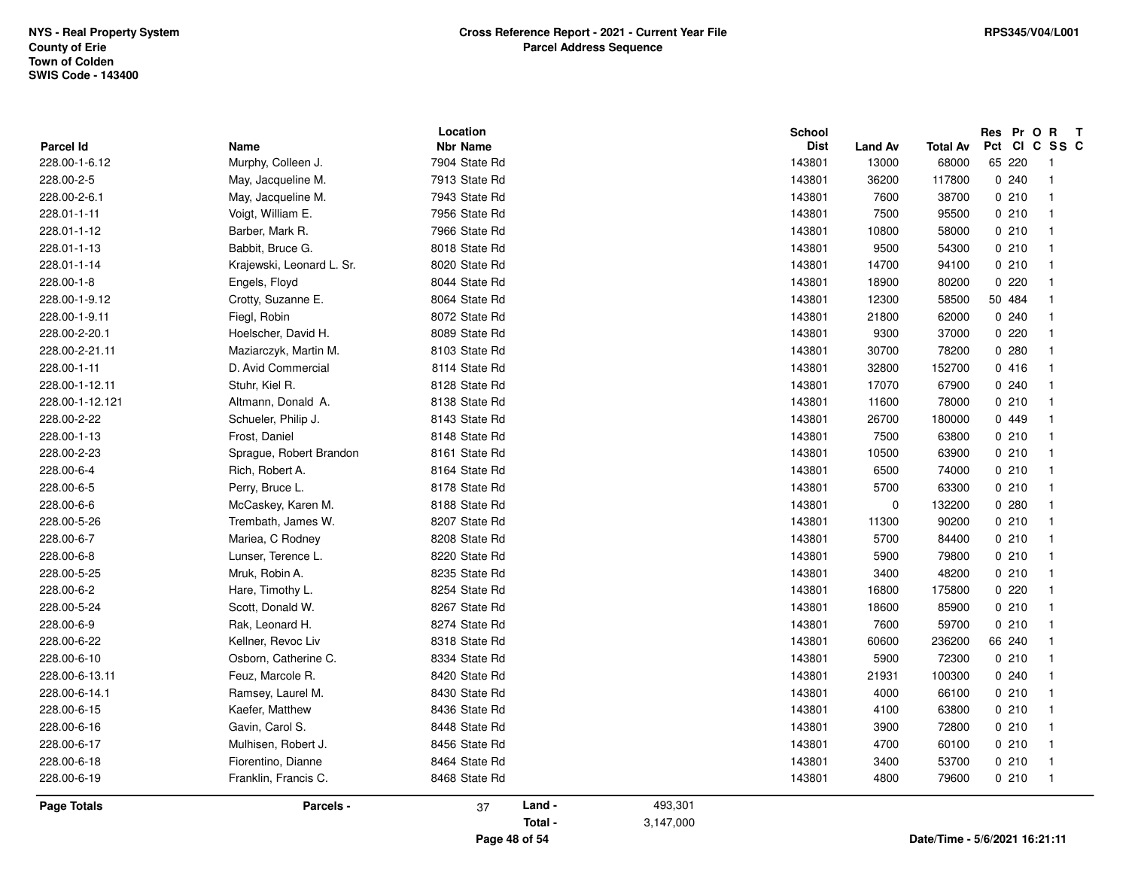|                            |                            | Location                         |         |           | <b>School</b>         |                         |                          | Res Pr O R T            |              |
|----------------------------|----------------------------|----------------------------------|---------|-----------|-----------------------|-------------------------|--------------------------|-------------------------|--------------|
| Parcel Id<br>228.00-1-6.12 | Name<br>Murphy, Colleen J. | <b>Nbr Name</b><br>7904 State Rd |         |           | <b>Dist</b><br>143801 | <b>Land Av</b><br>13000 | <b>Total Av</b><br>68000 | Pct CI C SS C<br>65 220 | $\mathbf{1}$ |
| 228.00-2-5                 |                            | 7913 State Rd                    |         |           |                       |                         |                          | 0.240                   | $\mathbf{1}$ |
|                            | May, Jacqueline M.         |                                  |         |           | 143801                | 36200                   | 117800                   |                         |              |
| 228.00-2-6.1               | May, Jacqueline M.         | 7943 State Rd                    |         |           | 143801                | 7600                    | 38700                    | 0210                    | $\mathbf{1}$ |
| 228.01-1-11                | Voigt, William E.          | 7956 State Rd                    |         |           | 143801                | 7500                    | 95500                    | 0210                    | $\mathbf{1}$ |
| 228.01-1-12                | Barber, Mark R.            | 7966 State Rd                    |         |           | 143801                | 10800                   | 58000                    | 0210                    | $\mathbf{1}$ |
| 228.01-1-13                | Babbit, Bruce G.           | 8018 State Rd                    |         |           | 143801                | 9500                    | 54300                    | 0210                    | $\mathbf{1}$ |
| 228.01-1-14                | Krajewski, Leonard L. Sr.  | 8020 State Rd                    |         |           | 143801                | 14700                   | 94100                    | 0210                    | $\mathbf{1}$ |
| 228.00-1-8                 | Engels, Floyd              | 8044 State Rd                    |         |           | 143801                | 18900                   | 80200                    | 0220                    | $\mathbf{1}$ |
| 228.00-1-9.12              | Crotty, Suzanne E.         | 8064 State Rd                    |         |           | 143801                | 12300                   | 58500                    | 50 484                  | $\mathbf{1}$ |
| 228.00-1-9.11              | Fiegl, Robin               | 8072 State Rd                    |         |           | 143801                | 21800                   | 62000                    | 0.240                   | $\mathbf{1}$ |
| 228.00-2-20.1              | Hoelscher, David H.        | 8089 State Rd                    |         |           | 143801                | 9300                    | 37000                    | 0220                    | $\mathbf{1}$ |
| 228.00-2-21.11             | Maziarczyk, Martin M.      | 8103 State Rd                    |         |           | 143801                | 30700                   | 78200                    | 0.280                   | $\mathbf{1}$ |
| 228.00-1-11                | D. Avid Commercial         | 8114 State Rd                    |         |           | 143801                | 32800                   | 152700                   | 0416                    | $\mathbf{1}$ |
| 228.00-1-12.11             | Stuhr, Kiel R.             | 8128 State Rd                    |         |           | 143801                | 17070                   | 67900                    | 0.240                   | $\mathbf{1}$ |
| 228.00-1-12.121            | Altmann, Donald A.         | 8138 State Rd                    |         |           | 143801                | 11600                   | 78000                    | 0210                    | $\mathbf{1}$ |
| 228.00-2-22                | Schueler, Philip J.        | 8143 State Rd                    |         |           | 143801                | 26700                   | 180000                   | 0 449                   | $\mathbf{1}$ |
| 228.00-1-13                | Frost, Daniel              | 8148 State Rd                    |         |           | 143801                | 7500                    | 63800                    | 0210                    | $\mathbf{1}$ |
| 228.00-2-23                | Sprague, Robert Brandon    | 8161 State Rd                    |         |           | 143801                | 10500                   | 63900                    | 0210                    | $\mathbf{1}$ |
| 228.00-6-4                 | Rich, Robert A.            | 8164 State Rd                    |         |           | 143801                | 6500                    | 74000                    | 0210                    | $\mathbf{1}$ |
| 228.00-6-5                 | Perry, Bruce L.            | 8178 State Rd                    |         |           | 143801                | 5700                    | 63300                    | 0210                    | $\mathbf{1}$ |
| 228.00-6-6                 | McCaskey, Karen M.         | 8188 State Rd                    |         |           | 143801                | $\mathbf 0$             | 132200                   | 0.280                   | $\mathbf{1}$ |
| 228.00-5-26                | Trembath, James W.         | 8207 State Rd                    |         |           | 143801                | 11300                   | 90200                    | 0210                    | $\mathbf{1}$ |
| 228.00-6-7                 | Mariea, C Rodney           | 8208 State Rd                    |         |           | 143801                | 5700                    | 84400                    | 0210                    | $\mathbf{1}$ |
| 228.00-6-8                 | Lunser, Terence L.         | 8220 State Rd                    |         |           | 143801                | 5900                    | 79800                    | 0210                    | $\mathbf{1}$ |
| 228.00-5-25                | Mruk, Robin A.             | 8235 State Rd                    |         |           | 143801                | 3400                    | 48200                    | 0210                    | $\mathbf{1}$ |
| 228.00-6-2                 | Hare, Timothy L.           | 8254 State Rd                    |         |           | 143801                | 16800                   | 175800                   | 0220                    | $\mathbf{1}$ |
| 228.00-5-24                | Scott, Donald W.           | 8267 State Rd                    |         |           | 143801                | 18600                   | 85900                    | 0210                    | $\mathbf{1}$ |
| 228.00-6-9                 | Rak, Leonard H.            | 8274 State Rd                    |         |           | 143801                | 7600                    | 59700                    | 0210                    | $\mathbf{1}$ |
| 228.00-6-22                | Kellner, Revoc Liv         | 8318 State Rd                    |         |           | 143801                | 60600                   | 236200                   | 66 240                  | $\mathbf{1}$ |
| 228.00-6-10                | Osborn, Catherine C.       | 8334 State Rd                    |         |           | 143801                | 5900                    | 72300                    | 0210                    | $\mathbf{1}$ |
| 228.00-6-13.11             | Feuz, Marcole R.           | 8420 State Rd                    |         |           | 143801                | 21931                   | 100300                   | 0.240                   | $\mathbf{1}$ |
| 228.00-6-14.1              | Ramsey, Laurel M.          | 8430 State Rd                    |         |           | 143801                | 4000                    | 66100                    | 0210                    | $\mathbf{1}$ |
| 228.00-6-15                | Kaefer, Matthew            | 8436 State Rd                    |         |           | 143801                | 4100                    | 63800                    | 0210                    | $\mathbf{1}$ |
| 228.00-6-16                | Gavin, Carol S.            | 8448 State Rd                    |         |           | 143801                | 3900                    | 72800                    | 0210                    | $\mathbf{1}$ |
| 228.00-6-17                | Mulhisen, Robert J.        | 8456 State Rd                    |         |           | 143801                | 4700                    | 60100                    | 0210                    | $\mathbf{1}$ |
| 228.00-6-18                | Fiorentino, Dianne         | 8464 State Rd                    |         |           | 143801                | 3400                    | 53700                    | 0210                    | $\mathbf{1}$ |
| 228.00-6-19                | Franklin, Francis C.       | 8468 State Rd                    |         |           | 143801                | 4800                    | 79600                    | 0210                    | $\mathbf{1}$ |
| <b>Page Totals</b>         | Parcels -                  | 37                               | Land -  | 493,301   |                       |                         |                          |                         |              |
|                            |                            |                                  | Total - | 3,147,000 |                       |                         |                          |                         |              |
|                            |                            |                                  |         |           |                       |                         |                          |                         |              |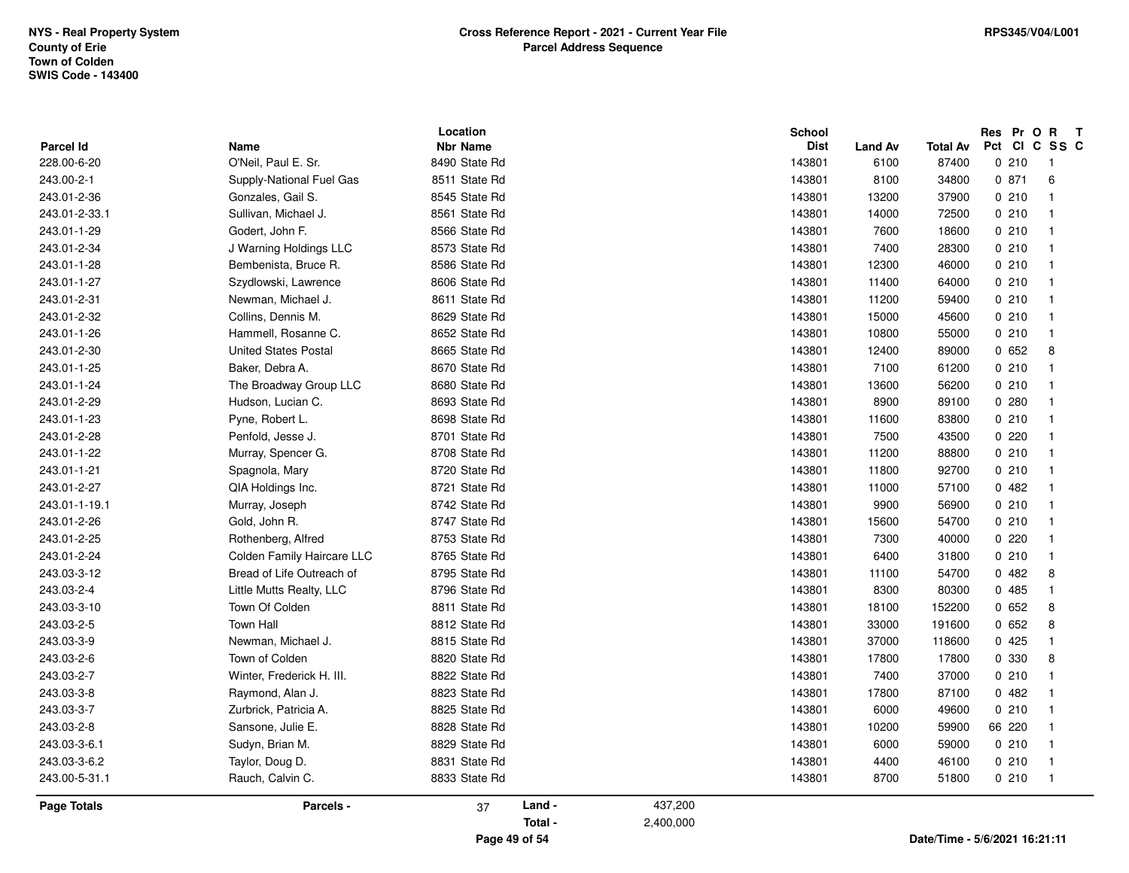| <b>Parcel Id</b>   |                             |                                  |        |         | School                |                        |                          | Res Pr O R T          |                         |
|--------------------|-----------------------------|----------------------------------|--------|---------|-----------------------|------------------------|--------------------------|-----------------------|-------------------------|
| 228.00-6-20        | Name<br>O'Neil, Paul E. Sr. | <b>Nbr Name</b><br>8490 State Rd |        |         | <b>Dist</b><br>143801 | <b>Land Av</b><br>6100 | <b>Total Av</b><br>87400 | Pct CI C SS C<br>0210 | -1                      |
|                    |                             | 8511 State Rd                    |        |         |                       |                        |                          |                       |                         |
| 243.00-2-1         | Supply-National Fuel Gas    |                                  |        |         | 143801                | 8100                   | 34800                    | 0.871                 | 6                       |
| 243.01-2-36        | Gonzales, Gail S.           | 8545 State Rd                    |        |         | 143801                | 13200                  | 37900                    | 0210                  | $\overline{\mathbf{1}}$ |
| 243.01-2-33.1      | Sullivan, Michael J.        | 8561 State Rd                    |        |         | 143801                | 14000                  | 72500                    | 0210                  | $\overline{\mathbf{1}}$ |
| 243.01-1-29        | Godert, John F.             | 8566 State Rd                    |        |         | 143801                | 7600                   | 18600                    | 0210                  | $\overline{1}$          |
| 243.01-2-34        | J Warning Holdings LLC      | 8573 State Rd                    |        |         | 143801                | 7400                   | 28300                    | 0210                  | $\overline{1}$          |
| 243.01-1-28        | Bembenista, Bruce R.        | 8586 State Rd                    |        |         | 143801                | 12300                  | 46000                    | 0210                  | $\overline{\mathbf{1}}$ |
| 243.01-1-27        | Szydlowski, Lawrence        | 8606 State Rd                    |        |         | 143801                | 11400                  | 64000                    | 0210                  | $\overline{\mathbf{1}}$ |
| 243.01-2-31        | Newman, Michael J.          | 8611 State Rd                    |        |         | 143801                | 11200                  | 59400                    | 0210                  | $\overline{\mathbf{1}}$ |
| 243.01-2-32        | Collins, Dennis M.          | 8629 State Rd                    |        |         | 143801                | 15000                  | 45600                    | 0210                  | $\overline{1}$          |
| 243.01-1-26        | Hammell, Rosanne C.         | 8652 State Rd                    |        |         | 143801                | 10800                  | 55000                    | 0210                  | $\overline{1}$          |
| 243.01-2-30        | United States Postal        | 8665 State Rd                    |        |         | 143801                | 12400                  | 89000                    | 0652                  | 8                       |
| 243.01-1-25        | Baker, Debra A.             | 8670 State Rd                    |        |         | 143801                | 7100                   | 61200                    | 0210                  | $\overline{1}$          |
| 243.01-1-24        | The Broadway Group LLC      | 8680 State Rd                    |        |         | 143801                | 13600                  | 56200                    | 0210                  | $\overline{1}$          |
| 243.01-2-29        | Hudson, Lucian C.           | 8693 State Rd                    |        |         | 143801                | 8900                   | 89100                    | 0.280                 | $\overline{1}$          |
| 243.01-1-23        | Pyne, Robert L.             | 8698 State Rd                    |        |         | 143801                | 11600                  | 83800                    | 0210                  | $\overline{1}$          |
| 243.01-2-28        | Penfold, Jesse J.           | 8701 State Rd                    |        |         | 143801                | 7500                   | 43500                    | 0220                  | $\overline{\mathbf{1}}$ |
| 243.01-1-22        | Murray, Spencer G.          | 8708 State Rd                    |        |         | 143801                | 11200                  | 88800                    | 0210                  | $\overline{1}$          |
| 243.01-1-21        | Spagnola, Mary              | 8720 State Rd                    |        |         | 143801                | 11800                  | 92700                    | 0210                  | $\overline{1}$          |
| 243.01-2-27        | QIA Holdings Inc.           | 8721 State Rd                    |        |         | 143801                | 11000                  | 57100                    | 0482                  | $\overline{1}$          |
| 243.01-1-19.1      | Murray, Joseph              | 8742 State Rd                    |        |         | 143801                | 9900                   | 56900                    | 0210                  | $\overline{1}$          |
| 243.01-2-26        | Gold, John R.               | 8747 State Rd                    |        |         | 143801                | 15600                  | 54700                    | 0210                  | $\overline{1}$          |
| 243.01-2-25        | Rothenberg, Alfred          | 8753 State Rd                    |        |         | 143801                | 7300                   | 40000                    | 0220                  | $\mathbf{1}$            |
| 243.01-2-24        | Colden Family Haircare LLC  | 8765 State Rd                    |        |         | 143801                | 6400                   | 31800                    | 0210                  | $\overline{1}$          |
| 243.03-3-12        | Bread of Life Outreach of   | 8795 State Rd                    |        |         | 143801                | 11100                  | 54700                    | 0482                  | 8                       |
| 243.03-2-4         | Little Mutts Realty, LLC    | 8796 State Rd                    |        |         | 143801                | 8300                   | 80300                    | 0485                  | $\overline{1}$          |
| 243.03-3-10        | Town Of Colden              | 8811 State Rd                    |        |         | 143801                | 18100                  | 152200                   | 0652                  | 8                       |
| 243.03-2-5         | <b>Town Hall</b>            | 8812 State Rd                    |        |         | 143801                | 33000                  | 191600                   | 0652                  | 8                       |
| 243.03-3-9         | Newman, Michael J.          | 8815 State Rd                    |        |         | 143801                | 37000                  | 118600                   | 0425                  | $\overline{\mathbf{1}}$ |
| 243.03-2-6         | Town of Colden              | 8820 State Rd                    |        |         | 143801                | 17800                  | 17800                    | 0 330                 | 8                       |
| 243.03-2-7         | Winter, Frederick H. III.   | 8822 State Rd                    |        |         | 143801                | 7400                   | 37000                    | 0210                  | $\overline{\mathbf{1}}$ |
| 243.03-3-8         | Raymond, Alan J.            | 8823 State Rd                    |        |         | 143801                | 17800                  | 87100                    | 0482                  | $\overline{1}$          |
| 243.03-3-7         | Zurbrick, Patricia A.       | 8825 State Rd                    |        |         | 143801                | 6000                   | 49600                    | 0210                  | $\overline{\mathbf{1}}$ |
| 243.03-2-8         | Sansone, Julie E.           | 8828 State Rd                    |        |         | 143801                | 10200                  | 59900                    | 66 220                | $\overline{1}$          |
| 243.03-3-6.1       | Sudyn, Brian M.             | 8829 State Rd                    |        |         | 143801                | 6000                   | 59000                    | 0210                  | $\overline{1}$          |
| 243.03-3-6.2       | Taylor, Doug D.             | 8831 State Rd                    |        |         | 143801                | 4400                   | 46100                    | 0210                  | $\overline{\mathbf{1}}$ |
| 243.00-5-31.1      | Rauch, Calvin C.            | 8833 State Rd                    |        |         | 143801                | 8700                   | 51800                    | 0210                  | $\overline{\mathbf{1}}$ |
|                    |                             |                                  |        |         |                       |                        |                          |                       |                         |
| <b>Page Totals</b> | Parcels -                   | 37                               | Land - | 437,200 |                       |                        |                          |                       |                         |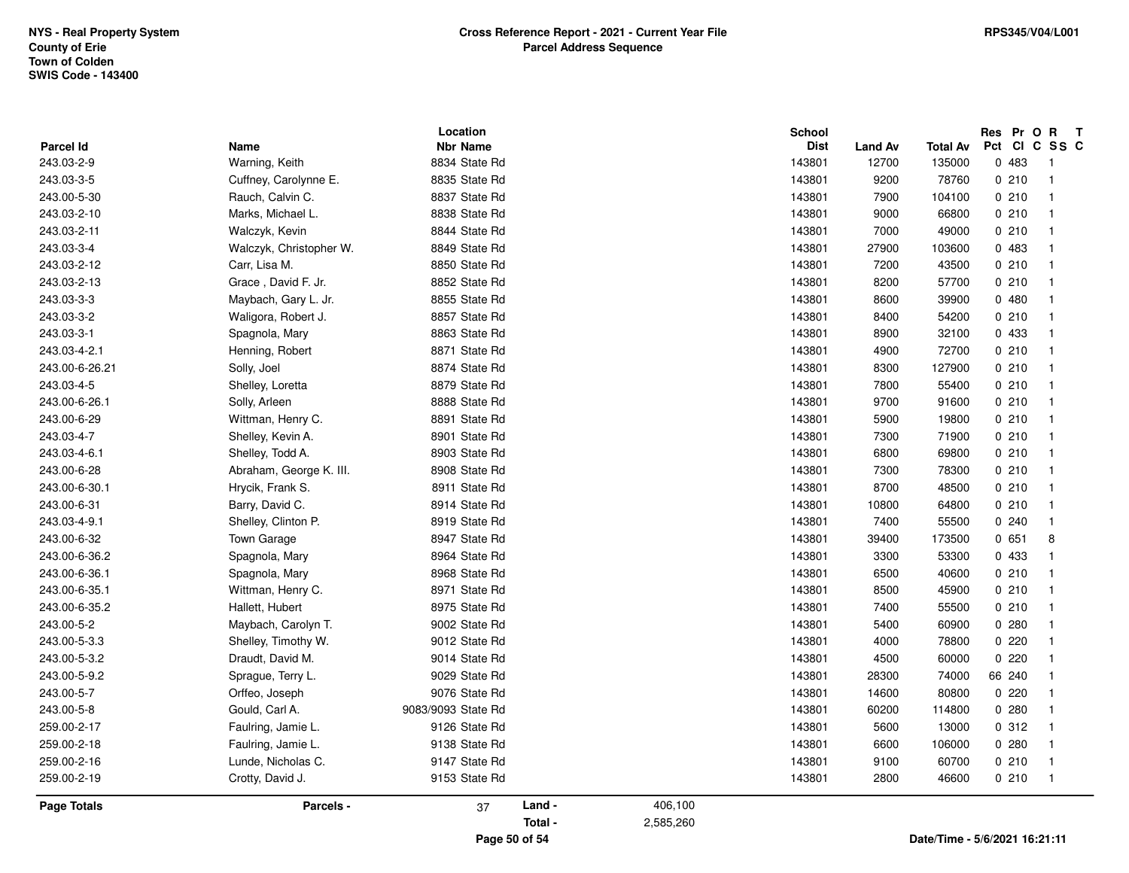| Parcel Id          | Name                    | Location                         |         |           | School<br><b>Dist</b> |                         | <b>Total Av</b> | Res Pr O R<br>Pct CI C SS C | $\mathbf{T}$            |
|--------------------|-------------------------|----------------------------------|---------|-----------|-----------------------|-------------------------|-----------------|-----------------------------|-------------------------|
| 243.03-2-9         | Warning, Keith          | <b>Nbr Name</b><br>8834 State Rd |         |           | 143801                | <b>Land Av</b><br>12700 | 135000          | 0 483                       | -1                      |
| 243.03-3-5         | Cuffney, Carolynne E.   | 8835 State Rd                    |         |           | 143801                | 9200                    | 78760           | 0210                        | $\overline{\mathbf{1}}$ |
| 243.00-5-30        | Rauch, Calvin C.        | 8837 State Rd                    |         |           | 143801                | 7900                    | 104100          | 0210                        | $\overline{\mathbf{1}}$ |
| 243.03-2-10        | Marks, Michael L.       | 8838 State Rd                    |         |           | 143801                | 9000                    | 66800           | 0210                        | $\overline{\mathbf{1}}$ |
| 243.03-2-11        | Walczyk, Kevin          | 8844 State Rd                    |         |           | 143801                | 7000                    |                 | 0210                        | $\overline{1}$          |
|                    |                         |                                  |         |           |                       |                         | 49000           |                             | $\overline{1}$          |
| 243.03-3-4         | Walczyk, Christopher W. | 8849 State Rd                    |         |           | 143801                | 27900                   | 103600          | 0 483                       |                         |
| 243.03-2-12        | Carr, Lisa M.           | 8850 State Rd                    |         |           | 143801                | 7200                    | 43500           | 0210                        | $\overline{\mathbf{1}}$ |
| 243.03-2-13        | Grace, David F. Jr.     | 8852 State Rd                    |         |           | 143801                | 8200                    | 57700           | 0210                        | $\overline{1}$          |
| 243.03-3-3         | Maybach, Gary L. Jr.    | 8855 State Rd                    |         |           | 143801                | 8600                    | 39900           | 0480                        | $\overline{1}$          |
| 243.03-3-2         | Waligora, Robert J.     | 8857 State Rd                    |         |           | 143801                | 8400                    | 54200           | 0210                        | $\overline{1}$          |
| 243.03-3-1         | Spagnola, Mary          | 8863 State Rd                    |         |           | 143801                | 8900                    | 32100           | 0 433                       | $\overline{1}$          |
| 243.03-4-2.1       | Henning, Robert         | 8871 State Rd                    |         |           | 143801                | 4900                    | 72700           | 0210                        | $\overline{\mathbf{1}}$ |
| 243.00-6-26.21     | Solly, Joel             | 8874 State Rd                    |         |           | 143801                | 8300                    | 127900          | 0210                        | $\overline{\mathbf{1}}$ |
| 243.03-4-5         | Shelley, Loretta        | 8879 State Rd                    |         |           | 143801                | 7800                    | 55400           | 0210                        | $\overline{1}$          |
| 243.00-6-26.1      | Solly, Arleen           | 8888 State Rd                    |         |           | 143801                | 9700                    | 91600           | 0210                        | $\overline{\mathbf{1}}$ |
| 243.00-6-29        | Wittman, Henry C.       | 8891 State Rd                    |         |           | 143801                | 5900                    | 19800           | 0210                        | $\overline{1}$          |
| 243.03-4-7         | Shelley, Kevin A.       | 8901 State Rd                    |         |           | 143801                | 7300                    | 71900           | 0210                        | $\overline{1}$          |
| 243.03-4-6.1       | Shelley, Todd A.        | 8903 State Rd                    |         |           | 143801                | 6800                    | 69800           | 0210                        | $\overline{\mathbf{1}}$ |
| 243.00-6-28        | Abraham, George K. III. | 8908 State Rd                    |         |           | 143801                | 7300                    | 78300           | 0210                        | $\overline{1}$          |
| 243.00-6-30.1      | Hrycik, Frank S.        | 8911 State Rd                    |         |           | 143801                | 8700                    | 48500           | 0210                        | $\overline{\mathbf{1}}$ |
| 243.00-6-31        | Barry, David C.         | 8914 State Rd                    |         |           | 143801                | 10800                   | 64800           | 0210                        | $\overline{1}$          |
| 243.03-4-9.1       | Shelley, Clinton P.     | 8919 State Rd                    |         |           | 143801                | 7400                    | 55500           | 0.240                       | $\overline{1}$          |
| 243.00-6-32        | Town Garage             | 8947 State Rd                    |         |           | 143801                | 39400                   | 173500          | 0651                        | 8                       |
| 243.00-6-36.2      | Spagnola, Mary          | 8964 State Rd                    |         |           | 143801                | 3300                    | 53300           | 0 433                       | $\overline{\mathbf{1}}$ |
| 243.00-6-36.1      | Spagnola, Mary          | 8968 State Rd                    |         |           | 143801                | 6500                    | 40600           | 0210                        | $\overline{1}$          |
| 243.00-6-35.1      | Wittman, Henry C.       | 8971 State Rd                    |         |           | 143801                | 8500                    | 45900           | 0210                        | $\overline{1}$          |
| 243.00-6-35.2      | Hallett, Hubert         | 8975 State Rd                    |         |           | 143801                | 7400                    | 55500           | 0210                        | $\overline{1}$          |
| 243.00-5-2         | Maybach, Carolyn T.     | 9002 State Rd                    |         |           | 143801                | 5400                    | 60900           | 0.280                       | $\mathbf{1}$            |
| 243.00-5-3.3       | Shelley, Timothy W.     | 9012 State Rd                    |         |           | 143801                | 4000                    | 78800           | 0220                        | $\mathbf{1}$            |
| 243.00-5-3.2       | Draudt, David M.        | 9014 State Rd                    |         |           | 143801                | 4500                    | 60000           | 0220                        | $\mathbf{1}$            |
| 243.00-5-9.2       | Sprague, Terry L.       | 9029 State Rd                    |         |           | 143801                | 28300                   | 74000           | 66 240                      | $\overline{1}$          |
| 243.00-5-7         | Orffeo, Joseph          | 9076 State Rd                    |         |           | 143801                | 14600                   | 80800           | 0220                        | $\overline{1}$          |
| 243.00-5-8         | Gould, Carl A.          | 9083/9093 State Rd               |         |           | 143801                | 60200                   | 114800          | 0.280                       | $\overline{1}$          |
| 259.00-2-17        | Faulring, Jamie L.      | 9126 State Rd                    |         |           | 143801                | 5600                    | 13000           | 0.312                       | $\overline{\mathbf{1}}$ |
| 259.00-2-18        | Faulring, Jamie L.      | 9138 State Rd                    |         |           | 143801                | 6600                    | 106000          | 0.280                       | $\overline{\mathbf{1}}$ |
| 259.00-2-16        | Lunde, Nicholas C.      | 9147 State Rd                    |         |           | 143801                | 9100                    | 60700           | 0210                        | $\mathbf{1}$            |
| 259.00-2-19        | Crotty, David J.        | 9153 State Rd                    |         |           | 143801                | 2800                    | 46600           | 0210                        | $\overline{\mathbf{1}}$ |
| <b>Page Totals</b> | Parcels -               | 37                               | Land -  | 406,100   |                       |                         |                 |                             |                         |
|                    |                         |                                  | Total - | 2,585,260 |                       |                         |                 |                             |                         |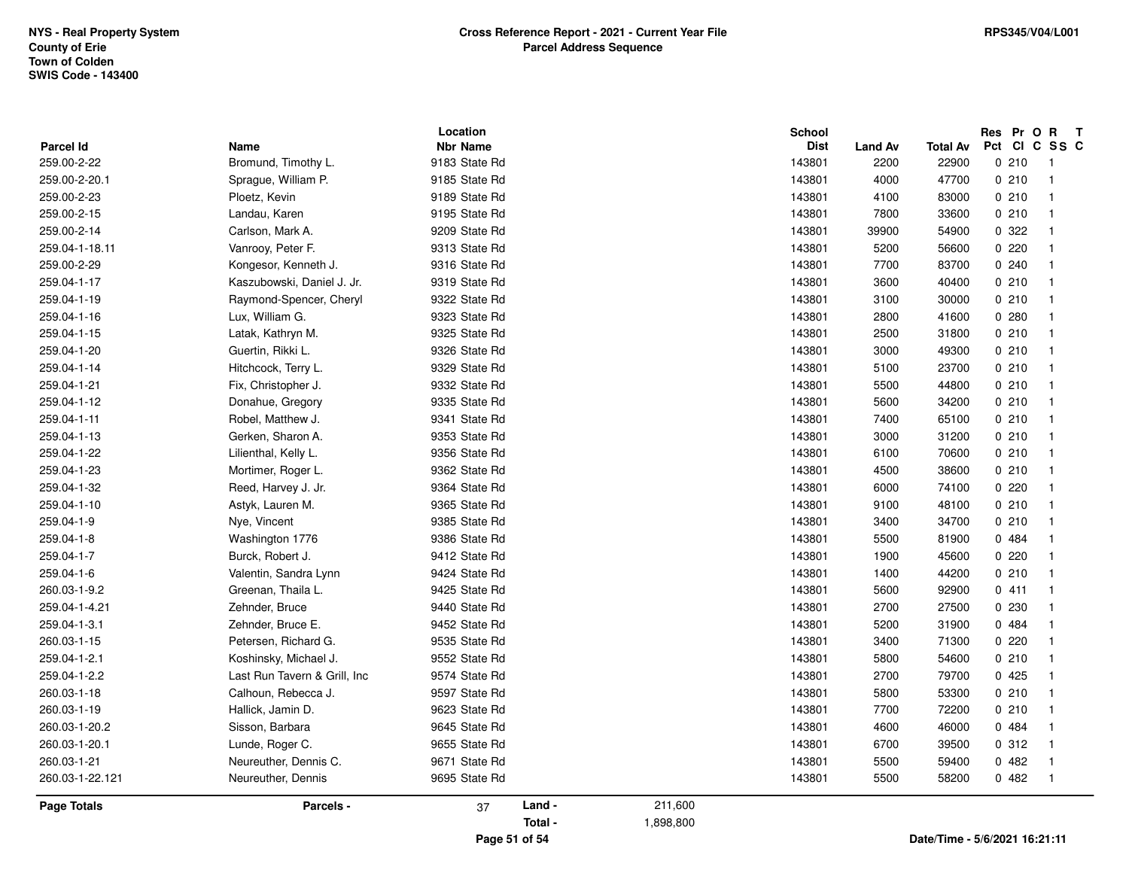|                                 |                              | Location                         |                   |                      | School                |                        |                          | Res Pr O R T<br>Pct CI C SS C |                         |
|---------------------------------|------------------------------|----------------------------------|-------------------|----------------------|-----------------------|------------------------|--------------------------|-------------------------------|-------------------------|
| <b>Parcel Id</b><br>259.00-2-22 | Name<br>Bromund, Timothy L.  | <b>Nbr Name</b><br>9183 State Rd |                   |                      | <b>Dist</b><br>143801 | <b>Land Av</b><br>2200 | <b>Total Av</b><br>22900 | 0210                          | -1                      |
| 259.00-2-20.1                   | Sprague, William P.          | 9185 State Rd                    |                   |                      | 143801                | 4000                   | 47700                    | 0210                          | $\overline{1}$          |
| 259.00-2-23                     | Ploetz, Kevin                | 9189 State Rd                    |                   |                      | 143801                |                        |                          | 0210                          | $\overline{1}$          |
|                                 |                              |                                  |                   |                      |                       | 4100                   | 83000                    |                               |                         |
| 259.00-2-15                     | Landau, Karen                | 9195 State Rd                    |                   |                      | 143801                | 7800                   | 33600                    | 0210                          | $\overline{1}$          |
| 259.00-2-14                     | Carlson, Mark A.             | 9209 State Rd                    |                   |                      | 143801                | 39900                  | 54900                    | 0.322                         | $\overline{\mathbf{1}}$ |
| 259.04-1-18.11                  | Vanrooy, Peter F.            | 9313 State Rd                    |                   |                      | 143801                | 5200                   | 56600                    | 0220                          | $\overline{1}$          |
| 259.00-2-29                     | Kongesor, Kenneth J.         | 9316 State Rd                    |                   |                      | 143801                | 7700                   | 83700                    | 0.240                         | $\overline{\mathbf{1}}$ |
| 259.04-1-17                     | Kaszubowski, Daniel J. Jr.   | 9319 State Rd                    |                   |                      | 143801                | 3600                   | 40400                    | 0210                          | $\overline{1}$          |
| 259.04-1-19                     | Raymond-Spencer, Cheryl      | 9322 State Rd                    |                   |                      | 143801                | 3100                   | 30000                    | 0210                          | $\overline{1}$          |
| 259.04-1-16                     | Lux, William G.              | 9323 State Rd                    |                   |                      | 143801                | 2800                   | 41600                    | 0.280                         | $\overline{1}$          |
| 259.04-1-15                     | Latak, Kathryn M.            | 9325 State Rd                    |                   |                      | 143801                | 2500                   | 31800                    | 0210                          | $\overline{1}$          |
| 259.04-1-20                     | Guertin, Rikki L.            | 9326 State Rd                    |                   |                      | 143801                | 3000                   | 49300                    | 0210                          | $\overline{\mathbf{1}}$ |
| 259.04-1-14                     | Hitchcock, Terry L.          | 9329 State Rd                    |                   |                      | 143801                | 5100                   | 23700                    | 0210                          | $\overline{1}$          |
| 259.04-1-21                     | Fix, Christopher J.          | 9332 State Rd                    |                   |                      | 143801                | 5500                   | 44800                    | 0210                          | $\overline{1}$          |
| 259.04-1-12                     | Donahue, Gregory             | 9335 State Rd                    |                   |                      | 143801                | 5600                   | 34200                    | 0210                          | $\overline{\mathbf{1}}$ |
| 259.04-1-11                     | Robel, Matthew J.            | 9341 State Rd                    |                   |                      | 143801                | 7400                   | 65100                    | 0210                          | $\overline{1}$          |
| 259.04-1-13                     | Gerken, Sharon A.            | 9353 State Rd                    |                   |                      | 143801                | 3000                   | 31200                    | 0210                          | $\overline{\mathbf{1}}$ |
| 259.04-1-22                     | Lilienthal, Kelly L.         | 9356 State Rd                    |                   |                      | 143801                | 6100                   | 70600                    | 0210                          | $\overline{1}$          |
| 259.04-1-23                     | Mortimer, Roger L.           | 9362 State Rd                    |                   |                      | 143801                | 4500                   | 38600                    | 0210                          | $\overline{1}$          |
| 259.04-1-32                     | Reed, Harvey J. Jr.          | 9364 State Rd                    |                   |                      | 143801                | 6000                   | 74100                    | 0220                          | $\overline{1}$          |
| 259.04-1-10                     | Astyk, Lauren M.             | 9365 State Rd                    |                   |                      | 143801                | 9100                   | 48100                    | 0210                          | $\overline{1}$          |
| 259.04-1-9                      | Nye, Vincent                 | 9385 State Rd                    |                   |                      | 143801                | 3400                   | 34700                    | 0210                          | $\overline{1}$          |
| 259.04-1-8                      | Washington 1776              | 9386 State Rd                    |                   |                      | 143801                | 5500                   | 81900                    | 0 484                         | $\overline{\mathbf{1}}$ |
| 259.04-1-7                      | Burck, Robert J.             | 9412 State Rd                    |                   |                      | 143801                | 1900                   | 45600                    | 0220                          | $\overline{1}$          |
| 259.04-1-6                      | Valentin, Sandra Lynn        | 9424 State Rd                    |                   |                      | 143801                | 1400                   | 44200                    | 0210                          | $\overline{1}$          |
| 260.03-1-9.2                    | Greenan, Thaila L.           | 9425 State Rd                    |                   |                      | 143801                | 5600                   | 92900                    | 0411                          | $\overline{1}$          |
| 259.04-1-4.21                   | Zehnder, Bruce               | 9440 State Rd                    |                   |                      | 143801                | 2700                   | 27500                    | 0230                          | $\overline{1}$          |
| 259.04-1-3.1                    | Zehnder, Bruce E.            | 9452 State Rd                    |                   |                      | 143801                | 5200                   | 31900                    | 0 484                         | $\overline{\mathbf{1}}$ |
| 260.03-1-15                     | Petersen, Richard G.         | 9535 State Rd                    |                   |                      | 143801                | 3400                   | 71300                    | 0220                          | $\overline{1}$          |
| 259.04-1-2.1                    | Koshinsky, Michael J.        | 9552 State Rd                    |                   |                      | 143801                | 5800                   | 54600                    | 0210                          | $\overline{1}$          |
| 259.04-1-2.2                    | Last Run Tavern & Grill, Inc | 9574 State Rd                    |                   |                      | 143801                | 2700                   | 79700                    | 0425                          | $\overline{1}$          |
| 260.03-1-18                     | Calhoun, Rebecca J.          | 9597 State Rd                    |                   |                      | 143801                | 5800                   | 53300                    | 0210                          | $\overline{1}$          |
| 260.03-1-19                     | Hallick, Jamin D.            | 9623 State Rd                    |                   |                      | 143801                | 7700                   | 72200                    | 0210                          | $\overline{1}$          |
| 260.03-1-20.2                   | Sisson, Barbara              | 9645 State Rd                    |                   |                      | 143801                | 4600                   | 46000                    | 0484                          | $\overline{1}$          |
| 260.03-1-20.1                   | Lunde, Roger C.              | 9655 State Rd                    |                   |                      | 143801                | 6700                   | 39500                    | 0.312                         | $\overline{1}$          |
| 260.03-1-21                     | Neureuther, Dennis C.        | 9671 State Rd                    |                   |                      | 143801                | 5500                   | 59400                    | 0482                          | $\overline{\mathbf{1}}$ |
| 260.03-1-22.121                 | Neureuther, Dennis           | 9695 State Rd                    |                   |                      | 143801                | 5500                   | 58200                    | 0482                          | $\overline{1}$          |
|                                 |                              |                                  |                   |                      |                       |                        |                          |                               |                         |
| Page Totals                     | Parcels -                    | 37                               | Land -<br>Total - | 211,600<br>1,898,800 |                       |                        |                          |                               |                         |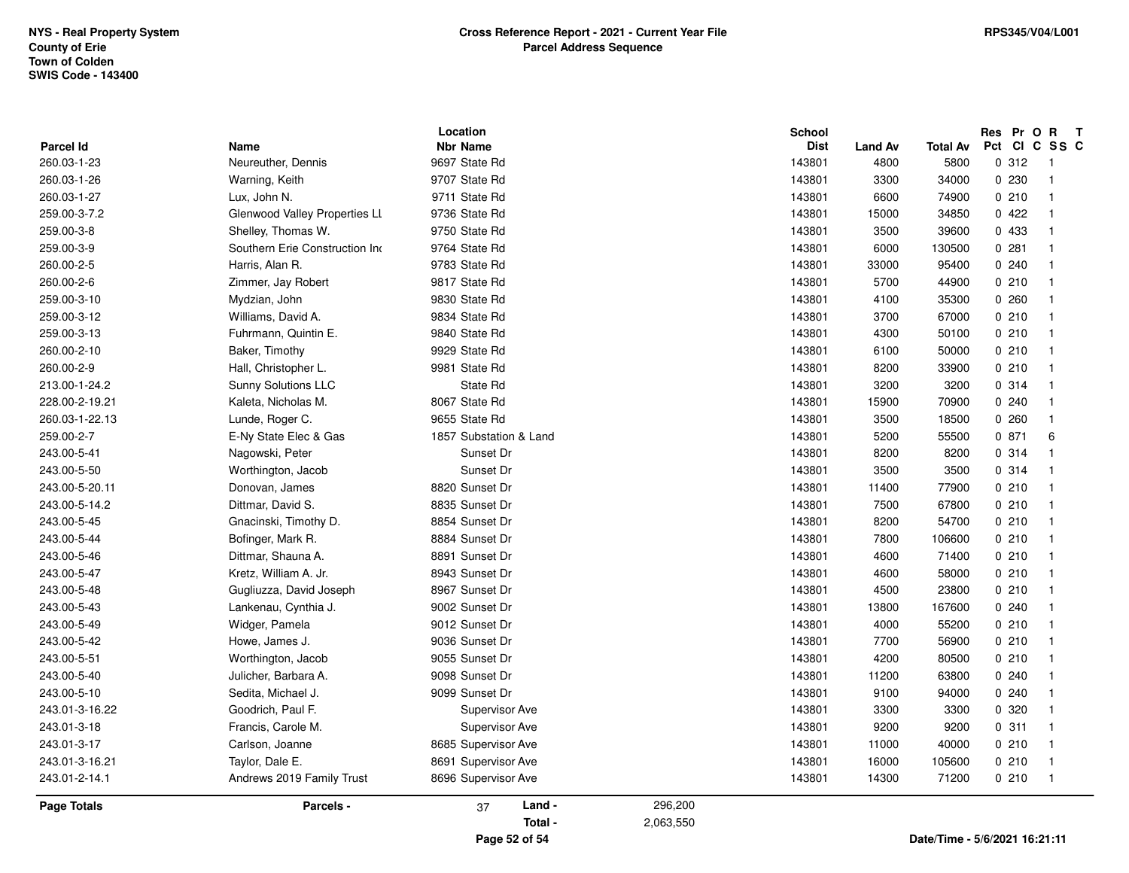|                    |                                | Location               |         | <b>School</b> |                |                 |         | Res Pr O R T   |
|--------------------|--------------------------------|------------------------|---------|---------------|----------------|-----------------|---------|----------------|
| Parcel Id          | Name                           | <b>Nbr Name</b>        |         | <b>Dist</b>   | <b>Land Av</b> | <b>Total Av</b> | Pct     | CICSSC         |
| 260.03-1-23        | Neureuther, Dennis             | 9697 State Rd          |         | 143801        | 4800           | 5800            | 0.312   | $\overline{1}$ |
| 260.03-1-26        | Warning, Keith                 | 9707 State Rd          |         | 143801        | 3300           | 34000           | 0 2 3 0 | $\overline{1}$ |
| 260.03-1-27        | Lux, John N.                   | 9711 State Rd          |         | 143801        | 6600           | 74900           | 0210    | $\overline{1}$ |
| 259.00-3-7.2       | Glenwood Valley Properties LL  | 9736 State Rd          |         | 143801        | 15000          | 34850           | 0422    | $\overline{1}$ |
| 259.00-3-8         | Shelley, Thomas W.             | 9750 State Rd          |         | 143801        | 3500           | 39600           | 0 433   | $\overline{1}$ |
| 259.00-3-9         | Southern Erie Construction Inc | 9764 State Rd          |         | 143801        | 6000           | 130500          | 0.281   | $\overline{1}$ |
| 260.00-2-5         | Harris, Alan R.                | 9783 State Rd          |         | 143801        | 33000          | 95400           | 0.240   | $\overline{1}$ |
| 260.00-2-6         | Zimmer, Jay Robert             | 9817 State Rd          |         | 143801        | 5700           | 44900           | 0210    | $\overline{1}$ |
| 259.00-3-10        | Mydzian, John                  | 9830 State Rd          |         | 143801        | 4100           | 35300           | 0.260   | $\overline{1}$ |
| 259.00-3-12        | Williams, David A.             | 9834 State Rd          |         | 143801        | 3700           | 67000           | 0210    | $\overline{1}$ |
| 259.00-3-13        | Fuhrmann, Quintin E.           | 9840 State Rd          |         | 143801        | 4300           | 50100           | 0210    | $\overline{1}$ |
| 260.00-2-10        | Baker, Timothy                 | 9929 State Rd          |         | 143801        | 6100           | 50000           | 0210    | $\overline{1}$ |
| 260.00-2-9         | Hall, Christopher L.           | 9981 State Rd          |         | 143801        | 8200           | 33900           | 0210    | $\overline{1}$ |
| 213.00-1-24.2      | <b>Sunny Solutions LLC</b>     | State Rd               |         | 143801        | 3200           | 3200            | 0.314   | $\overline{1}$ |
| 228.00-2-19.21     | Kaleta, Nicholas M.            | 8067 State Rd          |         | 143801        | 15900          | 70900           | 0240    | $\overline{1}$ |
| 260.03-1-22.13     | Lunde, Roger C.                | 9655 State Rd          |         | 143801        | 3500           | 18500           | 0260    | $\overline{1}$ |
| 259.00-2-7         | E-Ny State Elec & Gas          | 1857 Substation & Land |         | 143801        | 5200           | 55500           | 0.871   | 6              |
| 243.00-5-41        | Nagowski, Peter                | Sunset Dr              |         | 143801        | 8200           | 8200            | 0.314   | $\overline{1}$ |
| 243.00-5-50        | Worthington, Jacob             | Sunset Dr              |         | 143801        | 3500           | 3500            | 0.314   | $\overline{1}$ |
| 243.00-5-20.11     | Donovan, James                 | 8820 Sunset Dr         |         | 143801        | 11400          | 77900           | 0210    | $\overline{1}$ |
| 243.00-5-14.2      | Dittmar, David S.              | 8835 Sunset Dr         |         | 143801        | 7500           | 67800           | 0210    | $\overline{1}$ |
| 243.00-5-45        | Gnacinski, Timothy D.          | 8854 Sunset Dr         |         | 143801        | 8200           | 54700           | 0210    | $\overline{1}$ |
| 243.00-5-44        | Bofinger, Mark R.              | 8884 Sunset Dr         |         | 143801        | 7800           | 106600          | 0210    | $\overline{1}$ |
| 243.00-5-46        | Dittmar, Shauna A.             | 8891 Sunset Dr         |         | 143801        | 4600           | 71400           | 0210    | $\overline{1}$ |
| 243.00-5-47        | Kretz, William A. Jr.          | 8943 Sunset Dr         |         | 143801        | 4600           | 58000           | 0210    | $\overline{1}$ |
| 243.00-5-48        | Gugliuzza, David Joseph        | 8967 Sunset Dr         |         | 143801        | 4500           | 23800           | 0210    | $\overline{1}$ |
| 243.00-5-43        | Lankenau, Cynthia J.           | 9002 Sunset Dr         |         | 143801        | 13800          | 167600          | 0.240   | $\overline{1}$ |
| 243.00-5-49        | Widger, Pamela                 | 9012 Sunset Dr         |         | 143801        | 4000           | 55200           | 0210    | $\overline{1}$ |
| 243.00-5-42        | Howe, James J.                 | 9036 Sunset Dr         |         | 143801        | 7700           | 56900           | 0210    | $\overline{1}$ |
| 243.00-5-51        | Worthington, Jacob             | 9055 Sunset Dr         |         | 143801        | 4200           | 80500           | 0210    | $\overline{1}$ |
| 243.00-5-40        | Julicher, Barbara A.           | 9098 Sunset Dr         |         | 143801        | 11200          | 63800           | 0240    | $\overline{1}$ |
| 243.00-5-10        | Sedita, Michael J.             | 9099 Sunset Dr         |         | 143801        | 9100           | 94000           | 0240    | $\overline{1}$ |
| 243.01-3-16.22     | Goodrich, Paul F.              | Supervisor Ave         |         | 143801        | 3300           | 3300            | 0 320   | $\overline{1}$ |
| 243.01-3-18        | Francis, Carole M.             | Supervisor Ave         |         | 143801        | 9200           | 9200            | 0.311   | $\overline{1}$ |
| 243.01-3-17        | Carlson, Joanne                | 8685 Supervisor Ave    |         | 143801        | 11000          | 40000           | 0210    | $\overline{1}$ |
| 243.01-3-16.21     | Taylor, Dale E.                | 8691 Supervisor Ave    |         | 143801        | 16000          | 105600          | 0210    | $\overline{1}$ |
| 243.01-2-14.1      | Andrews 2019 Family Trust      | 8696 Supervisor Ave    |         | 143801        | 14300          | 71200           | 0210    | $\overline{1}$ |
| <b>Page Totals</b> | Parcels -                      | Land -<br>37           | 296,200 |               |                |                 |         |                |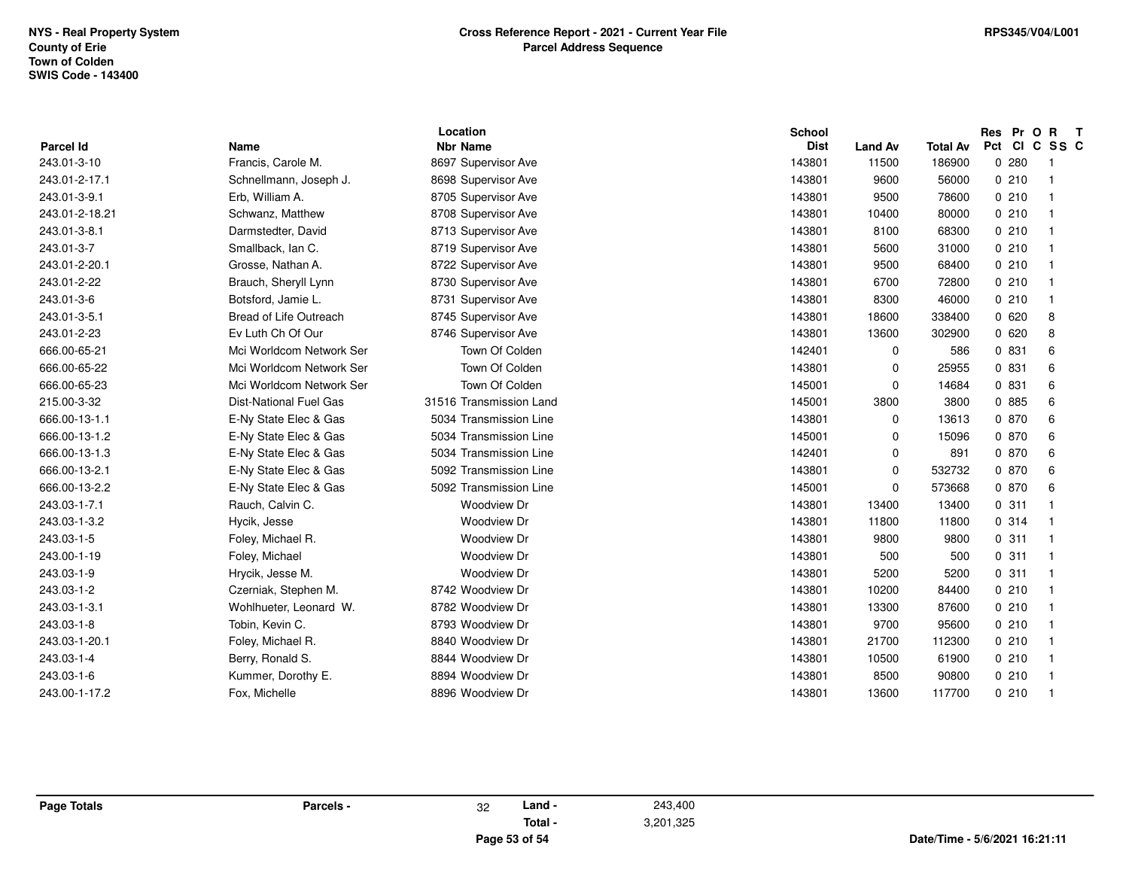| <b>Parcel Id</b> | <b>Name</b>                   | Location<br><b>Nbr Name</b> | <b>School</b><br><b>Dist</b> | <b>Land Av</b> | <b>Total Av</b> | Res Pr O<br>Pct Cl | $\mathbf{R}$<br>$\mathbf{T}$<br>C.<br>SS C |
|------------------|-------------------------------|-----------------------------|------------------------------|----------------|-----------------|--------------------|--------------------------------------------|
| 243.01-3-10      | Francis, Carole M.            | 8697 Supervisor Ave         | 143801                       | 11500          | 186900          | 0.280              | - 1                                        |
| 243.01-2-17.1    | Schnellmann, Joseph J.        | 8698 Supervisor Ave         | 143801                       | 9600           | 56000           | 0210               |                                            |
| 243.01-3-9.1     | Erb, William A.               | 8705 Supervisor Ave         | 143801                       | 9500           | 78600           | 0210               |                                            |
| 243.01-2-18.21   | Schwanz, Matthew              | 8708 Supervisor Ave         | 143801                       | 10400          | 80000           | 0210               |                                            |
| 243.01-3-8.1     | Darmstedter, David            | 8713 Supervisor Ave         | 143801                       | 8100           | 68300           | 0210               | - 1                                        |
| 243.01-3-7       | Smallback, Ian C.             | 8719 Supervisor Ave         | 143801                       | 5600           | 31000           | 0210               | - 1                                        |
| 243.01-2-20.1    | Grosse, Nathan A.             | 8722 Supervisor Ave         | 143801                       | 9500           | 68400           | 0210               | - 1                                        |
| 243.01-2-22      | Brauch, Sheryll Lynn          | 8730 Supervisor Ave         | 143801                       | 6700           | 72800           | 0210               |                                            |
| 243.01-3-6       | Botsford, Jamie L.            | 8731 Supervisor Ave         | 143801                       | 8300           | 46000           | 0210               | - 1                                        |
| 243.01-3-5.1     | Bread of Life Outreach        | 8745 Supervisor Ave         | 143801                       | 18600          | 338400          | 0620               | -8                                         |
| 243.01-2-23      | Ev Luth Ch Of Our             | 8746 Supervisor Ave         | 143801                       | 13600          | 302900          | 0620               | 8                                          |
| 666.00-65-21     | Mci Worldcom Network Ser      | Town Of Colden              | 142401                       | 0              | 586             | 0 831              | 6                                          |
| 666.00-65-22     | Mci Worldcom Network Ser      | Town Of Colden              | 143801                       | 0              | 25955           | 0 831              | 6                                          |
| 666.00-65-23     | Mci Worldcom Network Ser      | Town Of Colden              | 145001                       | 0              | 14684           | 0 831              | 6                                          |
| 215.00-3-32      | <b>Dist-National Fuel Gas</b> | 31516 Transmission Land     | 145001                       | 3800           | 3800            | 0 885              | 6                                          |
| 666.00-13-1.1    | E-Ny State Elec & Gas         | 5034 Transmission Line      | 143801                       | 0              | 13613           | 0 870              | 6                                          |
| 666.00-13-1.2    | E-Ny State Elec & Gas         | 5034 Transmission Line      | 145001                       | 0              | 15096           | 0 870              | 6                                          |
| 666.00-13-1.3    | E-Ny State Elec & Gas         | 5034 Transmission Line      | 142401                       | 0              | 891             | 0 870              | 6                                          |
| 666.00-13-2.1    | E-Ny State Elec & Gas         | 5092 Transmission Line      | 143801                       | 0              | 532732          | 0 870              | 6                                          |
| 666.00-13-2.2    | E-Ny State Elec & Gas         | 5092 Transmission Line      | 145001                       | 0              | 573668          | 0 870              | - 6                                        |
| 243.03-1-7.1     | Rauch, Calvin C.              | <b>Woodview Dr</b>          | 143801                       | 13400          | 13400           | 0.311              |                                            |
| 243.03-1-3.2     | Hycik, Jesse                  | Woodview Dr                 | 143801                       | 11800          | 11800           | 0.314              |                                            |
| 243.03-1-5       | Foley, Michael R.             | <b>Woodview Dr</b>          | 143801                       | 9800           | 9800            | 0.311              | - 1                                        |
| 243.00-1-19      | Foley, Michael                | Woodview Dr                 | 143801                       | 500            | 500             | 0.311              | - 1                                        |
| 243.03-1-9       | Hrycik, Jesse M.              | Woodview Dr                 | 143801                       | 5200           | 5200            | 0.311              | - 1                                        |
| 243.03-1-2       | Czerniak, Stephen M.          | 8742 Woodview Dr            | 143801                       | 10200          | 84400           | 0210               |                                            |
| 243.03-1-3.1     | Wohlhueter, Leonard W.        | 8782 Woodview Dr            | 143801                       | 13300          | 87600           | 0210               |                                            |
| 243.03-1-8       | Tobin, Kevin C.               | 8793 Woodview Dr            | 143801                       | 9700           | 95600           | 0210               | - 1                                        |
| 243.03-1-20.1    | Foley, Michael R.             | 8840 Woodview Dr            | 143801                       | 21700          | 112300          | 0210               | - 1                                        |
| 243.03-1-4       | Berry, Ronald S.              | 8844 Woodview Dr            | 143801                       | 10500          | 61900           | 0210               | - 1                                        |
| 243.03-1-6       | Kummer, Dorothy E.            | 8894 Woodview Dr            | 143801                       | 8500           | 90800           | 0210               |                                            |
| 243.00-1-17.2    | Fox, Michelle                 | 8896 Woodview Dr            | 143801                       | 13600          | 117700          | 0210               |                                            |
|                  |                               |                             |                              |                |                 |                    |                                            |